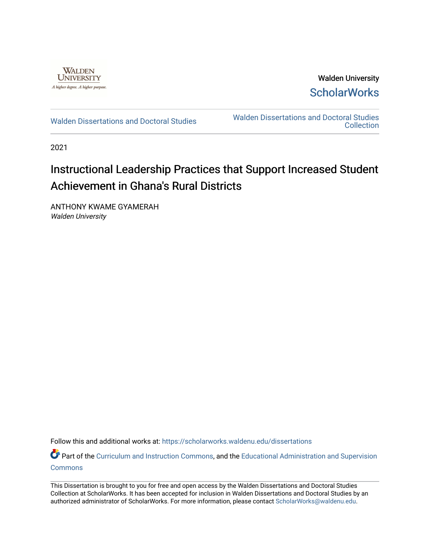

Walden University **ScholarWorks** 

[Walden Dissertations and Doctoral Studies](https://scholarworks.waldenu.edu/dissertations) Walden Dissertations and Doctoral Studies **Collection** 

2021

# Instructional Leadership Practices that Support Increased Student Achievement in Ghana's Rural Districts

ANTHONY KWAME GYAMERAH Walden University

Follow this and additional works at: [https://scholarworks.waldenu.edu/dissertations](https://scholarworks.waldenu.edu/dissertations?utm_source=scholarworks.waldenu.edu%2Fdissertations%2F11192&utm_medium=PDF&utm_campaign=PDFCoverPages)

Part of the [Curriculum and Instruction Commons,](http://network.bepress.com/hgg/discipline/786?utm_source=scholarworks.waldenu.edu%2Fdissertations%2F11192&utm_medium=PDF&utm_campaign=PDFCoverPages) and the [Educational Administration and Supervision](http://network.bepress.com/hgg/discipline/787?utm_source=scholarworks.waldenu.edu%2Fdissertations%2F11192&utm_medium=PDF&utm_campaign=PDFCoverPages) **[Commons](http://network.bepress.com/hgg/discipline/787?utm_source=scholarworks.waldenu.edu%2Fdissertations%2F11192&utm_medium=PDF&utm_campaign=PDFCoverPages)** 

This Dissertation is brought to you for free and open access by the Walden Dissertations and Doctoral Studies Collection at ScholarWorks. It has been accepted for inclusion in Walden Dissertations and Doctoral Studies by an authorized administrator of ScholarWorks. For more information, please contact [ScholarWorks@waldenu.edu](mailto:ScholarWorks@waldenu.edu).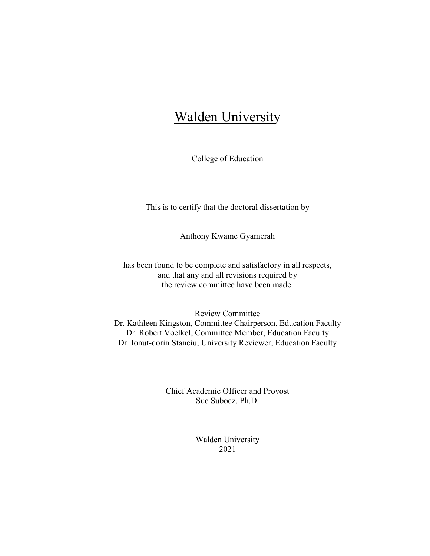# **Walden University**

College of Education

This is to certify that the doctoral dissertation by

Anthony Kwame Gyamerah

has been found to be complete and satisfactory in all respects, and that any and all revisions required by the review committee have been made.

Review Committee Dr. Kathleen Kingston, Committee Chairperson, Education Faculty Dr. Robert Voelkel, Committee Member, Education Faculty Dr. Ionut-dorin Stanciu, University Reviewer, Education Faculty

> Chief Academic Officer and Provost Sue Subocz, Ph.D.

> > Walden University 2021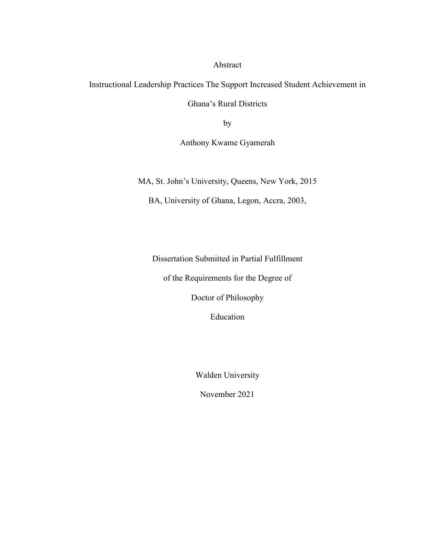Abstract

Instructional Leadership Practices The Support Increased Student Achievement in

Ghana's Rural Districts

by

Anthony Kwame Gyamerah

MA, St. John's University, Queens, New York, 2015

BA, University of Ghana, Legon, Accra, 2003,

Dissertation Submitted in Partial Fulfillment

of the Requirements for the Degree of

Doctor of Philosophy

Education

Walden University

November 2021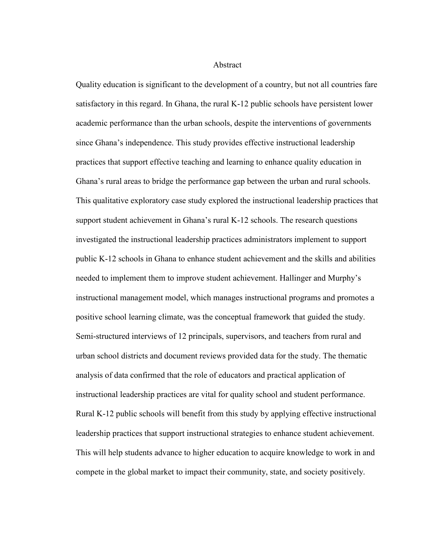Abstract

Quality education is significant to the development of a country, but not all countries fare satisfactory in this regard. In Ghana, the rural K-12 public schools have persistent lower academic performance than the urban schools, despite the interventions of governments since Ghana's independence. This study provides effective instructional leadership practices that support effective teaching and learning to enhance quality education in Ghana's rural areas to bridge the performance gap between the urban and rural schools. This qualitative exploratory case study explored the instructional leadership practices that support student achievement in Ghana's rural K-12 schools. The research questions investigated the instructional leadership practices administrators implement to support public K-12 schools in Ghana to enhance student achievement and the skills and abilities needed to implement them to improve student achievement. Hallinger and Murphy's instructional management model, which manages instructional programs and promotes a positive school learning climate, was the conceptual framework that guided the study. Semi-structured interviews of 12 principals, supervisors, and teachers from rural and urban school districts and document reviews provided data for the study. The thematic analysis of data confirmed that the role of educators and practical application of instructional leadership practices are vital for quality school and student performance. Rural K-12 public schools will benefit from this study by applying effective instructional leadership practices that support instructional strategies to enhance student achievement. This will help students advance to higher education to acquire knowledge to work in and compete in the global market to impact their community, state, and society positively.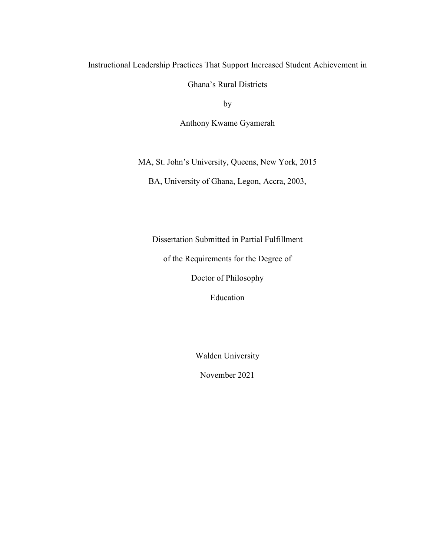# Instructional Leadership Practices That Support Increased Student Achievement in

Ghana's Rural Districts

by

Anthony Kwame Gyamerah

MA, St. John's University, Queens, New York, 2015

BA, University of Ghana, Legon, Accra, 2003,

Dissertation Submitted in Partial Fulfillment

of the Requirements for the Degree of

Doctor of Philosophy

Education

Walden University

November 2021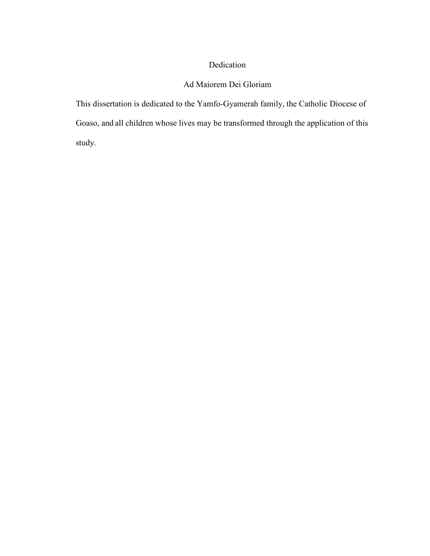# Dedication

# Ad Maiorem Dei Gloriam

This dissertation is dedicated to the Yamfo-Gyamerah family, the Catholic Diocese of Goaso, and all children whose lives may be transformed through the application of this study.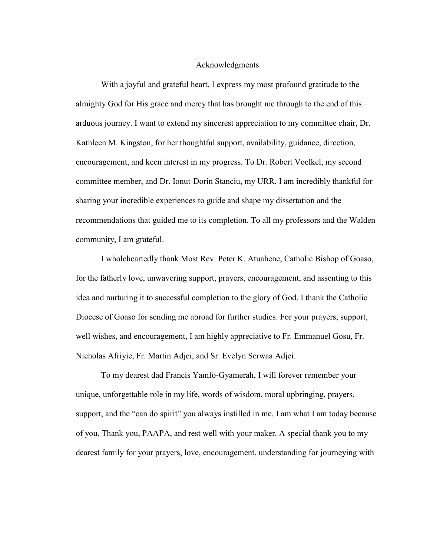#### Acknowledgments

With a joyful and grateful heart, I express my most profound gratitude to the almighty God for His grace and mercy that has brought me through to the end of this arduous journey. I want to extend my sincerest appreciation to my committee chair, Dr. Kathleen M. Kingston, for her thoughtful support, availability, guidance, direction, encouragement, and keen interest in my progress. To Dr. Robert Voelkel, my second committee member, and Dr. Ionut-Dorin Stanciu, my URR, I am incredibly thankful for sharing your incredible experiences to guide and shape my dissertation and the recommendations that guided me to its completion. To all my professors and the Walden community, I am grateful.

I wholeheartedly thank Most Rev. Peter K. Atuahene, Catholic Bishop of Goaso, for the fatherly love, unwavering support, prayers, encouragement, and assenting to this idea and nurturing it to successful completion to the glory of God. I thank the Catholic Diocese of Goaso for sending me abroad for further studies. For your prayers, support, well wishes, and encouragement, I am highly appreciative to Fr. Emmanuel Gosu, Fr. Nicholas Afriyie, Fr. Martin Adjei, and Sr. Evelyn Serwaa Adjei.

To my dearest dad Francis Yamfo-Gyamerah, I will forever remember your unique, unforgettable role in my life, words of wisdom, moral upbringing, prayers, support, and the "can do spirit" you always instilled in me. I am what I am today because of you, Thank you, PAAPA, and rest well with your maker. A special thank you to my dearest family for your prayers, love, encouragement, understanding for journeying with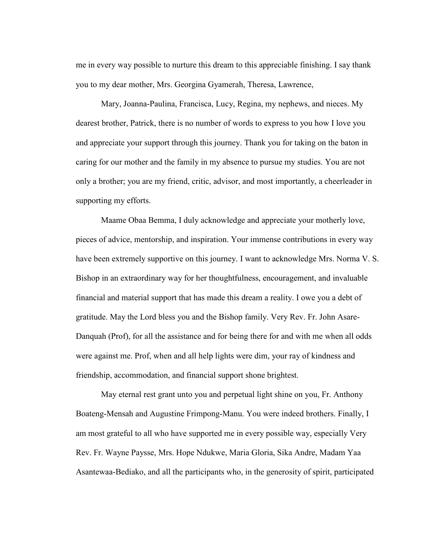me in every way possible to nurture this dream to this appreciable finishing. I say thank you to my dear mother, Mrs. Georgina Gyamerah, Theresa, Lawrence,

Mary, Joanna-Paulina, Francisca, Lucy, Regina, my nephews, and nieces. My dearest brother, Patrick, there is no number of words to express to you how I love you and appreciate your support through this journey. Thank you for taking on the baton in caring for our mother and the family in my absence to pursue my studies. You are not only a brother; you are my friend, critic, advisor, and most importantly, a cheerleader in supporting my efforts.

Maame Obaa Bemma, I duly acknowledge and appreciate your motherly love, pieces of advice, mentorship, and inspiration. Your immense contributions in every way have been extremely supportive on this journey. I want to acknowledge Mrs. Norma V. S. Bishop in an extraordinary way for her thoughtfulness, encouragement, and invaluable financial and material support that has made this dream a reality. I owe you a debt of gratitude. May the Lord bless you and the Bishop family. Very Rev. Fr. John Asare-Danquah (Prof), for all the assistance and for being there for and with me when all odds were against me. Prof, when and all help lights were dim, your ray of kindness and friendship, accommodation, and financial support shone brightest.

May eternal rest grant unto you and perpetual light shine on you, Fr. Anthony Boateng-Mensah and Augustine Frimpong-Manu. You were indeed brothers. Finally, I am most grateful to all who have supported me in every possible way, especially Very Rev. Fr. Wayne Paysse, Mrs. Hope Ndukwe, Maria Gloria, Sika Andre, Madam Yaa Asantewaa-Bediako, and all the participants who, in the generosity of spirit, participated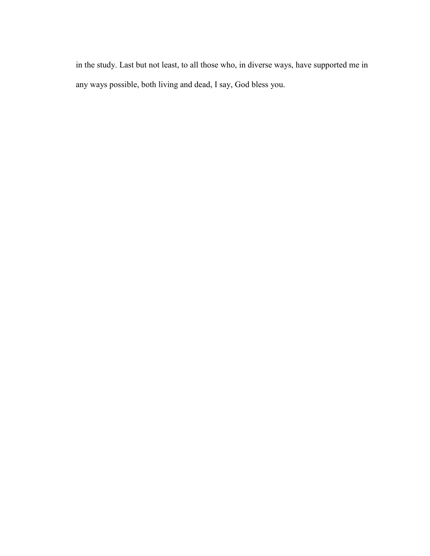in the study. Last but not least, to all those who, in diverse ways, have supported me in any ways possible, both living and dead, I say, God bless you.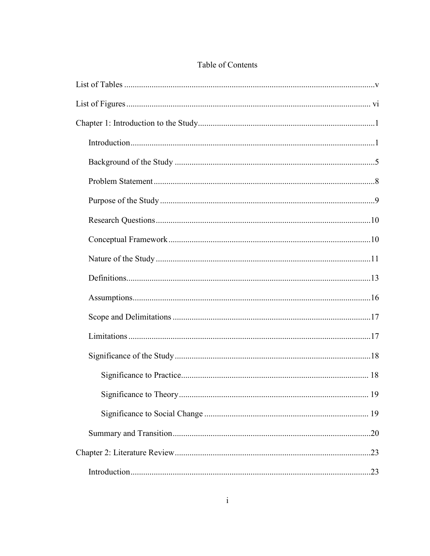# Table of Contents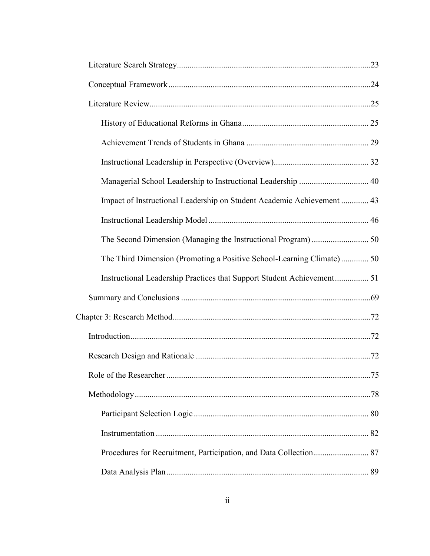| Managerial School Leadership to Instructional Leadership  40           |  |
|------------------------------------------------------------------------|--|
| Impact of Instructional Leadership on Student Academic Achievement  43 |  |
|                                                                        |  |
|                                                                        |  |
| The Third Dimension (Promoting a Positive School-Learning Climate) 50  |  |
|                                                                        |  |
|                                                                        |  |
|                                                                        |  |
|                                                                        |  |
|                                                                        |  |
|                                                                        |  |
|                                                                        |  |
|                                                                        |  |
|                                                                        |  |
|                                                                        |  |
|                                                                        |  |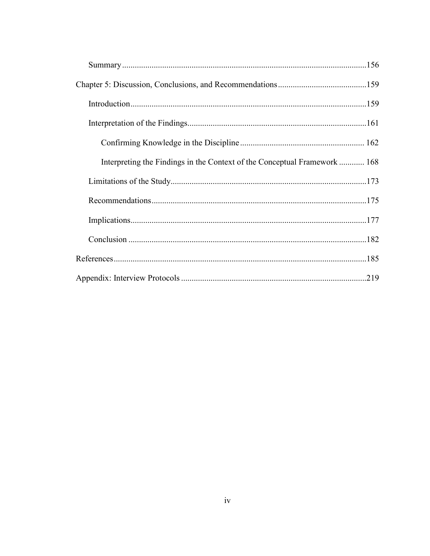| Interpreting the Findings in the Context of the Conceptual Framework  168 |  |
|---------------------------------------------------------------------------|--|
|                                                                           |  |
|                                                                           |  |
|                                                                           |  |
|                                                                           |  |
|                                                                           |  |
|                                                                           |  |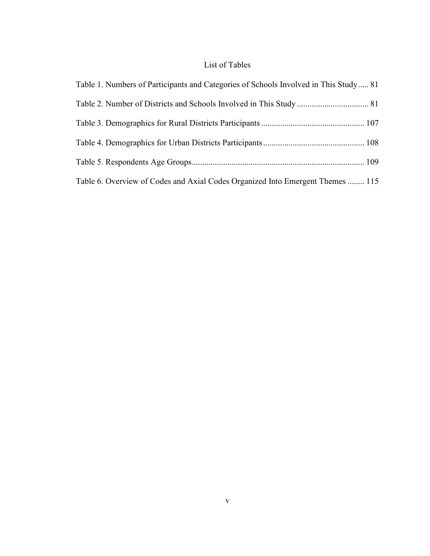# List of Tables

| Table 1. Numbers of Participants and Categories of Schools Involved in This Study 81 |  |
|--------------------------------------------------------------------------------------|--|
|                                                                                      |  |
|                                                                                      |  |
|                                                                                      |  |
|                                                                                      |  |
| Table 6. Overview of Codes and Axial Codes Organized Into Emergent Themes  115       |  |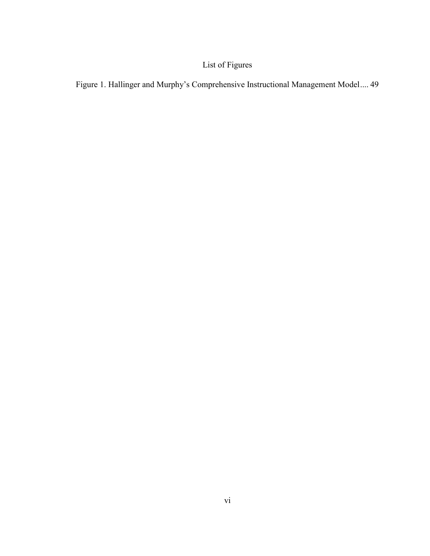# List of Figures

Figure 1. Hallinger and Murphy's Comprehensive Instructional Management Model .... 49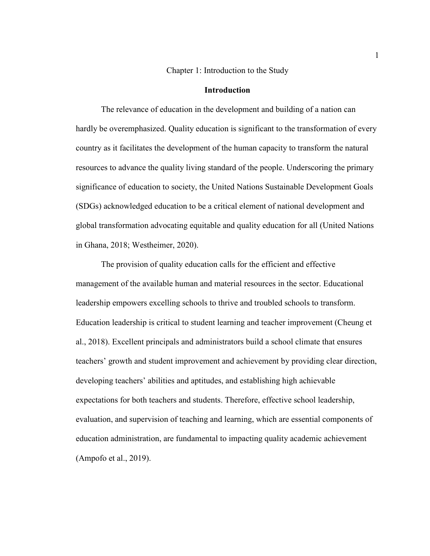Chapter 1: Introduction to the Study

## **Introduction**

The relevance of education in the development and building of a nation can hardly be overemphasized. Quality education is significant to the transformation of every country as it facilitates the development of the human capacity to transform the natural resources to advance the quality living standard of the people. Underscoring the primary significance of education to society, the United Nations Sustainable Development Goals (SDGs) acknowledged education to be a critical element of national development and global transformation advocating equitable and quality education for all (United Nations in Ghana, 2018; Westheimer, 2020).

The provision of quality education calls for the efficient and effective management of the available human and material resources in the sector. Educational leadership empowers excelling schools to thrive and troubled schools to transform. Education leadership is critical to student learning and teacher improvement (Cheung et al., 2018). Excellent principals and administrators build a school climate that ensures teachers' growth and student improvement and achievement by providing clear direction, developing teachers' abilities and aptitudes, and establishing high achievable expectations for both teachers and students. Therefore, effective school leadership, evaluation, and supervision of teaching and learning, which are essential components of education administration, are fundamental to impacting quality academic achievement (Ampofo et al., 2019).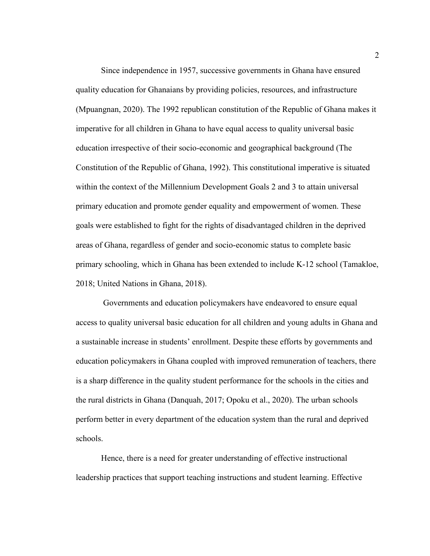Since independence in 1957, successive governments in Ghana have ensured quality education for Ghanaians by providing policies, resources, and infrastructure (Mpuangnan, 2020). The 1992 republican constitution of the Republic of Ghana makes it imperative for all children in Ghana to have equal access to quality universal basic education irrespective of their socio-economic and geographical background (The Constitution of the Republic of Ghana, 1992). This constitutional imperative is situated within the context of the Millennium Development Goals 2 and 3 to attain universal primary education and promote gender equality and empowerment of women. These goals were established to fight for the rights of disadvantaged children in the deprived areas of Ghana, regardless of gender and socio-economic status to complete basic primary schooling, which in Ghana has been extended to include K-12 school (Tamakloe, 2018; United Nations in Ghana, 2018).

 Governments and education policymakers have endeavored to ensure equal access to quality universal basic education for all children and young adults in Ghana and a sustainable increase in students' enrollment. Despite these efforts by governments and education policymakers in Ghana coupled with improved remuneration of teachers, there is a sharp difference in the quality student performance for the schools in the cities and the rural districts in Ghana (Danquah, 2017; Opoku et al., 2020). The urban schools perform better in every department of the education system than the rural and deprived schools.

Hence, there is a need for greater understanding of effective instructional leadership practices that support teaching instructions and student learning. Effective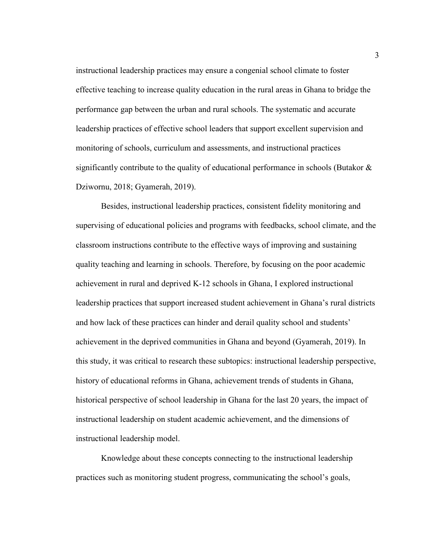instructional leadership practices may ensure a congenial school climate to foster effective teaching to increase quality education in the rural areas in Ghana to bridge the performance gap between the urban and rural schools. The systematic and accurate leadership practices of effective school leaders that support excellent supervision and monitoring of schools, curriculum and assessments, and instructional practices significantly contribute to the quality of educational performance in schools (Butakor & Dziwornu, 2018; Gyamerah, 2019).

Besides, instructional leadership practices, consistent fidelity monitoring and supervising of educational policies and programs with feedbacks, school climate, and the classroom instructions contribute to the effective ways of improving and sustaining quality teaching and learning in schools. Therefore, by focusing on the poor academic achievement in rural and deprived K-12 schools in Ghana, I explored instructional leadership practices that support increased student achievement in Ghana's rural districts and how lack of these practices can hinder and derail quality school and students' achievement in the deprived communities in Ghana and beyond (Gyamerah, 2019). In this study, it was critical to research these subtopics: instructional leadership perspective, history of educational reforms in Ghana, achievement trends of students in Ghana, historical perspective of school leadership in Ghana for the last 20 years, the impact of instructional leadership on student academic achievement, and the dimensions of instructional leadership model.

Knowledge about these concepts connecting to the instructional leadership practices such as monitoring student progress, communicating the school's goals,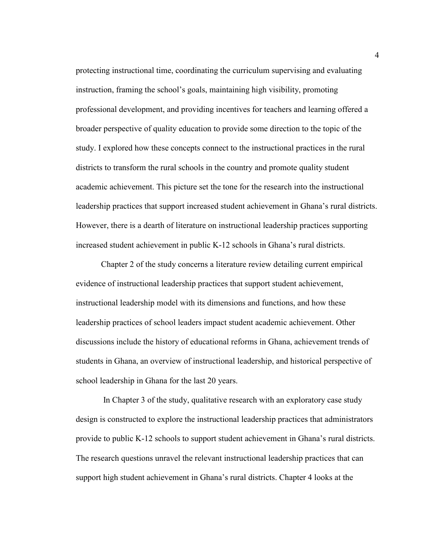protecting instructional time, coordinating the curriculum supervising and evaluating instruction, framing the school's goals, maintaining high visibility, promoting professional development, and providing incentives for teachers and learning offered a broader perspective of quality education to provide some direction to the topic of the study. I explored how these concepts connect to the instructional practices in the rural districts to transform the rural schools in the country and promote quality student academic achievement. This picture set the tone for the research into the instructional leadership practices that support increased student achievement in Ghana's rural districts. However, there is a dearth of literature on instructional leadership practices supporting increased student achievement in public K-12 schools in Ghana's rural districts.

Chapter 2 of the study concerns a literature review detailing current empirical evidence of instructional leadership practices that support student achievement, instructional leadership model with its dimensions and functions, and how these leadership practices of school leaders impact student academic achievement. Other discussions include the history of educational reforms in Ghana, achievement trends of students in Ghana, an overview of instructional leadership, and historical perspective of school leadership in Ghana for the last 20 years.

 In Chapter 3 of the study, qualitative research with an exploratory case study design is constructed to explore the instructional leadership practices that administrators provide to public K-12 schools to support student achievement in Ghana's rural districts. The research questions unravel the relevant instructional leadership practices that can support high student achievement in Ghana's rural districts. Chapter 4 looks at the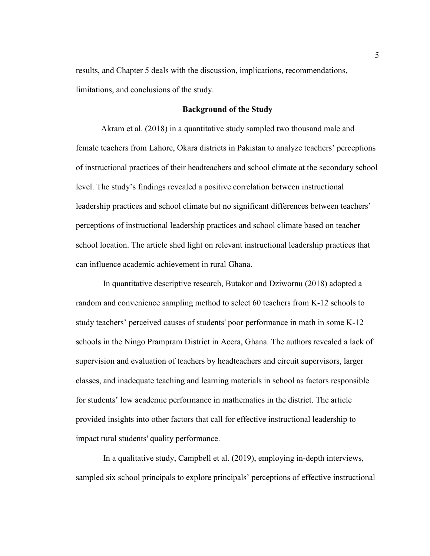results, and Chapter 5 deals with the discussion, implications, recommendations, limitations, and conclusions of the study.

### **Background of the Study**

Akram et al. (2018) in a quantitative study sampled two thousand male and female teachers from Lahore, Okara districts in Pakistan to analyze teachers' perceptions of instructional practices of their headteachers and school climate at the secondary school level. The study's findings revealed a positive correlation between instructional leadership practices and school climate but no significant differences between teachers' perceptions of instructional leadership practices and school climate based on teacher school location. The article shed light on relevant instructional leadership practices that can influence academic achievement in rural Ghana.

 In quantitative descriptive research, Butakor and Dziwornu (2018) adopted a random and convenience sampling method to select 60 teachers from K-12 schools to study teachers' perceived causes of students' poor performance in math in some K-12 schools in the Ningo Prampram District in Accra, Ghana. The authors revealed a lack of supervision and evaluation of teachers by headteachers and circuit supervisors, larger classes, and inadequate teaching and learning materials in school as factors responsible for students' low academic performance in mathematics in the district. The article provided insights into other factors that call for effective instructional leadership to impact rural students' quality performance.

 In a qualitative study, Campbell et al. (2019), employing in-depth interviews, sampled six school principals to explore principals' perceptions of effective instructional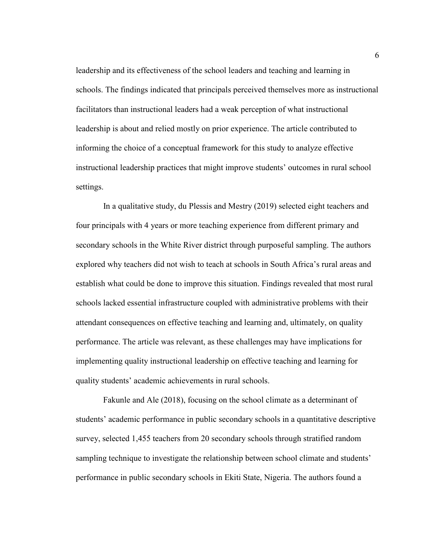leadership and its effectiveness of the school leaders and teaching and learning in schools. The findings indicated that principals perceived themselves more as instructional facilitators than instructional leaders had a weak perception of what instructional leadership is about and relied mostly on prior experience. The article contributed to informing the choice of a conceptual framework for this study to analyze effective instructional leadership practices that might improve students' outcomes in rural school settings.

 In a qualitative study, du Plessis and Mestry (2019) selected eight teachers and four principals with 4 years or more teaching experience from different primary and secondary schools in the White River district through purposeful sampling. The authors explored why teachers did not wish to teach at schools in South Africa's rural areas and establish what could be done to improve this situation. Findings revealed that most rural schools lacked essential infrastructure coupled with administrative problems with their attendant consequences on effective teaching and learning and, ultimately, on quality performance. The article was relevant, as these challenges may have implications for implementing quality instructional leadership on effective teaching and learning for quality students' academic achievements in rural schools.

 Fakunle and Ale (2018), focusing on the school climate as a determinant of students' academic performance in public secondary schools in a quantitative descriptive survey, selected 1,455 teachers from 20 secondary schools through stratified random sampling technique to investigate the relationship between school climate and students' performance in public secondary schools in Ekiti State, Nigeria. The authors found a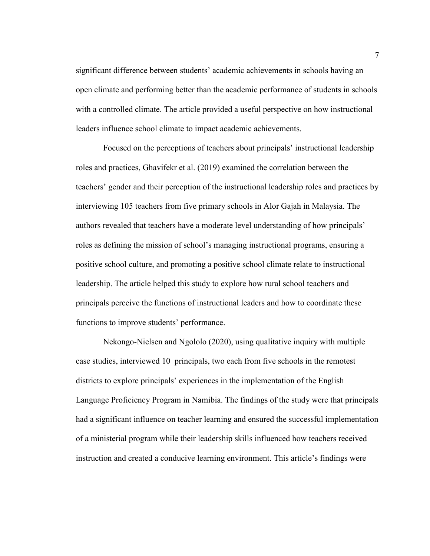significant difference between students' academic achievements in schools having an open climate and performing better than the academic performance of students in schools with a controlled climate. The article provided a useful perspective on how instructional leaders influence school climate to impact academic achievements.

 Focused on the perceptions of teachers about principals' instructional leadership roles and practices, Ghavifekr et al. (2019) examined the correlation between the teachers' gender and their perception of the instructional leadership roles and practices by interviewing 105 teachers from five primary schools in Alor Gajah in Malaysia. The authors revealed that teachers have a moderate level understanding of how principals' roles as defining the mission of school's managing instructional programs, ensuring a positive school culture, and promoting a positive school climate relate to instructional leadership. The article helped this study to explore how rural school teachers and principals perceive the functions of instructional leaders and how to coordinate these functions to improve students' performance.

 Nekongo-Nielsen and Ngololo (2020), using qualitative inquiry with multiple case studies, interviewed 10 principals, two each from five schools in the remotest districts to explore principals' experiences in the implementation of the English Language Proficiency Program in Namibia. The findings of the study were that principals had a significant influence on teacher learning and ensured the successful implementation of a ministerial program while their leadership skills influenced how teachers received instruction and created a conducive learning environment. This article's findings were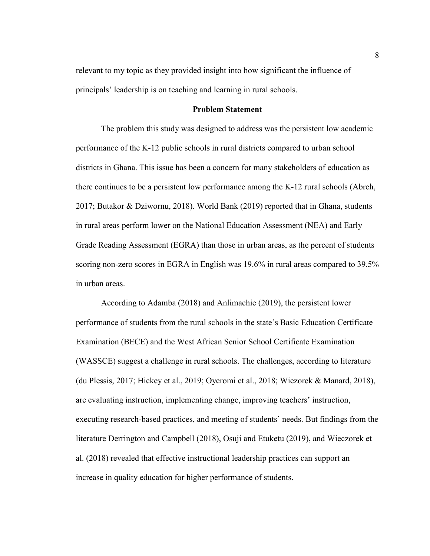relevant to my topic as they provided insight into how significant the influence of principals' leadership is on teaching and learning in rural schools.

#### **Problem Statement**

The problem this study was designed to address was the persistent low academic performance of the K-12 public schools in rural districts compared to urban school districts in Ghana. This issue has been a concern for many stakeholders of education as there continues to be a persistent low performance among the K-12 rural schools (Abreh, 2017; Butakor & Dziwornu, 2018). World Bank (2019) reported that in Ghana, students in rural areas perform lower on the National Education Assessment (NEA) and Early Grade Reading Assessment (EGRA) than those in urban areas, as the percent of students scoring non-zero scores in EGRA in English was 19.6% in rural areas compared to 39.5% in urban areas.

According to Adamba (2018) and Anlimachie (2019), the persistent lower performance of students from the rural schools in the state's Basic Education Certificate Examination (BECE) and the West African Senior School Certificate Examination (WASSCE) suggest a challenge in rural schools. The challenges, according to literature (du Plessis, 2017; Hickey et al., 2019; Oyeromi et al., 2018; Wiezorek & Manard, 2018), are evaluating instruction, implementing change, improving teachers' instruction, executing research-based practices, and meeting of students' needs. But findings from the literature Derrington and Campbell (2018), Osuji and Etuketu (2019), and Wieczorek et al. (2018) revealed that effective instructional leadership practices can support an increase in quality education for higher performance of students.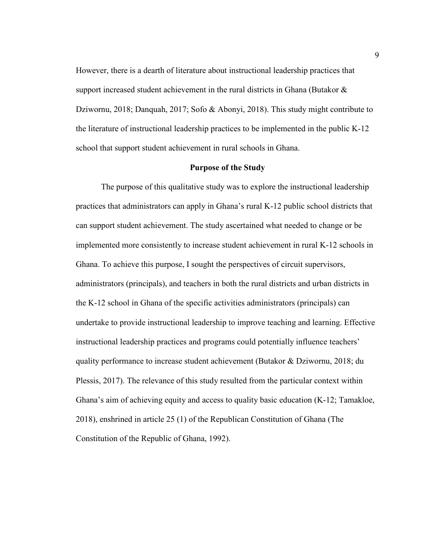However, there is a dearth of literature about instructional leadership practices that support increased student achievement in the rural districts in Ghana (Butakor  $\&$ Dziwornu, 2018; Danquah, 2017; Sofo & Abonyi, 2018). This study might contribute to the literature of instructional leadership practices to be implemented in the public K-12 school that support student achievement in rural schools in Ghana.

#### **Purpose of the Study**

The purpose of this qualitative study was to explore the instructional leadership practices that administrators can apply in Ghana's rural K-12 public school districts that can support student achievement. The study ascertained what needed to change or be implemented more consistently to increase student achievement in rural K-12 schools in Ghana. To achieve this purpose, I sought the perspectives of circuit supervisors, administrators (principals), and teachers in both the rural districts and urban districts in the K-12 school in Ghana of the specific activities administrators (principals) can undertake to provide instructional leadership to improve teaching and learning. Effective instructional leadership practices and programs could potentially influence teachers' quality performance to increase student achievement (Butakor & Dziwornu, 2018; du Plessis, 2017). The relevance of this study resulted from the particular context within Ghana's aim of achieving equity and access to quality basic education (K-12; Tamakloe, 2018), enshrined in article 25 (1) of the Republican Constitution of Ghana (The Constitution of the Republic of Ghana, 1992).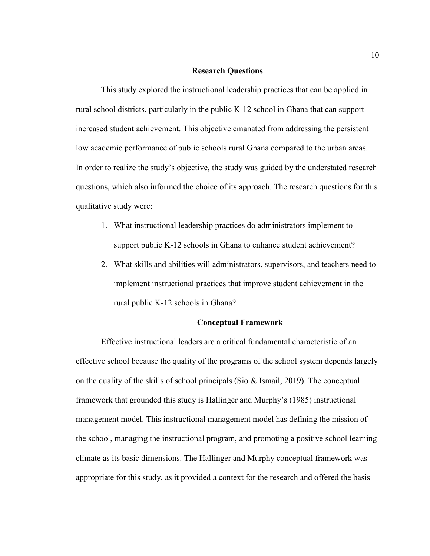#### **Research Questions**

This study explored the instructional leadership practices that can be applied in rural school districts, particularly in the public K-12 school in Ghana that can support increased student achievement. This objective emanated from addressing the persistent low academic performance of public schools rural Ghana compared to the urban areas. In order to realize the study's objective, the study was guided by the understated research questions, which also informed the choice of its approach. The research questions for this qualitative study were:

- 1. What instructional leadership practices do administrators implement to support public K-12 schools in Ghana to enhance student achievement?
- 2. What skills and abilities will administrators, supervisors, and teachers need to implement instructional practices that improve student achievement in the rural public K-12 schools in Ghana?

### **Conceptual Framework**

Effective instructional leaders are a critical fundamental characteristic of an effective school because the quality of the programs of the school system depends largely on the quality of the skills of school principals (Sio & Ismail, 2019). The conceptual framework that grounded this study is Hallinger and Murphy's (1985) instructional management model. This instructional management model has defining the mission of the school, managing the instructional program, and promoting a positive school learning climate as its basic dimensions. The Hallinger and Murphy conceptual framework was appropriate for this study, as it provided a context for the research and offered the basis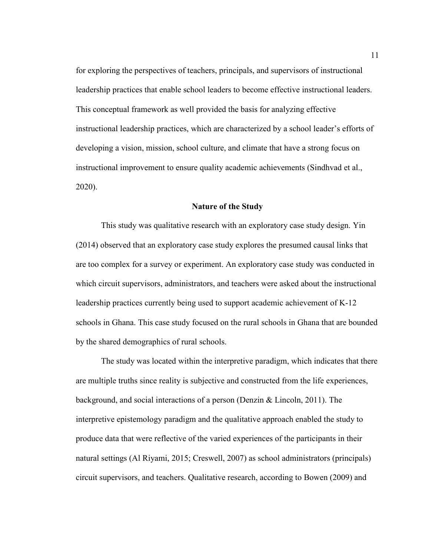for exploring the perspectives of teachers, principals, and supervisors of instructional leadership practices that enable school leaders to become effective instructional leaders. This conceptual framework as well provided the basis for analyzing effective instructional leadership practices, which are characterized by a school leader's efforts of developing a vision, mission, school culture, and climate that have a strong focus on instructional improvement to ensure quality academic achievements (Sindhvad et al., 2020).

#### **Nature of the Study**

This study was qualitative research with an exploratory case study design. Yin (2014) observed that an exploratory case study explores the presumed causal links that are too complex for a survey or experiment. An exploratory case study was conducted in which circuit supervisors, administrators, and teachers were asked about the instructional leadership practices currently being used to support academic achievement of K-12 schools in Ghana. This case study focused on the rural schools in Ghana that are bounded by the shared demographics of rural schools.

The study was located within the interpretive paradigm, which indicates that there are multiple truths since reality is subjective and constructed from the life experiences, background, and social interactions of a person (Denzin & Lincoln, 2011). The interpretive epistemology paradigm and the qualitative approach enabled the study to produce data that were reflective of the varied experiences of the participants in their natural settings (Al Riyami, 2015; Creswell, 2007) as school administrators (principals) circuit supervisors, and teachers. Qualitative research, according to Bowen (2009) and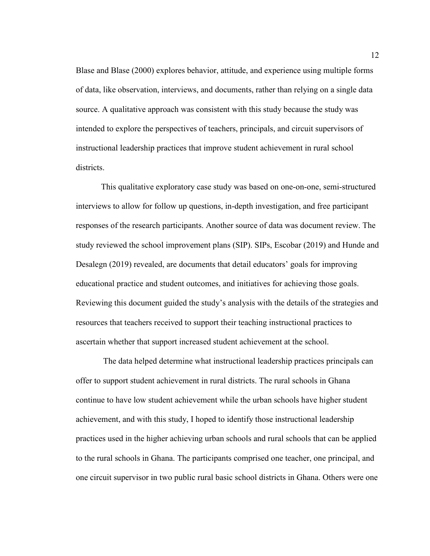Blase and Blase (2000) explores behavior, attitude, and experience using multiple forms of data, like observation, interviews, and documents, rather than relying on a single data source. A qualitative approach was consistent with this study because the study was intended to explore the perspectives of teachers, principals, and circuit supervisors of instructional leadership practices that improve student achievement in rural school districts.

This qualitative exploratory case study was based on one-on-one, semi-structured interviews to allow for follow up questions, in-depth investigation, and free participant responses of the research participants. Another source of data was document review. The study reviewed the school improvement plans (SIP). SIPs, Escobar (2019) and Hunde and Desalegn (2019) revealed, are documents that detail educators' goals for improving educational practice and student outcomes, and initiatives for achieving those goals. Reviewing this document guided the study's analysis with the details of the strategies and resources that teachers received to support their teaching instructional practices to ascertain whether that support increased student achievement at the school.

 The data helped determine what instructional leadership practices principals can offer to support student achievement in rural districts. The rural schools in Ghana continue to have low student achievement while the urban schools have higher student achievement, and with this study, I hoped to identify those instructional leadership practices used in the higher achieving urban schools and rural schools that can be applied to the rural schools in Ghana. The participants comprised one teacher, one principal, and one circuit supervisor in two public rural basic school districts in Ghana. Others were one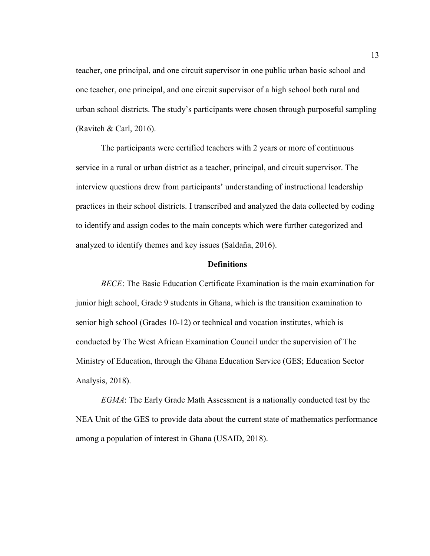teacher, one principal, and one circuit supervisor in one public urban basic school and one teacher, one principal, and one circuit supervisor of a high school both rural and urban school districts. The study's participants were chosen through purposeful sampling (Ravitch  $& Carl, 2016$ ).

The participants were certified teachers with 2 years or more of continuous service in a rural or urban district as a teacher, principal, and circuit supervisor. The interview questions drew from participants' understanding of instructional leadership practices in their school districts. I transcribed and analyzed the data collected by coding to identify and assign codes to the main concepts which were further categorized and analyzed to identify themes and key issues (Saldaña, 2016).

#### **Definitions**

*BECE*: The Basic Education Certificate Examination is the main examination for junior high school, Grade 9 students in Ghana, which is the transition examination to senior high school (Grades 10-12) or technical and vocation institutes, which is conducted by The West African Examination Council under the supervision of The Ministry of Education, through the Ghana Education Service (GES; Education Sector Analysis, 2018).

*EGMA*: The Early Grade Math Assessment is a nationally conducted test by the NEA Unit of the GES to provide data about the current state of mathematics performance among a population of interest in Ghana (USAID, 2018).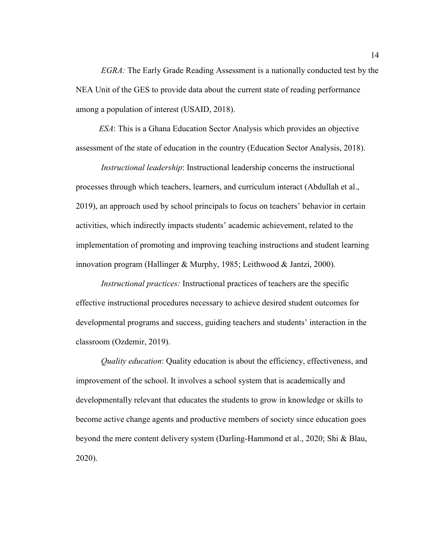*EGRA:* The Early Grade Reading Assessment is a nationally conducted test by the NEA Unit of the GES to provide data about the current state of reading performance among a population of interest (USAID, 2018).

 *ESA*: This is a Ghana Education Sector Analysis which provides an objective assessment of the state of education in the country (Education Sector Analysis, 2018).

*Instructional leadership*: Instructional leadership concerns the instructional processes through which teachers, learners, and curriculum interact (Abdullah et al., 2019), an approach used by school principals to focus on teachers' behavior in certain activities, which indirectly impacts students' academic achievement, related to the implementation of promoting and improving teaching instructions and student learning innovation program (Hallinger & Murphy, 1985; Leithwood & Jantzi, 2000).

*Instructional practices:* Instructional practices of teachers are the specific effective instructional procedures necessary to achieve desired student outcomes for developmental programs and success, guiding teachers and students' interaction in the classroom (Ozdemir, 2019).

*Quality education*: Quality education is about the efficiency, effectiveness, and improvement of the school. It involves a school system that is academically and developmentally relevant that educates the students to grow in knowledge or skills to become active change agents and productive members of society since education goes beyond the mere content delivery system (Darling-Hammond et al., 2020; Shi & Blau, 2020).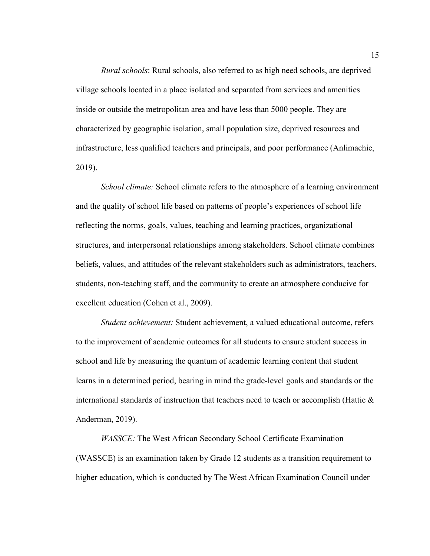*Rural schools*: Rural schools, also referred to as high need schools, are deprived village schools located in a place isolated and separated from services and amenities inside or outside the metropolitan area and have less than 5000 people. They are characterized by geographic isolation, small population size, deprived resources and infrastructure, less qualified teachers and principals, and poor performance (Anlimachie, 2019).

*School climate:* School climate refers to the atmosphere of a learning environment and the quality of school life based on patterns of people's experiences of school life reflecting the norms, goals, values, teaching and learning practices, organizational structures, and interpersonal relationships among stakeholders. School climate combines beliefs, values, and attitudes of the relevant stakeholders such as administrators, teachers, students, non-teaching staff, and the community to create an atmosphere conducive for excellent education (Cohen et al., 2009).

*Student achievement:* Student achievement, a valued educational outcome, refers to the improvement of academic outcomes for all students to ensure student success in school and life by measuring the quantum of academic learning content that student learns in a determined period, bearing in mind the grade-level goals and standards or the international standards of instruction that teachers need to teach or accomplish (Hattie  $\&$ Anderman, 2019).

*WASSCE:* The West African Secondary School Certificate Examination (WASSCE) is an examination taken by Grade 12 students as a transition requirement to higher education, which is conducted by The West African Examination Council under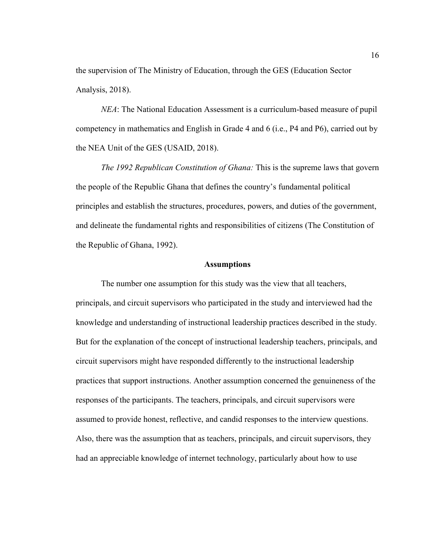the supervision of The Ministry of Education, through the GES (Education Sector Analysis, 2018).

*NEA*: The National Education Assessment is a curriculum-based measure of pupil competency in mathematics and English in Grade 4 and 6 (i.e., P4 and P6), carried out by the NEA Unit of the GES (USAID, 2018).

*The 1992 Republican Constitution of Ghana:* This is the supreme laws that govern the people of the Republic Ghana that defines the country's fundamental political principles and establish the structures, procedures, powers, and duties of the government, and delineate the fundamental rights and responsibilities of citizens (The Constitution of the Republic of Ghana, 1992).

### **Assumptions**

The number one assumption for this study was the view that all teachers, principals, and circuit supervisors who participated in the study and interviewed had the knowledge and understanding of instructional leadership practices described in the study. But for the explanation of the concept of instructional leadership teachers, principals, and circuit supervisors might have responded differently to the instructional leadership practices that support instructions. Another assumption concerned the genuineness of the responses of the participants. The teachers, principals, and circuit supervisors were assumed to provide honest, reflective, and candid responses to the interview questions. Also, there was the assumption that as teachers, principals, and circuit supervisors, they had an appreciable knowledge of internet technology, particularly about how to use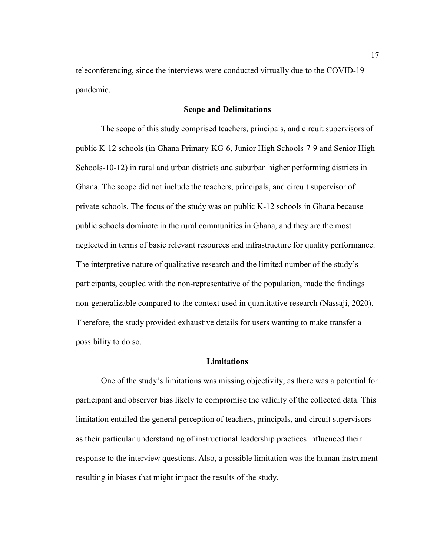teleconferencing, since the interviews were conducted virtually due to the COVID-19 pandemic.

### **Scope and Delimitations**

The scope of this study comprised teachers, principals, and circuit supervisors of public K-12 schools (in Ghana Primary-KG-6, Junior High Schools-7-9 and Senior High Schools-10-12) in rural and urban districts and suburban higher performing districts in Ghana. The scope did not include the teachers, principals, and circuit supervisor of private schools. The focus of the study was on public K-12 schools in Ghana because public schools dominate in the rural communities in Ghana, and they are the most neglected in terms of basic relevant resources and infrastructure for quality performance. The interpretive nature of qualitative research and the limited number of the study's participants, coupled with the non-representative of the population, made the findings non-generalizable compared to the context used in quantitative research (Nassaji, 2020). Therefore, the study provided exhaustive details for users wanting to make transfer a possibility to do so.

#### **Limitations**

One of the study's limitations was missing objectivity, as there was a potential for participant and observer bias likely to compromise the validity of the collected data. This limitation entailed the general perception of teachers, principals, and circuit supervisors as their particular understanding of instructional leadership practices influenced their response to the interview questions. Also, a possible limitation was the human instrument resulting in biases that might impact the results of the study.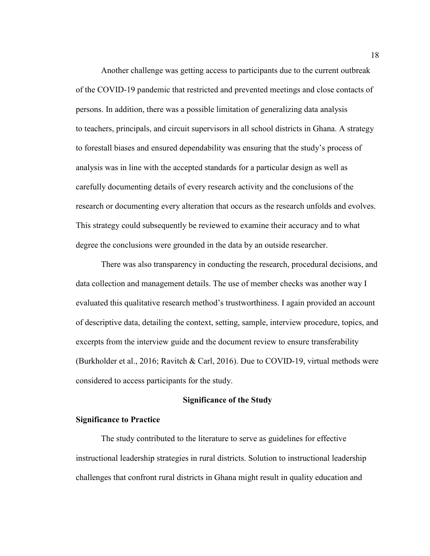Another challenge was getting access to participants due to the current outbreak of the COVID-19 pandemic that restricted and prevented meetings and close contacts of persons. In addition, there was a possible limitation of generalizing data analysis to teachers, principals, and circuit supervisors in all school districts in Ghana. A strategy to forestall biases and ensured dependability was ensuring that the study's process of analysis was in line with the accepted standards for a particular design as well as carefully documenting details of every research activity and the conclusions of the research or documenting every alteration that occurs as the research unfolds and evolves. This strategy could subsequently be reviewed to examine their accuracy and to what degree the conclusions were grounded in the data by an outside researcher.

There was also transparency in conducting the research, procedural decisions, and data collection and management details. The use of member checks was another way I evaluated this qualitative research method's trustworthiness. I again provided an account of descriptive data, detailing the context, setting, sample, interview procedure, topics, and excerpts from the interview guide and the document review to ensure transferability (Burkholder et al., 2016; Ravitch & Carl, 2016). Due to COVID-19, virtual methods were considered to access participants for the study.

### **Significance of the Study**

### **Significance to Practice**

The study contributed to the literature to serve as guidelines for effective instructional leadership strategies in rural districts. Solution to instructional leadership challenges that confront rural districts in Ghana might result in quality education and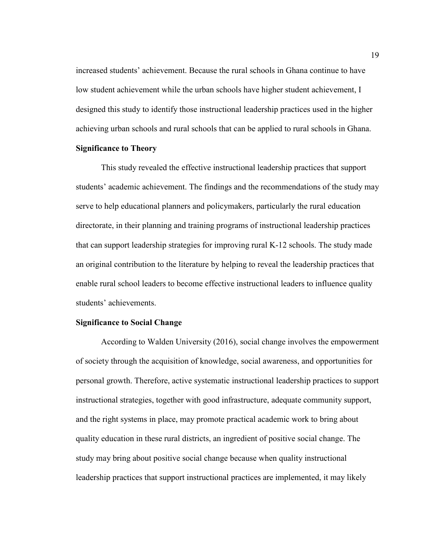increased students' achievement. Because the rural schools in Ghana continue to have low student achievement while the urban schools have higher student achievement, I designed this study to identify those instructional leadership practices used in the higher achieving urban schools and rural schools that can be applied to rural schools in Ghana.

# **Significance to Theory**

This study revealed the effective instructional leadership practices that support students' academic achievement. The findings and the recommendations of the study may serve to help educational planners and policymakers, particularly the rural education directorate, in their planning and training programs of instructional leadership practices that can support leadership strategies for improving rural K-12 schools. The study made an original contribution to the literature by helping to reveal the leadership practices that enable rural school leaders to become effective instructional leaders to influence quality students' achievements.

## **Significance to Social Change**

According to Walden University (2016), social change involves the empowerment of society through the acquisition of knowledge, social awareness, and opportunities for personal growth. Therefore, active systematic instructional leadership practices to support instructional strategies, together with good infrastructure, adequate community support, and the right systems in place, may promote practical academic work to bring about quality education in these rural districts, an ingredient of positive social change. The study may bring about positive social change because when quality instructional leadership practices that support instructional practices are implemented, it may likely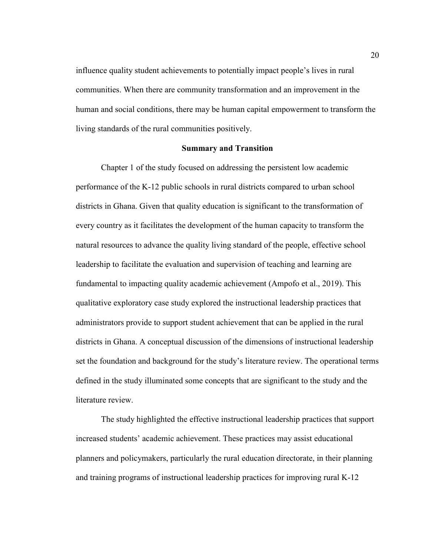influence quality student achievements to potentially impact people's lives in rural communities. When there are community transformation and an improvement in the human and social conditions, there may be human capital empowerment to transform the living standards of the rural communities positively.

#### **Summary and Transition**

Chapter 1 of the study focused on addressing the persistent low academic performance of the K-12 public schools in rural districts compared to urban school districts in Ghana. Given that quality education is significant to the transformation of every country as it facilitates the development of the human capacity to transform the natural resources to advance the quality living standard of the people, effective school leadership to facilitate the evaluation and supervision of teaching and learning are fundamental to impacting quality academic achievement (Ampofo et al., 2019). This qualitative exploratory case study explored the instructional leadership practices that administrators provide to support student achievement that can be applied in the rural districts in Ghana. A conceptual discussion of the dimensions of instructional leadership set the foundation and background for the study's literature review. The operational terms defined in the study illuminated some concepts that are significant to the study and the literature review.

The study highlighted the effective instructional leadership practices that support increased students' academic achievement. These practices may assist educational planners and policymakers, particularly the rural education directorate, in their planning and training programs of instructional leadership practices for improving rural K-12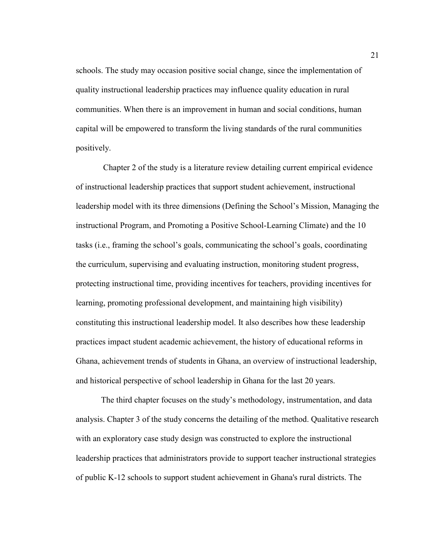schools. The study may occasion positive social change, since the implementation of quality instructional leadership practices may influence quality education in rural communities. When there is an improvement in human and social conditions, human capital will be empowered to transform the living standards of the rural communities positively.

 Chapter 2 of the study is a literature review detailing current empirical evidence of instructional leadership practices that support student achievement, instructional leadership model with its three dimensions (Defining the School's Mission, Managing the instructional Program, and Promoting a Positive School-Learning Climate) and the 10 tasks (i.e., framing the school's goals, communicating the school's goals, coordinating the curriculum, supervising and evaluating instruction, monitoring student progress, protecting instructional time, providing incentives for teachers, providing incentives for learning, promoting professional development, and maintaining high visibility) constituting this instructional leadership model. It also describes how these leadership practices impact student academic achievement, the history of educational reforms in Ghana, achievement trends of students in Ghana, an overview of instructional leadership, and historical perspective of school leadership in Ghana for the last 20 years.

The third chapter focuses on the study's methodology, instrumentation, and data analysis. Chapter 3 of the study concerns the detailing of the method. Qualitative research with an exploratory case study design was constructed to explore the instructional leadership practices that administrators provide to support teacher instructional strategies of public K-12 schools to support student achievement in Ghana's rural districts. The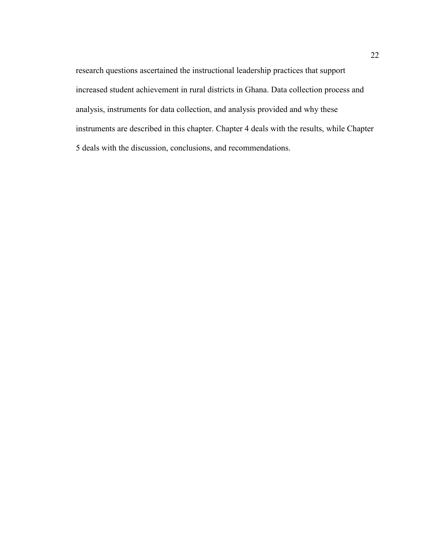research questions ascertained the instructional leadership practices that support increased student achievement in rural districts in Ghana. Data collection process and analysis, instruments for data collection, and analysis provided and why these instruments are described in this chapter. Chapter 4 deals with the results, while Chapter 5 deals with the discussion, conclusions, and recommendations.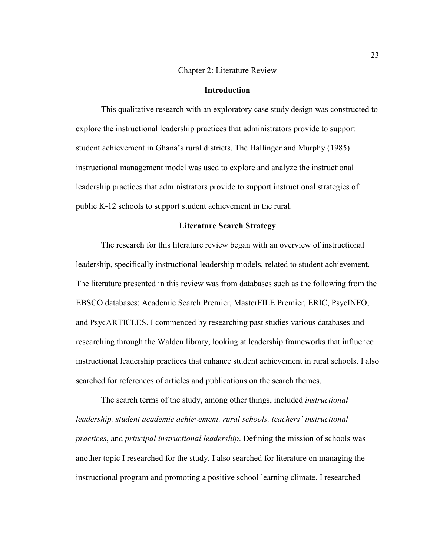#### Chapter 2: Literature Review

# **Introduction**

This qualitative research with an exploratory case study design was constructed to explore the instructional leadership practices that administrators provide to support student achievement in Ghana's rural districts. The Hallinger and Murphy (1985) instructional management model was used to explore and analyze the instructional leadership practices that administrators provide to support instructional strategies of public K-12 schools to support student achievement in the rural.

## **Literature Search Strategy**

The research for this literature review began with an overview of instructional leadership, specifically instructional leadership models, related to student achievement. The literature presented in this review was from databases such as the following from the EBSCO databases: Academic Search Premier, MasterFILE Premier, ERIC, PsycINFO, and PsycARTICLES. I commenced by researching past studies various databases and researching through the Walden library, looking at leadership frameworks that influence instructional leadership practices that enhance student achievement in rural schools. I also searched for references of articles and publications on the search themes.

The search terms of the study, among other things, included *instructional leadership, student academic achievement, rural schools, teachers' instructional practices*, and *principal instructional leadership*. Defining the mission of schools was another topic I researched for the study. I also searched for literature on managing the instructional program and promoting a positive school learning climate. I researched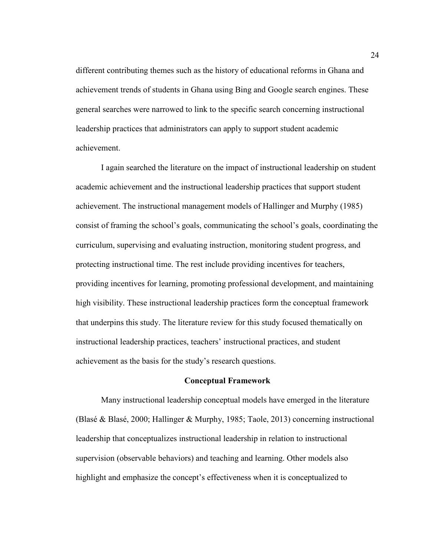different contributing themes such as the history of educational reforms in Ghana and achievement trends of students in Ghana using Bing and Google search engines. These general searches were narrowed to link to the specific search concerning instructional leadership practices that administrators can apply to support student academic achievement.

I again searched the literature on the impact of instructional leadership on student academic achievement and the instructional leadership practices that support student achievement. The instructional management models of Hallinger and Murphy (1985) consist of framing the school's goals, communicating the school's goals, coordinating the curriculum, supervising and evaluating instruction, monitoring student progress, and protecting instructional time. The rest include providing incentives for teachers, providing incentives for learning, promoting professional development, and maintaining high visibility. These instructional leadership practices form the conceptual framework that underpins this study. The literature review for this study focused thematically on instructional leadership practices, teachers' instructional practices, and student achievement as the basis for the study's research questions.

### **Conceptual Framework**

Many instructional leadership conceptual models have emerged in the literature (Blasé & Blasé, 2000; Hallinger & Murphy, 1985; Taole, 2013) concerning instructional leadership that conceptualizes instructional leadership in relation to instructional supervision (observable behaviors) and teaching and learning. Other models also highlight and emphasize the concept's effectiveness when it is conceptualized to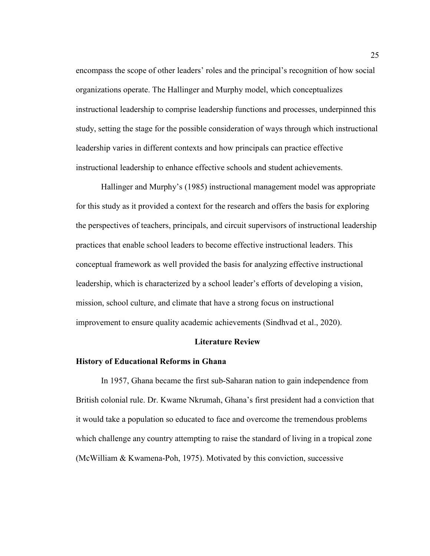encompass the scope of other leaders' roles and the principal's recognition of how social organizations operate. The Hallinger and Murphy model, which conceptualizes instructional leadership to comprise leadership functions and processes, underpinned this study, setting the stage for the possible consideration of ways through which instructional leadership varies in different contexts and how principals can practice effective instructional leadership to enhance effective schools and student achievements.

Hallinger and Murphy's (1985) instructional management model was appropriate for this study as it provided a context for the research and offers the basis for exploring the perspectives of teachers, principals, and circuit supervisors of instructional leadership practices that enable school leaders to become effective instructional leaders. This conceptual framework as well provided the basis for analyzing effective instructional leadership, which is characterized by a school leader's efforts of developing a vision, mission, school culture, and climate that have a strong focus on instructional improvement to ensure quality academic achievements (Sindhvad et al., 2020).

### **Literature Review**

#### **History of Educational Reforms in Ghana**

In 1957, Ghana became the first sub-Saharan nation to gain independence from British colonial rule. Dr. Kwame Nkrumah, Ghana's first president had a conviction that it would take a population so educated to face and overcome the tremendous problems which challenge any country attempting to raise the standard of living in a tropical zone (McWilliam & Kwamena-Poh, 1975). Motivated by this conviction, successive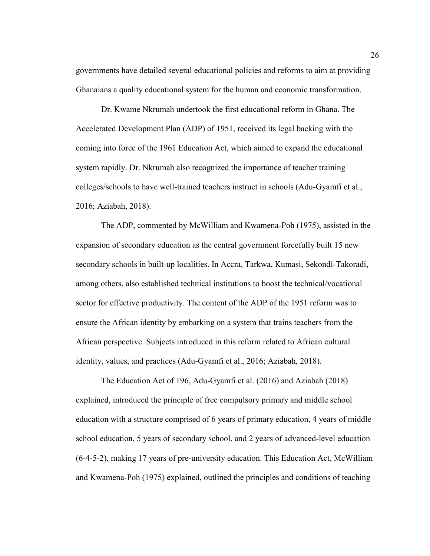governments have detailed several educational policies and reforms to aim at providing Ghanaians a quality educational system for the human and economic transformation.

Dr. Kwame Nkrumah undertook the first educational reform in Ghana. The Accelerated Development Plan (ADP) of 1951, received its legal backing with the coming into force of the 1961 Education Act, which aimed to expand the educational system rapidly. Dr. Nkrumah also recognized the importance of teacher training colleges/schools to have well-trained teachers instruct in schools (Adu-Gyamfi et al., 2016; Aziabah, 2018).

The ADP, commented by McWilliam and Kwamena-Poh (1975), assisted in the expansion of secondary education as the central government forcefully built 15 new secondary schools in built-up localities. In Accra, Tarkwa, Kumasi, Sekondi-Takoradi, among others, also established technical institutions to boost the technical/vocational sector for effective productivity. The content of the ADP of the 1951 reform was to ensure the African identity by embarking on a system that trains teachers from the African perspective. Subjects introduced in this reform related to African cultural identity, values, and practices (Adu-Gyamfi et al., 2016; Aziabah, 2018).

The Education Act of 196, Adu-Gyamfi et al. (2016) and Aziabah (2018) explained, introduced the principle of free compulsory primary and middle school education with a structure comprised of 6 years of primary education, 4 years of middle school education, 5 years of secondary school, and 2 years of advanced-level education (6-4-5-2), making 17 years of pre-university education. This Education Act, McWilliam and Kwamena-Poh (1975) explained, outlined the principles and conditions of teaching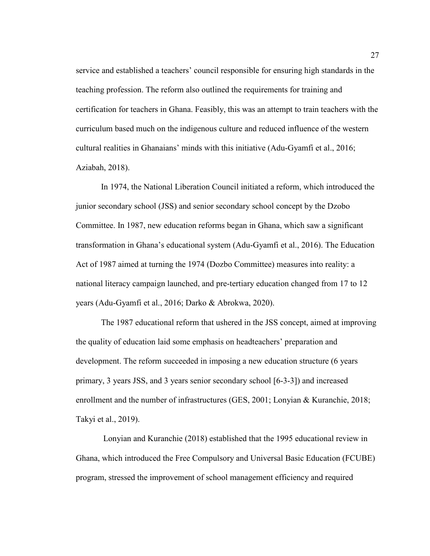service and established a teachers' council responsible for ensuring high standards in the teaching profession. The reform also outlined the requirements for training and certification for teachers in Ghana. Feasibly, this was an attempt to train teachers with the curriculum based much on the indigenous culture and reduced influence of the western cultural realities in Ghanaians' minds with this initiative (Adu-Gyamfi et al., 2016; Aziabah, 2018).

In 1974, the National Liberation Council initiated a reform, which introduced the junior secondary school (JSS) and senior secondary school concept by the Dzobo Committee. In 1987, new education reforms began in Ghana, which saw a significant transformation in Ghana's educational system (Adu-Gyamfi et al., 2016). The Education Act of 1987 aimed at turning the 1974 (Dozbo Committee) measures into reality: a national literacy campaign launched, and pre-tertiary education changed from 17 to 12 years (Adu-Gyamfi et al., 2016; Darko & Abrokwa, 2020).

The 1987 educational reform that ushered in the JSS concept, aimed at improving the quality of education laid some emphasis on headteachers' preparation and development. The reform succeeded in imposing a new education structure (6 years primary, 3 years JSS, and 3 years senior secondary school [6-3-3]) and increased enrollment and the number of infrastructures (GES, 2001; Lonyian & Kuranchie, 2018; Takyi et al., 2019).

 Lonyian and Kuranchie (2018) established that the 1995 educational review in Ghana, which introduced the Free Compulsory and Universal Basic Education (FCUBE) program, stressed the improvement of school management efficiency and required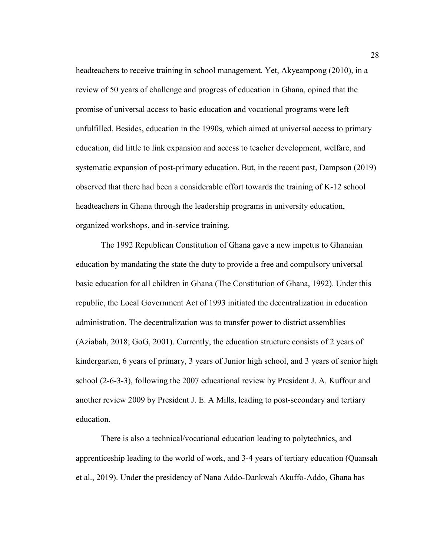headteachers to receive training in school management. Yet, Akyeampong (2010), in a review of 50 years of challenge and progress of education in Ghana, opined that the promise of universal access to basic education and vocational programs were left unfulfilled. Besides, education in the 1990s, which aimed at universal access to primary education, did little to link expansion and access to teacher development, welfare, and systematic expansion of post-primary education. But, in the recent past, Dampson (2019) observed that there had been a considerable effort towards the training of K-12 school headteachers in Ghana through the leadership programs in university education, organized workshops, and in-service training.

The 1992 Republican Constitution of Ghana gave a new impetus to Ghanaian education by mandating the state the duty to provide a free and compulsory universal basic education for all children in Ghana (The Constitution of Ghana, 1992). Under this republic, the Local Government Act of 1993 initiated the decentralization in education administration. The decentralization was to transfer power to district assemblies (Aziabah, 2018; GoG, 2001). Currently, the education structure consists of 2 years of kindergarten, 6 years of primary, 3 years of Junior high school, and 3 years of senior high school (2-6-3-3), following the 2007 educational review by President J. A. Kuffour and another review 2009 by President J. E. A Mills, leading to post-secondary and tertiary education.

There is also a technical/vocational education leading to polytechnics, and apprenticeship leading to the world of work, and 3-4 years of tertiary education (Quansah et al., 2019). Under the presidency of Nana Addo-Dankwah Akuffo-Addo, Ghana has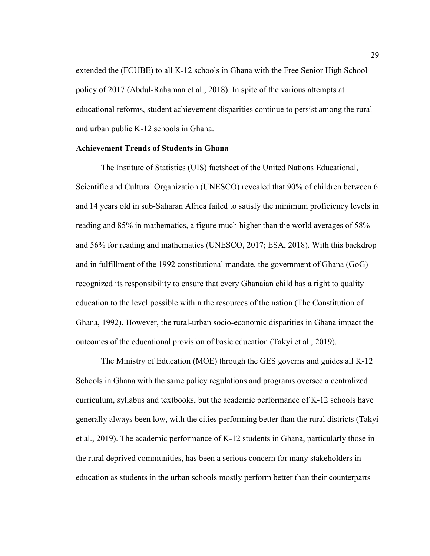extended the (FCUBE) to all K-12 schools in Ghana with the Free Senior High School policy of 2017 (Abdul-Rahaman et al., 2018). In spite of the various attempts at educational reforms, student achievement disparities continue to persist among the rural and urban public K-12 schools in Ghana.

## **Achievement Trends of Students in Ghana**

The Institute of Statistics (UIS) factsheet of the United Nations Educational, Scientific and Cultural Organization (UNESCO) revealed that 90% of children between 6 and 14 years old in sub-Saharan Africa failed to satisfy the minimum proficiency levels in reading and 85% in mathematics, a figure much higher than the world averages of 58% and 56% for reading and mathematics (UNESCO, 2017; ESA, 2018). With this backdrop and in fulfillment of the 1992 constitutional mandate, the government of Ghana (GoG) recognized its responsibility to ensure that every Ghanaian child has a right to quality education to the level possible within the resources of the nation (The Constitution of Ghana, 1992). However, the rural-urban socio-economic disparities in Ghana impact the outcomes of the educational provision of basic education (Takyi et al., 2019).

The Ministry of Education (MOE) through the GES governs and guides all K-12 Schools in Ghana with the same policy regulations and programs oversee a centralized curriculum, syllabus and textbooks, but the academic performance of K-12 schools have generally always been low, with the cities performing better than the rural districts (Takyi et al., 2019). The academic performance of K-12 students in Ghana, particularly those in the rural deprived communities, has been a serious concern for many stakeholders in education as students in the urban schools mostly perform better than their counterparts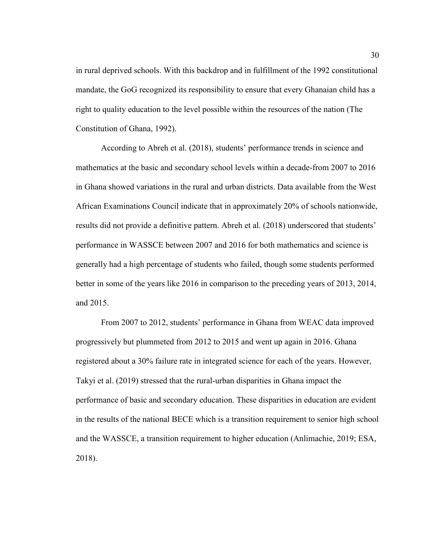in rural deprived schools. With this backdrop and in fulfillment of the 1992 constitutional mandate, the GoG recognized its responsibility to ensure that every Ghanaian child has a right to quality education to the level possible within the resources of the nation (The Constitution of Ghana, 1992).

According to Abreh et al. (2018), students' performance trends in science and mathematics at the basic and secondary school levels within a decade-from 2007 to 2016 in Ghana showed variations in the rural and urban districts. Data available from the West African Examinations Council indicate that in approximately 20% of schools nationwide, results did not provide a definitive pattern. Abreh et al. (2018) underscored that students' performance in WASSCE between 2007 and 2016 for both mathematics and science is generally had a high percentage of students who failed, though some students performed better in some of the years like 2016 in comparison to the preceding years of 2013, 2014, and 2015.

From 2007 to 2012, students' performance in Ghana from WEAC data improved progressively but plummeted from 2012 to 2015 and went up again in 2016. Ghana registered about a 30% failure rate in integrated science for each of the years. However, Takyi et al. (2019) stressed that the rural-urban disparities in Ghana impact the performance of basic and secondary education. These disparities in education are evident in the results of the national BECE which is a transition requirement to senior high school and the WASSCE, a transition requirement to higher education (Anlimachie, 2019; ESA, 2018).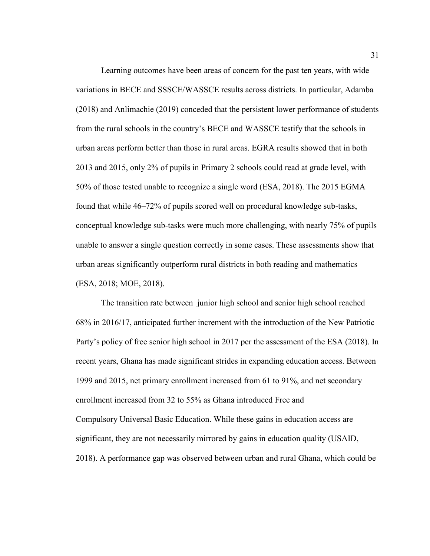Learning outcomes have been areas of concern for the past ten years, with wide variations in BECE and SSSCE/WASSCE results across districts. In particular, Adamba (2018) and Anlimachie (2019) conceded that the persistent lower performance of students from the rural schools in the country's BECE and WASSCE testify that the schools in urban areas perform better than those in rural areas. EGRA results showed that in both 2013 and 2015, only 2% of pupils in Primary 2 schools could read at grade level, with 50% of those tested unable to recognize a single word (ESA, 2018). The 2015 EGMA found that while 46–72% of pupils scored well on procedural knowledge sub-tasks, conceptual knowledge sub-tasks were much more challenging, with nearly 75% of pupils unable to answer a single question correctly in some cases. These assessments show that urban areas significantly outperform rural districts in both reading and mathematics (ESA, 2018; MOE, 2018).

The transition rate between junior high school and senior high school reached 68% in 2016/17, anticipated further increment with the introduction of the New Patriotic Party's policy of free senior high school in 2017 per the assessment of the ESA (2018). In recent years, Ghana has made significant strides in expanding education access. Between 1999 and 2015, net primary enrollment increased from 61 to 91%, and net secondary enrollment increased from 32 to 55% as Ghana introduced Free and Compulsory Universal Basic Education. While these gains in education access are significant, they are not necessarily mirrored by gains in education quality (USAID, 2018). A performance gap was observed between urban and rural Ghana, which could be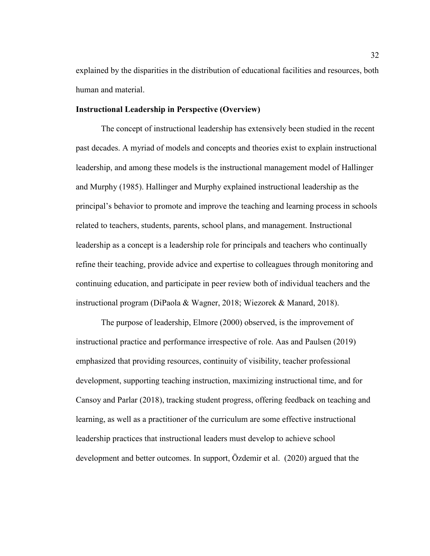explained by the disparities in the distribution of educational facilities and resources, both human and material.

# **Instructional Leadership in Perspective (Overview)**

The concept of instructional leadership has extensively been studied in the recent past decades. A myriad of models and concepts and theories exist to explain instructional leadership, and among these models is the instructional management model of Hallinger and Murphy (1985). Hallinger and Murphy explained instructional leadership as the principal's behavior to promote and improve the teaching and learning process in schools related to teachers, students, parents, school plans, and management. Instructional leadership as a concept is a leadership role for principals and teachers who continually refine their teaching, provide advice and expertise to colleagues through monitoring and continuing education, and participate in peer review both of individual teachers and the instructional program (DiPaola & Wagner, 2018; Wiezorek & Manard, 2018).

The purpose of leadership, Elmore (2000) observed, is the improvement of instructional practice and performance irrespective of role. Aas and Paulsen (2019) emphasized that providing resources, continuity of visibility, teacher professional development, supporting teaching instruction, maximizing instructional time, and for Cansoy and Parlar (2018), tracking student progress, offering feedback on teaching and learning, as well as a practitioner of the curriculum are some effective instructional leadership practices that instructional leaders must develop to achieve school development and better outcomes. In support, Özdemir et al. (2020) argued that the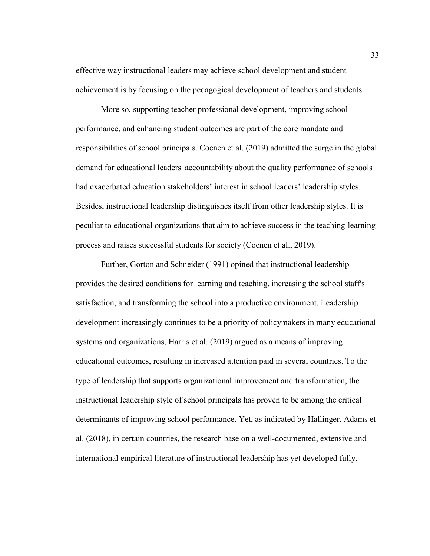effective way instructional leaders may achieve school development and student achievement is by focusing on the pedagogical development of teachers and students.

More so, supporting teacher professional development, improving school performance, and enhancing student outcomes are part of the core mandate and responsibilities of school principals. Coenen et al. (2019) admitted the surge in the global demand for educational leaders' accountability about the quality performance of schools had exacerbated education stakeholders' interest in school leaders' leadership styles. Besides, instructional leadership distinguishes itself from other leadership styles. It is peculiar to educational organizations that aim to achieve success in the teaching-learning process and raises successful students for society (Coenen et al., 2019).

Further, Gorton and Schneider (1991) opined that instructional leadership provides the desired conditions for learning and teaching, increasing the school staff's satisfaction, and transforming the school into a productive environment. Leadership development increasingly continues to be a priority of policymakers in many educational systems and organizations, Harris et al. (2019) argued as a means of improving educational outcomes, resulting in increased attention paid in several countries. To the type of leadership that supports organizational improvement and transformation, the instructional leadership style of school principals has proven to be among the critical determinants of improving school performance. Yet, as indicated by Hallinger, Adams et al. (2018), in certain countries, the research base on a well-documented, extensive and international empirical literature of instructional leadership has yet developed fully.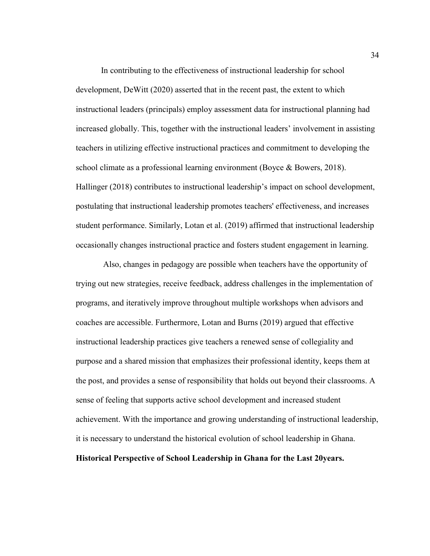In contributing to the effectiveness of instructional leadership for school development, DeWitt (2020) asserted that in the recent past, the extent to which instructional leaders (principals) employ assessment data for instructional planning had increased globally. This, together with the instructional leaders' involvement in assisting teachers in utilizing effective instructional practices and commitment to developing the school climate as a professional learning environment (Boyce & Bowers, 2018). Hallinger (2018) contributes to instructional leadership's impact on school development, postulating that instructional leadership promotes teachers' effectiveness, and increases student performance. Similarly, Lotan et al. (2019) affirmed that instructional leadership occasionally changes instructional practice and fosters student engagement in learning.

 Also, changes in pedagogy are possible when teachers have the opportunity of trying out new strategies, receive feedback, address challenges in the implementation of programs, and iteratively improve throughout multiple workshops when advisors and coaches are accessible. Furthermore, Lotan and Burns (2019) argued that effective instructional leadership practices give teachers a renewed sense of collegiality and purpose and a shared mission that emphasizes their professional identity, keeps them at the post, and provides a sense of responsibility that holds out beyond their classrooms. A sense of feeling that supports active school development and increased student achievement. With the importance and growing understanding of instructional leadership, it is necessary to understand the historical evolution of school leadership in Ghana.

**Historical Perspective of School Leadership in Ghana for the Last 20years.**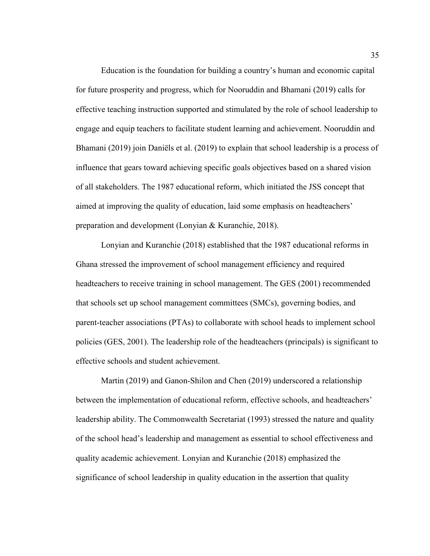Education is the foundation for building a country's human and economic capital for future prosperity and progress, which for Nooruddin and Bhamani (2019) calls for effective teaching instruction supported and stimulated by the role of school leadership to engage and equip teachers to facilitate student learning and achievement. Nooruddin and Bhamani (2019) join Daniëls et al. (2019) to explain that school leadership is a process of influence that gears toward achieving specific goals objectives based on a shared vision of all stakeholders. The 1987 educational reform, which initiated the JSS concept that aimed at improving the quality of education, laid some emphasis on headteachers' preparation and development (Lonyian & Kuranchie, 2018).

Lonyian and Kuranchie (2018) established that the 1987 educational reforms in Ghana stressed the improvement of school management efficiency and required headteachers to receive training in school management. The GES (2001) recommended that schools set up school management committees (SMCs), governing bodies, and parent-teacher associations (PTAs) to collaborate with school heads to implement school policies (GES, 2001). The leadership role of the headteachers (principals) is significant to effective schools and student achievement.

Martin (2019) and Ganon-Shilon and Chen (2019) underscored a relationship between the implementation of educational reform, effective schools, and headteachers' leadership ability. The Commonwealth Secretariat (1993) stressed the nature and quality of the school head's leadership and management as essential to school effectiveness and quality academic achievement. Lonyian and Kuranchie (2018) emphasized the significance of school leadership in quality education in the assertion that quality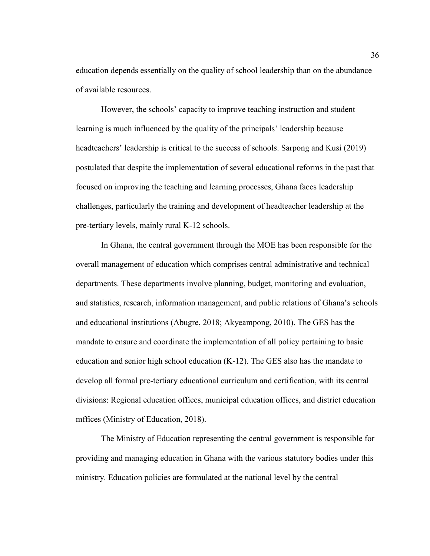education depends essentially on the quality of school leadership than on the abundance of available resources.

However, the schools' capacity to improve teaching instruction and student learning is much influenced by the quality of the principals' leadership because headteachers' leadership is critical to the success of schools. Sarpong and Kusi (2019) postulated that despite the implementation of several educational reforms in the past that focused on improving the teaching and learning processes, Ghana faces leadership challenges, particularly the training and development of headteacher leadership at the pre-tertiary levels, mainly rural K-12 schools.

In Ghana, the central government through the MOE has been responsible for the overall management of education which comprises central administrative and technical departments. These departments involve planning, budget, monitoring and evaluation, and statistics, research, information management, and public relations of Ghana's schools and educational institutions (Abugre, 2018; Akyeampong, 2010). The GES has the mandate to ensure and coordinate the implementation of all policy pertaining to basic education and senior high school education  $(K-12)$ . The GES also has the mandate to develop all formal pre-tertiary educational curriculum and certification, with its central divisions: Regional education offices, municipal education offices, and district education mffices (Ministry of Education, 2018).

The Ministry of Education representing the central government is responsible for providing and managing education in Ghana with the various statutory bodies under this ministry. Education policies are formulated at the national level by the central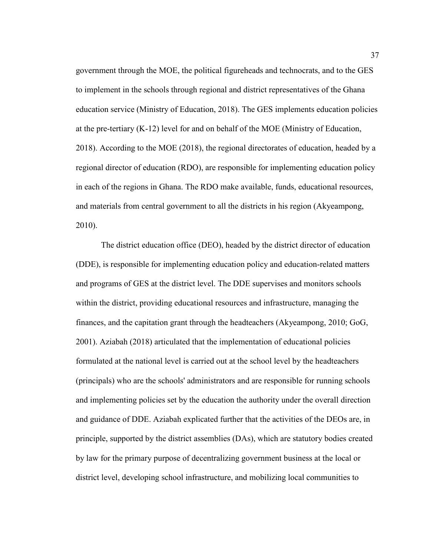government through the MOE, the political figureheads and technocrats, and to the GES to implement in the schools through regional and district representatives of the Ghana education service (Ministry of Education, 2018). The GES implements education policies at the pre-tertiary (K-12) level for and on behalf of the MOE (Ministry of Education, 2018). According to the MOE (2018), the regional directorates of education, headed by a regional director of education (RDO), are responsible for implementing education policy in each of the regions in Ghana. The RDO make available, funds, educational resources, and materials from central government to all the districts in his region (Akyeampong, 2010).

The district education office (DEO), headed by the district director of education (DDE), is responsible for implementing education policy and education-related matters and programs of GES at the district level. The DDE supervises and monitors schools within the district, providing educational resources and infrastructure, managing the finances, and the capitation grant through the headteachers (Akyeampong, 2010; GoG, 2001). Aziabah (2018) articulated that the implementation of educational policies formulated at the national level is carried out at the school level by the headteachers (principals) who are the schools' administrators and are responsible for running schools and implementing policies set by the education the authority under the overall direction and guidance of DDE. Aziabah explicated further that the activities of the DEOs are, in principle, supported by the district assemblies (DAs), which are statutory bodies created by law for the primary purpose of decentralizing government business at the local or district level, developing school infrastructure, and mobilizing local communities to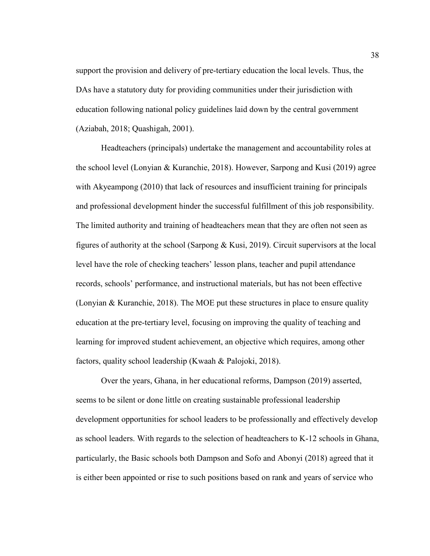support the provision and delivery of pre-tertiary education the local levels. Thus, the DAs have a statutory duty for providing communities under their jurisdiction with education following national policy guidelines laid down by the central government (Aziabah, 2018; Quashigah, 2001).

Headteachers (principals) undertake the management and accountability roles at the school level (Lonyian & Kuranchie, 2018). However, Sarpong and Kusi (2019) agree with Akyeampong (2010) that lack of resources and insufficient training for principals and professional development hinder the successful fulfillment of this job responsibility. The limited authority and training of headteachers mean that they are often not seen as figures of authority at the school (Sarpong & Kusi, 2019). Circuit supervisors at the local level have the role of checking teachers' lesson plans, teacher and pupil attendance records, schools' performance, and instructional materials, but has not been effective (Lonyian & Kuranchie, 2018). The MOE put these structures in place to ensure quality education at the pre-tertiary level, focusing on improving the quality of teaching and learning for improved student achievement, an objective which requires, among other factors, quality school leadership (Kwaah & Palojoki, 2018).

Over the years, Ghana, in her educational reforms, Dampson (2019) asserted, seems to be silent or done little on creating sustainable professional leadership development opportunities for school leaders to be professionally and effectively develop as school leaders. With regards to the selection of headteachers to K-12 schools in Ghana, particularly, the Basic schools both Dampson and Sofo and Abonyi (2018) agreed that it is either been appointed or rise to such positions based on rank and years of service who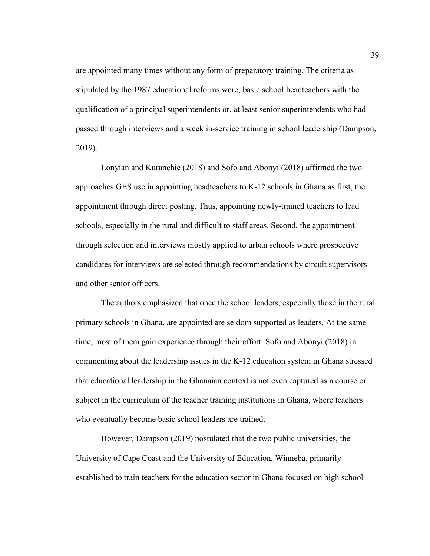are appointed many times without any form of preparatory training. The criteria as stipulated by the 1987 educational reforms were; basic school headteachers with the qualification of a principal superintendents or, at least senior superintendents who had passed through interviews and a week in-service training in school leadership (Dampson, 2019).

Lonyian and Kuranchie (2018) and Sofo and Abonyi (2018) affirmed the two approaches GES use in appointing headteachers to K-12 schools in Ghana as first, the appointment through direct posting. Thus, appointing newly-trained teachers to lead schools, especially in the rural and difficult to staff areas. Second, the appointment through selection and interviews mostly applied to urban schools where prospective candidates for interviews are selected through recommendations by circuit supervisors and other senior officers.

The authors emphasized that once the school leaders, especially those in the rural primary schools in Ghana, are appointed are seldom supported as leaders. At the same time, most of them gain experience through their effort. Sofo and Abonyi (2018) in commenting about the leadership issues in the K-12 education system in Ghana stressed that educational leadership in the Ghanaian context is not even captured as a course or subject in the curriculum of the teacher training institutions in Ghana, where teachers who eventually become basic school leaders are trained.

However, Dampson (2019) postulated that the two public universities, the University of Cape Coast and the University of Education, Winneba, primarily established to train teachers for the education sector in Ghana focused on high school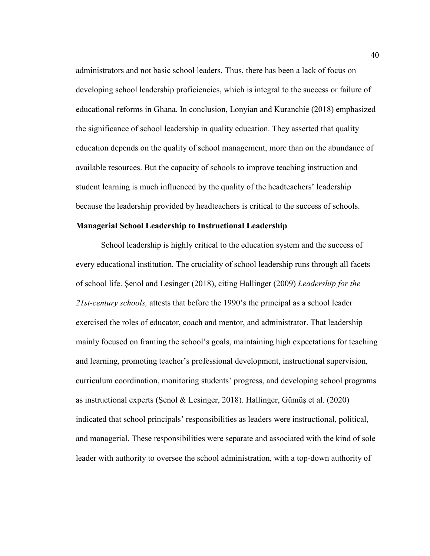administrators and not basic school leaders. Thus, there has been a lack of focus on developing school leadership proficiencies, which is integral to the success or failure of educational reforms in Ghana. In conclusion, Lonyian and Kuranchie (2018) emphasized the significance of school leadership in quality education. They asserted that quality education depends on the quality of school management, more than on the abundance of available resources. But the capacity of schools to improve teaching instruction and student learning is much influenced by the quality of the headteachers' leadership because the leadership provided by headteachers is critical to the success of schools.

### **Managerial School Leadership to Instructional Leadership**

School leadership is highly critical to the education system and the success of every educational institution. The cruciality of school leadership runs through all facets of school life. Şenol and Lesinger (2018), citing Hallinger (2009) *Leadership for the 21st-century schools,* attests that before the 1990's the principal as a school leader exercised the roles of educator, coach and mentor, and administrator. That leadership mainly focused on framing the school's goals, maintaining high expectations for teaching and learning, promoting teacher's professional development, instructional supervision, curriculum coordination, monitoring students' progress, and developing school programs as instructional experts (Şenol & Lesinger, 2018). Hallinger, Gümüş et al. (2020) indicated that school principals' responsibilities as leaders were instructional, political, and managerial. These responsibilities were separate and associated with the kind of sole leader with authority to oversee the school administration, with a top-down authority of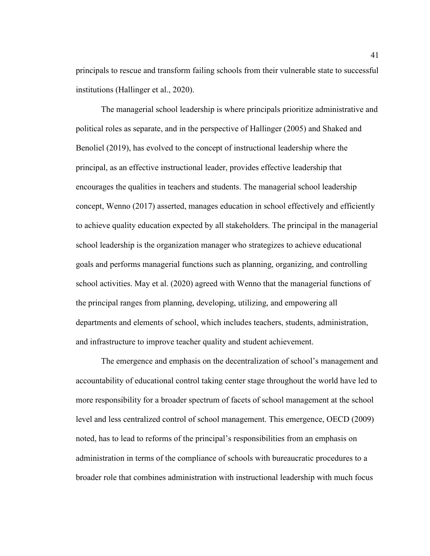principals to rescue and transform failing schools from their vulnerable state to successful institutions (Hallinger et al., 2020).

The managerial school leadership is where principals prioritize administrative and political roles as separate, and in the perspective of Hallinger (2005) and Shaked and Benoliel (2019), has evolved to the concept of instructional leadership where the principal, as an effective instructional leader, provides effective leadership that encourages the qualities in teachers and students. The managerial school leadership concept, Wenno (2017) asserted, manages education in school effectively and efficiently to achieve quality education expected by all stakeholders. The principal in the managerial school leadership is the organization manager who strategizes to achieve educational goals and performs managerial functions such as planning, organizing, and controlling school activities. May et al. (2020) agreed with Wenno that the managerial functions of the principal ranges from planning, developing, utilizing, and empowering all departments and elements of school, which includes teachers, students, administration, and infrastructure to improve teacher quality and student achievement.

The emergence and emphasis on the decentralization of school's management and accountability of educational control taking center stage throughout the world have led to more responsibility for a broader spectrum of facets of school management at the school level and less centralized control of school management. This emergence, OECD (2009) noted, has to lead to reforms of the principal's responsibilities from an emphasis on administration in terms of the compliance of schools with bureaucratic procedures to a broader role that combines administration with instructional leadership with much focus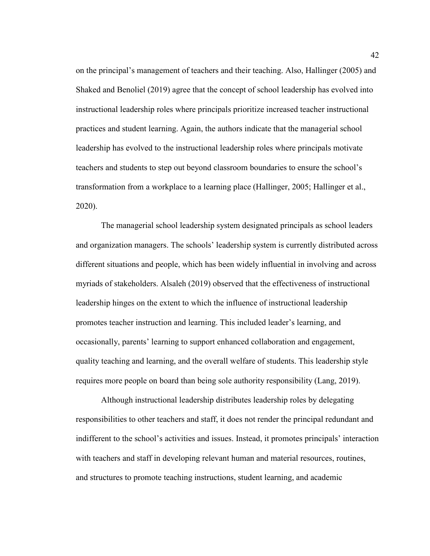on the principal's management of teachers and their teaching. Also, Hallinger (2005) and Shaked and Benoliel (2019) agree that the concept of school leadership has evolved into instructional leadership roles where principals prioritize increased teacher instructional practices and student learning. Again, the authors indicate that the managerial school leadership has evolved to the instructional leadership roles where principals motivate teachers and students to step out beyond classroom boundaries to ensure the school's transformation from a workplace to a learning place (Hallinger, 2005; Hallinger et al., 2020).

The managerial school leadership system designated principals as school leaders and organization managers. The schools' leadership system is currently distributed across different situations and people, which has been widely influential in involving and across myriads of stakeholders. Alsaleh (2019) observed that the effectiveness of instructional leadership hinges on the extent to which the influence of instructional leadership promotes teacher instruction and learning. This included leader's learning, and occasionally, parents' learning to support enhanced collaboration and engagement, quality teaching and learning, and the overall welfare of students. This leadership style requires more people on board than being sole authority responsibility (Lang, 2019).

Although instructional leadership distributes leadership roles by delegating responsibilities to other teachers and staff, it does not render the principal redundant and indifferent to the school's activities and issues. Instead, it promotes principals' interaction with teachers and staff in developing relevant human and material resources, routines, and structures to promote teaching instructions, student learning, and academic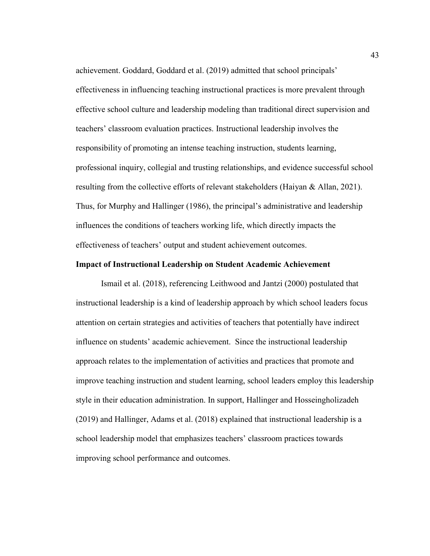achievement. Goddard, Goddard et al. (2019) admitted that school principals' effectiveness in influencing teaching instructional practices is more prevalent through effective school culture and leadership modeling than traditional direct supervision and teachers' classroom evaluation practices. Instructional leadership involves the responsibility of promoting an intense teaching instruction, students learning, professional inquiry, collegial and trusting relationships, and evidence successful school resulting from the collective efforts of relevant stakeholders (Haiyan & Allan, 2021). Thus, for Murphy and Hallinger (1986), the principal's administrative and leadership influences the conditions of teachers working life, which directly impacts the effectiveness of teachers' output and student achievement outcomes.

# **Impact of Instructional Leadership on Student Academic Achievement**

Ismail et al. (2018), referencing Leithwood and Jantzi (2000) postulated that instructional leadership is a kind of leadership approach by which school leaders focus attention on certain strategies and activities of teachers that potentially have indirect influence on students' academic achievement. Since the instructional leadership approach relates to the implementation of activities and practices that promote and improve teaching instruction and student learning, school leaders employ this leadership style in their education administration. In support, Hallinger and Hosseingholizadeh (2019) and Hallinger, Adams et al. (2018) explained that instructional leadership is a school leadership model that emphasizes teachers' classroom practices towards improving school performance and outcomes.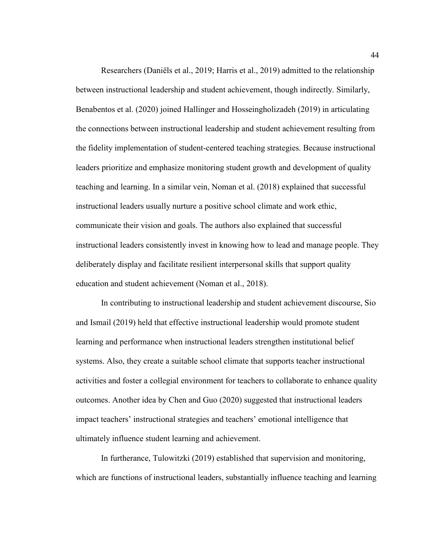Researchers (Daniëls et al., 2019; Harris et al., 2019) admitted to the relationship between instructional leadership and student achievement, though indirectly. Similarly, Benabentos et al. (2020) joined Hallinger and Hosseingholizadeh (2019) in articulating the connections between instructional leadership and student achievement resulting from the fidelity implementation of student-centered teaching strategies. Because instructional leaders prioritize and emphasize monitoring student growth and development of quality teaching and learning. In a similar vein, Noman et al. (2018) explained that successful instructional leaders usually nurture a positive school climate and work ethic, communicate their vision and goals. The authors also explained that successful instructional leaders consistently invest in knowing how to lead and manage people. They deliberately display and facilitate resilient interpersonal skills that support quality education and student achievement (Noman et al., 2018).

In contributing to instructional leadership and student achievement discourse, Sio and Ismail (2019) held that effective instructional leadership would promote student learning and performance when instructional leaders strengthen institutional belief systems. Also, they create a suitable school climate that supports teacher instructional activities and foster a collegial environment for teachers to collaborate to enhance quality outcomes. Another idea by Chen and Guo (2020) suggested that instructional leaders impact teachers' instructional strategies and teachers' emotional intelligence that ultimately influence student learning and achievement.

In furtherance, Tulowitzki (2019) established that supervision and monitoring, which are functions of instructional leaders, substantially influence teaching and learning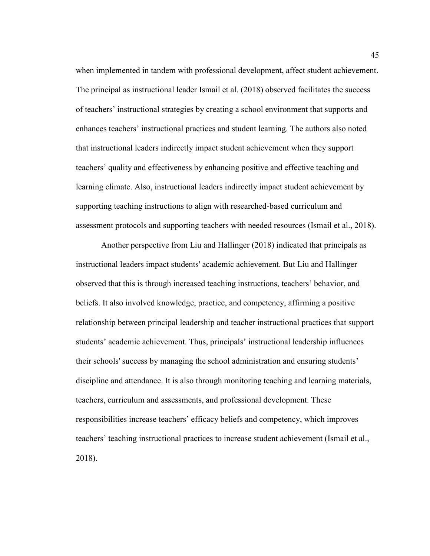when implemented in tandem with professional development, affect student achievement. The principal as instructional leader Ismail et al. (2018) observed facilitates the success of teachers' instructional strategies by creating a school environment that supports and enhances teachers' instructional practices and student learning. The authors also noted that instructional leaders indirectly impact student achievement when they support teachers' quality and effectiveness by enhancing positive and effective teaching and learning climate. Also, instructional leaders indirectly impact student achievement by supporting teaching instructions to align with researched-based curriculum and assessment protocols and supporting teachers with needed resources (Ismail et al., 2018).

Another perspective from Liu and Hallinger (2018) indicated that principals as instructional leaders impact students' academic achievement. But Liu and Hallinger observed that this is through increased teaching instructions, teachers' behavior, and beliefs. It also involved knowledge, practice, and competency, affirming a positive relationship between principal leadership and teacher instructional practices that support students' academic achievement. Thus, principals' instructional leadership influences their schools' success by managing the school administration and ensuring students' discipline and attendance. It is also through monitoring teaching and learning materials, teachers, curriculum and assessments, and professional development. These responsibilities increase teachers' efficacy beliefs and competency, which improves teachers' teaching instructional practices to increase student achievement (Ismail et al., 2018).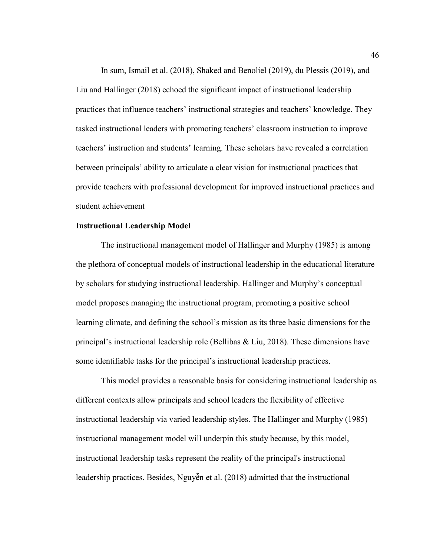In sum, Ismail et al. (2018), Shaked and Benoliel (2019), du Plessis (2019), and Liu and Hallinger (2018) echoed the significant impact of instructional leadership practices that influence teachers' instructional strategies and teachers' knowledge. They tasked instructional leaders with promoting teachers' classroom instruction to improve teachers' instruction and students' learning. These scholars have revealed a correlation between principals' ability to articulate a clear vision for instructional practices that provide teachers with professional development for improved instructional practices and student achievement

#### **Instructional Leadership Model**

The instructional management model of Hallinger and Murphy (1985) is among the plethora of conceptual models of instructional leadership in the educational literature by scholars for studying instructional leadership. Hallinger and Murphy's conceptual model proposes managing the instructional program, promoting a positive school learning climate, and defining the school's mission as its three basic dimensions for the principal's instructional leadership role (Bellibas & Liu, 2018). These dimensions have some identifiable tasks for the principal's instructional leadership practices.

This model provides a reasonable basis for considering instructional leadership as different contexts allow principals and school leaders the flexibility of effective instructional leadership via varied leadership styles. The Hallinger and Murphy (1985) instructional management model will underpin this study because, by this model, instructional leadership tasks represent the reality of the principal's instructional leadership practices. Besides, Nguyễn et al. (2018) admitted that the instructional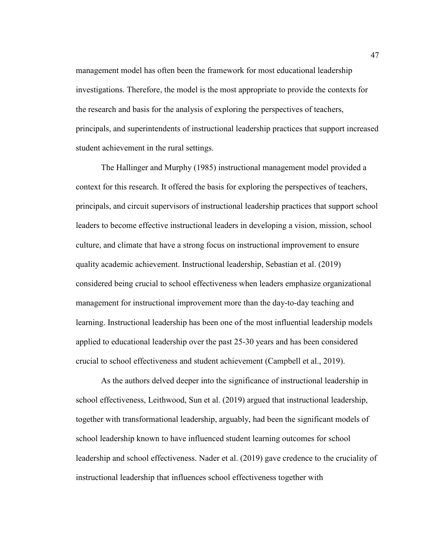management model has often been the framework for most educational leadership investigations. Therefore, the model is the most appropriate to provide the contexts for the research and basis for the analysis of exploring the perspectives of teachers, principals, and superintendents of instructional leadership practices that support increased student achievement in the rural settings.

The Hallinger and Murphy (1985) instructional management model provided a context for this research. It offered the basis for exploring the perspectives of teachers, principals, and circuit supervisors of instructional leadership practices that support school leaders to become effective instructional leaders in developing a vision, mission, school culture, and climate that have a strong focus on instructional improvement to ensure quality academic achievement. Instructional leadership, Sebastian et al. (2019) considered being crucial to school effectiveness when leaders emphasize organizational management for instructional improvement more than the day-to-day teaching and learning. Instructional leadership has been one of the most influential leadership models applied to educational leadership over the past 25-30 years and has been considered crucial to school effectiveness and student achievement (Campbell et al., 2019).

As the authors delved deeper into the significance of instructional leadership in school effectiveness, Leithwood, Sun et al. (2019) argued that instructional leadership, together with transformational leadership, arguably, had been the significant models of school leadership known to have influenced student learning outcomes for school leadership and school effectiveness. Nader et al. (2019) gave credence to the cruciality of instructional leadership that influences school effectiveness together with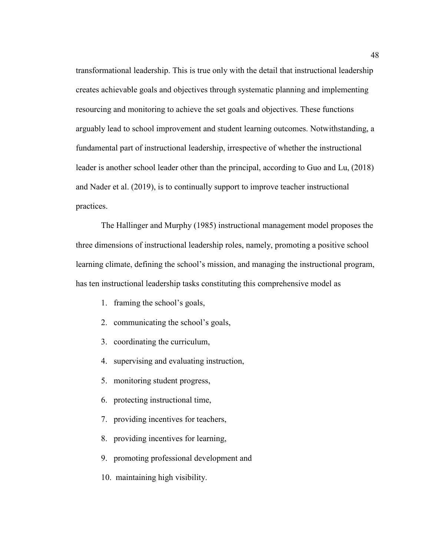transformational leadership. This is true only with the detail that instructional leadership creates achievable goals and objectives through systematic planning and implementing resourcing and monitoring to achieve the set goals and objectives. These functions arguably lead to school improvement and student learning outcomes. Notwithstanding, a fundamental part of instructional leadership, irrespective of whether the instructional leader is another school leader other than the principal, according to Guo and Lu, (2018) and Nader et al. (2019), is to continually support to improve teacher instructional practices.

The Hallinger and Murphy (1985) instructional management model proposes the three dimensions of instructional leadership roles, namely, promoting a positive school learning climate, defining the school's mission, and managing the instructional program, has ten instructional leadership tasks constituting this comprehensive model as

- 1. framing the school's goals,
- 2. communicating the school's goals,
- 3. coordinating the curriculum,
- 4. supervising and evaluating instruction,
- 5. monitoring student progress,
- 6. protecting instructional time,
- 7. providing incentives for teachers,
- 8. providing incentives for learning,
- 9. promoting professional development and
- 10. maintaining high visibility.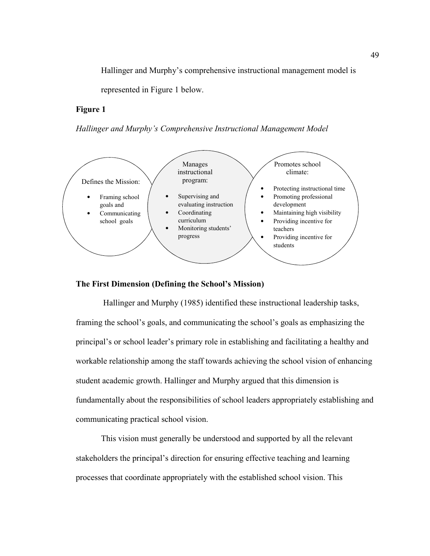Hallinger and Murphy's comprehensive instructional management model is

represented in Figure 1 below.

# **Figure 1**

*Hallinger and Murphy's Comprehensive Instructional Management Model*



# **The First Dimension (Defining the School's Mission)**

Hallinger and Murphy (1985) identified these instructional leadership tasks, framing the school's goals, and communicating the school's goals as emphasizing the principal's or school leader's primary role in establishing and facilitating a healthy and workable relationship among the staff towards achieving the school vision of enhancing student academic growth. Hallinger and Murphy argued that this dimension is fundamentally about the responsibilities of school leaders appropriately establishing and communicating practical school vision.

This vision must generally be understood and supported by all the relevant stakeholders the principal's direction for ensuring effective teaching and learning processes that coordinate appropriately with the established school vision. This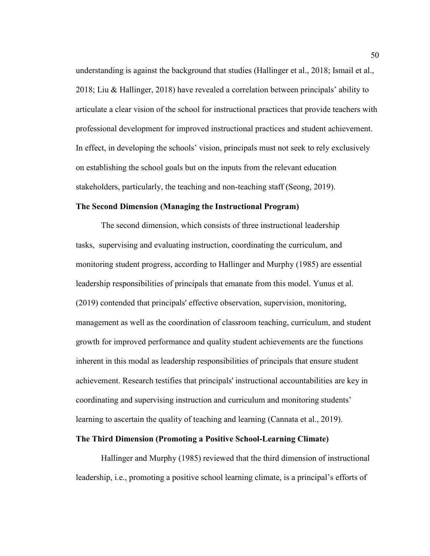understanding is against the background that studies (Hallinger et al., 2018; Ismail et al., 2018; Liu & Hallinger, 2018) have revealed a correlation between principals' ability to articulate a clear vision of the school for instructional practices that provide teachers with professional development for improved instructional practices and student achievement. In effect, in developing the schools' vision, principals must not seek to rely exclusively on establishing the school goals but on the inputs from the relevant education stakeholders, particularly, the teaching and non-teaching staff (Seong, 2019).

### **The Second Dimension (Managing the Instructional Program)**

The second dimension, which consists of three instructional leadership tasks,supervising and evaluating instruction, coordinating the curriculum, and monitoring student progress, according to Hallinger and Murphy (1985) are essential leadership responsibilities of principals that emanate from this model. Yunus et al. (2019) contended that principals' effective observation, supervision, monitoring, management as well as the coordination of classroom teaching, curriculum, and student growth for improved performance and quality student achievements are the functions inherent in this modal as leadership responsibilities of principals that ensure student achievement. Research testifies that principals' instructional accountabilities are key in coordinating and supervising instruction and curriculum and monitoring students' learning to ascertain the quality of teaching and learning (Cannata et al., 2019).

# **The Third Dimension (Promoting a Positive School-Learning Climate)**

Hallinger and Murphy (1985) reviewed that the third dimension of instructional leadership, i.e., promoting a positive school learning climate, is a principal's efforts of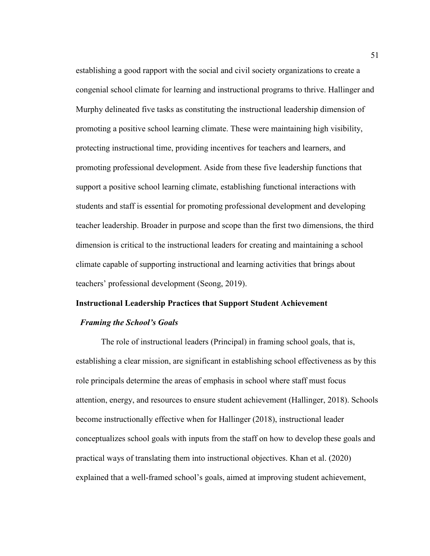establishing a good rapport with the social and civil society organizations to create a congenial school climate for learning and instructional programs to thrive. Hallinger and Murphy delineated five tasks as constituting the instructional leadership dimension of promoting a positive school learning climate. These were maintaining high visibility, protecting instructional time, providing incentives for teachers and learners, and promoting professional development. Aside from these five leadership functions that support a positive school learning climate, establishing functional interactions with students and staff is essential for promoting professional development and developing teacher leadership. Broader in purpose and scope than the first two dimensions, the third dimension is critical to the instructional leaders for creating and maintaining a school climate capable of supporting instructional and learning activities that brings about teachers' professional development (Seong, 2019).

# **Instructional Leadership Practices that Support Student Achievement**

## *Framing the School's Goals*

The role of instructional leaders (Principal) in framing school goals, that is, establishing a clear mission, are significant in establishing school effectiveness as by this role principals determine the areas of emphasis in school where staff must focus attention, energy, and resources to ensure student achievement (Hallinger, 2018). Schools become instructionally effective when for Hallinger (2018), instructional leader conceptualizes school goals with inputs from the staff on how to develop these goals and practical ways of translating them into instructional objectives. Khan et al. (2020) explained that a well-framed school's goals, aimed at improving student achievement,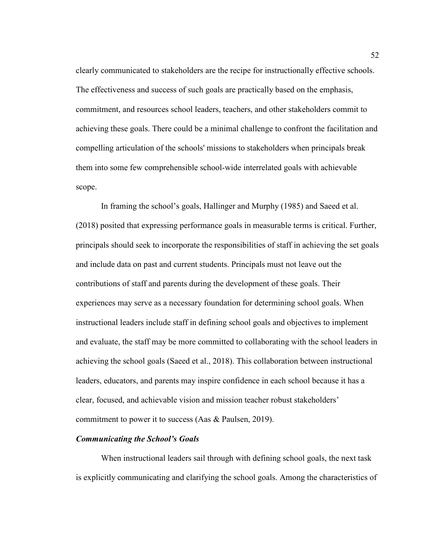clearly communicated to stakeholders are the recipe for instructionally effective schools. The effectiveness and success of such goals are practically based on the emphasis, commitment, and resources school leaders, teachers, and other stakeholders commit to achieving these goals. There could be a minimal challenge to confront the facilitation and compelling articulation of the schools' missions to stakeholders when principals break them into some few comprehensible school-wide interrelated goals with achievable scope.

In framing the school's goals, Hallinger and Murphy (1985) and Saeed et al. (2018) posited that expressing performance goals in measurable terms is critical. Further, principals should seek to incorporate the responsibilities of staff in achieving the set goals and include data on past and current students. Principals must not leave out the contributions of staff and parents during the development of these goals. Their experiences may serve as a necessary foundation for determining school goals. When instructional leaders include staff in defining school goals and objectives to implement and evaluate, the staff may be more committed to collaborating with the school leaders in achieving the school goals (Saeed et al., 2018). This collaboration between instructional leaders, educators, and parents may inspire confidence in each school because it has a clear, focused, and achievable vision and mission teacher robust stakeholders' commitment to power it to success (Aas & Paulsen, 2019).

# *Communicating the School's Goals*

When instructional leaders sail through with defining school goals, the next task is explicitly communicating and clarifying the school goals. Among the characteristics of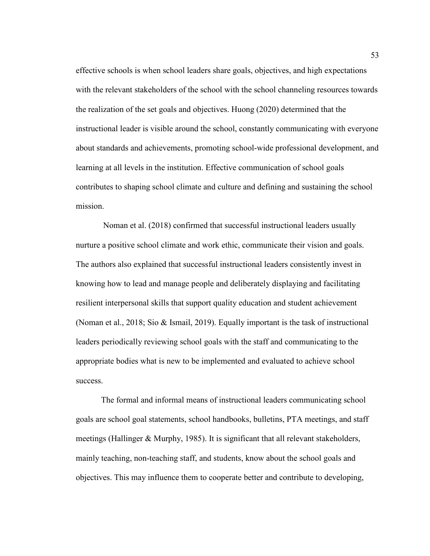effective schools is when school leaders share goals, objectives, and high expectations with the relevant stakeholders of the school with the school channeling resources towards the realization of the set goals and objectives. Huong (2020) determined that the instructional leader is visible around the school, constantly communicating with everyone about standards and achievements, promoting school-wide professional development, and learning at all levels in the institution. Effective communication of school goals contributes to shaping school climate and culture and defining and sustaining the school mission.

 Noman et al. (2018) confirmed that successful instructional leaders usually nurture a positive school climate and work ethic, communicate their vision and goals. The authors also explained that successful instructional leaders consistently invest in knowing how to lead and manage people and deliberately displaying and facilitating resilient interpersonal skills that support quality education and student achievement (Noman et al., 2018; Sio & Ismail, 2019). Equally important is the task of instructional leaders periodically reviewing school goals with the staff and communicating to the appropriate bodies what is new to be implemented and evaluated to achieve school success.

The formal and informal means of instructional leaders communicating school goals are school goal statements, school handbooks, bulletins, PTA meetings, and staff meetings (Hallinger & Murphy, 1985). It is significant that all relevant stakeholders, mainly teaching, non-teaching staff, and students, know about the school goals and objectives. This may influence them to cooperate better and contribute to developing,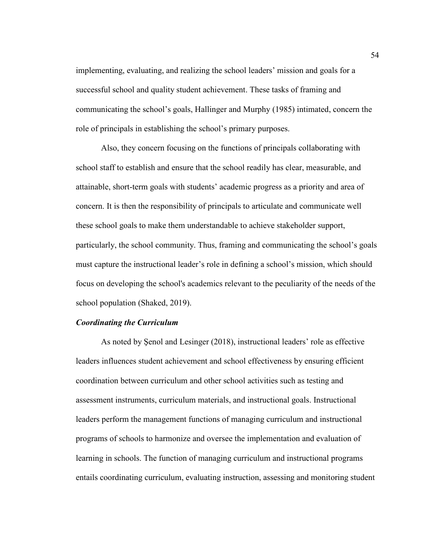implementing, evaluating, and realizing the school leaders' mission and goals for a successful school and quality student achievement. These tasks of framing and communicating the school's goals, Hallinger and Murphy (1985) intimated, concern the role of principals in establishing the school's primary purposes.

Also, they concern focusing on the functions of principals collaborating with school staff to establish and ensure that the school readily has clear, measurable, and attainable, short-term goals with students' academic progress as a priority and area of concern. It is then the responsibility of principals to articulate and communicate well these school goals to make them understandable to achieve stakeholder support, particularly, the school community. Thus, framing and communicating the school's goals must capture the instructional leader's role in defining a school's mission, which should focus on developing the school's academics relevant to the peculiarity of the needs of the school population (Shaked, 2019).

## *Coordinating the Curriculum*

As noted by Şenol and Lesinger (2018), instructional leaders' role as effective leaders influences student achievement and school effectiveness by ensuring efficient coordination between curriculum and other school activities such as testing and assessment instruments, curriculum materials, and instructional goals. Instructional leaders perform the management functions of managing curriculum and instructional programs of schools to harmonize and oversee the implementation and evaluation of learning in schools. The function of managing curriculum and instructional programs entails coordinating curriculum, evaluating instruction, assessing and monitoring student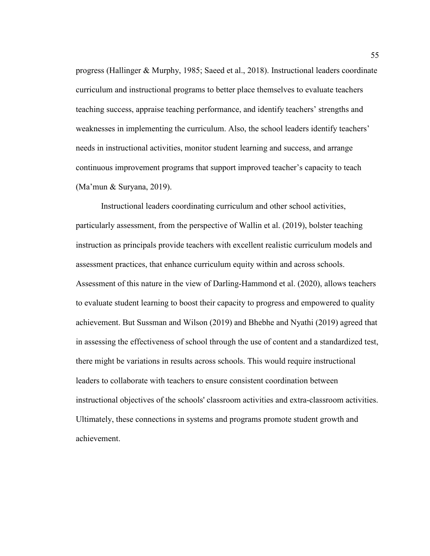progress (Hallinger & Murphy, 1985; Saeed et al., 2018). Instructional leaders coordinate curriculum and instructional programs to better place themselves to evaluate teachers teaching success, appraise teaching performance, and identify teachers' strengths and weaknesses in implementing the curriculum. Also, the school leaders identify teachers' needs in instructional activities, monitor student learning and success, and arrange continuous improvement programs that support improved teacher's capacity to teach (Ma'mun & Suryana, 2019).

Instructional leaders coordinating curriculum and other school activities, particularly assessment, from the perspective of Wallin et al. (2019), bolster teaching instruction as principals provide teachers with excellent realistic curriculum models and assessment practices, that enhance curriculum equity within and across schools. Assessment of this nature in the view of Darling-Hammond et al. (2020), allows teachers to evaluate student learning to boost their capacity to progress and empowered to quality achievement. But Sussman and Wilson (2019) and Bhebhe and Nyathi (2019) agreed that in assessing the effectiveness of school through the use of content and a standardized test, there might be variations in results across schools. This would require instructional leaders to collaborate with teachers to ensure consistent coordination between instructional objectives of the schools' classroom activities and extra-classroom activities. Ultimately, these connections in systems and programs promote student growth and achievement.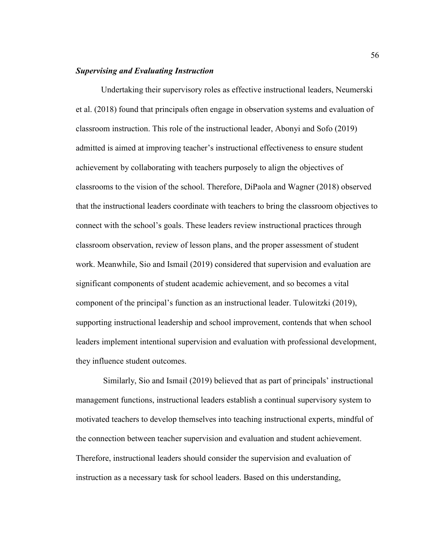## *Supervising and Evaluating Instruction*

Undertaking their supervisory roles as effective instructional leaders, Neumerski et al. (2018) found that principals often engage in observation systems and evaluation of classroom instruction. This role of the instructional leader, Abonyi and Sofo (2019) admitted is aimed at improving teacher's instructional effectiveness to ensure student achievement by collaborating with teachers purposely to align the objectives of classrooms to the vision of the school. Therefore, DiPaola and Wagner (2018) observed that the instructional leaders coordinate with teachers to bring the classroom objectives to connect with the school's goals. These leaders review instructional practices through classroom observation, review of lesson plans, and the proper assessment of student work. Meanwhile, Sio and Ismail (2019) considered that supervision and evaluation are significant components of student academic achievement, and so becomes a vital component of the principal's function as an instructional leader. Tulowitzki (2019), supporting instructional leadership and school improvement, contends that when school leaders implement intentional supervision and evaluation with professional development, they influence student outcomes.

 Similarly, Sio and Ismail (2019) believed that as part of principals' instructional management functions, instructional leaders establish a continual supervisory system to motivated teachers to develop themselves into teaching instructional experts, mindful of the connection between teacher supervision and evaluation and student achievement. Therefore, instructional leaders should consider the supervision and evaluation of instruction as a necessary task for school leaders. Based on this understanding,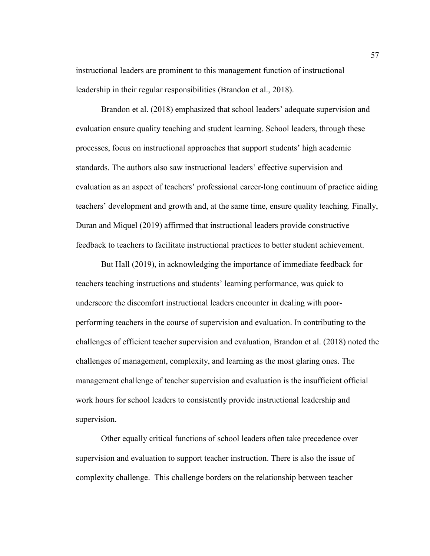instructional leaders are prominent to this management function of instructional leadership in their regular responsibilities (Brandon et al., 2018).

Brandon et al. (2018) emphasized that school leaders' adequate supervision and evaluation ensure quality teaching and student learning. School leaders, through these processes, focus on instructional approaches that support students' high academic standards. The authors also saw instructional leaders' effective supervision and evaluation as an aspect of teachers' professional career-long continuum of practice aiding teachers' development and growth and, at the same time, ensure quality teaching. Finally, Duran and Miquel (2019) affirmed that instructional leaders provide constructive feedback to teachers to facilitate instructional practices to better student achievement.

But Hall (2019), in acknowledging the importance of immediate feedback for teachers teaching instructions and students' learning performance, was quick to underscore the discomfort instructional leaders encounter in dealing with poorperforming teachers in the course of supervision and evaluation. In contributing to the challenges of efficient teacher supervision and evaluation, Brandon et al. (2018) noted the challenges of management, complexity, and learning as the most glaring ones. The management challenge of teacher supervision and evaluation is the insufficient official work hours for school leaders to consistently provide instructional leadership and supervision.

Other equally critical functions of school leaders often take precedence over supervision and evaluation to support teacher instruction. There is also the issue of complexity challenge. This challenge borders on the relationship between teacher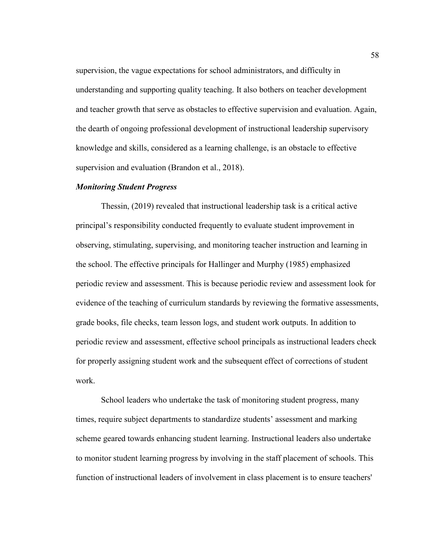supervision, the vague expectations for school administrators, and difficulty in understanding and supporting quality teaching. It also bothers on teacher development and teacher growth that serve as obstacles to effective supervision and evaluation. Again, the dearth of ongoing professional development of instructional leadership supervisory knowledge and skills, considered as a learning challenge, is an obstacle to effective supervision and evaluation (Brandon et al., 2018).

## *Monitoring Student Progress*

Thessin, (2019) revealed that instructional leadership task is a critical active principal's responsibility conducted frequently to evaluate student improvement in observing, stimulating, supervising, and monitoring teacher instruction and learning in the school. The effective principals for Hallinger and Murphy (1985) emphasized periodic review and assessment. This is because periodic review and assessment look for evidence of the teaching of curriculum standards by reviewing the formative assessments, grade books, file checks, team lesson logs, and student work outputs. In addition to periodic review and assessment, effective school principals as instructional leaders check for properly assigning student work and the subsequent effect of corrections of student work.

School leaders who undertake the task of monitoring student progress, many times, require subject departments to standardize students' assessment and marking scheme geared towards enhancing student learning. Instructional leaders also undertake to monitor student learning progress by involving in the staff placement of schools. This function of instructional leaders of involvement in class placement is to ensure teachers'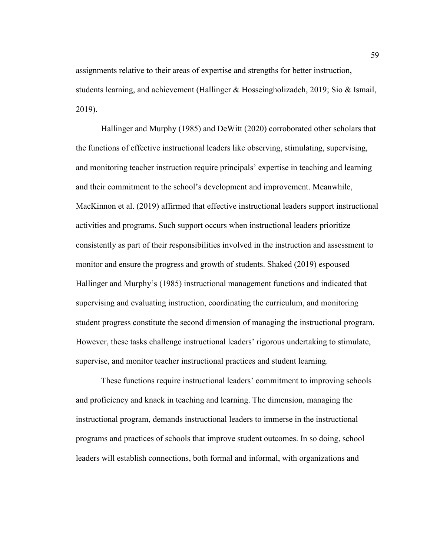assignments relative to their areas of expertise and strengths for better instruction, students learning, and achievement (Hallinger & Hosseingholizadeh, 2019; Sio & Ismail, 2019).

Hallinger and Murphy (1985) and DeWitt (2020) corroborated other scholars that the functions of effective instructional leaders like observing, stimulating, supervising, and monitoring teacher instruction require principals' expertise in teaching and learning and their commitment to the school's development and improvement. Meanwhile, MacKinnon et al. (2019) affirmed that effective instructional leaders support instructional activities and programs. Such support occurs when instructional leaders prioritize consistently as part of their responsibilities involved in the instruction and assessment to monitor and ensure the progress and growth of students. Shaked (2019) espoused Hallinger and Murphy's (1985) instructional management functions and indicated that supervising and evaluating instruction, coordinating the curriculum, and monitoring student progress constitute the second dimension of managing the instructional program. However, these tasks challenge instructional leaders' rigorous undertaking to stimulate, supervise, and monitor teacher instructional practices and student learning.

These functions require instructional leaders' commitment to improving schools and proficiency and knack in teaching and learning. The dimension, managing the instructional program, demands instructional leaders to immerse in the instructional programs and practices of schools that improve student outcomes. In so doing, school leaders will establish connections, both formal and informal, with organizations and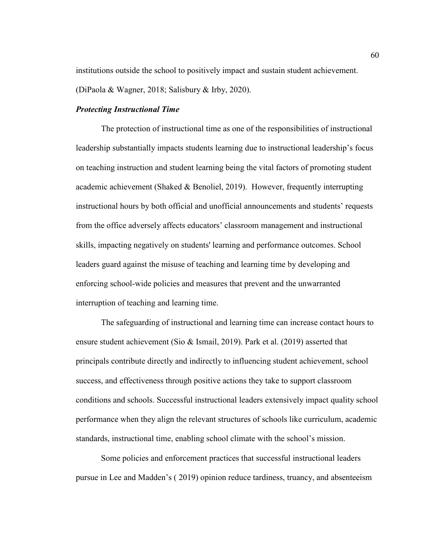institutions outside the school to positively impact and sustain student achievement. (DiPaola & Wagner, 2018; Salisbury & Irby, 2020).

## *Protecting Instructional Time*

The protection of instructional time as one of the responsibilities of instructional leadership substantially impacts students learning due to instructional leadership's focus on teaching instruction and student learning being the vital factors of promoting student academic achievement (Shaked & Benoliel, 2019). However, frequently interrupting instructional hours by both official and unofficial announcements and students' requests from the office adversely affects educators' classroom management and instructional skills, impacting negatively on students' learning and performance outcomes. School leaders guard against the misuse of teaching and learning time by developing and enforcing school-wide policies and measures that prevent and the unwarranted interruption of teaching and learning time.

The safeguarding of instructional and learning time can increase contact hours to ensure student achievement (Sio & Ismail, 2019). Park et al. (2019) asserted that principals contribute directly and indirectly to influencing student achievement, school success, and effectiveness through positive actions they take to support classroom conditions and schools. Successful instructional leaders extensively impact quality school performance when they align the relevant structures of schools like curriculum, academic standards, instructional time, enabling school climate with the school's mission.

Some policies and enforcement practices that successful instructional leaders pursue in Lee and Madden's ( 2019) opinion reduce tardiness, truancy, and absenteeism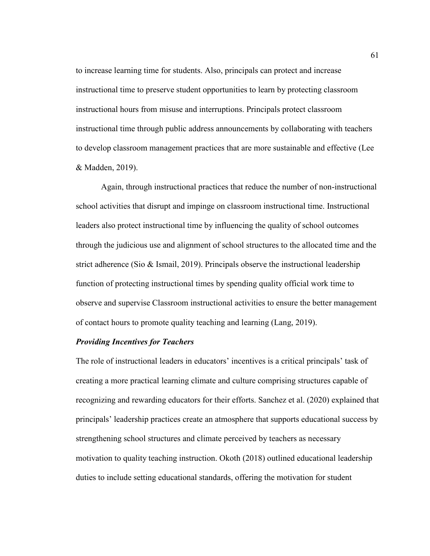to increase learning time for students. Also, principals can protect and increase instructional time to preserve student opportunities to learn by protecting classroom instructional hours from misuse and interruptions. Principals protect classroom instructional time through public address announcements by collaborating with teachers to develop classroom management practices that are more sustainable and effective (Lee & Madden, 2019).

Again, through instructional practices that reduce the number of non-instructional school activities that disrupt and impinge on classroom instructional time. Instructional leaders also protect instructional time by influencing the quality of school outcomes through the judicious use and alignment of school structures to the allocated time and the strict adherence (Sio & Ismail, 2019). Principals observe the instructional leadership function of protecting instructional times by spending quality official work time to observe and supervise Classroom instructional activities to ensure the better management of contact hours to promote quality teaching and learning (Lang, 2019).

#### *Providing Incentives for Teachers*

The role of instructional leaders in educators' incentives is a critical principals' task of creating a more practical learning climate and culture comprising structures capable of recognizing and rewarding educators for their efforts. Sanchez et al. (2020) explained that principals' leadership practices create an atmosphere that supports educational success by strengthening school structures and climate perceived by teachers as necessary motivation to quality teaching instruction. Okoth (2018) outlined educational leadership duties to include setting educational standards, offering the motivation for student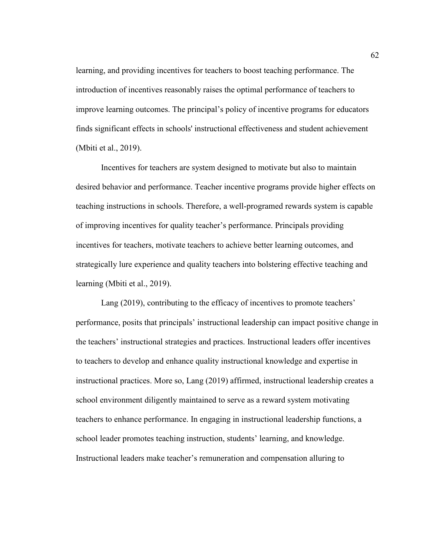learning, and providing incentives for teachers to boost teaching performance. The introduction of incentives reasonably raises the optimal performance of teachers to improve learning outcomes. The principal's policy of incentive programs for educators finds significant effects in schools' instructional effectiveness and student achievement (Mbiti et al., 2019).

Incentives for teachers are system designed to motivate but also to maintain desired behavior and performance. Teacher incentive programs provide higher effects on teaching instructions in schools. Therefore, a well-programed rewards system is capable of improving incentives for quality teacher's performance. Principals providing incentives for teachers, motivate teachers to achieve better learning outcomes, and strategically lure experience and quality teachers into bolstering effective teaching and learning (Mbiti et al., 2019).

Lang (2019), contributing to the efficacy of incentives to promote teachers' performance, posits that principals' instructional leadership can impact positive change in the teachers' instructional strategies and practices. Instructional leaders offer incentives to teachers to develop and enhance quality instructional knowledge and expertise in instructional practices. More so, Lang (2019) affirmed, instructional leadership creates a school environment diligently maintained to serve as a reward system motivating teachers to enhance performance. In engaging in instructional leadership functions, a school leader promotes teaching instruction, students' learning, and knowledge. Instructional leaders make teacher's remuneration and compensation alluring to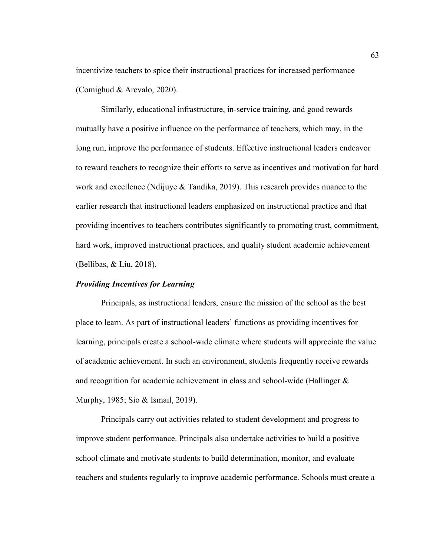incentivize teachers to spice their instructional practices for increased performance (Comighud & Arevalo, 2020).

Similarly, educational infrastructure, in-service training, and good rewards mutually have a positive influence on the performance of teachers, which may, in the long run, improve the performance of students. Effective instructional leaders endeavor to reward teachers to recognize their efforts to serve as incentives and motivation for hard work and excellence (Ndijuye & Tandika, 2019). This research provides nuance to the earlier research that instructional leaders emphasized on instructional practice and that providing incentives to teachers contributes significantly to promoting trust, commitment, hard work, improved instructional practices, and quality student academic achievement (Bellibas, & Liu, 2018).

#### *Providing Incentives for Learning*

Principals, as instructional leaders, ensure the mission of the school as the best place to learn. As part of instructional leaders' functions as providing incentives for learning, principals create a school-wide climate where students will appreciate the value of academic achievement. In such an environment, students frequently receive rewards and recognition for academic achievement in class and school-wide (Hallinger & Murphy, 1985; Sio & Ismail, 2019).

Principals carry out activities related to student development and progress to improve student performance. Principals also undertake activities to build a positive school climate and motivate students to build determination, monitor, and evaluate teachers and students regularly to improve academic performance. Schools must create a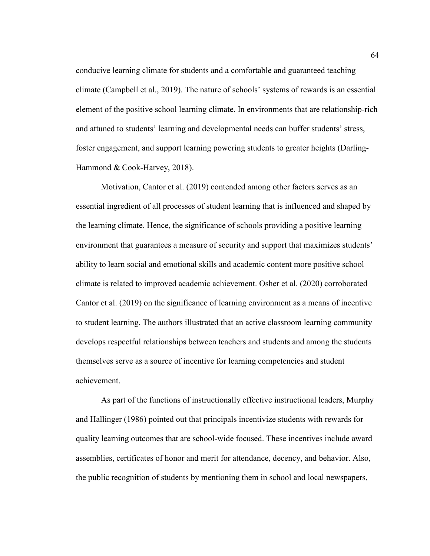conducive learning climate for students and a comfortable and guaranteed teaching climate (Campbell et al., 2019). The nature of schools' systems of rewards is an essential element of the positive school learning climate. In environments that are relationship-rich and attuned to students' learning and developmental needs can buffer students' stress, foster engagement, and support learning powering students to greater heights (Darling-Hammond & Cook-Harvey, 2018).

Motivation, Cantor et al. (2019) contended among other factors serves as an essential ingredient of all processes of student learning that is influenced and shaped by the learning climate. Hence, the significance of schools providing a positive learning environment that guarantees a measure of security and support that maximizes students' ability to learn social and emotional skills and academic content more positive school climate is related to improved academic achievement. Osher et al. (2020) corroborated Cantor et al. (2019) on the significance of learning environment as a means of incentive to student learning. The authors illustrated that an active classroom learning community develops respectful relationships between teachers and students and among the students themselves serve as a source of incentive for learning competencies and student achievement.

As part of the functions of instructionally effective instructional leaders, Murphy and Hallinger (1986) pointed out that principals incentivize students with rewards for quality learning outcomes that are school-wide focused. These incentives include award assemblies, certificates of honor and merit for attendance, decency, and behavior. Also, the public recognition of students by mentioning them in school and local newspapers,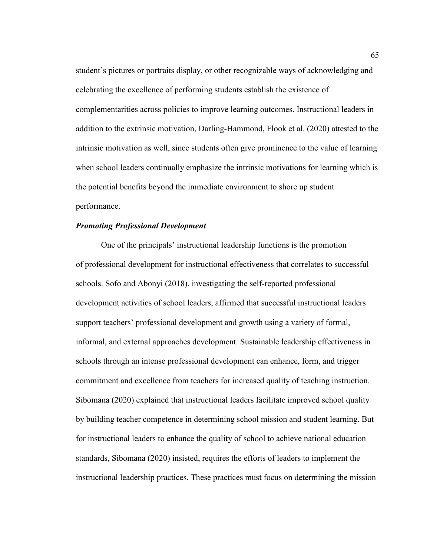student's pictures or portraits display, or other recognizable ways of acknowledging and celebrating the excellence of performing students establish the existence of complementarities across policies to improve learning outcomes. Instructional leaders in addition to the extrinsic motivation, Darling-Hammond, Flook et al. (2020) attested to the intrinsic motivation as well, since students often give prominence to the value of learning when school leaders continually emphasize the intrinsic motivations for learning which is the potential benefits beyond the immediate environment to shore up student performance.

## *Promoting Professional Development*

One of the principals' instructional leadership functions is the promotion of professional development for instructional effectiveness that correlates to successful schools. Sofo and Abonyi (2018), investigating the self-reported professional development activities of school leaders, affirmed that successful instructional leaders support teachers' professional development and growth using a variety of formal, informal, and external approaches development. Sustainable leadership effectiveness in schools through an intense professional development can enhance, form, and trigger commitment and excellence from teachers for increased quality of teaching instruction. Sibomana (2020) explained that instructional leaders facilitate improved school quality by building teacher competence in determining school mission and student learning. But for instructional leaders to enhance the quality of school to achieve national education standards, Sibomana (2020) insisted, requires the efforts of leaders to implement the instructional leadership practices. These practices must focus on determining the mission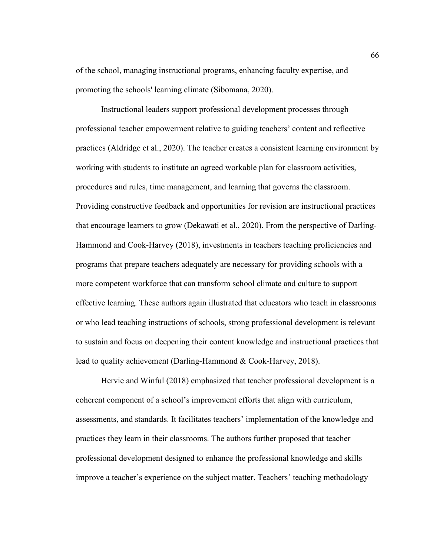of the school, managing instructional programs, enhancing faculty expertise, and promoting the schools' learning climate (Sibomana, 2020).

Instructional leaders support professional development processes through professional teacher empowerment relative to guiding teachers' content and reflective practices (Aldridge et al., 2020). The teacher creates a consistent learning environment by working with students to institute an agreed workable plan for classroom activities, procedures and rules, time management, and learning that governs the classroom. Providing constructive feedback and opportunities for revision are instructional practices that encourage learners to grow (Dekawati et al., 2020). From the perspective of Darling-Hammond and Cook-Harvey (2018), investments in teachers teaching proficiencies and programs that prepare teachers adequately are necessary for providing schools with a more competent workforce that can transform school climate and culture to support effective learning. These authors again illustrated that educators who teach in classrooms or who lead teaching instructions of schools, strong professional development is relevant to sustain and focus on deepening their content knowledge and instructional practices that lead to quality achievement (Darling-Hammond & Cook-Harvey, 2018).

Hervie and Winful (2018) emphasized that teacher professional development is a coherent component of a school's improvement efforts that align with curriculum, assessments, and standards. It facilitates teachers' implementation of the knowledge and practices they learn in their classrooms. The authors further proposed that teacher professional development designed to enhance the professional knowledge and skills improve a teacher's experience on the subject matter. Teachers' teaching methodology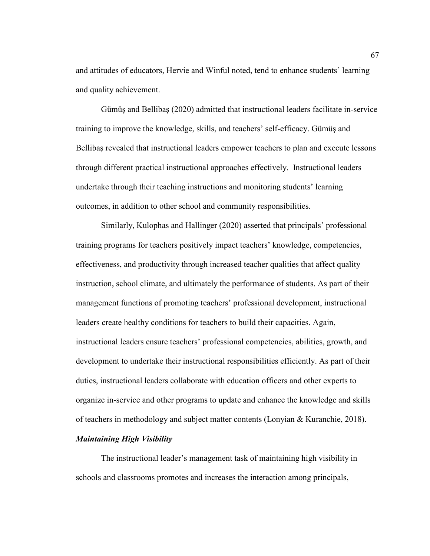and attitudes of educators, Hervie and Winful noted, tend to enhance students' learning and quality achievement.

Gümüş and Bellibaş (2020) admitted that instructional leaders facilitate in-service training to improve the knowledge, skills, and teachers' self-efficacy. Gümüş and Bellibaş revealed that instructional leaders empower teachers to plan and execute lessons through different practical instructional approaches effectively. Instructional leaders undertake through their teaching instructions and monitoring students' learning outcomes, in addition to other school and community responsibilities.

Similarly, Kulophas and Hallinger (2020) asserted that principals' professional training programs for teachers positively impact teachers' knowledge, competencies, effectiveness, and productivity through increased teacher qualities that affect quality instruction, school climate, and ultimately the performance of students. As part of their management functions of promoting teachers' professional development, instructional leaders create healthy conditions for teachers to build their capacities. Again, instructional leaders ensure teachers' professional competencies, abilities, growth, and development to undertake their instructional responsibilities efficiently. As part of their duties, instructional leaders collaborate with education officers and other experts to organize in-service and other programs to update and enhance the knowledge and skills of teachers in methodology and subject matter contents (Lonyian & Kuranchie, 2018).

## *Maintaining High Visibility*

The instructional leader's management task of maintaining high visibility in schools and classrooms promotes and increases the interaction among principals,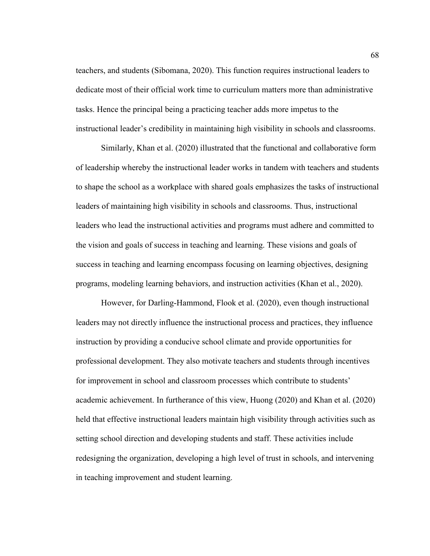teachers, and students (Sibomana, 2020). This function requires instructional leaders to dedicate most of their official work time to curriculum matters more than administrative tasks. Hence the principal being a practicing teacher adds more impetus to the instructional leader's credibility in maintaining high visibility in schools and classrooms.

Similarly, Khan et al. (2020) illustrated that the functional and collaborative form of leadership whereby the instructional leader works in tandem with teachers and students to shape the school as a workplace with shared goals emphasizes the tasks of instructional leaders of maintaining high visibility in schools and classrooms. Thus, instructional leaders who lead the instructional activities and programs must adhere and committed to the vision and goals of success in teaching and learning. These visions and goals of success in teaching and learning encompass focusing on learning objectives, designing programs, modeling learning behaviors, and instruction activities (Khan et al., 2020).

However, for Darling-Hammond, Flook et al. (2020), even though instructional leaders may not directly influence the instructional process and practices, they influence instruction by providing a conducive school climate and provide opportunities for professional development. They also motivate teachers and students through incentives for improvement in school and classroom processes which contribute to students' academic achievement. In furtherance of this view, Huong (2020) and Khan et al. (2020) held that effective instructional leaders maintain high visibility through activities such as setting school direction and developing students and staff. These activities include redesigning the organization, developing a high level of trust in schools, and intervening in teaching improvement and student learning.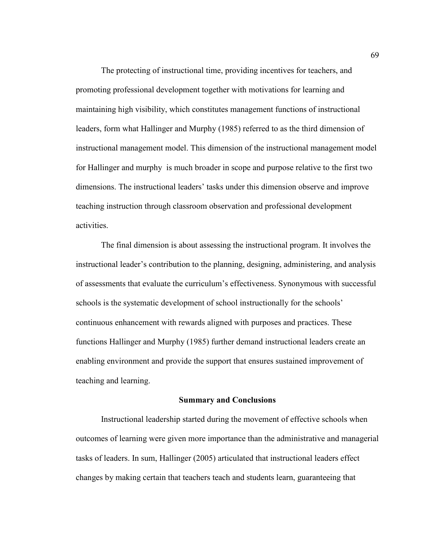The protecting of instructional time, providing incentives for teachers, and promoting professional development together with motivations for learning and maintaining high visibility, which constitutes management functions of instructional leaders, form what Hallinger and Murphy (1985) referred to as the third dimension of instructional management model. This dimension of the instructional management model for Hallinger and murphy is much broader in scope and purpose relative to the first two dimensions. The instructional leaders' tasks under this dimension observe and improve teaching instruction through classroom observation and professional development activities.

The final dimension is about assessing the instructional program. It involves the instructional leader's contribution to the planning, designing, administering, and analysis of assessments that evaluate the curriculum's effectiveness. Synonymous with successful schools is the systematic development of school instructionally for the schools' continuous enhancement with rewards aligned with purposes and practices. These functions Hallinger and Murphy (1985) further demand instructional leaders create an enabling environment and provide the support that ensures sustained improvement of teaching and learning.

#### **Summary and Conclusions**

Instructional leadership started during the movement of effective schools when outcomes of learning were given more importance than the administrative and managerial tasks of leaders. In sum, Hallinger (2005) articulated that instructional leaders effect changes by making certain that teachers teach and students learn, guaranteeing that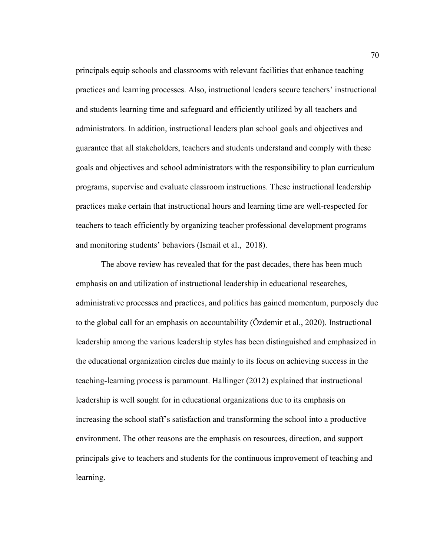principals equip schools and classrooms with relevant facilities that enhance teaching practices and learning processes. Also, instructional leaders secure teachers' instructional and students learning time and safeguard and efficiently utilized by all teachers and administrators. In addition, instructional leaders plan school goals and objectives and guarantee that all stakeholders, teachers and students understand and comply with these goals and objectives and school administrators with the responsibility to plan curriculum programs, supervise and evaluate classroom instructions. These instructional leadership practices make certain that instructional hours and learning time are well-respected for teachers to teach efficiently by organizing teacher professional development programs and monitoring students' behaviors (Ismail et al., 2018).

The above review has revealed that for the past decades, there has been much emphasis on and utilization of instructional leadership in educational researches, administrative processes and practices, and politics has gained momentum, purposely due to the global call for an emphasis on accountability (Özdemir et al., 2020). Instructional leadership among the various leadership styles has been distinguished and emphasized in the educational organization circles due mainly to its focus on achieving success in the teaching-learning process is paramount. Hallinger (2012) explained that instructional leadership is well sought for in educational organizations due to its emphasis on increasing the school staff's satisfaction and transforming the school into a productive environment. The other reasons are the emphasis on resources, direction, and support principals give to teachers and students for the continuous improvement of teaching and learning.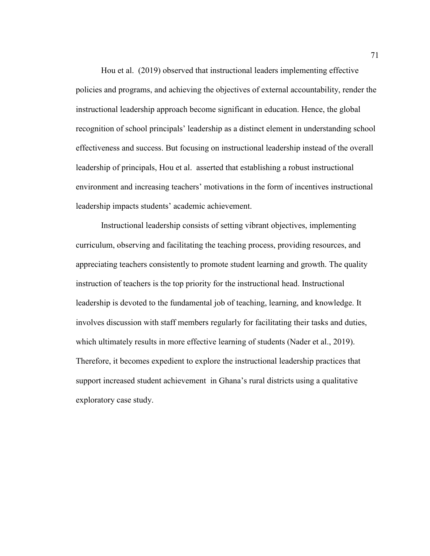Hou et al. (2019) observed that instructional leaders implementing effective policies and programs, and achieving the objectives of external accountability, render the instructional leadership approach become significant in education. Hence, the global recognition of school principals' leadership as a distinct element in understanding school effectiveness and success. But focusing on instructional leadership instead of the overall leadership of principals, Hou et al. asserted that establishing a robust instructional environment and increasing teachers' motivations in the form of incentives instructional leadership impacts students' academic achievement.

Instructional leadership consists of setting vibrant objectives, implementing curriculum, observing and facilitating the teaching process, providing resources, and appreciating teachers consistently to promote student learning and growth. The quality instruction of teachers is the top priority for the instructional head. Instructional leadership is devoted to the fundamental job of teaching, learning, and knowledge. It involves discussion with staff members regularly for facilitating their tasks and duties, which ultimately results in more effective learning of students (Nader et al., 2019). Therefore, it becomes expedient to explore the instructional leadership practices that support increased student achievement in Ghana's rural districts using a qualitative exploratory case study.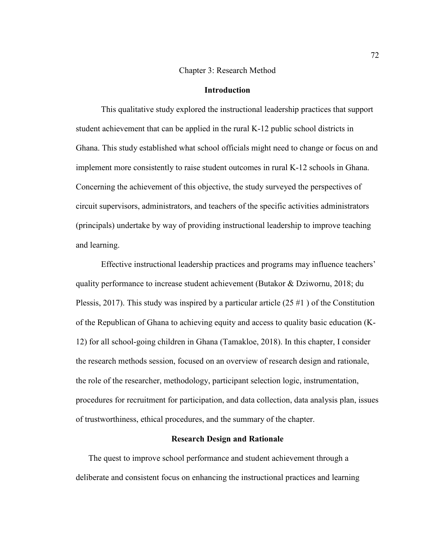#### Chapter 3: Research Method

## **Introduction**

This qualitative study explored the instructional leadership practices that support student achievement that can be applied in the rural K-12 public school districts in Ghana. This study established what school officials might need to change or focus on and implement more consistently to raise student outcomes in rural K-12 schools in Ghana. Concerning the achievement of this objective, the study surveyed the perspectives of circuit supervisors, administrators, and teachers of the specific activities administrators (principals) undertake by way of providing instructional leadership to improve teaching and learning.

Effective instructional leadership practices and programs may influence teachers' quality performance to increase student achievement (Butakor & Dziwornu, 2018; du Plessis, 2017). This study was inspired by a particular article (25 #1 ) of the Constitution of the Republican of Ghana to achieving equity and access to quality basic education (K-12) for all school-going children in Ghana (Tamakloe, 2018). In this chapter, I consider the research methods session, focused on an overview of research design and rationale, the role of the researcher, methodology, participant selection logic, instrumentation, procedures for recruitment for participation, and data collection, data analysis plan, issues of trustworthiness, ethical procedures, and the summary of the chapter.

#### **Research Design and Rationale**

The quest to improve school performance and student achievement through a deliberate and consistent focus on enhancing the instructional practices and learning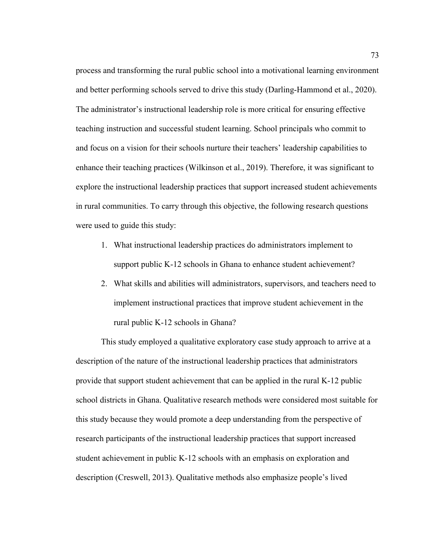process and transforming the rural public school into a motivational learning environment and better performing schools served to drive this study (Darling-Hammond et al., 2020). The administrator's instructional leadership role is more critical for ensuring effective teaching instruction and successful student learning. School principals who commit to and focus on a vision for their schools nurture their teachers' leadership capabilities to enhance their teaching practices (Wilkinson et al., 2019). Therefore, it was significant to explore the instructional leadership practices that support increased student achievements in rural communities. To carry through this objective, the following research questions were used to guide this study:

- 1. What instructional leadership practices do administrators implement to support public K-12 schools in Ghana to enhance student achievement?
- 2. What skills and abilities will administrators, supervisors, and teachers need to implement instructional practices that improve student achievement in the rural public K-12 schools in Ghana?

This study employed a qualitative exploratory case study approach to arrive at a description of the nature of the instructional leadership practices that administrators provide that support student achievement that can be applied in the rural K-12 public school districts in Ghana. Qualitative research methods were considered most suitable for this study because they would promote a deep understanding from the perspective of research participants of the instructional leadership practices that support increased student achievement in public K-12 schools with an emphasis on exploration and description (Creswell, 2013). Qualitative methods also emphasize people's lived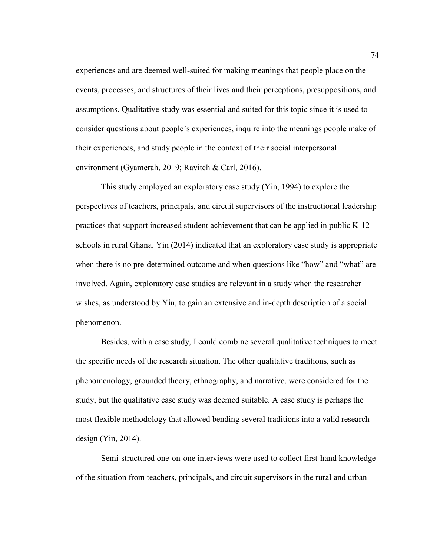experiences and are deemed well-suited for making meanings that people place on the events, processes, and structures of their lives and their perceptions, presuppositions, and assumptions. Qualitative study was essential and suited for this topic since it is used to consider questions about people's experiences, inquire into the meanings people make of their experiences, and study people in the context of their social interpersonal environment (Gyamerah, 2019; Ravitch & Carl, 2016).

This study employed an exploratory case study (Yin, 1994) to explore the perspectives of teachers, principals, and circuit supervisors of the instructional leadership practices that support increased student achievement that can be applied in public K-12 schools in rural Ghana. Yin (2014) indicated that an exploratory case study is appropriate when there is no pre-determined outcome and when questions like "how" and "what" are involved. Again, exploratory case studies are relevant in a study when the researcher wishes, as understood by Yin, to gain an extensive and in-depth description of a social phenomenon.

Besides, with a case study, I could combine several qualitative techniques to meet the specific needs of the research situation. The other qualitative traditions, such as phenomenology, grounded theory, ethnography, and narrative, were considered for the study, but the qualitative case study was deemed suitable. A case study is perhaps the most flexible methodology that allowed bending several traditions into a valid research design (Yin, 2014).

Semi-structured one-on-one interviews were used to collect first-hand knowledge of the situation from teachers, principals, and circuit supervisors in the rural and urban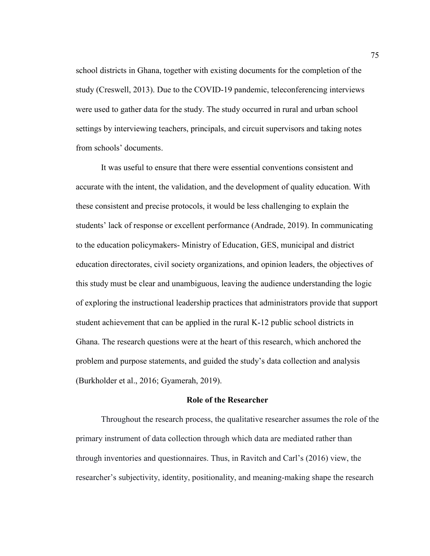school districts in Ghana, together with existing documents for the completion of the study (Creswell, 2013). Due to the COVID-19 pandemic, teleconferencing interviews were used to gather data for the study. The study occurred in rural and urban school settings by interviewing teachers, principals, and circuit supervisors and taking notes from schools' documents.

It was useful to ensure that there were essential conventions consistent and accurate with the intent, the validation, and the development of quality education. With these consistent and precise protocols, it would be less challenging to explain the students' lack of response or excellent performance (Andrade, 2019). In communicating to the education policymakers- Ministry of Education, GES, municipal and district education directorates, civil society organizations, and opinion leaders, the objectives of this study must be clear and unambiguous, leaving the audience understanding the logic of exploring the instructional leadership practices that administrators provide that support student achievement that can be applied in the rural K-12 public school districts in Ghana. The research questions were at the heart of this research, which anchored the problem and purpose statements, and guided the study's data collection and analysis (Burkholder et al., 2016; Gyamerah, 2019).

#### **Role of the Researcher**

Throughout the research process, the qualitative researcher assumes the role of the primary instrument of data collection through which data are mediated rather than through inventories and questionnaires. Thus, in Ravitch and Carl's (2016) view, the researcher's subjectivity, identity, positionality, and meaning-making shape the research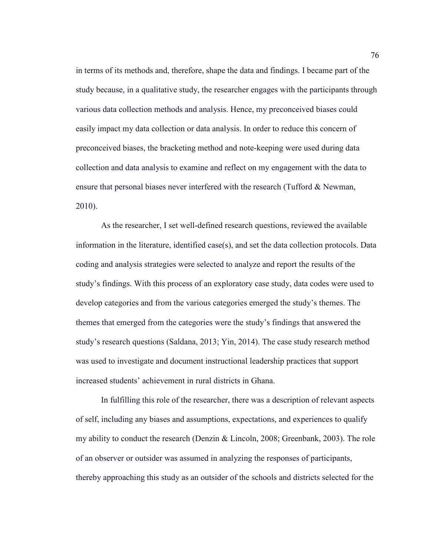in terms of its methods and, therefore, shape the data and findings. I became part of the study because, in a qualitative study, the researcher engages with the participants through various data collection methods and analysis. Hence, my preconceived biases could easily impact my data collection or data analysis. In order to reduce this concern of preconceived biases, the bracketing method and note-keeping were used during data collection and data analysis to examine and reflect on my engagement with the data to ensure that personal biases never interfered with the research (Tufford & Newman, 2010).

As the researcher, I set well-defined research questions, reviewed the available information in the literature, identified case(s), and set the data collection protocols. Data coding and analysis strategies were selected to analyze and report the results of the study's findings. With this process of an exploratory case study, data codes were used to develop categories and from the various categories emerged the study's themes. The themes that emerged from the categories were the study's findings that answered the study's research questions (Saldana, 2013; Yin, 2014). The case study research method was used to investigate and document instructional leadership practices that support increased students' achievement in rural districts in Ghana.

In fulfilling this role of the researcher, there was a description of relevant aspects of self, including any biases and assumptions, expectations, and experiences to qualify my ability to conduct the research (Denzin & Lincoln, 2008; Greenbank, 2003). The role of an observer or outsider was assumed in analyzing the responses of participants, thereby approaching this study as an outsider of the schools and districts selected for the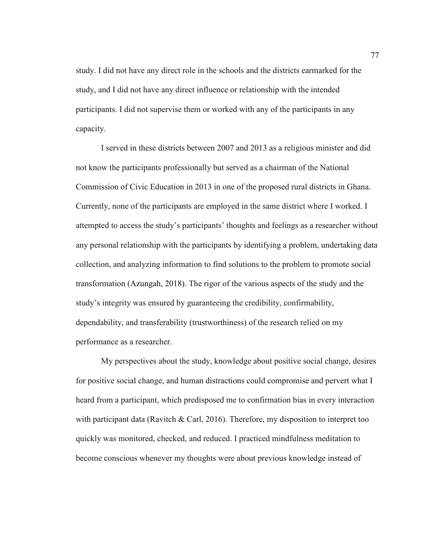study. I did not have any direct role in the schools and the districts earmarked for the study, and I did not have any direct influence or relationship with the intended participants. I did not supervise them or worked with any of the participants in any capacity.

I served in these districts between 2007 and 2013 as a religious minister and did not know the participants professionally but served as a chairman of the National Commission of Civic Education in 2013 in one of the proposed rural districts in Ghana. Currently, none of the participants are employed in the same district where I worked. I attempted to access the study's participants' thoughts and feelings as a researcher without any personal relationship with the participants by identifying a problem, undertaking data collection, and analyzing information to find solutions to the problem to promote social transformation (Azungah, 2018). The rigor of the various aspects of the study and the study's integrity was ensured by guaranteeing the credibility, confirmability, dependability, and transferability (trustworthiness) of the research relied on my performance as a researcher.

My perspectives about the study, knowledge about positive social change, desires for positive social change, and human distractions could compromise and pervert what I heard from a participant, which predisposed me to confirmation bias in every interaction with participant data (Ravitch & Carl, 2016). Therefore, my disposition to interpret too quickly was monitored, checked, and reduced. I practiced mindfulness meditation to become conscious whenever my thoughts were about previous knowledge instead of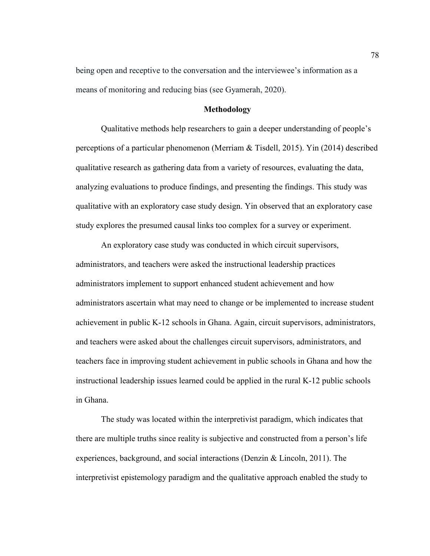being open and receptive to the conversation and the interviewee's information as a means of monitoring and reducing bias (see Gyamerah, 2020).

### **Methodology**

Qualitative methods help researchers to gain a deeper understanding of people's perceptions of a particular phenomenon (Merriam & Tisdell, 2015). Yin (2014) described qualitative research as gathering data from a variety of resources, evaluating the data, analyzing evaluations to produce findings, and presenting the findings. This study was qualitative with an exploratory case study design. Yin observed that an exploratory case study explores the presumed causal links too complex for a survey or experiment.

An exploratory case study was conducted in which circuit supervisors, administrators, and teachers were asked the instructional leadership practices administrators implement to support enhanced student achievement and how administrators ascertain what may need to change or be implemented to increase student achievement in public K-12 schools in Ghana. Again, circuit supervisors, administrators, and teachers were asked about the challenges circuit supervisors, administrators, and teachers face in improving student achievement in public schools in Ghana and how the instructional leadership issues learned could be applied in the rural K-12 public schools in Ghana.

The study was located within the interpretivist paradigm, which indicates that there are multiple truths since reality is subjective and constructed from a person's life experiences, background, and social interactions (Denzin & Lincoln, 2011). The interpretivist epistemology paradigm and the qualitative approach enabled the study to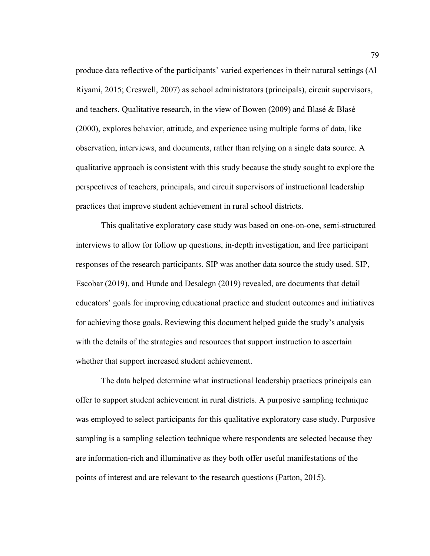produce data reflective of the participants' varied experiences in their natural settings (Al Riyami, 2015; Creswell, 2007) as school administrators (principals), circuit supervisors, and teachers. Qualitative research, in the view of Bowen (2009) and Blasé & Blasé (2000), explores behavior, attitude, and experience using multiple forms of data, like observation, interviews, and documents, rather than relying on a single data source. A qualitative approach is consistent with this study because the study sought to explore the perspectives of teachers, principals, and circuit supervisors of instructional leadership practices that improve student achievement in rural school districts.

This qualitative exploratory case study was based on one-on-one, semi-structured interviews to allow for follow up questions, in-depth investigation, and free participant responses of the research participants. SIP was another data source the study used. SIP, Escobar (2019), and Hunde and Desalegn (2019) revealed, are documents that detail educators' goals for improving educational practice and student outcomes and initiatives for achieving those goals. Reviewing this document helped guide the study's analysis with the details of the strategies and resources that support instruction to ascertain whether that support increased student achievement.

The data helped determine what instructional leadership practices principals can offer to support student achievement in rural districts. A purposive sampling technique was employed to select participants for this qualitative exploratory case study. Purposive sampling is a sampling selection technique where respondents are selected because they are information-rich and illuminative as they both offer useful manifestations of the points of interest and are relevant to the research questions (Patton, 2015).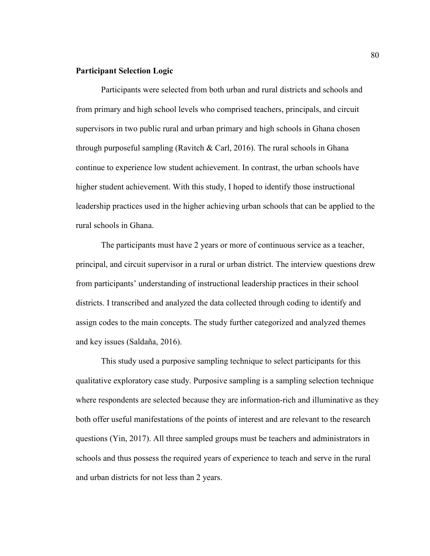## **Participant Selection Logic**

Participants were selected from both urban and rural districts and schools and from primary and high school levels who comprised teachers, principals, and circuit supervisors in two public rural and urban primary and high schools in Ghana chosen through purposeful sampling (Ravitch & Carl, 2016). The rural schools in Ghana continue to experience low student achievement. In contrast, the urban schools have higher student achievement. With this study, I hoped to identify those instructional leadership practices used in the higher achieving urban schools that can be applied to the rural schools in Ghana.

The participants must have 2 years or more of continuous service as a teacher, principal, and circuit supervisor in a rural or urban district. The interview questions drew from participants' understanding of instructional leadership practices in their school districts. I transcribed and analyzed the data collected through coding to identify and assign codes to the main concepts. The study further categorized and analyzed themes and key issues (Saldaña, 2016).

This study used a purposive sampling technique to select participants for this qualitative exploratory case study. Purposive sampling is a sampling selection technique where respondents are selected because they are information-rich and illuminative as they both offer useful manifestations of the points of interest and are relevant to the research questions (Yin, 2017). All three sampled groups must be teachers and administrators in schools and thus possess the required years of experience to teach and serve in the rural and urban districts for not less than 2 years.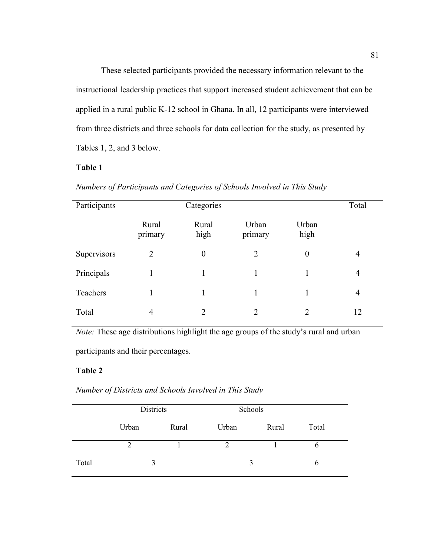These selected participants provided the necessary information relevant to the instructional leadership practices that support increased student achievement that can be applied in a rural public K-12 school in Ghana. In all, 12 participants were interviewed from three districts and three schools for data collection for the study, as presented by Tables 1, 2, and 3 below.

# **Table 1**

|  | Numbers of Participants and Categories of Schools Involved in This Study |  |  |  |  |  |
|--|--------------------------------------------------------------------------|--|--|--|--|--|
|--|--------------------------------------------------------------------------|--|--|--|--|--|

| Participants | Categories       |                |                  |                             | Total          |
|--------------|------------------|----------------|------------------|-----------------------------|----------------|
|              | Rural<br>primary | Rural<br>high  | Urban<br>primary | Urban<br>high               |                |
| Supervisors  | $\overline{2}$   | $\theta$       | $\overline{2}$   | $\theta$                    | 4              |
| Principals   |                  |                |                  |                             | $\overline{4}$ |
| Teachers     |                  |                |                  |                             | $\overline{4}$ |
| Total        | $\overline{4}$   | $\mathfrak{D}$ | $\overline{2}$   | $\mathcal{D}_{\mathcal{A}}$ | 12             |

*Note:* These age distributions highlight the age groups of the study's rural and urban participants and their percentages.

## **Table 2**

|       |               | Districts |                | Schools |       |  |
|-------|---------------|-----------|----------------|---------|-------|--|
|       | Urban         | Rural     | Urban          | Rural   | Total |  |
|       | $\mathcal{D}$ |           | $\overline{2}$ |         | b     |  |
| Total | 3             |           | 3              |         | 6     |  |

*Number of Districts and Schools Involved in This Study*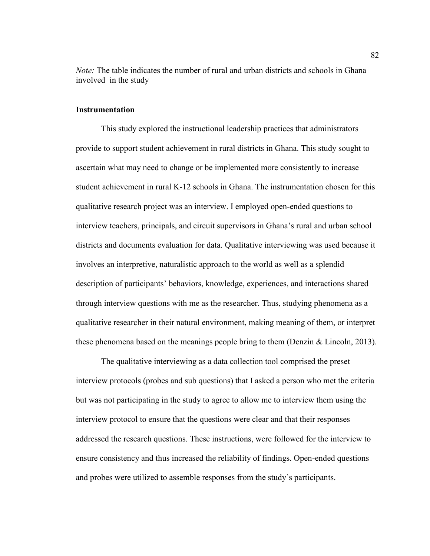*Note:* The table indicates the number of rural and urban districts and schools in Ghana involved in the study

### **Instrumentation**

This study explored the instructional leadership practices that administrators provide to support student achievement in rural districts in Ghana. This study sought to ascertain what may need to change or be implemented more consistently to increase student achievement in rural K-12 schools in Ghana. The instrumentation chosen for this qualitative research project was an interview. I employed open-ended questions to interview teachers, principals, and circuit supervisors in Ghana's rural and urban school districts and documents evaluation for data. Qualitative interviewing was used because it involves an interpretive, naturalistic approach to the world as well as a splendid description of participants' behaviors, knowledge, experiences, and interactions shared through interview questions with me as the researcher. Thus, studying phenomena as a qualitative researcher in their natural environment, making meaning of them, or interpret these phenomena based on the meanings people bring to them (Denzin  $& Lincoln, 2013$ ).

The qualitative interviewing as a data collection tool comprised the preset interview protocols (probes and sub questions) that I asked a person who met the criteria but was not participating in the study to agree to allow me to interview them using the interview protocol to ensure that the questions were clear and that their responses addressed the research questions. These instructions, were followed for the interview to ensure consistency and thus increased the reliability of findings. Open-ended questions and probes were utilized to assemble responses from the study's participants.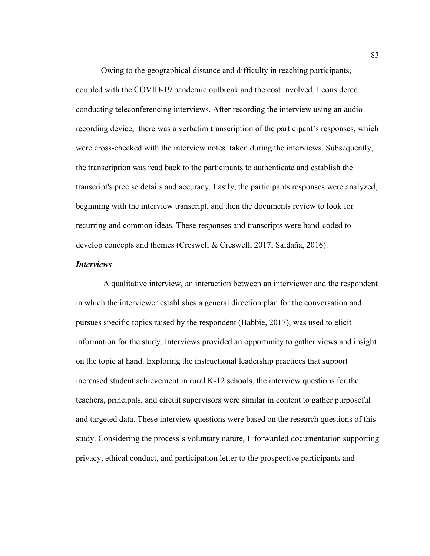Owing to the geographical distance and difficulty in reaching participants, coupled with the COVID-19 pandemic outbreak and the cost involved, I considered conducting teleconferencing interviews. After recording the interview using an audio recording device, there was a verbatim transcription of the participant's responses, which were cross-checked with the interview notes taken during the interviews. Subsequently, the transcription was read back to the participants to authenticate and establish the transcript's precise details and accuracy. Lastly, the participants responses were analyzed, beginning with the interview transcript, and then the documents review to look for recurring and common ideas. These responses and transcripts were hand-coded to develop concepts and themes (Creswell & Creswell, 2017; Saldaña, 2016).

#### *Interviews*

 A qualitative interview, an interaction between an interviewer and the respondent in which the interviewer establishes a general direction plan for the conversation and pursues specific topics raised by the respondent (Babbie, 2017), was used to elicit information for the study. Interviews provided an opportunity to gather views and insight on the topic at hand. Exploring the instructional leadership practices that support increased student achievement in rural K-12 schools, the interview questions for the teachers, principals, and circuit supervisors were similar in content to gather purposeful and targeted data. These interview questions were based on the research questions of this study. Considering the process's voluntary nature, I forwarded documentation supporting privacy, ethical conduct, and participation letter to the prospective participants and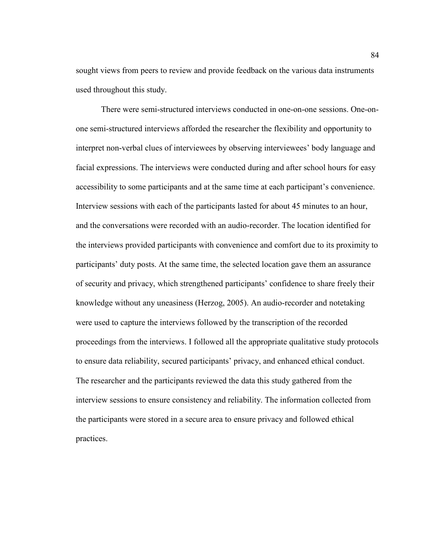sought views from peers to review and provide feedback on the various data instruments used throughout this study.

There were semi-structured interviews conducted in one-on-one sessions. One-onone semi-structured interviews afforded the researcher the flexibility and opportunity to interpret non-verbal clues of interviewees by observing interviewees' body language and facial expressions. The interviews were conducted during and after school hours for easy accessibility to some participants and at the same time at each participant's convenience. Interview sessions with each of the participants lasted for about 45 minutes to an hour, and the conversations were recorded with an audio-recorder. The location identified for the interviews provided participants with convenience and comfort due to its proximity to participants' duty posts. At the same time, the selected location gave them an assurance of security and privacy, which strengthened participants' confidence to share freely their knowledge without any uneasiness (Herzog, 2005). An audio-recorder and notetaking were used to capture the interviews followed by the transcription of the recorded proceedings from the interviews. I followed all the appropriate qualitative study protocols to ensure data reliability, secured participants' privacy, and enhanced ethical conduct. The researcher and the participants reviewed the data this study gathered from the interview sessions to ensure consistency and reliability. The information collected from the participants were stored in a secure area to ensure privacy and followed ethical practices.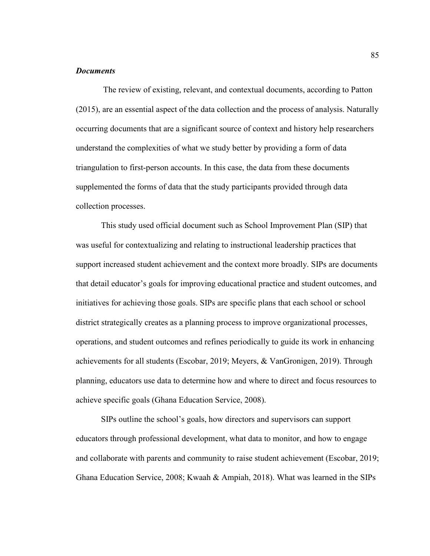### *Documents*

 The review of existing, relevant, and contextual documents, according to Patton (2015), are an essential aspect of the data collection and the process of analysis. Naturally occurring documents that are a significant source of context and history help researchers understand the complexities of what we study better by providing a form of data triangulation to first-person accounts. In this case, the data from these documents supplemented the forms of data that the study participants provided through data collection processes.

This study used official document such as School Improvement Plan (SIP) that was useful for contextualizing and relating to instructional leadership practices that support increased student achievement and the context more broadly. SIPs are documents that detail educator's goals for improving educational practice and student outcomes, and initiatives for achieving those goals. SIPs are specific plans that each school or school district strategically creates as a planning process to improve organizational processes, operations, and student outcomes and refines periodically to guide its work in enhancing achievements for all students (Escobar, 2019; Meyers, & VanGronigen, 2019). Through planning, educators use data to determine how and where to direct and focus resources to achieve specific goals (Ghana Education Service, 2008).

SIPs outline the school's goals, how directors and supervisors can support educators through professional development, what data to monitor, and how to engage and collaborate with parents and community to raise student achievement (Escobar, 2019; Ghana Education Service, 2008; Kwaah & Ampiah, 2018). What was learned in the SIPs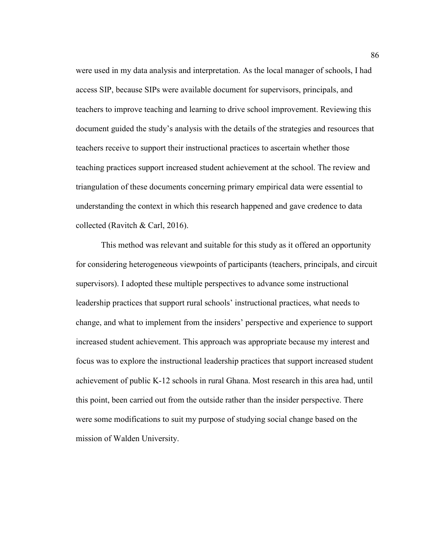were used in my data analysis and interpretation. As the local manager of schools, I had access SIP, because SIPs were available document for supervisors, principals, and teachers to improve teaching and learning to drive school improvement. Reviewing this document guided the study's analysis with the details of the strategies and resources that teachers receive to support their instructional practices to ascertain whether those teaching practices support increased student achievement at the school. The review and triangulation of these documents concerning primary empirical data were essential to understanding the context in which this research happened and gave credence to data collected (Ravitch & Carl, 2016).

This method was relevant and suitable for this study as it offered an opportunity for considering heterogeneous viewpoints of participants (teachers, principals, and circuit supervisors). I adopted these multiple perspectives to advance some instructional leadership practices that support rural schools' instructional practices, what needs to change, and what to implement from the insiders' perspective and experience to support increased student achievement. This approach was appropriate because my interest and focus was to explore the instructional leadership practices that support increased student achievement of public K-12 schools in rural Ghana. Most research in this area had, until this point, been carried out from the outside rather than the insider perspective. There were some modifications to suit my purpose of studying social change based on the mission of Walden University.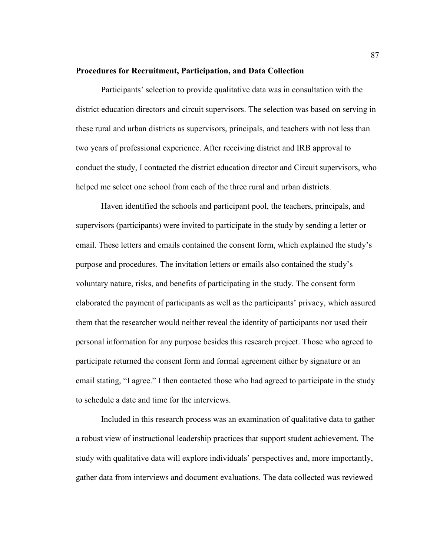#### **Procedures for Recruitment, Participation, and Data Collection**

Participants' selection to provide qualitative data was in consultation with the district education directors and circuit supervisors. The selection was based on serving in these rural and urban districts as supervisors, principals, and teachers with not less than two years of professional experience. After receiving district and IRB approval to conduct the study, I contacted the district education director and Circuit supervisors, who helped me select one school from each of the three rural and urban districts.

Haven identified the schools and participant pool, the teachers, principals, and supervisors (participants) were invited to participate in the study by sending a letter or email. These letters and emails contained the consent form, which explained the study's purpose and procedures. The invitation letters or emails also contained the study's voluntary nature, risks, and benefits of participating in the study. The consent form elaborated the payment of participants as well as the participants' privacy, which assured them that the researcher would neither reveal the identity of participants nor used their personal information for any purpose besides this research project. Those who agreed to participate returned the consent form and formal agreement either by signature or an email stating, "I agree." I then contacted those who had agreed to participate in the study to schedule a date and time for the interviews.

Included in this research process was an examination of qualitative data to gather a robust view of instructional leadership practices that support student achievement. The study with qualitative data will explore individuals' perspectives and, more importantly, gather data from interviews and document evaluations. The data collected was reviewed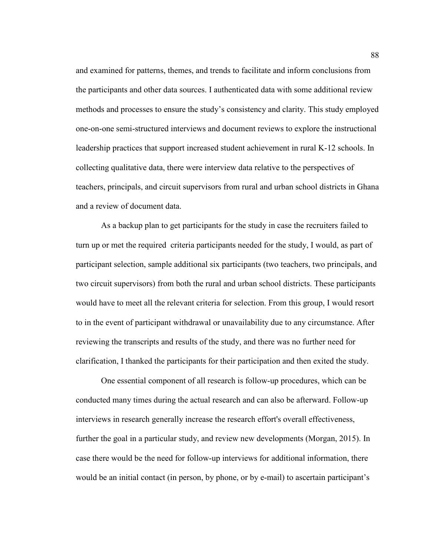and examined for patterns, themes, and trends to facilitate and inform conclusions from the participants and other data sources. I authenticated data with some additional review methods and processes to ensure the study's consistency and clarity. This study employed one-on-one semi-structured interviews and document reviews to explore the instructional leadership practices that support increased student achievement in rural K-12 schools. In collecting qualitative data, there were interview data relative to the perspectives of teachers, principals, and circuit supervisors from rural and urban school districts in Ghana and a review of document data.

As a backup plan to get participants for the study in case the recruiters failed to turn up or met the required criteria participants needed for the study, I would, as part of participant selection, sample additional six participants (two teachers, two principals, and two circuit supervisors) from both the rural and urban school districts. These participants would have to meet all the relevant criteria for selection. From this group, I would resort to in the event of participant withdrawal or unavailability due to any circumstance. After reviewing the transcripts and results of the study, and there was no further need for clarification, I thanked the participants for their participation and then exited the study.

One essential component of all research is follow-up procedures, which can be conducted many times during the actual research and can also be afterward. Follow-up interviews in research generally increase the research effort's overall effectiveness, further the goal in a particular study, and review new developments (Morgan, 2015). In case there would be the need for follow-up interviews for additional information, there would be an initial contact (in person, by phone, or by e-mail) to ascertain participant's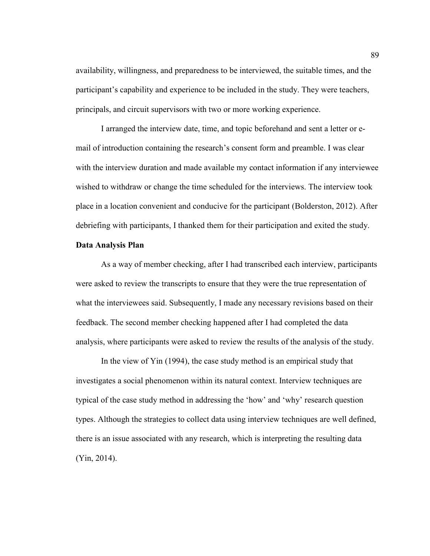availability, willingness, and preparedness to be interviewed, the suitable times, and the participant's capability and experience to be included in the study. They were teachers, principals, and circuit supervisors with two or more working experience.

I arranged the interview date, time, and topic beforehand and sent a letter or email of introduction containing the research's consent form and preamble. I was clear with the interview duration and made available my contact information if any interviewee wished to withdraw or change the time scheduled for the interviews. The interview took place in a location convenient and conducive for the participant (Bolderston, 2012). After debriefing with participants, I thanked them for their participation and exited the study.

## **Data Analysis Plan**

As a way of member checking, after I had transcribed each interview, participants were asked to review the transcripts to ensure that they were the true representation of what the interviewees said. Subsequently, I made any necessary revisions based on their feedback. The second member checking happened after I had completed the data analysis, where participants were asked to review the results of the analysis of the study.

In the view of Yin (1994), the case study method is an empirical study that investigates a social phenomenon within its natural context. Interview techniques are typical of the case study method in addressing the 'how' and 'why' research question types. Although the strategies to collect data using interview techniques are well defined, there is an issue associated with any research, which is interpreting the resulting data (Yin, 2014).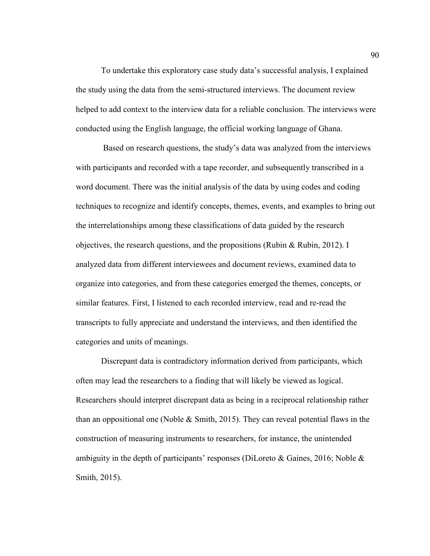To undertake this exploratory case study data's successful analysis, I explained the study using the data from the semi-structured interviews. The document review helped to add context to the interview data for a reliable conclusion. The interviews were conducted using the English language, the official working language of Ghana.

 Based on research questions, the study's data was analyzed from the interviews with participants and recorded with a tape recorder, and subsequently transcribed in a word document. There was the initial analysis of the data by using codes and coding techniques to recognize and identify concepts, themes, events, and examples to bring out the interrelationships among these classifications of data guided by the research objectives, the research questions, and the propositions (Rubin  $\&$  Rubin, 2012). I analyzed data from different interviewees and document reviews, examined data to organize into categories, and from these categories emerged the themes, concepts, or similar features. First, I listened to each recorded interview, read and re-read the transcripts to fully appreciate and understand the interviews, and then identified the categories and units of meanings.

Discrepant data is contradictory information derived from participants, which often may lead the researchers to a finding that will likely be viewed as logical. Researchers should interpret discrepant data as being in a reciprocal relationship rather than an oppositional one (Noble  $& Smith, 2015$ ). They can reveal potential flaws in the construction of measuring instruments to researchers, for instance, the unintended ambiguity in the depth of participants' responses (DiLoreto & Gaines, 2016; Noble  $\&$ Smith, 2015).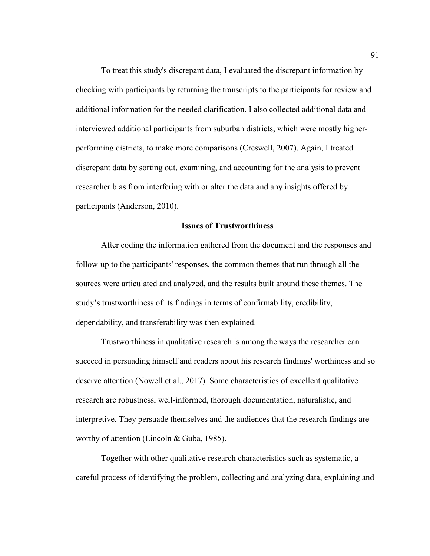To treat this study's discrepant data, I evaluated the discrepant information by checking with participants by returning the transcripts to the participants for review and additional information for the needed clarification. I also collected additional data and interviewed additional participants from suburban districts, which were mostly higherperforming districts, to make more comparisons (Creswell, 2007). Again, I treated discrepant data by sorting out, examining, and accounting for the analysis to prevent researcher bias from interfering with or alter the data and any insights offered by participants (Anderson, 2010).

# **Issues of Trustworthiness**

After coding the information gathered from the document and the responses and follow-up to the participants' responses, the common themes that run through all the sources were articulated and analyzed, and the results built around these themes. The study's trustworthiness of its findings in terms of confirmability, credibility, dependability, and transferability was then explained.

Trustworthiness in qualitative research is among the ways the researcher can succeed in persuading himself and readers about his research findings' worthiness and so deserve attention (Nowell et al., 2017). Some characteristics of excellent qualitative research are robustness, well-informed, thorough documentation, naturalistic, and interpretive. They persuade themselves and the audiences that the research findings are worthy of attention (Lincoln & Guba, 1985).

Together with other qualitative research characteristics such as systematic, a careful process of identifying the problem, collecting and analyzing data, explaining and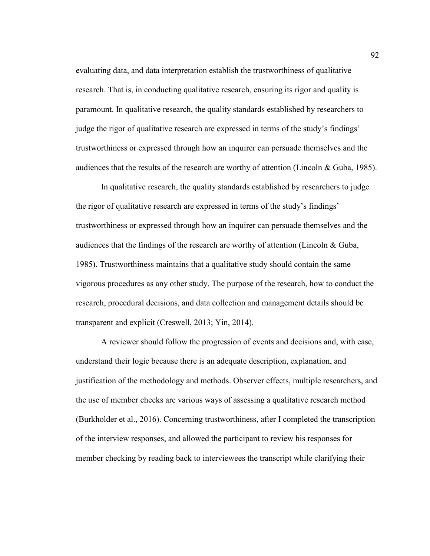evaluating data, and data interpretation establish the trustworthiness of qualitative research. That is, in conducting qualitative research, ensuring its rigor and quality is paramount. In qualitative research, the quality standards established by researchers to judge the rigor of qualitative research are expressed in terms of the study's findings' trustworthiness or expressed through how an inquirer can persuade themselves and the audiences that the results of the research are worthy of attention (Lincoln & Guba, 1985).

In qualitative research, the quality standards established by researchers to judge the rigor of qualitative research are expressed in terms of the study's findings' trustworthiness or expressed through how an inquirer can persuade themselves and the audiences that the findings of the research are worthy of attention (Lincoln & Guba, 1985). Trustworthiness maintains that a qualitative study should contain the same vigorous procedures as any other study. The purpose of the research, how to conduct the research, procedural decisions, and data collection and management details should be transparent and explicit (Creswell, 2013; Yin, 2014).

A reviewer should follow the progression of events and decisions and, with ease, understand their logic because there is an adequate description, explanation, and justification of the methodology and methods. Observer effects, multiple researchers, and the use of member checks are various ways of assessing a qualitative research method (Burkholder et al., 2016). Concerning trustworthiness, after I completed the transcription of the interview responses, and allowed the participant to review his responses for member checking by reading back to interviewees the transcript while clarifying their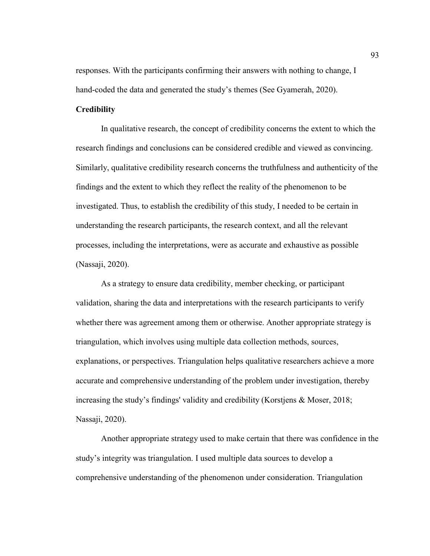responses. With the participants confirming their answers with nothing to change, I hand-coded the data and generated the study's themes (See Gyamerah, 2020).

## **Credibility**

In qualitative research, the concept of credibility concerns the extent to which the research findings and conclusions can be considered credible and viewed as convincing. Similarly, qualitative credibility research concerns the truthfulness and authenticity of the findings and the extent to which they reflect the reality of the phenomenon to be investigated. Thus, to establish the credibility of this study, I needed to be certain in understanding the research participants, the research context, and all the relevant processes, including the interpretations, were as accurate and exhaustive as possible (Nassaji, 2020).

As a strategy to ensure data credibility, member checking, or participant validation, sharing the data and interpretations with the research participants to verify whether there was agreement among them or otherwise. Another appropriate strategy is triangulation, which involves using multiple data collection methods, sources, explanations, or perspectives. Triangulation helps qualitative researchers achieve a more accurate and comprehensive understanding of the problem under investigation, thereby increasing the study's findings' validity and credibility (Korstjens & Moser, 2018; Nassaji, 2020).

Another appropriate strategy used to make certain that there was confidence in the study's integrity was triangulation. I used multiple data sources to develop a comprehensive understanding of the phenomenon under consideration. Triangulation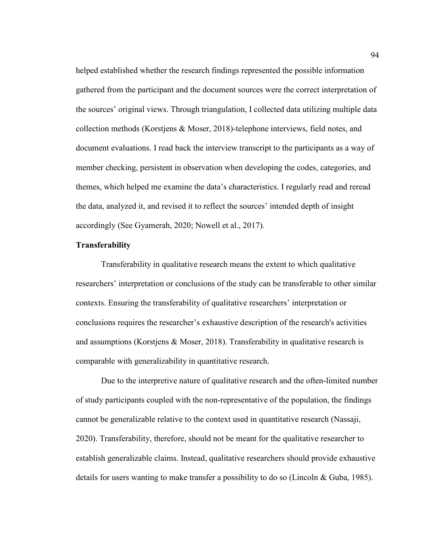helped established whether the research findings represented the possible information gathered from the participant and the document sources were the correct interpretation of the sources' original views. Through triangulation, I collected data utilizing multiple data collection methods (Korstjens & Moser, 2018)-telephone interviews, field notes, and document evaluations. I read back the interview transcript to the participants as a way of member checking, persistent in observation when developing the codes, categories, and themes, which helped me examine the data's characteristics. I regularly read and reread the data, analyzed it, and revised it to reflect the sources' intended depth of insight accordingly (See Gyamerah, 2020; Nowell et al., 2017).

## **Transferability**

Transferability in qualitative research means the extent to which qualitative researchers' interpretation or conclusions of the study can be transferable to other similar contexts. Ensuring the transferability of qualitative researchers' interpretation or conclusions requires the researcher's exhaustive description of the research's activities and assumptions (Korstjens & Moser, 2018). Transferability in qualitative research is comparable with generalizability in quantitative research.

Due to the interpretive nature of qualitative research and the often-limited number of study participants coupled with the non-representative of the population, the findings cannot be generalizable relative to the context used in quantitative research (Nassaji, 2020). Transferability, therefore, should not be meant for the qualitative researcher to establish generalizable claims. Instead, qualitative researchers should provide exhaustive details for users wanting to make transfer a possibility to do so (Lincoln & Guba, 1985).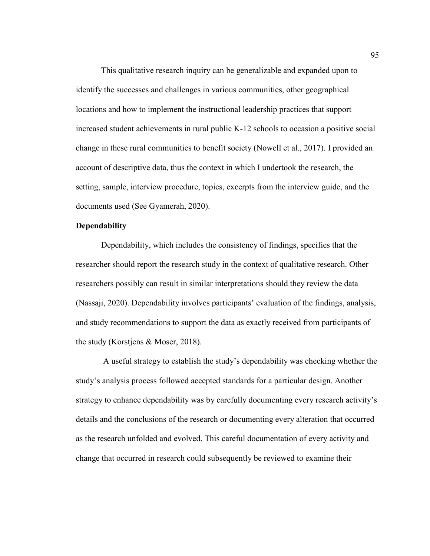This qualitative research inquiry can be generalizable and expanded upon to identify the successes and challenges in various communities, other geographical locations and how to implement the instructional leadership practices that support increased student achievements in rural public K-12 schools to occasion a positive social change in these rural communities to benefit society (Nowell et al., 2017). I provided an account of descriptive data, thus the context in which I undertook the research, the setting, sample, interview procedure, topics, excerpts from the interview guide, and the documents used (See Gyamerah, 2020).

## **Dependability**

Dependability, which includes the consistency of findings, specifies that the researcher should report the research study in the context of qualitative research. Other researchers possibly can result in similar interpretations should they review the data (Nassaji, 2020). Dependability involves participants' evaluation of the findings, analysis, and study recommendations to support the data as exactly received from participants of the study (Korstjens & Moser, 2018).

 A useful strategy to establish the study's dependability was checking whether the study's analysis process followed accepted standards for a particular design. Another strategy to enhance dependability was by carefully documenting every research activity's details and the conclusions of the research or documenting every alteration that occurred as the research unfolded and evolved. This careful documentation of every activity and change that occurred in research could subsequently be reviewed to examine their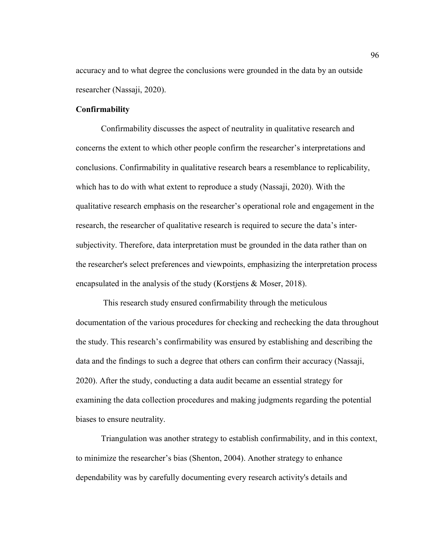accuracy and to what degree the conclusions were grounded in the data by an outside researcher (Nassaji, 2020).

## **Confirmability**

Confirmability discusses the aspect of neutrality in qualitative research and concerns the extent to which other people confirm the researcher's interpretations and conclusions. Confirmability in qualitative research bears a resemblance to replicability, which has to do with what extent to reproduce a study (Nassaji, 2020). With the qualitative research emphasis on the researcher's operational role and engagement in the research, the researcher of qualitative research is required to secure the data's intersubjectivity. Therefore, data interpretation must be grounded in the data rather than on the researcher's select preferences and viewpoints, emphasizing the interpretation process encapsulated in the analysis of the study (Korstjens & Moser, 2018).

 This research study ensured confirmability through the meticulous documentation of the various procedures for checking and rechecking the data throughout the study. This research's confirmability was ensured by establishing and describing the data and the findings to such a degree that others can confirm their accuracy (Nassaji, 2020). After the study, conducting a data audit became an essential strategy for examining the data collection procedures and making judgments regarding the potential biases to ensure neutrality.

Triangulation was another strategy to establish confirmability, and in this context, to minimize the researcher's bias (Shenton, 2004). Another strategy to enhance dependability was by carefully documenting every research activity's details and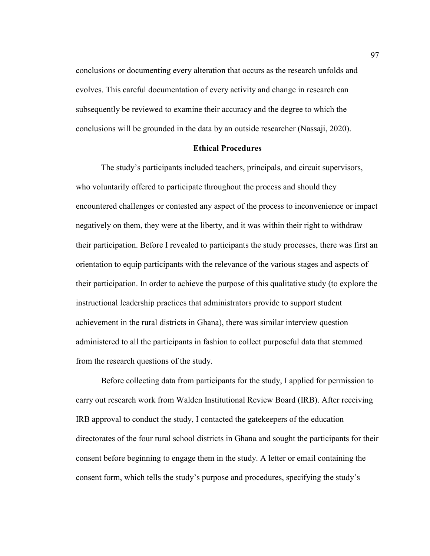conclusions or documenting every alteration that occurs as the research unfolds and evolves. This careful documentation of every activity and change in research can subsequently be reviewed to examine their accuracy and the degree to which the conclusions will be grounded in the data by an outside researcher (Nassaji, 2020).

#### **Ethical Procedures**

The study's participants included teachers, principals, and circuit supervisors, who voluntarily offered to participate throughout the process and should they encountered challenges or contested any aspect of the process to inconvenience or impact negatively on them, they were at the liberty, and it was within their right to withdraw their participation. Before I revealed to participants the study processes, there was first an orientation to equip participants with the relevance of the various stages and aspects of their participation. In order to achieve the purpose of this qualitative study (to explore the instructional leadership practices that administrators provide to support student achievement in the rural districts in Ghana), there was similar interview question administered to all the participants in fashion to collect purposeful data that stemmed from the research questions of the study.

Before collecting data from participants for the study, I applied for permission to carry out research work from Walden Institutional Review Board (IRB). After receiving IRB approval to conduct the study, I contacted the gatekeepers of the education directorates of the four rural school districts in Ghana and sought the participants for their consent before beginning to engage them in the study. A letter or email containing the consent form, which tells the study's purpose and procedures, specifying the study's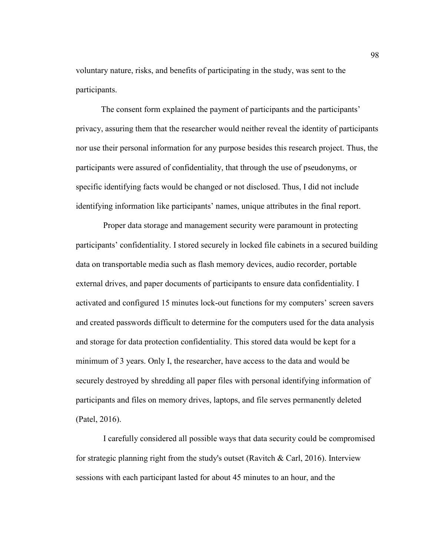voluntary nature, risks, and benefits of participating in the study, was sent to the participants.

The consent form explained the payment of participants and the participants' privacy, assuring them that the researcher would neither reveal the identity of participants nor use their personal information for any purpose besides this research project. Thus, the participants were assured of confidentiality, that through the use of pseudonyms, or specific identifying facts would be changed or not disclosed. Thus, I did not include identifying information like participants' names, unique attributes in the final report.

 Proper data storage and management security were paramount in protecting participants' confidentiality. I stored securely in locked file cabinets in a secured building data on transportable media such as flash memory devices, audio recorder, portable external drives, and paper documents of participants to ensure data confidentiality. I activated and configured 15 minutes lock-out functions for my computers' screen savers and created passwords difficult to determine for the computers used for the data analysis and storage for data protection confidentiality. This stored data would be kept for a minimum of 3 years. Only I, the researcher, have access to the data and would be securely destroyed by shredding all paper files with personal identifying information of participants and files on memory drives, laptops, and file serves permanently deleted (Patel, 2016).

 I carefully considered all possible ways that data security could be compromised for strategic planning right from the study's outset (Ravitch  $\&$  Carl, 2016). Interview sessions with each participant lasted for about 45 minutes to an hour, and the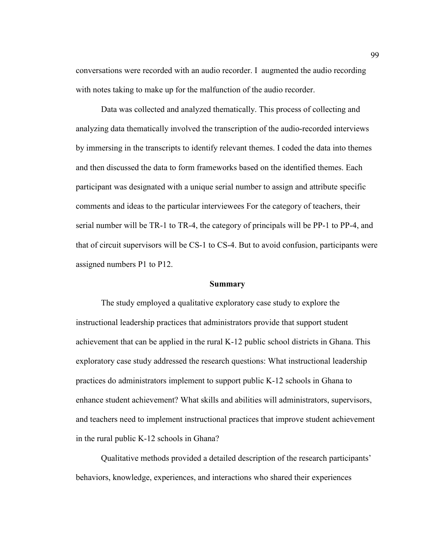conversations were recorded with an audio recorder. I augmented the audio recording with notes taking to make up for the malfunction of the audio recorder.

Data was collected and analyzed thematically. This process of collecting and analyzing data thematically involved the transcription of the audio-recorded interviews by immersing in the transcripts to identify relevant themes. I coded the data into themes and then discussed the data to form frameworks based on the identified themes. Each participant was designated with a unique serial number to assign and attribute specific comments and ideas to the particular interviewees For the category of teachers, their serial number will be TR-1 to TR-4, the category of principals will be PP-1 to PP-4, and that of circuit supervisors will be CS-1 to CS-4. But to avoid confusion, participants were assigned numbers P1 to P12.

#### **Summary**

The study employed a qualitative exploratory case study to explore the instructional leadership practices that administrators provide that support student achievement that can be applied in the rural K-12 public school districts in Ghana. This exploratory case study addressed the research questions: What instructional leadership practices do administrators implement to support public K-12 schools in Ghana to enhance student achievement? What skills and abilities will administrators, supervisors, and teachers need to implement instructional practices that improve student achievement in the rural public K-12 schools in Ghana?

Qualitative methods provided a detailed description of the research participants' behaviors, knowledge, experiences, and interactions who shared their experiences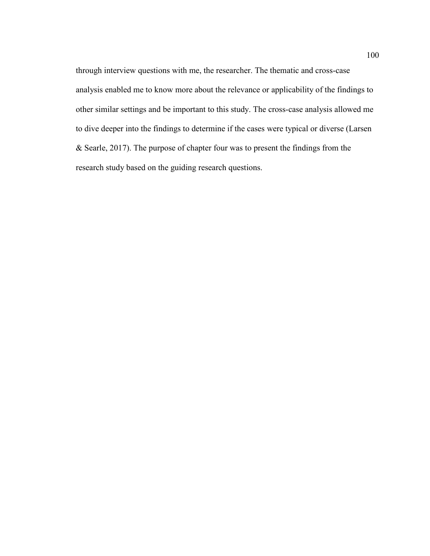through interview questions with me, the researcher. The thematic and cross-case analysis enabled me to know more about the relevance or applicability of the findings to other similar settings and be important to this study. The cross-case analysis allowed me to dive deeper into the findings to determine if the cases were typical or diverse (Larsen & Searle, 2017). The purpose of chapter four was to present the findings from the research study based on the guiding research questions.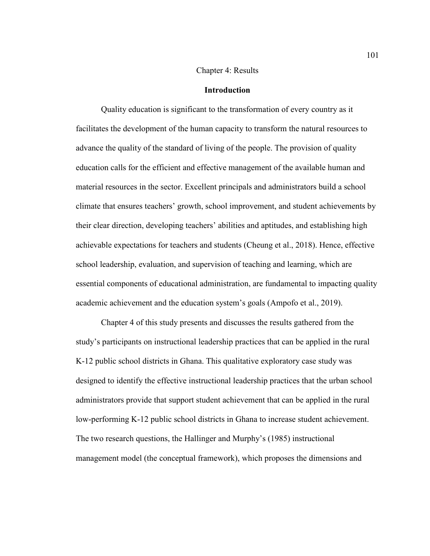## Chapter 4: Results

## **Introduction**

Quality education is significant to the transformation of every country as it facilitates the development of the human capacity to transform the natural resources to advance the quality of the standard of living of the people. The provision of quality education calls for the efficient and effective management of the available human and material resources in the sector. Excellent principals and administrators build a school climate that ensures teachers' growth, school improvement, and student achievements by their clear direction, developing teachers' abilities and aptitudes, and establishing high achievable expectations for teachers and students (Cheung et al., 2018). Hence, effective school leadership, evaluation, and supervision of teaching and learning, which are essential components of educational administration, are fundamental to impacting quality academic achievement and the education system's goals (Ampofo et al., 2019).

Chapter 4 of this study presents and discusses the results gathered from the study's participants on instructional leadership practices that can be applied in the rural K-12 public school districts in Ghana. This qualitative exploratory case study was designed to identify the effective instructional leadership practices that the urban school administrators provide that support student achievement that can be applied in the rural low-performing K-12 public school districts in Ghana to increase student achievement. The two research questions, the Hallinger and Murphy's (1985) instructional management model (the conceptual framework), which proposes the dimensions and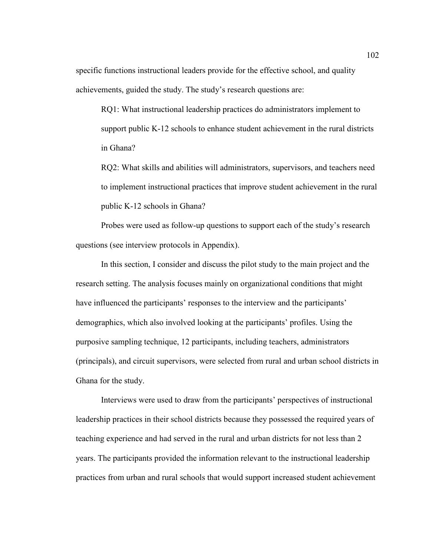specific functions instructional leaders provide for the effective school, and quality achievements, guided the study. The study's research questions are:

RQ1: What instructional leadership practices do administrators implement to support public K-12 schools to enhance student achievement in the rural districts in Ghana?

RQ2: What skills and abilities will administrators, supervisors, and teachers need to implement instructional practices that improve student achievement in the rural public K-12 schools in Ghana?

Probes were used as follow-up questions to support each of the study's research questions (see interview protocols in Appendix).

In this section, I consider and discuss the pilot study to the main project and the research setting. The analysis focuses mainly on organizational conditions that might have influenced the participants' responses to the interview and the participants' demographics, which also involved looking at the participants' profiles. Using the purposive sampling technique, 12 participants, including teachers, administrators (principals), and circuit supervisors, were selected from rural and urban school districts in Ghana for the study.

Interviews were used to draw from the participants' perspectives of instructional leadership practices in their school districts because they possessed the required years of teaching experience and had served in the rural and urban districts for not less than 2 years. The participants provided the information relevant to the instructional leadership practices from urban and rural schools that would support increased student achievement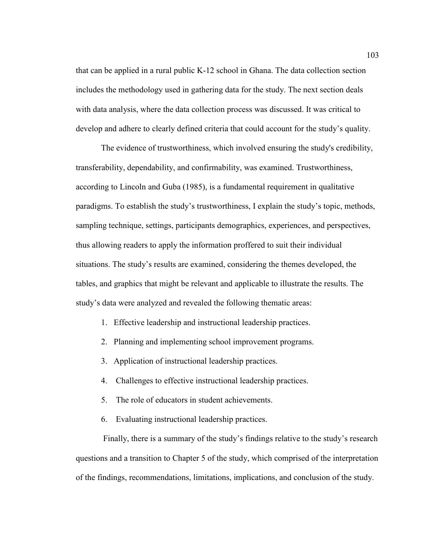that can be applied in a rural public K-12 school in Ghana. The data collection section includes the methodology used in gathering data for the study. The next section deals with data analysis, where the data collection process was discussed. It was critical to develop and adhere to clearly defined criteria that could account for the study's quality.

The evidence of trustworthiness, which involved ensuring the study's credibility, transferability, dependability, and confirmability, was examined. Trustworthiness, according to Lincoln and Guba (1985), is a fundamental requirement in qualitative paradigms. To establish the study's trustworthiness, I explain the study's topic, methods, sampling technique, settings, participants demographics, experiences, and perspectives, thus allowing readers to apply the information proffered to suit their individual situations. The study's results are examined, considering the themes developed, the tables, and graphics that might be relevant and applicable to illustrate the results. The study's data were analyzed and revealed the following thematic areas:

- 1. Effective leadership and instructional leadership practices.
- 2. Planning and implementing school improvement programs.
- 3. Application of instructional leadership practices.
- 4. Challenges to effective instructional leadership practices.
- 5. The role of educators in student achievements.
- 6. Evaluating instructional leadership practices.

 Finally, there is a summary of the study's findings relative to the study's research questions and a transition to Chapter 5 of the study, which comprised of the interpretation of the findings, recommendations, limitations, implications, and conclusion of the study.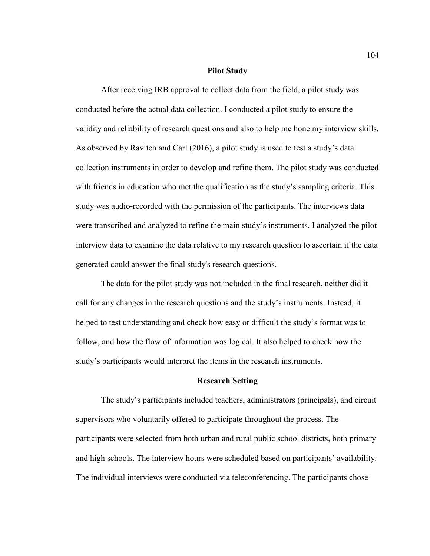#### **Pilot Study**

After receiving IRB approval to collect data from the field, a pilot study was conducted before the actual data collection. I conducted a pilot study to ensure the validity and reliability of research questions and also to help me hone my interview skills. As observed by Ravitch and Carl (2016), a pilot study is used to test a study's data collection instruments in order to develop and refine them. The pilot study was conducted with friends in education who met the qualification as the study's sampling criteria. This study was audio-recorded with the permission of the participants. The interviews data were transcribed and analyzed to refine the main study's instruments. I analyzed the pilot interview data to examine the data relative to my research question to ascertain if the data generated could answer the final study's research questions.

The data for the pilot study was not included in the final research, neither did it call for any changes in the research questions and the study's instruments. Instead, it helped to test understanding and check how easy or difficult the study's format was to follow, and how the flow of information was logical. It also helped to check how the study's participants would interpret the items in the research instruments.

#### **Research Setting**

The study's participants included teachers, administrators (principals), and circuit supervisors who voluntarily offered to participate throughout the process. The participants were selected from both urban and rural public school districts, both primary and high schools. The interview hours were scheduled based on participants' availability. The individual interviews were conducted via teleconferencing. The participants chose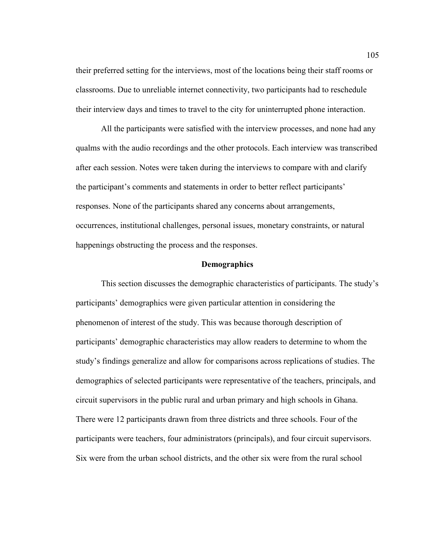their preferred setting for the interviews, most of the locations being their staff rooms or classrooms. Due to unreliable internet connectivity, two participants had to reschedule their interview days and times to travel to the city for uninterrupted phone interaction.

All the participants were satisfied with the interview processes, and none had any qualms with the audio recordings and the other protocols. Each interview was transcribed after each session. Notes were taken during the interviews to compare with and clarify the participant's comments and statements in order to better reflect participants' responses. None of the participants shared any concerns about arrangements, occurrences, institutional challenges, personal issues, monetary constraints, or natural happenings obstructing the process and the responses.

#### **Demographics**

This section discusses the demographic characteristics of participants. The study's participants' demographics were given particular attention in considering the phenomenon of interest of the study. This was because thorough description of participants' demographic characteristics may allow readers to determine to whom the study's findings generalize and allow for comparisons across replications of studies. The demographics of selected participants were representative of the teachers, principals, and circuit supervisors in the public rural and urban primary and high schools in Ghana. There were 12 participants drawn from three districts and three schools. Four of the participants were teachers, four administrators (principals), and four circuit supervisors. Six were from the urban school districts, and the other six were from the rural school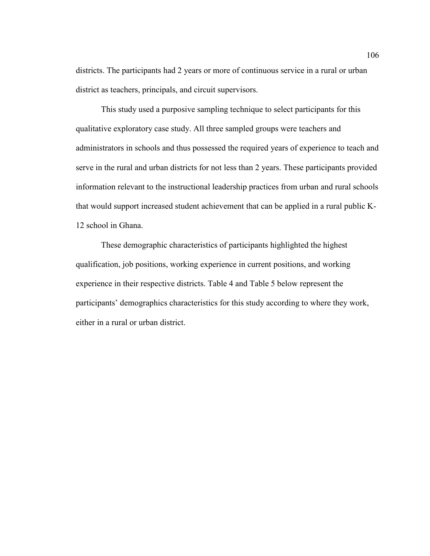districts. The participants had 2 years or more of continuous service in a rural or urban district as teachers, principals, and circuit supervisors.

This study used a purposive sampling technique to select participants for this qualitative exploratory case study. All three sampled groups were teachers and administrators in schools and thus possessed the required years of experience to teach and serve in the rural and urban districts for not less than 2 years. These participants provided information relevant to the instructional leadership practices from urban and rural schools that would support increased student achievement that can be applied in a rural public K-12 school in Ghana.

These demographic characteristics of participants highlighted the highest qualification, job positions, working experience in current positions, and working experience in their respective districts. Table 4 and Table 5 below represent the participants' demographics characteristics for this study according to where they work, either in a rural or urban district.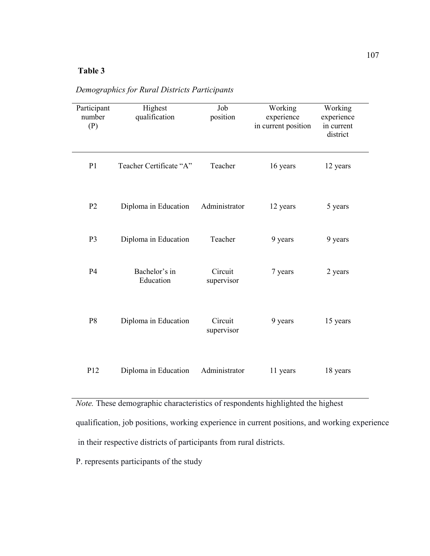# **Table 3**

| Participant<br>number<br>(P) | Highest<br>qualification   | Job<br>position       | Working<br>experience<br>in current position | Working<br>experience<br>in current<br>district |
|------------------------------|----------------------------|-----------------------|----------------------------------------------|-------------------------------------------------|
| P <sub>1</sub>               | Teacher Certificate "A"    | Teacher               | 16 years                                     | 12 years                                        |
| P <sub>2</sub>               | Diploma in Education       | Administrator         | 12 years                                     | 5 years                                         |
| P <sub>3</sub>               | Diploma in Education       | Teacher               | 9 years                                      | 9 years                                         |
| P4                           | Bachelor's in<br>Education | Circuit<br>supervisor | 7 years                                      | 2 years                                         |
| P <sub>8</sub>               | Diploma in Education       | Circuit<br>supervisor | 9 years                                      | 15 years                                        |
| P12                          | Diploma in Education       | Administrator         | 11 years                                     | 18 years                                        |

*Demographics for Rural Districts Participants* 

*Note.* These demographic characteristics of respondents highlighted the highest qualification, job positions, working experience in current positions, and working experience in their respective districts of participants from rural districts.

P. represents participants of the study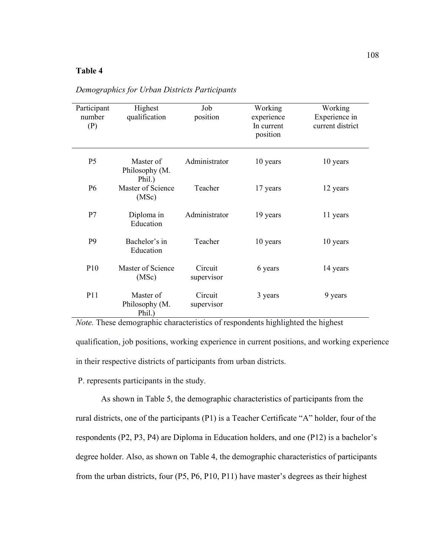# **Table 4**

| Participant<br>number<br>(P) | Highest<br>qualification              | Job<br>position       | Working<br>experience<br>In current<br>position | Working<br>Experience in<br>current district |
|------------------------------|---------------------------------------|-----------------------|-------------------------------------------------|----------------------------------------------|
| P <sub>5</sub>               | Master of<br>Philosophy (M.<br>Phil.) | Administrator         | 10 years                                        | 10 years                                     |
| P <sub>6</sub>               | Master of Science<br>(MSc)            | Teacher               | 17 years                                        | 12 years                                     |
| P7                           | Diploma in<br>Education               | Administrator         | 19 years                                        | 11 years                                     |
| P <sub>9</sub>               | Bachelor's in<br>Education            | Teacher               | 10 years                                        | 10 years                                     |
| P10                          | Master of Science<br>(MSc)            | Circuit<br>supervisor | 6 years                                         | 14 years                                     |
| P11                          | Master of<br>Philosophy (M.<br>Phil.) | Circuit<br>supervisor | 3 years                                         | 9 years                                      |

*Demographics for Urban Districts Participants*

*Note.* These demographic characteristics of respondents highlighted the highest qualification, job positions, working experience in current positions, and working experience in their respective districts of participants from urban districts.

P. represents participants in the study.

As shown in Table 5, the demographic characteristics of participants from the rural districts, one of the participants (P1) is a Teacher Certificate "A" holder, four of the respondents (P2, P3, P4) are Diploma in Education holders, and one (P12) is a bachelor's degree holder. Also, as shown on Table 4, the demographic characteristics of participants from the urban districts, four (P5, P6, P10, P11) have master's degrees as their highest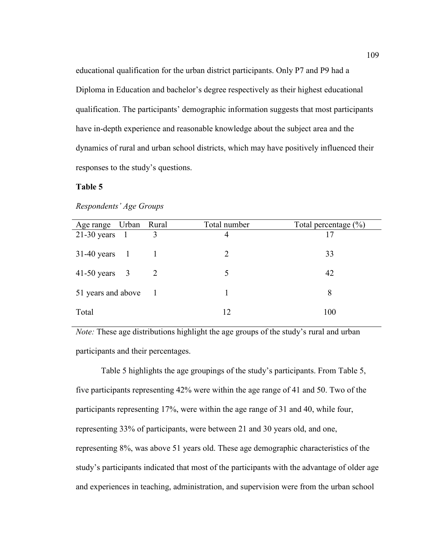educational qualification for the urban district participants. Only P7 and P9 had a Diploma in Education and bachelor's degree respectively as their highest educational qualification. The participants' demographic information suggests that most participants have in-depth experience and reasonable knowledge about the subject area and the dynamics of rural and urban school districts, which may have positively influenced their responses to the study's questions.

# **Table 5**

| Age range Urban Rural |         | Total number | Total percentage $(\% )$ |
|-----------------------|---------|--------------|--------------------------|
| $21-30$ years 1       | 3       | 4            | 17                       |
| $31-40$ years 1       |         | 2            | 33                       |
| $41-50$ years $3$     |         | 5            | 42                       |
| 51 years and above    | $\pm 1$ |              | 8                        |
| Total                 |         | 12           | 100                      |

## *Respondents' Age Groups*

*Note:* These age distributions highlight the age groups of the study's rural and urban participants and their percentages.

Table 5 highlights the age groupings of the study's participants. From Table 5, five participants representing 42% were within the age range of 41 and 50. Two of the participants representing 17%, were within the age range of 31 and 40, while four, representing 33% of participants, were between 21 and 30 years old, and one, representing 8%, was above 51 years old. These age demographic characteristics of the study's participants indicated that most of the participants with the advantage of older age and experiences in teaching, administration, and supervision were from the urban school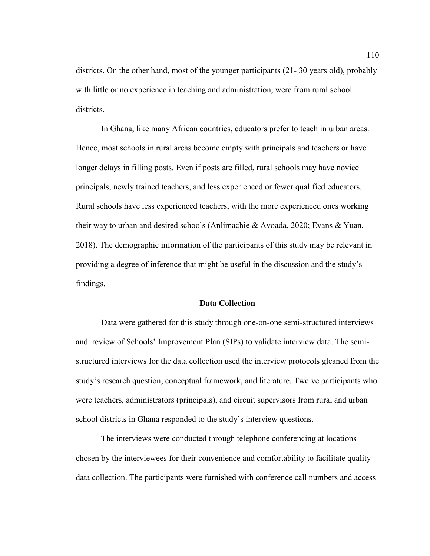districts. On the other hand, most of the younger participants (21- 30 years old), probably with little or no experience in teaching and administration, were from rural school districts.

In Ghana, like many African countries, educators prefer to teach in urban areas. Hence, most schools in rural areas become empty with principals and teachers or have longer delays in filling posts. Even if posts are filled, rural schools may have novice principals, newly trained teachers, and less experienced or fewer qualified educators. Rural schools have less experienced teachers, with the more experienced ones working their way to urban and desired schools (Anlimachie & Avoada, 2020; Evans & Yuan, 2018). The demographic information of the participants of this study may be relevant in providing a degree of inference that might be useful in the discussion and the study's findings.

#### **Data Collection**

Data were gathered for this study through one-on-one semi-structured interviews and review of Schools' Improvement Plan (SIPs) to validate interview data. The semistructured interviews for the data collection used the interview protocols gleaned from the study's research question, conceptual framework, and literature. Twelve participants who were teachers, administrators (principals), and circuit supervisors from rural and urban school districts in Ghana responded to the study's interview questions.

The interviews were conducted through telephone conferencing at locations chosen by the interviewees for their convenience and comfortability to facilitate quality data collection. The participants were furnished with conference call numbers and access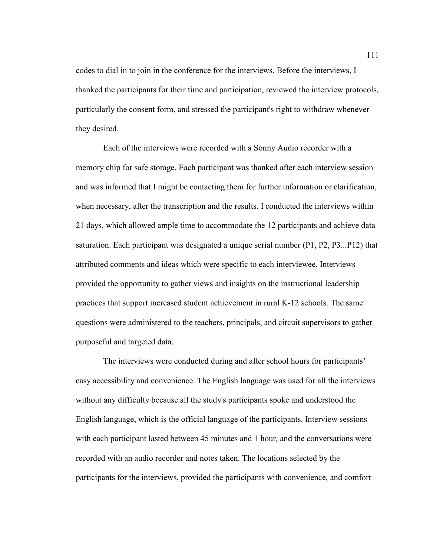codes to dial in to join in the conference for the interviews. Before the interviews, I thanked the participants for their time and participation, reviewed the interview protocols, particularly the consent form, and stressed the participant's right to withdraw whenever they desired.

 Each of the interviews were recorded with a Sonny Audio recorder with a memory chip for safe storage. Each participant was thanked after each interview session and was informed that I might be contacting them for further information or clarification, when necessary, after the transcription and the results. I conducted the interviews within 21 days, which allowed ample time to accommodate the 12 participants and achieve data saturation. Each participant was designated a unique serial number (P1, P2, P3...P12) that attributed comments and ideas which were specific to each interviewee. Interviews provided the opportunity to gather views and insights on the instructional leadership practices that support increased student achievement in rural K-12 schools. The same questions were administered to the teachers, principals, and circuit supervisors to gather purposeful and targeted data.

 The interviews were conducted during and after school hours for participants' easy accessibility and convenience. The English language was used for all the interviews without any difficulty because all the study's participants spoke and understood the English language, which is the official language of the participants. Interview sessions with each participant lasted between 45 minutes and 1 hour, and the conversations were recorded with an audio recorder and notes taken. The locations selected by the participants for the interviews, provided the participants with convenience, and comfort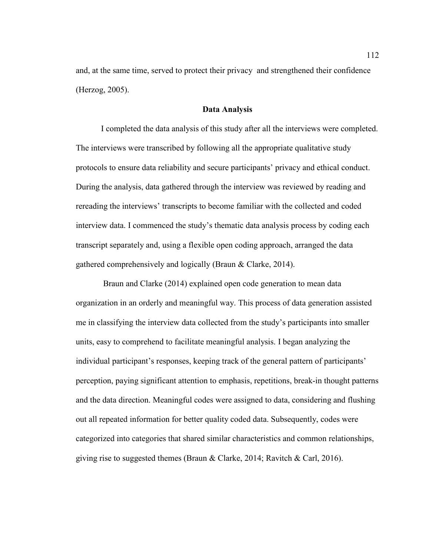and, at the same time, served to protect their privacy and strengthened their confidence (Herzog, 2005).

## **Data Analysis**

I completed the data analysis of this study after all the interviews were completed. The interviews were transcribed by following all the appropriate qualitative study protocols to ensure data reliability and secure participants' privacy and ethical conduct. During the analysis, data gathered through the interview was reviewed by reading and rereading the interviews' transcripts to become familiar with the collected and coded interview data. I commenced the study's thematic data analysis process by coding each transcript separately and, using a flexible open coding approach, arranged the data gathered comprehensively and logically (Braun & Clarke, 2014).

 Braun and Clarke (2014) explained open code generation to mean data organization in an orderly and meaningful way. This process of data generation assisted me in classifying the interview data collected from the study's participants into smaller units, easy to comprehend to facilitate meaningful analysis. I began analyzing the individual participant's responses, keeping track of the general pattern of participants' perception, paying significant attention to emphasis, repetitions, break-in thought patterns and the data direction. Meaningful codes were assigned to data, considering and flushing out all repeated information for better quality coded data. Subsequently, codes were categorized into categories that shared similar characteristics and common relationships, giving rise to suggested themes (Braun & Clarke, 2014; Ravitch & Carl, 2016).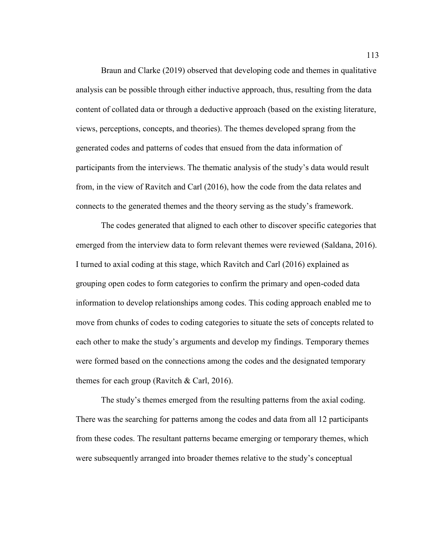Braun and Clarke (2019) observed that developing code and themes in qualitative analysis can be possible through either inductive approach, thus, resulting from the data content of collated data or through a deductive approach (based on the existing literature, views, perceptions, concepts, and theories). The themes developed sprang from the generated codes and patterns of codes that ensued from the data information of participants from the interviews. The thematic analysis of the study's data would result from, in the view of Ravitch and Carl (2016), how the code from the data relates and connects to the generated themes and the theory serving as the study's framework.

The codes generated that aligned to each other to discover specific categories that emerged from the interview data to form relevant themes were reviewed (Saldana, 2016). I turned to axial coding at this stage, which Ravitch and Carl (2016) explained as grouping open codes to form categories to confirm the primary and open-coded data information to develop relationships among codes. This coding approach enabled me to move from chunks of codes to coding categories to situate the sets of concepts related to each other to make the study's arguments and develop my findings. Temporary themes were formed based on the connections among the codes and the designated temporary themes for each group (Ravitch  $&$  Carl, 2016).

The study's themes emerged from the resulting patterns from the axial coding. There was the searching for patterns among the codes and data from all 12 participants from these codes. The resultant patterns became emerging or temporary themes, which were subsequently arranged into broader themes relative to the study's conceptual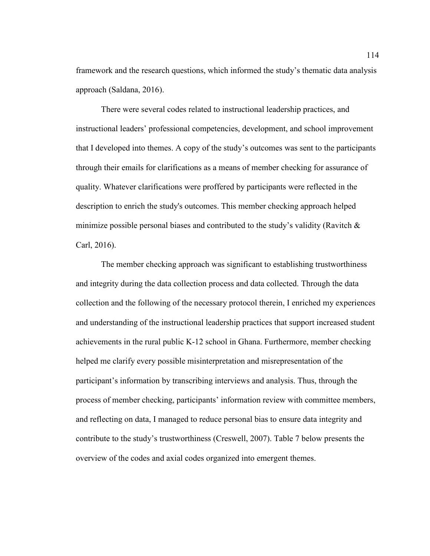framework and the research questions, which informed the study's thematic data analysis approach (Saldana, 2016).

There were several codes related to instructional leadership practices, and instructional leaders' professional competencies, development, and school improvement that I developed into themes. A copy of the study's outcomes was sent to the participants through their emails for clarifications as a means of member checking for assurance of quality. Whatever clarifications were proffered by participants were reflected in the description to enrich the study's outcomes. This member checking approach helped minimize possible personal biases and contributed to the study's validity (Ravitch  $\&$ Carl, 2016).

The member checking approach was significant to establishing trustworthiness and integrity during the data collection process and data collected. Through the data collection and the following of the necessary protocol therein, I enriched my experiences and understanding of the instructional leadership practices that support increased student achievements in the rural public K-12 school in Ghana. Furthermore, member checking helped me clarify every possible misinterpretation and misrepresentation of the participant's information by transcribing interviews and analysis. Thus, through the process of member checking, participants' information review with committee members, and reflecting on data, I managed to reduce personal bias to ensure data integrity and contribute to the study's trustworthiness (Creswell, 2007). Table 7 below presents the overview of the codes and axial codes organized into emergent themes.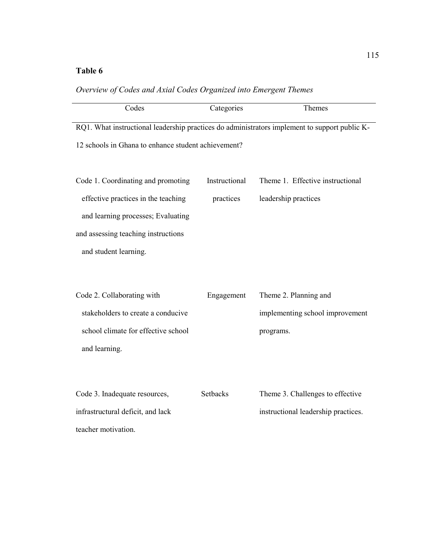#### **Table 6**

| Codes                                                                                         | Categories    | Themes                           |  |  |  |
|-----------------------------------------------------------------------------------------------|---------------|----------------------------------|--|--|--|
| RQ1. What instructional leadership practices do administrators implement to support public K- |               |                                  |  |  |  |
| 12 schools in Ghana to enhance student achievement?                                           |               |                                  |  |  |  |
| Code 1. Coordinating and promoting                                                            | Instructional | Theme 1. Effective instructional |  |  |  |
| effective practices in the teaching                                                           | practices     | leadership practices             |  |  |  |
| and learning processes; Evaluating                                                            |               |                                  |  |  |  |
| and assessing teaching instructions                                                           |               |                                  |  |  |  |
| and student learning.                                                                         |               |                                  |  |  |  |
|                                                                                               |               |                                  |  |  |  |
| Code 2. Collaborating with                                                                    | Engagement    | Theme 2. Planning and            |  |  |  |
| stakeholders to create a conducive                                                            |               | implementing school improvement  |  |  |  |
| school climate for effective school                                                           |               | programs.                        |  |  |  |
| and learning.                                                                                 |               |                                  |  |  |  |

| Overview of Codes and Axial Codes Organized into Emergent Themes |  |  |
|------------------------------------------------------------------|--|--|
|------------------------------------------------------------------|--|--|

| Code 3. Inadequate resources,     | <b>Setbacks</b> | Theme 3. Challenges to effective    |
|-----------------------------------|-----------------|-------------------------------------|
| infrastructural deficit, and lack |                 | instructional leadership practices. |
| teacher motivation.               |                 |                                     |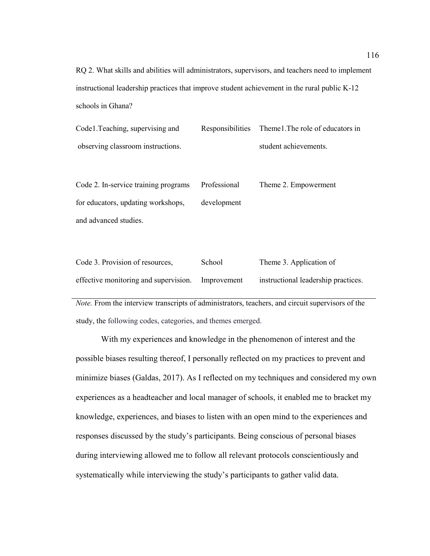RQ 2. What skills and abilities will administrators, supervisors, and teachers need to implement instructional leadership practices that improve student achievement in the rural public K-12 schools in Ghana?

| Code 1. Teaching, supervising and | Responsibilities Themel. The role of educators in |
|-----------------------------------|---------------------------------------------------|
| observing classroom instructions. | student achievements.                             |

Code 2. In-service training programs for educators, updating workshops, and advanced studies. Professional development Theme 2. Empowerment

| Code 3. Provision of resources,       | School      | Theme 3. Application of             |
|---------------------------------------|-------------|-------------------------------------|
| effective monitoring and supervision. | Improvement | instructional leadership practices. |

*Note.* From the interview transcripts of administrators, teachers, and circuit supervisors of the study, the following codes, categories, and themes emerged.

With my experiences and knowledge in the phenomenon of interest and the possible biases resulting thereof, I personally reflected on my practices to prevent and minimize biases (Galdas, 2017). As I reflected on my techniques and considered my own experiences as a headteacher and local manager of schools, it enabled me to bracket my knowledge, experiences, and biases to listen with an open mind to the experiences and responses discussed by the study's participants. Being conscious of personal biases during interviewing allowed me to follow all relevant protocols conscientiously and systematically while interviewing the study's participants to gather valid data.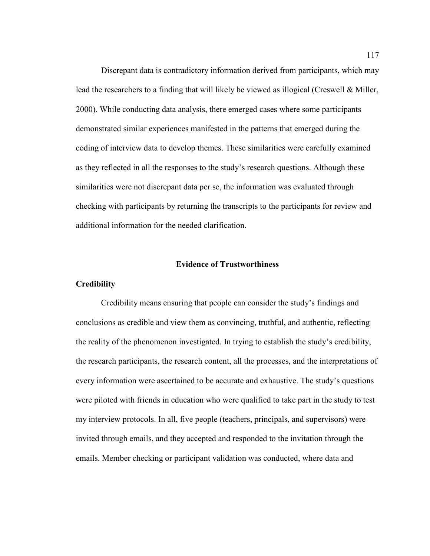Discrepant data is contradictory information derived from participants, which may lead the researchers to a finding that will likely be viewed as illogical (Creswell & Miller, 2000). While conducting data analysis, there emerged cases where some participants demonstrated similar experiences manifested in the patterns that emerged during the coding of interview data to develop themes. These similarities were carefully examined as they reflected in all the responses to the study's research questions. Although these similarities were not discrepant data per se, the information was evaluated through checking with participants by returning the transcripts to the participants for review and additional information for the needed clarification.

#### **Evidence of Trustworthiness**

#### **Credibility**

Credibility means ensuring that people can consider the study's findings and conclusions as credible and view them as convincing, truthful, and authentic, reflecting the reality of the phenomenon investigated. In trying to establish the study's credibility, the research participants, the research content, all the processes, and the interpretations of every information were ascertained to be accurate and exhaustive. The study's questions were piloted with friends in education who were qualified to take part in the study to test my interview protocols. In all, five people (teachers, principals, and supervisors) were invited through emails, and they accepted and responded to the invitation through the emails. Member checking or participant validation was conducted, where data and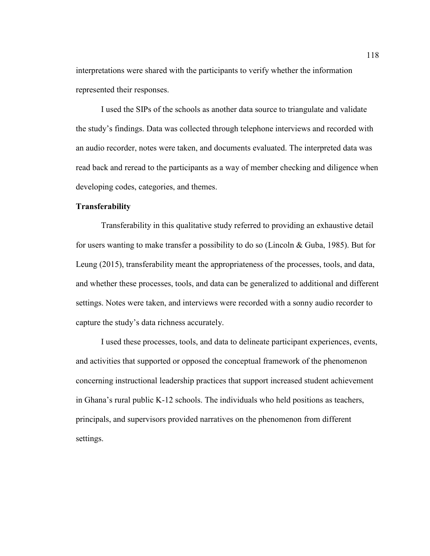interpretations were shared with the participants to verify whether the information represented their responses.

I used the SIPs of the schools as another data source to triangulate and validate the study's findings. Data was collected through telephone interviews and recorded with an audio recorder, notes were taken, and documents evaluated. The interpreted data was read back and reread to the participants as a way of member checking and diligence when developing codes, categories, and themes.

## **Transferability**

Transferability in this qualitative study referred to providing an exhaustive detail for users wanting to make transfer a possibility to do so (Lincoln & Guba, 1985). But for Leung (2015), transferability meant the appropriateness of the processes, tools, and data, and whether these processes, tools, and data can be generalized to additional and different settings. Notes were taken, and interviews were recorded with a sonny audio recorder to capture the study's data richness accurately.

I used these processes, tools, and data to delineate participant experiences, events, and activities that supported or opposed the conceptual framework of the phenomenon concerning instructional leadership practices that support increased student achievement in Ghana's rural public K-12 schools. The individuals who held positions as teachers, principals, and supervisors provided narratives on the phenomenon from different settings.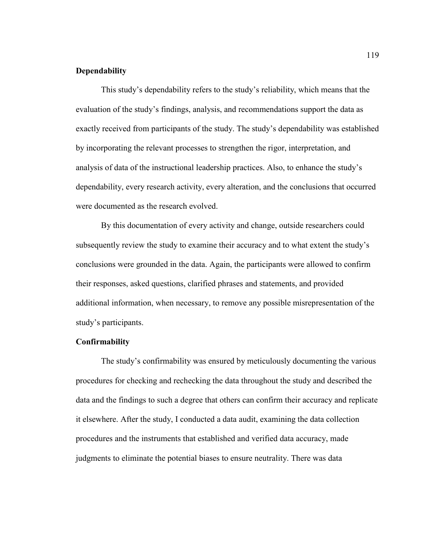## **Dependability**

This study's dependability refers to the study's reliability, which means that the evaluation of the study's findings, analysis, and recommendations support the data as exactly received from participants of the study. The study's dependability was established by incorporating the relevant processes to strengthen the rigor, interpretation, and analysis of data of the instructional leadership practices. Also, to enhance the study's dependability, every research activity, every alteration, and the conclusions that occurred were documented as the research evolved.

By this documentation of every activity and change, outside researchers could subsequently review the study to examine their accuracy and to what extent the study's conclusions were grounded in the data. Again, the participants were allowed to confirm their responses, asked questions, clarified phrases and statements, and provided additional information, when necessary, to remove any possible misrepresentation of the study's participants.

#### **Confirmability**

The study's confirmability was ensured by meticulously documenting the various procedures for checking and rechecking the data throughout the study and described the data and the findings to such a degree that others can confirm their accuracy and replicate it elsewhere. After the study, I conducted a data audit, examining the data collection procedures and the instruments that established and verified data accuracy, made judgments to eliminate the potential biases to ensure neutrality. There was data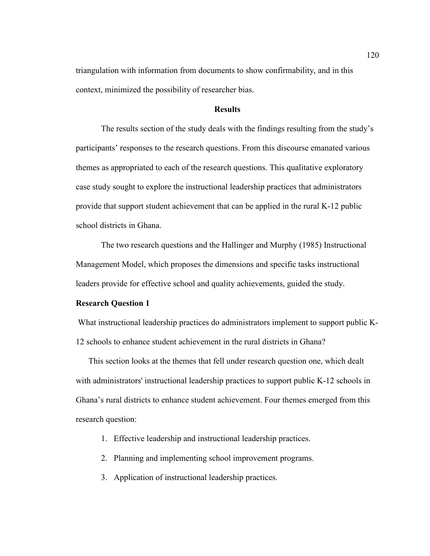triangulation with information from documents to show confirmability, and in this context, minimized the possibility of researcher bias.

## **Results**

The results section of the study deals with the findings resulting from the study's participants' responses to the research questions. From this discourse emanated various themes as appropriated to each of the research questions. This qualitative exploratory case study sought to explore the instructional leadership practices that administrators provide that support student achievement that can be applied in the rural K-12 public school districts in Ghana.

The two research questions and the Hallinger and Murphy (1985) Instructional Management Model, which proposes the dimensions and specific tasks instructional leaders provide for effective school and quality achievements, guided the study.

## **Research Question 1**

 What instructional leadership practices do administrators implement to support public K-12 schools to enhance student achievement in the rural districts in Ghana?

This section looks at the themes that fell under research question one, which dealt with administrators' instructional leadership practices to support public K-12 schools in Ghana's rural districts to enhance student achievement. Four themes emerged from this research question:

- 1. Effective leadership and instructional leadership practices.
- 2. Planning and implementing school improvement programs.
- 3. Application of instructional leadership practices.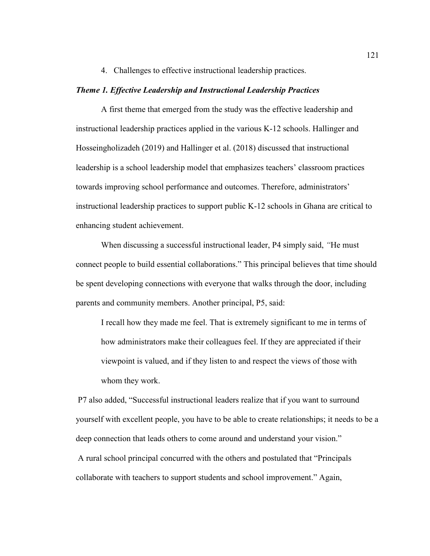4. Challenges to effective instructional leadership practices.

### *Theme 1. Effective Leadership and Instructional Leadership Practices*

A first theme that emerged from the study was the effective leadership and instructional leadership practices applied in the various K-12 schools. Hallinger and Hosseingholizadeh (2019) and Hallinger et al. (2018) discussed that instructional leadership is a school leadership model that emphasizes teachers' classroom practices towards improving school performance and outcomes. Therefore, administrators' instructional leadership practices to support public K-12 schools in Ghana are critical to enhancing student achievement.

When discussing a successful instructional leader, P4 simply said, *"*He must connect people to build essential collaborations." This principal believes that time should be spent developing connections with everyone that walks through the door, including parents and community members. Another principal, P5, said:

I recall how they made me feel. That is extremely significant to me in terms of how administrators make their colleagues feel. If they are appreciated if their viewpoint is valued, and if they listen to and respect the views of those with whom they work.

 P7 also added, "Successful instructional leaders realize that if you want to surround yourself with excellent people, you have to be able to create relationships; it needs to be a deep connection that leads others to come around and understand your vision."

 A rural school principal concurred with the others and postulated that "Principals collaborate with teachers to support students and school improvement." Again,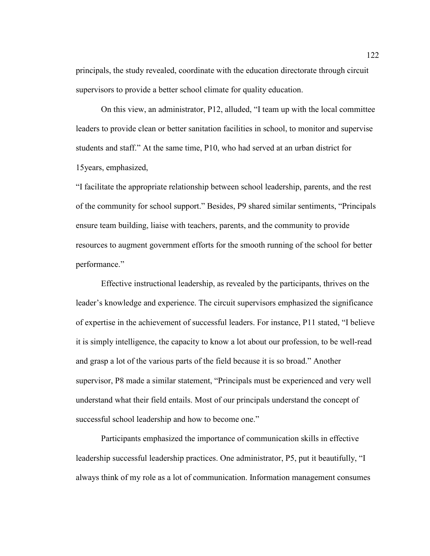principals, the study revealed, coordinate with the education directorate through circuit supervisors to provide a better school climate for quality education.

On this view, an administrator, P12, alluded, "I team up with the local committee leaders to provide clean or better sanitation facilities in school, to monitor and supervise students and staff." At the same time, P10, who had served at an urban district for 15years, emphasized,

"I facilitate the appropriate relationship between school leadership, parents, and the rest of the community for school support." Besides, P9 shared similar sentiments, "Principals ensure team building, liaise with teachers, parents, and the community to provide resources to augment government efforts for the smooth running of the school for better performance."

Effective instructional leadership, as revealed by the participants, thrives on the leader's knowledge and experience. The circuit supervisors emphasized the significance of expertise in the achievement of successful leaders. For instance, P11 stated, "I believe it is simply intelligence, the capacity to know a lot about our profession, to be well-read and grasp a lot of the various parts of the field because it is so broad." Another supervisor, P8 made a similar statement, "Principals must be experienced and very well understand what their field entails. Most of our principals understand the concept of successful school leadership and how to become one."

Participants emphasized the importance of communication skills in effective leadership successful leadership practices. One administrator, P5, put it beautifully, "I always think of my role as a lot of communication. Information management consumes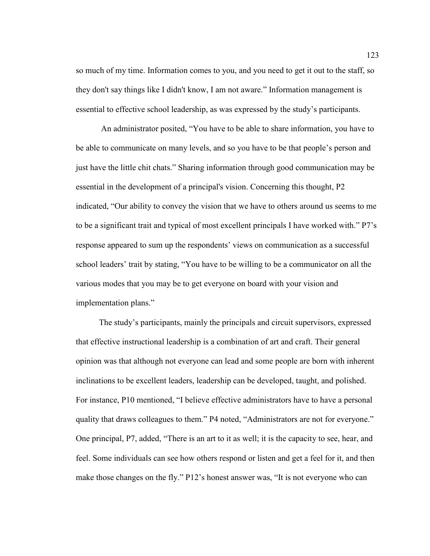so much of my time. Information comes to you, and you need to get it out to the staff, so they don't say things like I didn't know, I am not aware." Information management is essential to effective school leadership, as was expressed by the study's participants.

An administrator posited, "You have to be able to share information, you have to be able to communicate on many levels, and so you have to be that people's person and just have the little chit chats." Sharing information through good communication may be essential in the development of a principal's vision. Concerning this thought, P2 indicated, "Our ability to convey the vision that we have to others around us seems to me to be a significant trait and typical of most excellent principals I have worked with." P7's response appeared to sum up the respondents' views on communication as a successful school leaders' trait by stating, "You have to be willing to be a communicator on all the various modes that you may be to get everyone on board with your vision and implementation plans."

 The study's participants, mainly the principals and circuit supervisors, expressed that effective instructional leadership is a combination of art and craft. Their general opinion was that although not everyone can lead and some people are born with inherent inclinations to be excellent leaders, leadership can be developed, taught, and polished. For instance, P10 mentioned, "I believe effective administrators have to have a personal quality that draws colleagues to them." P4 noted, "Administrators are not for everyone." One principal, P7, added, "There is an art to it as well; it is the capacity to see, hear, and feel. Some individuals can see how others respond or listen and get a feel for it, and then make those changes on the fly." P12's honest answer was, "It is not everyone who can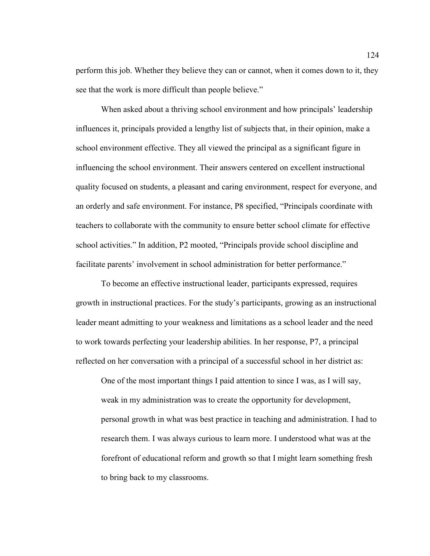perform this job. Whether they believe they can or cannot, when it comes down to it, they see that the work is more difficult than people believe."

When asked about a thriving school environment and how principals' leadership influences it, principals provided a lengthy list of subjects that, in their opinion, make a school environment effective. They all viewed the principal as a significant figure in influencing the school environment. Their answers centered on excellent instructional quality focused on students, a pleasant and caring environment, respect for everyone, and an orderly and safe environment. For instance, P8 specified, "Principals coordinate with teachers to collaborate with the community to ensure better school climate for effective school activities." In addition, P2 mooted, "Principals provide school discipline and facilitate parents' involvement in school administration for better performance."

To become an effective instructional leader, participants expressed, requires growth in instructional practices. For the study's participants, growing as an instructional leader meant admitting to your weakness and limitations as a school leader and the need to work towards perfecting your leadership abilities. In her response, P7, a principal reflected on her conversation with a principal of a successful school in her district as:

One of the most important things I paid attention to since I was, as I will say, weak in my administration was to create the opportunity for development, personal growth in what was best practice in teaching and administration. I had to research them. I was always curious to learn more. I understood what was at the forefront of educational reform and growth so that I might learn something fresh to bring back to my classrooms.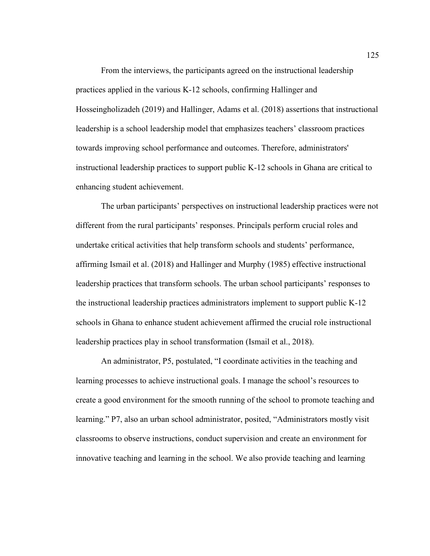From the interviews, the participants agreed on the instructional leadership practices applied in the various K-12 schools, confirming Hallinger and Hosseingholizadeh (2019) and Hallinger, Adams et al. (2018) assertions that instructional leadership is a school leadership model that emphasizes teachers' classroom practices towards improving school performance and outcomes. Therefore, administrators' instructional leadership practices to support public K-12 schools in Ghana are critical to enhancing student achievement.

The urban participants' perspectives on instructional leadership practices were not different from the rural participants' responses. Principals perform crucial roles and undertake critical activities that help transform schools and students' performance, affirming Ismail et al. (2018) and Hallinger and Murphy (1985) effective instructional leadership practices that transform schools. The urban school participants' responses to the instructional leadership practices administrators implement to support public K-12 schools in Ghana to enhance student achievement affirmed the crucial role instructional leadership practices play in school transformation (Ismail et al., 2018).

An administrator, P5, postulated, "I coordinate activities in the teaching and learning processes to achieve instructional goals. I manage the school's resources to create a good environment for the smooth running of the school to promote teaching and learning." P7, also an urban school administrator, posited, "Administrators mostly visit classrooms to observe instructions, conduct supervision and create an environment for innovative teaching and learning in the school. We also provide teaching and learning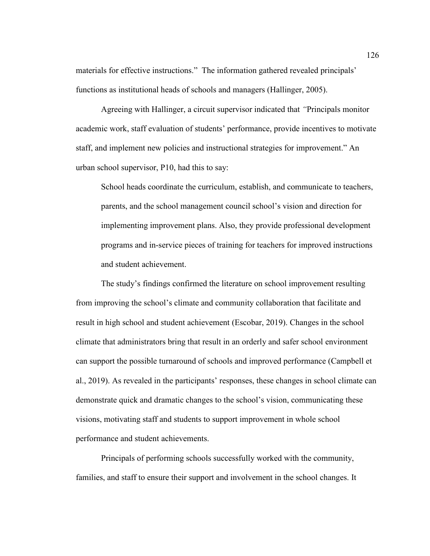materials for effective instructions." The information gathered revealed principals' functions as institutional heads of schools and managers (Hallinger, 2005).

Agreeing with Hallinger, a circuit supervisor indicated that *"*Principals monitor academic work, staff evaluation of students' performance, provide incentives to motivate staff, and implement new policies and instructional strategies for improvement." An urban school supervisor, P10, had this to say:

School heads coordinate the curriculum, establish, and communicate to teachers, parents, and the school management council school's vision and direction for implementing improvement plans. Also, they provide professional development programs and in-service pieces of training for teachers for improved instructions and student achievement.

The study's findings confirmed the literature on school improvement resulting from improving the school's climate and community collaboration that facilitate and result in high school and student achievement (Escobar, 2019). Changes in the school climate that administrators bring that result in an orderly and safer school environment can support the possible turnaround of schools and improved performance (Campbell et al., 2019). As revealed in the participants' responses, these changes in school climate can demonstrate quick and dramatic changes to the school's vision, communicating these visions, motivating staff and students to support improvement in whole school performance and student achievements.

Principals of performing schools successfully worked with the community, families, and staff to ensure their support and involvement in the school changes. It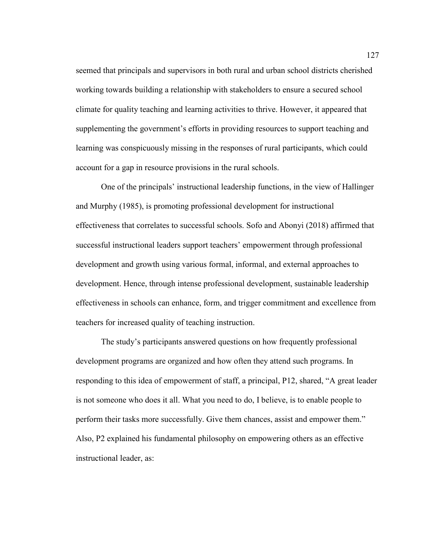seemed that principals and supervisors in both rural and urban school districts cherished working towards building a relationship with stakeholders to ensure a secured school climate for quality teaching and learning activities to thrive. However, it appeared that supplementing the government's efforts in providing resources to support teaching and learning was conspicuously missing in the responses of rural participants, which could account for a gap in resource provisions in the rural schools.

One of the principals' instructional leadership functions, in the view of Hallinger and Murphy (1985), is promoting professional development for instructional effectiveness that correlates to successful schools. Sofo and Abonyi (2018) affirmed that successful instructional leaders support teachers' empowerment through professional development and growth using various formal, informal, and external approaches to development. Hence, through intense professional development, sustainable leadership effectiveness in schools can enhance, form, and trigger commitment and excellence from teachers for increased quality of teaching instruction.

The study's participants answered questions on how frequently professional development programs are organized and how often they attend such programs. In responding to this idea of empowerment of staff, a principal, P12, shared, "A great leader is not someone who does it all. What you need to do, I believe, is to enable people to perform their tasks more successfully. Give them chances, assist and empower them." Also, P2 explained his fundamental philosophy on empowering others as an effective instructional leader, as: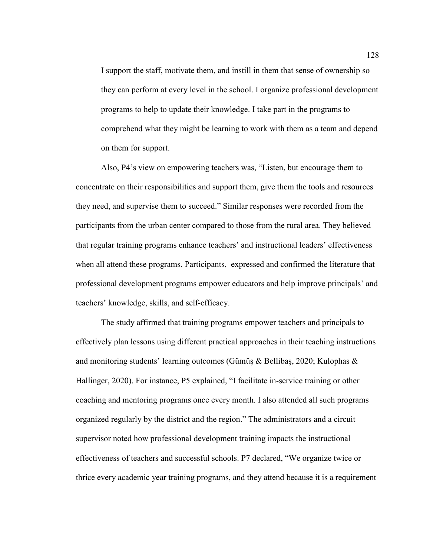I support the staff, motivate them, and instill in them that sense of ownership so they can perform at every level in the school. I organize professional development programs to help to update their knowledge. I take part in the programs to comprehend what they might be learning to work with them as a team and depend on them for support.

Also, P4's view on empowering teachers was, "Listen, but encourage them to concentrate on their responsibilities and support them, give them the tools and resources they need, and supervise them to succeed." Similar responses were recorded from the participants from the urban center compared to those from the rural area. They believed that regular training programs enhance teachers' and instructional leaders' effectiveness when all attend these programs. Participants, expressed and confirmed the literature that professional development programs empower educators and help improve principals' and teachers' knowledge, skills, and self-efficacy.

The study affirmed that training programs empower teachers and principals to effectively plan lessons using different practical approaches in their teaching instructions and monitoring students' learning outcomes (Gümüş & Bellibaş, 2020; Kulophas & Hallinger, 2020). For instance, P5 explained, "I facilitate in-service training or other coaching and mentoring programs once every month. I also attended all such programs organized regularly by the district and the region." The administrators and a circuit supervisor noted how professional development training impacts the instructional effectiveness of teachers and successful schools. P7 declared, "We organize twice or thrice every academic year training programs, and they attend because it is a requirement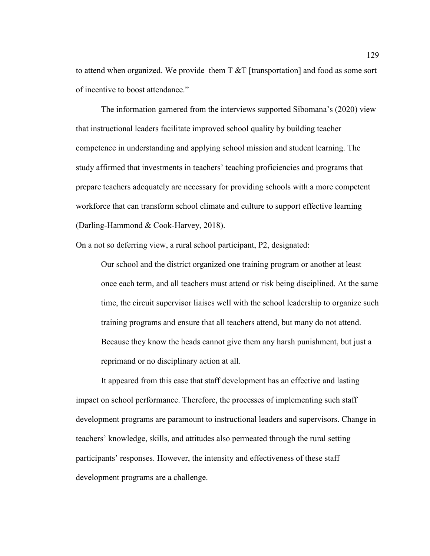to attend when organized. We provide them  $T \& T$  [transportation] and food as some sort of incentive to boost attendance."

The information garnered from the interviews supported Sibomana's (2020) view that instructional leaders facilitate improved school quality by building teacher competence in understanding and applying school mission and student learning. The study affirmed that investments in teachers' teaching proficiencies and programs that prepare teachers adequately are necessary for providing schools with a more competent workforce that can transform school climate and culture to support effective learning (Darling-Hammond & Cook-Harvey, 2018).

On a not so deferring view, a rural school participant, P2, designated:

Our school and the district organized one training program or another at least once each term, and all teachers must attend or risk being disciplined. At the same time, the circuit supervisor liaises well with the school leadership to organize such training programs and ensure that all teachers attend, but many do not attend. Because they know the heads cannot give them any harsh punishment, but just a reprimand or no disciplinary action at all.

It appeared from this case that staff development has an effective and lasting impact on school performance. Therefore, the processes of implementing such staff development programs are paramount to instructional leaders and supervisors. Change in teachers' knowledge, skills, and attitudes also permeated through the rural setting participants' responses. However, the intensity and effectiveness of these staff development programs are a challenge.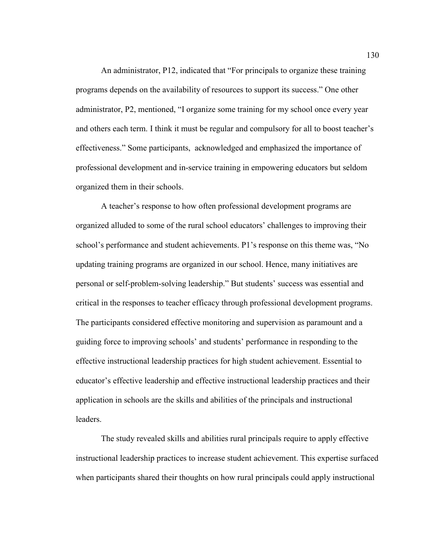An administrator, P12, indicated that "For principals to organize these training programs depends on the availability of resources to support its success." One other administrator, P2, mentioned, "I organize some training for my school once every year and others each term. I think it must be regular and compulsory for all to boost teacher's effectiveness." Some participants, acknowledged and emphasized the importance of professional development and in-service training in empowering educators but seldom organized them in their schools.

A teacher's response to how often professional development programs are organized alluded to some of the rural school educators' challenges to improving their school's performance and student achievements. P1's response on this theme was, "No updating training programs are organized in our school. Hence, many initiatives are personal or self-problem-solving leadership." But students' success was essential and critical in the responses to teacher efficacy through professional development programs. The participants considered effective monitoring and supervision as paramount and a guiding force to improving schools' and students' performance in responding to the effective instructional leadership practices for high student achievement. Essential to educator's effective leadership and effective instructional leadership practices and their application in schools are the skills and abilities of the principals and instructional leaders.

The study revealed skills and abilities rural principals require to apply effective instructional leadership practices to increase student achievement. This expertise surfaced when participants shared their thoughts on how rural principals could apply instructional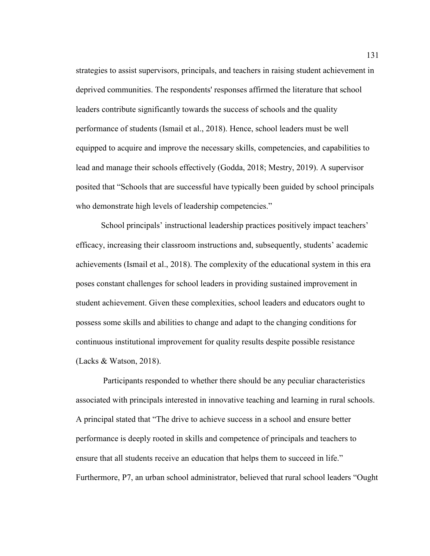strategies to assist supervisors, principals, and teachers in raising student achievement in deprived communities. The respondents' responses affirmed the literature that school leaders contribute significantly towards the success of schools and the quality performance of students (Ismail et al., 2018). Hence, school leaders must be well equipped to acquire and improve the necessary skills, competencies, and capabilities to lead and manage their schools effectively (Godda, 2018; Mestry, 2019). A supervisor posited that "Schools that are successful have typically been guided by school principals who demonstrate high levels of leadership competencies."

School principals' instructional leadership practices positively impact teachers' efficacy, increasing their classroom instructions and, subsequently, students' academic achievements (Ismail et al., 2018). The complexity of the educational system in this era poses constant challenges for school leaders in providing sustained improvement in student achievement. Given these complexities, school leaders and educators ought to possess some skills and abilities to change and adapt to the changing conditions for continuous institutional improvement for quality results despite possible resistance (Lacks  $& Watson, 2018$ ).

 Participants responded to whether there should be any peculiar characteristics associated with principals interested in innovative teaching and learning in rural schools. A principal stated that "The drive to achieve success in a school and ensure better performance is deeply rooted in skills and competence of principals and teachers to ensure that all students receive an education that helps them to succeed in life." Furthermore, P7, an urban school administrator, believed that rural school leaders "Ought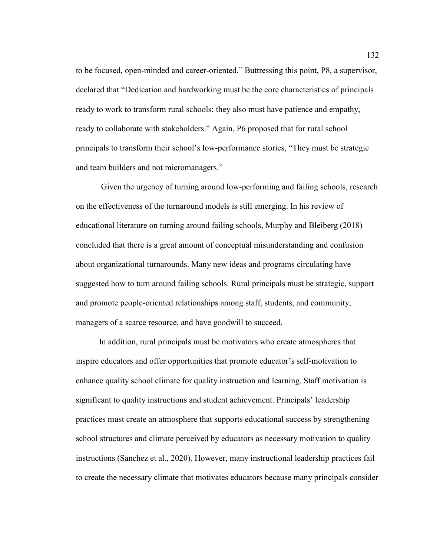to be focused, open-minded and career-oriented." Buttressing this point, P8, a supervisor, declared that "Dedication and hardworking must be the core characteristics of principals ready to work to transform rural schools; they also must have patience and empathy, ready to collaborate with stakeholders." Again, P6 proposed that for rural school principals to transform their school's low-performance stories, "They must be strategic and team builders and not micromanagers."

Given the urgency of turning around low-performing and failing schools, research on the effectiveness of the turnaround models is still emerging. In his review of educational literature on turning around failing schools, Murphy and Bleiberg (2018) concluded that there is a great amount of conceptual misunderstanding and confusion about organizational turnarounds. Many new ideas and programs circulating have suggested how to turn around failing schools. Rural principals must be strategic, support and promote people-oriented relationships among staff, students, and community, managers of a scarce resource, and have goodwill to succeed.

 In addition, rural principals must be motivators who create atmospheres that inspire educators and offer opportunities that promote educator's self-motivation to enhance quality school climate for quality instruction and learning. Staff motivation is significant to quality instructions and student achievement. Principals' leadership practices must create an atmosphere that supports educational success by strengthening school structures and climate perceived by educators as necessary motivation to quality instructions (Sanchez et al., 2020). However, many instructional leadership practices fail to create the necessary climate that motivates educators because many principals consider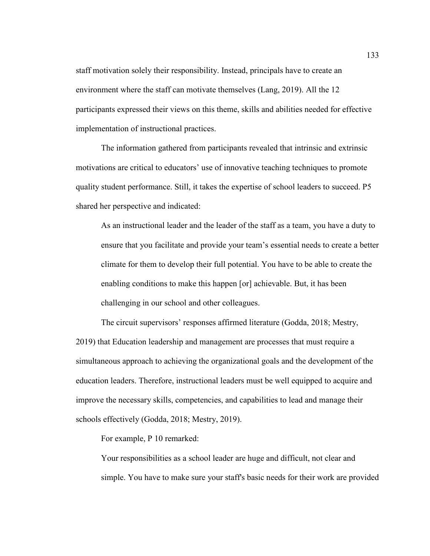staff motivation solely their responsibility. Instead, principals have to create an environment where the staff can motivate themselves (Lang, 2019). All the 12 participants expressed their views on this theme, skills and abilities needed for effective implementation of instructional practices.

The information gathered from participants revealed that intrinsic and extrinsic motivations are critical to educators' use of innovative teaching techniques to promote quality student performance. Still, it takes the expertise of school leaders to succeed. P5 shared her perspective and indicated:

As an instructional leader and the leader of the staff as a team, you have a duty to ensure that you facilitate and provide your team's essential needs to create a better climate for them to develop their full potential. You have to be able to create the enabling conditions to make this happen [or] achievable. But, it has been challenging in our school and other colleagues.

The circuit supervisors' responses affirmed literature (Godda, 2018; Mestry, 2019) that Education leadership and management are processes that must require a simultaneous approach to achieving the organizational goals and the development of the education leaders. Therefore, instructional leaders must be well equipped to acquire and improve the necessary skills, competencies, and capabilities to lead and manage their schools effectively (Godda, 2018; Mestry, 2019).

For example, P 10 remarked:

Your responsibilities as a school leader are huge and difficult, not clear and simple. You have to make sure your staff's basic needs for their work are provided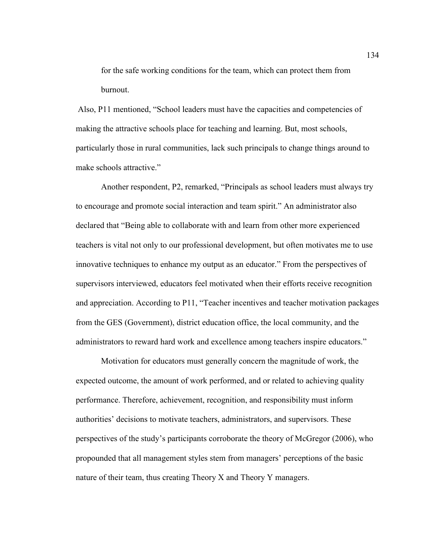for the safe working conditions for the team, which can protect them from burnout.

 Also, P11 mentioned, "School leaders must have the capacities and competencies of making the attractive schools place for teaching and learning. But, most schools, particularly those in rural communities, lack such principals to change things around to make schools attractive."

Another respondent, P2, remarked, "Principals as school leaders must always try to encourage and promote social interaction and team spirit." An administrator also declared that "Being able to collaborate with and learn from other more experienced teachers is vital not only to our professional development, but often motivates me to use innovative techniques to enhance my output as an educator." From the perspectives of supervisors interviewed, educators feel motivated when their efforts receive recognition and appreciation. According to P11, "Teacher incentives and teacher motivation packages from the GES (Government), district education office, the local community, and the administrators to reward hard work and excellence among teachers inspire educators."

Motivation for educators must generally concern the magnitude of work, the expected outcome, the amount of work performed, and or related to achieving quality performance. Therefore, achievement, recognition, and responsibility must inform authorities' decisions to motivate teachers, administrators, and supervisors. These perspectives of the study's participants corroborate the theory of McGregor (2006), who propounded that all management styles stem from managers' perceptions of the basic nature of their team, thus creating Theory X and Theory Y managers.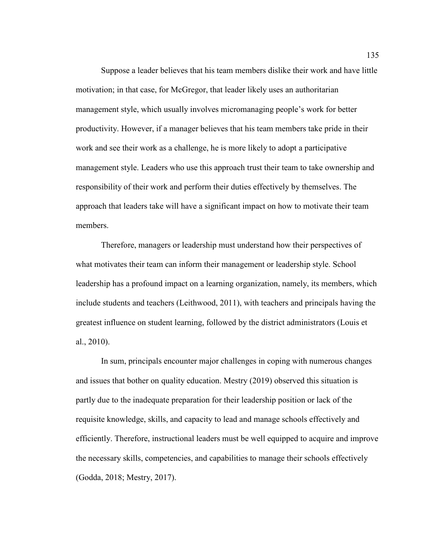Suppose a leader believes that his team members dislike their work and have little motivation; in that case, for McGregor, that leader likely uses an authoritarian management style, which usually involves micromanaging people's work for better productivity. However, if a manager believes that his team members take pride in their work and see their work as a challenge, he is more likely to adopt a participative management style. Leaders who use this approach trust their team to take ownership and responsibility of their work and perform their duties effectively by themselves. The approach that leaders take will have a significant impact on how to motivate their team members.

Therefore, managers or leadership must understand how their perspectives of what motivates their team can inform their management or leadership style. School leadership has a profound impact on a learning organization, namely, its members, which include students and teachers (Leithwood, 2011), with teachers and principals having the greatest influence on student learning, followed by the district administrators (Louis et al., 2010).

In sum, principals encounter major challenges in coping with numerous changes and issues that bother on quality education. Mestry (2019) observed this situation is partly due to the inadequate preparation for their leadership position or lack of the requisite knowledge, skills, and capacity to lead and manage schools effectively and efficiently. Therefore, instructional leaders must be well equipped to acquire and improve the necessary skills, competencies, and capabilities to manage their schools effectively (Godda, 2018; Mestry, 2017).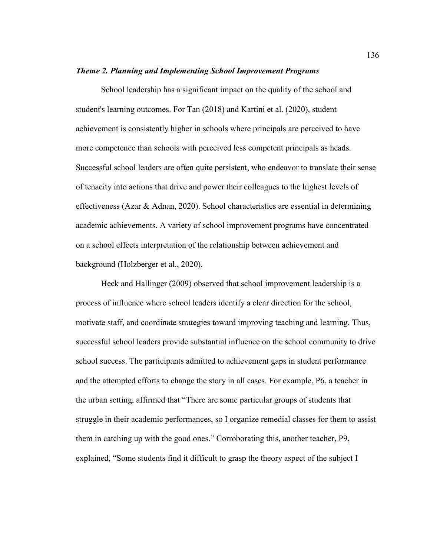#### *Theme 2. Planning and Implementing School Improvement Programs*

School leadership has a significant impact on the quality of the school and student's learning outcomes. For Tan (2018) and Kartini et al. (2020), student achievement is consistently higher in schools where principals are perceived to have more competence than schools with perceived less competent principals as heads. Successful school leaders are often quite persistent, who endeavor to translate their sense of tenacity into actions that drive and power their colleagues to the highest levels of effectiveness (Azar & Adnan, 2020). School characteristics are essential in determining academic achievements. A variety of school improvement programs have concentrated on a school effects interpretation of the relationship between achievement and background (Holzberger et al., 2020).

Heck and Hallinger (2009) observed that school improvement leadership is a process of influence where school leaders identify a clear direction for the school, motivate staff, and coordinate strategies toward improving teaching and learning. Thus, successful school leaders provide substantial influence on the school community to drive school success. The participants admitted to achievement gaps in student performance and the attempted efforts to change the story in all cases. For example, P6, a teacher in the urban setting, affirmed that "There are some particular groups of students that struggle in their academic performances, so I organize remedial classes for them to assist them in catching up with the good ones." Corroborating this, another teacher, P9, explained, "Some students find it difficult to grasp the theory aspect of the subject I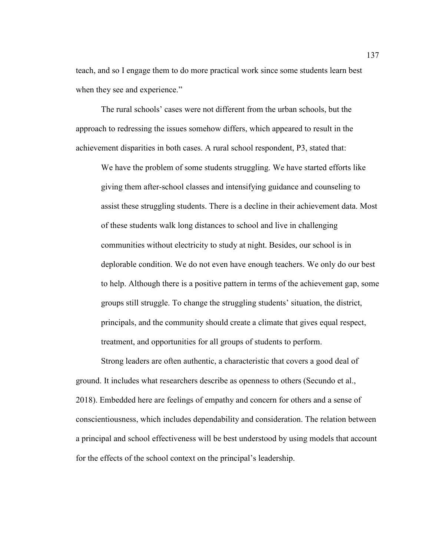teach, and so I engage them to do more practical work since some students learn best when they see and experience."

The rural schools' cases were not different from the urban schools, but the approach to redressing the issues somehow differs, which appeared to result in the achievement disparities in both cases. A rural school respondent, P3, stated that:

We have the problem of some students struggling. We have started efforts like giving them after-school classes and intensifying guidance and counseling to assist these struggling students. There is a decline in their achievement data. Most of these students walk long distances to school and live in challenging communities without electricity to study at night. Besides, our school is in deplorable condition. We do not even have enough teachers. We only do our best to help. Although there is a positive pattern in terms of the achievement gap, some groups still struggle. To change the struggling students' situation, the district, principals, and the community should create a climate that gives equal respect, treatment, and opportunities for all groups of students to perform.

Strong leaders are often authentic, a characteristic that covers a good deal of ground. It includes what researchers describe as openness to others (Secundo et al., 2018). Embedded here are feelings of empathy and concern for others and a sense of conscientiousness, which includes dependability and consideration. The relation between a principal and school effectiveness will be best understood by using models that account for the effects of the school context on the principal's leadership.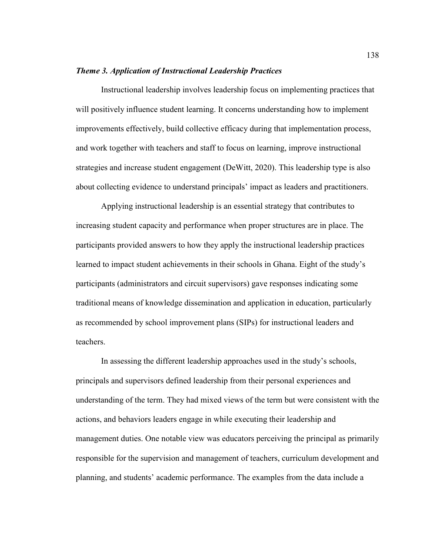### *Theme 3. Application of Instructional Leadership Practices*

Instructional leadership involves leadership focus on implementing practices that will positively influence student learning. It concerns understanding how to implement improvements effectively, build collective efficacy during that implementation process, and work together with teachers and staff to focus on learning, improve instructional strategies and increase student engagement (DeWitt, 2020). This leadership type is also about collecting evidence to understand principals' impact as leaders and practitioners.

Applying instructional leadership is an essential strategy that contributes to increasing student capacity and performance when proper structures are in place. The participants provided answers to how they apply the instructional leadership practices learned to impact student achievements in their schools in Ghana. Eight of the study's participants (administrators and circuit supervisors) gave responses indicating some traditional means of knowledge dissemination and application in education, particularly as recommended by school improvement plans (SIPs) for instructional leaders and teachers.

In assessing the different leadership approaches used in the study's schools, principals and supervisors defined leadership from their personal experiences and understanding of the term. They had mixed views of the term but were consistent with the actions, and behaviors leaders engage in while executing their leadership and management duties. One notable view was educators perceiving the principal as primarily responsible for the supervision and management of teachers, curriculum development and planning, and students' academic performance. The examples from the data include a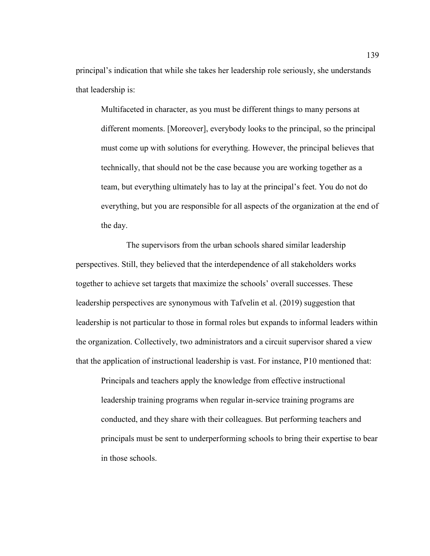principal's indication that while she takes her leadership role seriously, she understands that leadership is:

Multifaceted in character, as you must be different things to many persons at different moments. [Moreover], everybody looks to the principal, so the principal must come up with solutions for everything. However, the principal believes that technically, that should not be the case because you are working together as a team, but everything ultimately has to lay at the principal's feet. You do not do everything, but you are responsible for all aspects of the organization at the end of the day.

 The supervisors from the urban schools shared similar leadership perspectives. Still, they believed that the interdependence of all stakeholders works together to achieve set targets that maximize the schools' overall successes. These leadership perspectives are synonymous with Tafvelin et al. (2019) suggestion that leadership is not particular to those in formal roles but expands to informal leaders within the organization. Collectively, two administrators and a circuit supervisor shared a view that the application of instructional leadership is vast. For instance, P10 mentioned that:

Principals and teachers apply the knowledge from effective instructional leadership training programs when regular in-service training programs are conducted, and they share with their colleagues. But performing teachers and principals must be sent to underperforming schools to bring their expertise to bear in those schools.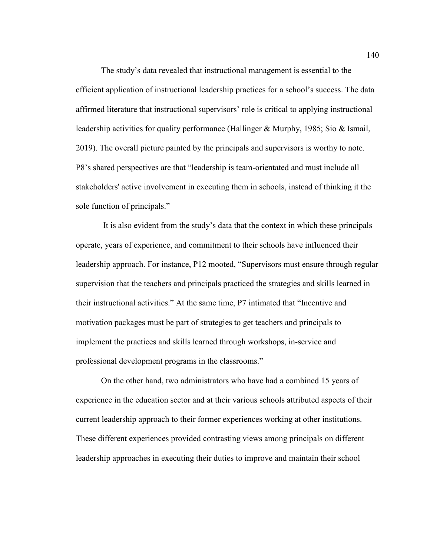The study's data revealed that instructional management is essential to the efficient application of instructional leadership practices for a school's success. The data affirmed literature that instructional supervisors' role is critical to applying instructional leadership activities for quality performance (Hallinger & Murphy, 1985; Sio & Ismail, 2019). The overall picture painted by the principals and supervisors is worthy to note. P8's shared perspectives are that "leadership is team-orientated and must include all stakeholders' active involvement in executing them in schools, instead of thinking it the sole function of principals."

 It is also evident from the study's data that the context in which these principals operate, years of experience, and commitment to their schools have influenced their leadership approach. For instance, P12 mooted, "Supervisors must ensure through regular supervision that the teachers and principals practiced the strategies and skills learned in their instructional activities." At the same time, P7 intimated that "Incentive and motivation packages must be part of strategies to get teachers and principals to implement the practices and skills learned through workshops, in-service and professional development programs in the classrooms."

On the other hand, two administrators who have had a combined 15 years of experience in the education sector and at their various schools attributed aspects of their current leadership approach to their former experiences working at other institutions. These different experiences provided contrasting views among principals on different leadership approaches in executing their duties to improve and maintain their school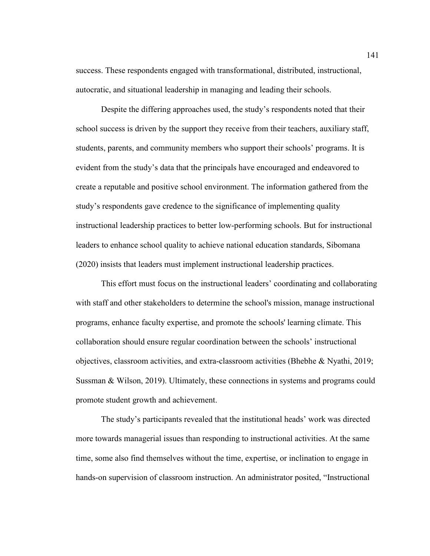success. These respondents engaged with transformational, distributed, instructional, autocratic, and situational leadership in managing and leading their schools.

Despite the differing approaches used, the study's respondents noted that their school success is driven by the support they receive from their teachers, auxiliary staff, students, parents, and community members who support their schools' programs. It is evident from the study's data that the principals have encouraged and endeavored to create a reputable and positive school environment. The information gathered from the study's respondents gave credence to the significance of implementing quality instructional leadership practices to better low-performing schools. But for instructional leaders to enhance school quality to achieve national education standards, Sibomana (2020) insists that leaders must implement instructional leadership practices.

This effort must focus on the instructional leaders' coordinating and collaborating with staff and other stakeholders to determine the school's mission, manage instructional programs, enhance faculty expertise, and promote the schools' learning climate. This collaboration should ensure regular coordination between the schools' instructional objectives, classroom activities, and extra-classroom activities (Bhebhe & Nyathi, 2019; Sussman & Wilson, 2019). Ultimately, these connections in systems and programs could promote student growth and achievement.

The study's participants revealed that the institutional heads' work was directed more towards managerial issues than responding to instructional activities. At the same time, some also find themselves without the time, expertise, or inclination to engage in hands-on supervision of classroom instruction. An administrator posited, "Instructional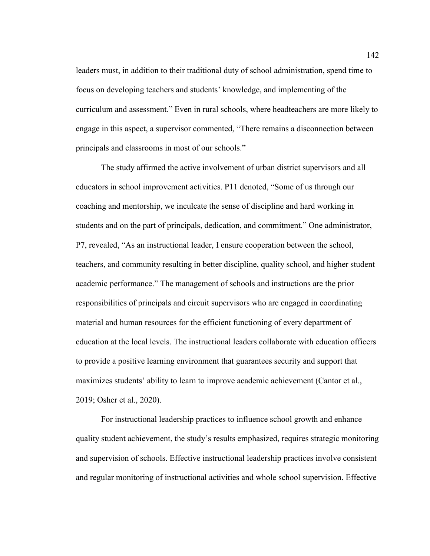leaders must, in addition to their traditional duty of school administration, spend time to focus on developing teachers and students' knowledge, and implementing of the curriculum and assessment." Even in rural schools, where headteachers are more likely to engage in this aspect, a supervisor commented, "There remains a disconnection between principals and classrooms in most of our schools."

The study affirmed the active involvement of urban district supervisors and all educators in school improvement activities. P11 denoted, "Some of us through our coaching and mentorship, we inculcate the sense of discipline and hard working in students and on the part of principals, dedication, and commitment." One administrator, P7, revealed, "As an instructional leader, I ensure cooperation between the school, teachers, and community resulting in better discipline, quality school, and higher student academic performance." The management of schools and instructions are the prior responsibilities of principals and circuit supervisors who are engaged in coordinating material and human resources for the efficient functioning of every department of education at the local levels. The instructional leaders collaborate with education officers to provide a positive learning environment that guarantees security and support that maximizes students' ability to learn to improve academic achievement (Cantor et al., 2019; Osher et al., 2020).

For instructional leadership practices to influence school growth and enhance quality student achievement, the study's results emphasized, requires strategic monitoring and supervision of schools. Effective instructional leadership practices involve consistent and regular monitoring of instructional activities and whole school supervision. Effective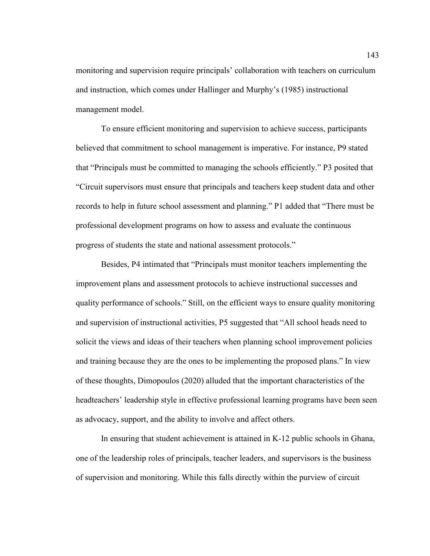monitoring and supervision require principals' collaboration with teachers on curriculum and instruction, which comes under Hallinger and Murphy's (1985) instructional management model.

To ensure efficient monitoring and supervision to achieve success, participants believed that commitment to school management is imperative. For instance, P9 stated that "Principals must be committed to managing the schools efficiently." P3 posited that "Circuit supervisors must ensure that principals and teachers keep student data and other records to help in future school assessment and planning." P1 added that "There must be professional development programs on how to assess and evaluate the continuous progress of students the state and national assessment protocols."

Besides, P4 intimated that "Principals must monitor teachers implementing the improvement plans and assessment protocols to achieve instructional successes and quality performance of schools." Still, on the efficient ways to ensure quality monitoring and supervision of instructional activities, P5 suggested that "All school heads need to solicit the views and ideas of their teachers when planning school improvement policies and training because they are the ones to be implementing the proposed plans." In view of these thoughts, Dimopoulos (2020) alluded that the important characteristics of the headteachers' leadership style in effective professional learning programs have been seen as advocacy, support, and the ability to involve and affect others.

In ensuring that student achievement is attained in K-12 public schools in Ghana, one of the leadership roles of principals, teacher leaders, and supervisors is the business of supervision and monitoring. While this falls directly within the purview of circuit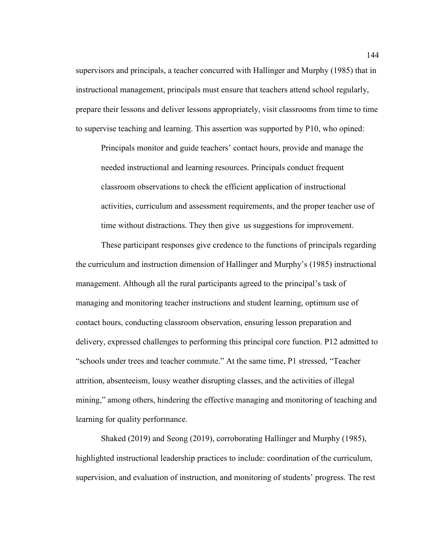supervisors and principals, a teacher concurred with Hallinger and Murphy (1985) that in instructional management, principals must ensure that teachers attend school regularly, prepare their lessons and deliver lessons appropriately, visit classrooms from time to time to supervise teaching and learning. This assertion was supported by P10, who opined:

Principals monitor and guide teachers' contact hours, provide and manage the needed instructional and learning resources. Principals conduct frequent classroom observations to check the efficient application of instructional activities, curriculum and assessment requirements, and the proper teacher use of time without distractions. They then give us suggestions for improvement.

These participant responses give credence to the functions of principals regarding the curriculum and instruction dimension of Hallinger and Murphy's (1985) instructional management. Although all the rural participants agreed to the principal's task of managing and monitoring teacher instructions and student learning, optimum use of contact hours, conducting classroom observation, ensuring lesson preparation and delivery, expressed challenges to performing this principal core function. P12 admitted to "schools under trees and teacher commute." At the same time, P1 stressed, "Teacher attrition, absenteeism, lousy weather disrupting classes, and the activities of illegal mining," among others, hindering the effective managing and monitoring of teaching and learning for quality performance.

Shaked (2019) and Seong (2019), corroborating Hallinger and Murphy (1985), highlighted instructional leadership practices to include: coordination of the curriculum, supervision, and evaluation of instruction, and monitoring of students' progress. The rest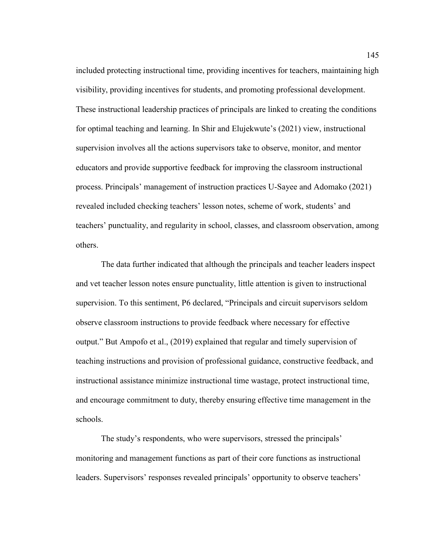included protecting instructional time, providing incentives for teachers, maintaining high visibility, providing incentives for students, and promoting professional development. These instructional leadership practices of principals are linked to creating the conditions for optimal teaching and learning. In Shir and Elujekwute's (2021) view, instructional supervision involves all the actions supervisors take to observe, monitor, and mentor educators and provide supportive feedback for improving the classroom instructional process. Principals' management of instruction practices U-Sayee and Adomako (2021) revealed included checking teachers' lesson notes, scheme of work, students' and teachers' punctuality, and regularity in school, classes, and classroom observation, among others.

The data further indicated that although the principals and teacher leaders inspect and vet teacher lesson notes ensure punctuality, little attention is given to instructional supervision. To this sentiment, P6 declared, "Principals and circuit supervisors seldom observe classroom instructions to provide feedback where necessary for effective output." But Ampofo et al., (2019) explained that regular and timely supervision of teaching instructions and provision of professional guidance, constructive feedback, and instructional assistance minimize instructional time wastage, protect instructional time, and encourage commitment to duty, thereby ensuring effective time management in the schools.

The study's respondents, who were supervisors, stressed the principals' monitoring and management functions as part of their core functions as instructional leaders. Supervisors' responses revealed principals' opportunity to observe teachers'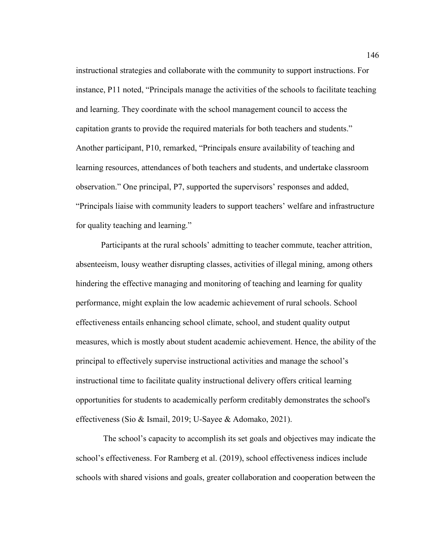instructional strategies and collaborate with the community to support instructions. For instance, P11 noted, "Principals manage the activities of the schools to facilitate teaching and learning. They coordinate with the school management council to access the capitation grants to provide the required materials for both teachers and students." Another participant, P10, remarked, "Principals ensure availability of teaching and learning resources, attendances of both teachers and students, and undertake classroom observation." One principal, P7, supported the supervisors' responses and added, "Principals liaise with community leaders to support teachers' welfare and infrastructure for quality teaching and learning."

Participants at the rural schools' admitting to teacher commute, teacher attrition, absenteeism, lousy weather disrupting classes, activities of illegal mining, among others hindering the effective managing and monitoring of teaching and learning for quality performance, might explain the low academic achievement of rural schools. School effectiveness entails enhancing school climate, school, and student quality output measures, which is mostly about student academic achievement. Hence, the ability of the principal to effectively supervise instructional activities and manage the school's instructional time to facilitate quality instructional delivery offers critical learning opportunities for students to academically perform creditably demonstrates the school's effectiveness (Sio & Ismail, 2019; U-Sayee & Adomako, 2021).

 The school's capacity to accomplish its set goals and objectives may indicate the school's effectiveness. For Ramberg et al. (2019), school effectiveness indices include schools with shared visions and goals, greater collaboration and cooperation between the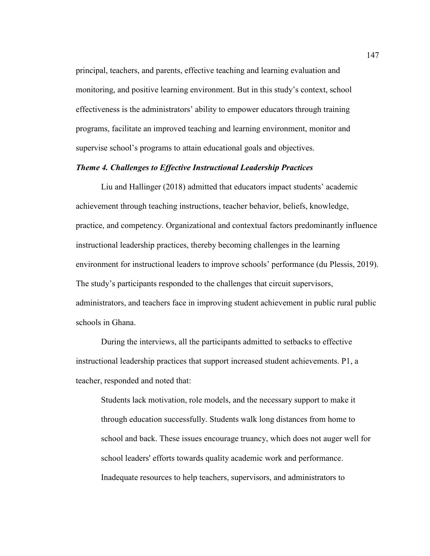principal, teachers, and parents, effective teaching and learning evaluation and monitoring, and positive learning environment. But in this study's context, school effectiveness is the administrators' ability to empower educators through training programs, facilitate an improved teaching and learning environment, monitor and supervise school's programs to attain educational goals and objectives.

# *Theme 4. Challenges to Effective Instructional Leadership Practices*

Liu and Hallinger (2018) admitted that educators impact students' academic achievement through teaching instructions, teacher behavior, beliefs, knowledge, practice, and competency. Organizational and contextual factors predominantly influence instructional leadership practices, thereby becoming challenges in the learning environment for instructional leaders to improve schools' performance (du Plessis, 2019). The study's participants responded to the challenges that circuit supervisors, administrators, and teachers face in improving student achievement in public rural public schools in Ghana.

During the interviews, all the participants admitted to setbacks to effective instructional leadership practices that support increased student achievements. P1, a teacher, responded and noted that:

Students lack motivation, role models, and the necessary support to make it through education successfully. Students walk long distances from home to school and back. These issues encourage truancy, which does not auger well for school leaders' efforts towards quality academic work and performance. Inadequate resources to help teachers, supervisors, and administrators to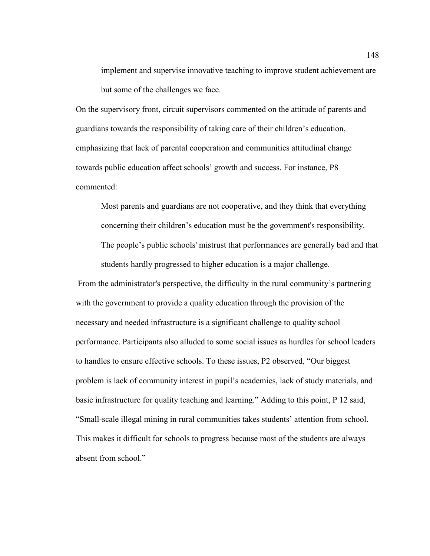implement and supervise innovative teaching to improve student achievement are but some of the challenges we face.

On the supervisory front, circuit supervisors commented on the attitude of parents and guardians towards the responsibility of taking care of their children's education, emphasizing that lack of parental cooperation and communities attitudinal change towards public education affect schools' growth and success. For instance, P8 commented:

Most parents and guardians are not cooperative, and they think that everything concerning their children's education must be the government's responsibility. The people's public schools' mistrust that performances are generally bad and that students hardly progressed to higher education is a major challenge.

From the administrator's perspective, the difficulty in the rural community's partnering with the government to provide a quality education through the provision of the necessary and needed infrastructure is a significant challenge to quality school performance. Participants also alluded to some social issues as hurdles for school leaders to handles to ensure effective schools. To these issues, P2 observed, "Our biggest problem is lack of community interest in pupil's academics, lack of study materials, and basic infrastructure for quality teaching and learning." Adding to this point, P 12 said, "Small-scale illegal mining in rural communities takes students' attention from school. This makes it difficult for schools to progress because most of the students are always absent from school."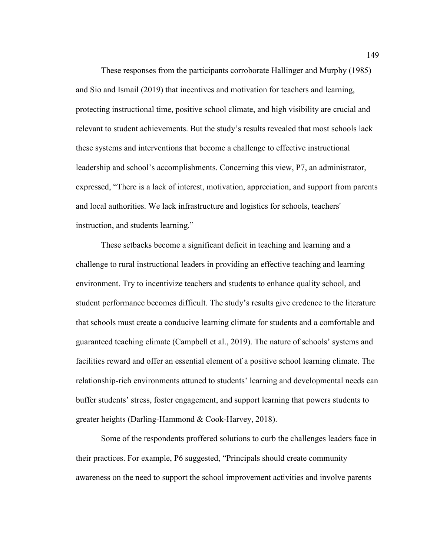These responses from the participants corroborate Hallinger and Murphy (1985) and Sio and Ismail (2019) that incentives and motivation for teachers and learning, protecting instructional time, positive school climate, and high visibility are crucial and relevant to student achievements. But the study's results revealed that most schools lack these systems and interventions that become a challenge to effective instructional leadership and school's accomplishments. Concerning this view, P7, an administrator, expressed, "There is a lack of interest, motivation, appreciation, and support from parents and local authorities. We lack infrastructure and logistics for schools, teachers' instruction, and students learning."

These setbacks become a significant deficit in teaching and learning and a challenge to rural instructional leaders in providing an effective teaching and learning environment. Try to incentivize teachers and students to enhance quality school, and student performance becomes difficult. The study's results give credence to the literature that schools must create a conducive learning climate for students and a comfortable and guaranteed teaching climate (Campbell et al., 2019). The nature of schools' systems and facilities reward and offer an essential element of a positive school learning climate. The relationship-rich environments attuned to students' learning and developmental needs can buffer students' stress, foster engagement, and support learning that powers students to greater heights (Darling-Hammond & Cook-Harvey, 2018).

Some of the respondents proffered solutions to curb the challenges leaders face in their practices. For example, P6 suggested, "Principals should create community awareness on the need to support the school improvement activities and involve parents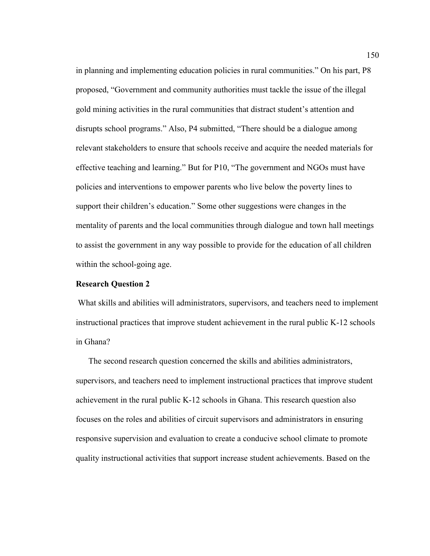in planning and implementing education policies in rural communities." On his part, P8 proposed, "Government and community authorities must tackle the issue of the illegal gold mining activities in the rural communities that distract student's attention and disrupts school programs." Also, P4 submitted, "There should be a dialogue among relevant stakeholders to ensure that schools receive and acquire the needed materials for effective teaching and learning." But for P10, "The government and NGOs must have policies and interventions to empower parents who live below the poverty lines to support their children's education." Some other suggestions were changes in the mentality of parents and the local communities through dialogue and town hall meetings to assist the government in any way possible to provide for the education of all children within the school-going age.

### **Research Question 2**

 What skills and abilities will administrators, supervisors, and teachers need to implement instructional practices that improve student achievement in the rural public K-12 schools in Ghana?

The second research question concerned the skills and abilities administrators, supervisors, and teachers need to implement instructional practices that improve student achievement in the rural public K-12 schools in Ghana. This research question also focuses on the roles and abilities of circuit supervisors and administrators in ensuring responsive supervision and evaluation to create a conducive school climate to promote quality instructional activities that support increase student achievements. Based on the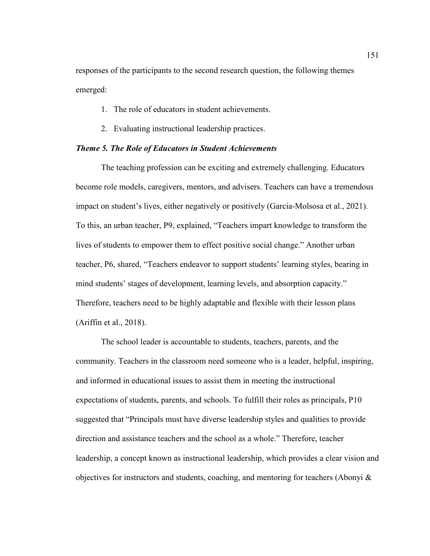responses of the participants to the second research question, the following themes emerged:

- 1. The role of educators in student achievements.
- 2. Evaluating instructional leadership practices.

## *Theme 5. The Role of Educators in Student Achievements*

The teaching profession can be exciting and extremely challenging. Educators become role models, caregivers, mentors, and advisers. Teachers can have a tremendous impact on student's lives, either negatively or positively (Garcia-Molsosa et al., 2021). To this, an urban teacher, P9, explained, "Teachers impart knowledge to transform the lives of students to empower them to effect positive social change." Another urban teacher, P6, shared, "Teachers endeavor to support students' learning styles, bearing in mind students' stages of development, learning levels, and absorption capacity." Therefore, teachers need to be highly adaptable and flexible with their lesson plans (Ariffin et al., 2018).

The school leader is accountable to students, teachers, parents, and the community. Teachers in the classroom need someone who is a leader, helpful, inspiring, and informed in educational issues to assist them in meeting the instructional expectations of students, parents, and schools. To fulfill their roles as principals, P10 suggested that "Principals must have diverse leadership styles and qualities to provide direction and assistance teachers and the school as a whole." Therefore, teacher leadership, a concept known as instructional leadership, which provides a clear vision and objectives for instructors and students, coaching, and mentoring for teachers (Abonyi &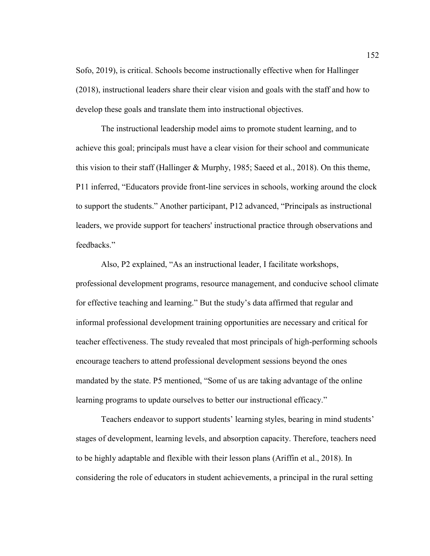Sofo, 2019), is critical. Schools become instructionally effective when for Hallinger (2018), instructional leaders share their clear vision and goals with the staff and how to develop these goals and translate them into instructional objectives.

The instructional leadership model aims to promote student learning, and to achieve this goal; principals must have a clear vision for their school and communicate this vision to their staff (Hallinger & Murphy, 1985; Saeed et al., 2018). On this theme, P11 inferred, "Educators provide front-line services in schools, working around the clock to support the students." Another participant, P12 advanced, "Principals as instructional leaders, we provide support for teachers' instructional practice through observations and feedbacks."

Also, P2 explained, "As an instructional leader, I facilitate workshops, professional development programs, resource management, and conducive school climate for effective teaching and learning." But the study's data affirmed that regular and informal professional development training opportunities are necessary and critical for teacher effectiveness. The study revealed that most principals of high-performing schools encourage teachers to attend professional development sessions beyond the ones mandated by the state. P5 mentioned, "Some of us are taking advantage of the online learning programs to update ourselves to better our instructional efficacy."

Teachers endeavor to support students' learning styles, bearing in mind students' stages of development, learning levels, and absorption capacity. Therefore, teachers need to be highly adaptable and flexible with their lesson plans (Ariffin et al., 2018). In considering the role of educators in student achievements, a principal in the rural setting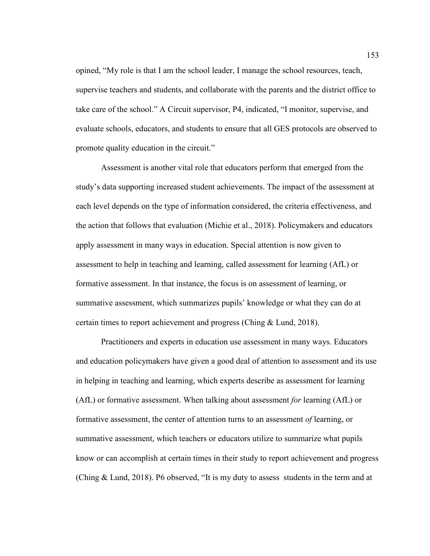opined, "My role is that I am the school leader, I manage the school resources, teach, supervise teachers and students, and collaborate with the parents and the district office to take care of the school." A Circuit supervisor, P4, indicated, "I monitor, supervise, and evaluate schools, educators, and students to ensure that all GES protocols are observed to promote quality education in the circuit."

Assessment is another vital role that educators perform that emerged from the study's data supporting increased student achievements. The impact of the assessment at each level depends on the type of information considered, the criteria effectiveness, and the action that follows that evaluation (Michie et al., 2018). Policymakers and educators apply assessment in many ways in education. Special attention is now given to assessment to help in teaching and learning, called assessment for learning (AfL) or formative assessment. In that instance, the focus is on assessment of learning, or summative assessment, which summarizes pupils' knowledge or what they can do at certain times to report achievement and progress (Ching & Lund, 2018).

Practitioners and experts in education use assessment in many ways. Educators and education policymakers have given a good deal of attention to assessment and its use in helping in teaching and learning, which experts describe as assessment for learning (AfL) or formative assessment. When talking about assessment *for* learning (AfL) or formative assessment, the center of attention turns to an assessment *of* learning, or summative assessment, which teachers or educators utilize to summarize what pupils know or can accomplish at certain times in their study to report achievement and progress (Ching & Lund, 2018). P6 observed, "It is my duty to assess students in the term and at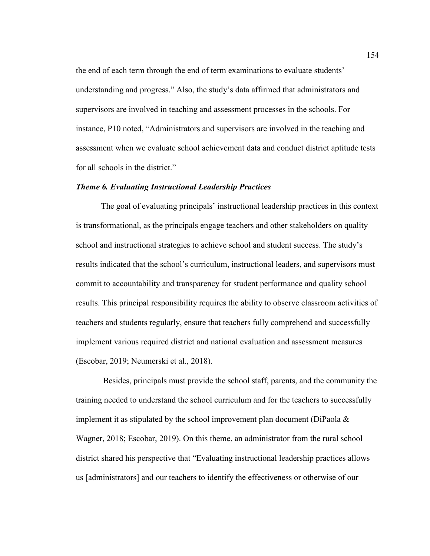the end of each term through the end of term examinations to evaluate students' understanding and progress." Also, the study's data affirmed that administrators and supervisors are involved in teaching and assessment processes in the schools. For instance, P10 noted, "Administrators and supervisors are involved in the teaching and assessment when we evaluate school achievement data and conduct district aptitude tests for all schools in the district."

### *Theme 6. Evaluating Instructional Leadership Practices*

The goal of evaluating principals' instructional leadership practices in this context is transformational, as the principals engage teachers and other stakeholders on quality school and instructional strategies to achieve school and student success. The study's results indicated that the school's curriculum, instructional leaders, and supervisors must commit to accountability and transparency for student performance and quality school results. This principal responsibility requires the ability to observe classroom activities of teachers and students regularly, ensure that teachers fully comprehend and successfully implement various required district and national evaluation and assessment measures (Escobar, 2019; Neumerski et al., 2018).

 Besides, principals must provide the school staff, parents, and the community the training needed to understand the school curriculum and for the teachers to successfully implement it as stipulated by the school improvement plan document (DiPaola  $\&$ Wagner, 2018; Escobar, 2019). On this theme, an administrator from the rural school district shared his perspective that "Evaluating instructional leadership practices allows us [administrators] and our teachers to identify the effectiveness or otherwise of our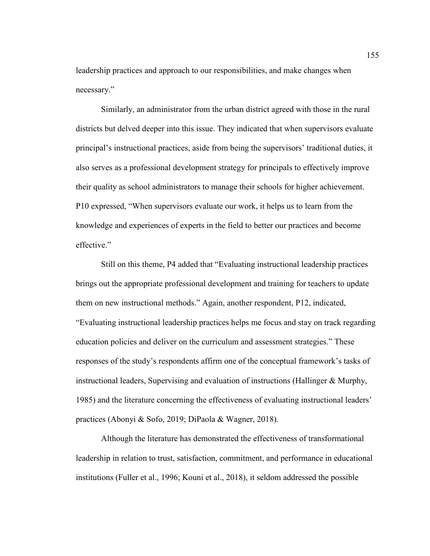leadership practices and approach to our responsibilities, and make changes when necessary."

Similarly, an administrator from the urban district agreed with those in the rural districts but delved deeper into this issue. They indicated that when supervisors evaluate principal's instructional practices, aside from being the supervisors' traditional duties, it also serves as a professional development strategy for principals to effectively improve their quality as school administrators to manage their schools for higher achievement. P10 expressed, "When supervisors evaluate our work, it helps us to learn from the knowledge and experiences of experts in the field to better our practices and become effective."

Still on this theme, P4 added that "Evaluating instructional leadership practices brings out the appropriate professional development and training for teachers to update them on new instructional methods." Again, another respondent, P12, indicated, "Evaluating instructional leadership practices helps me focus and stay on track regarding education policies and deliver on the curriculum and assessment strategies." These responses of the study's respondents affirm one of the conceptual framework's tasks of instructional leaders, Supervising and evaluation of instructions (Hallinger & Murphy, 1985) and the literature concerning the effectiveness of evaluating instructional leaders' practices (Abonyi & Sofo, 2019; DiPaola & Wagner, 2018).

Although the literature has demonstrated the effectiveness of transformational leadership in relation to trust, satisfaction, commitment, and performance in educational institutions (Fuller et al., 1996; Kouni et al., 2018), it seldom addressed the possible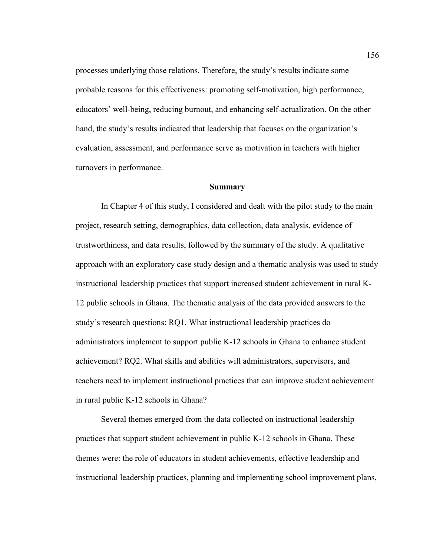processes underlying those relations. Therefore, the study's results indicate some probable reasons for this effectiveness: promoting self-motivation, high performance, educators' well-being, reducing burnout, and enhancing self-actualization. On the other hand, the study's results indicated that leadership that focuses on the organization's evaluation, assessment, and performance serve as motivation in teachers with higher turnovers in performance.

#### **Summary**

In Chapter 4 of this study, I considered and dealt with the pilot study to the main project, research setting, demographics, data collection, data analysis, evidence of trustworthiness, and data results, followed by the summary of the study. A qualitative approach with an exploratory case study design and a thematic analysis was used to study instructional leadership practices that support increased student achievement in rural K-12 public schools in Ghana. The thematic analysis of the data provided answers to the study's research questions: RQ1. What instructional leadership practices do administrators implement to support public K-12 schools in Ghana to enhance student achievement? RQ2. What skills and abilities will administrators, supervisors, and teachers need to implement instructional practices that can improve student achievement in rural public K-12 schools in Ghana?

Several themes emerged from the data collected on instructional leadership practices that support student achievement in public K-12 schools in Ghana. These themes were: the role of educators in student achievements, effective leadership and instructional leadership practices, planning and implementing school improvement plans,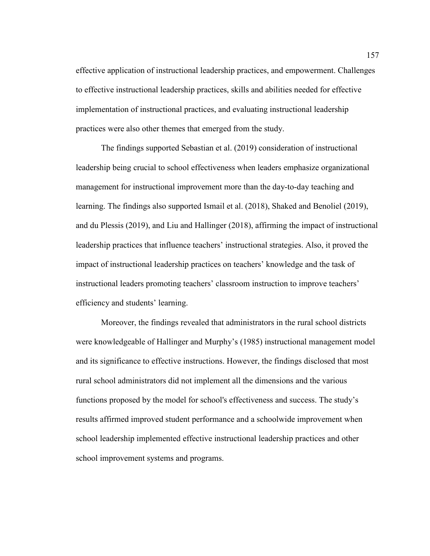effective application of instructional leadership practices, and empowerment. Challenges to effective instructional leadership practices, skills and abilities needed for effective implementation of instructional practices, and evaluating instructional leadership practices were also other themes that emerged from the study.

The findings supported Sebastian et al. (2019) consideration of instructional leadership being crucial to school effectiveness when leaders emphasize organizational management for instructional improvement more than the day-to-day teaching and learning. The findings also supported Ismail et al. (2018), Shaked and Benoliel (2019), and du Plessis (2019), and Liu and Hallinger (2018), affirming the impact of instructional leadership practices that influence teachers' instructional strategies. Also, it proved the impact of instructional leadership practices on teachers' knowledge and the task of instructional leaders promoting teachers' classroom instruction to improve teachers' efficiency and students' learning.

Moreover, the findings revealed that administrators in the rural school districts were knowledgeable of Hallinger and Murphy's (1985) instructional management model and its significance to effective instructions. However, the findings disclosed that most rural school administrators did not implement all the dimensions and the various functions proposed by the model for school's effectiveness and success. The study's results affirmed improved student performance and a schoolwide improvement when school leadership implemented effective instructional leadership practices and other school improvement systems and programs.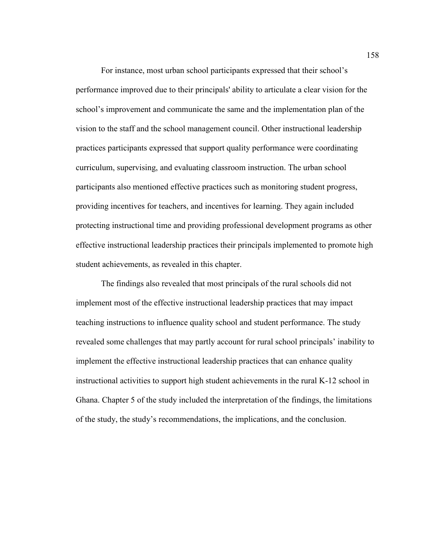For instance, most urban school participants expressed that their school's performance improved due to their principals' ability to articulate a clear vision for the school's improvement and communicate the same and the implementation plan of the vision to the staff and the school management council. Other instructional leadership practices participants expressed that support quality performance were coordinating curriculum, supervising, and evaluating classroom instruction. The urban school participants also mentioned effective practices such as monitoring student progress, providing incentives for teachers, and incentives for learning. They again included protecting instructional time and providing professional development programs as other effective instructional leadership practices their principals implemented to promote high student achievements, as revealed in this chapter.

The findings also revealed that most principals of the rural schools did not implement most of the effective instructional leadership practices that may impact teaching instructions to influence quality school and student performance. The study revealed some challenges that may partly account for rural school principals' inability to implement the effective instructional leadership practices that can enhance quality instructional activities to support high student achievements in the rural K-12 school in Ghana. Chapter 5 of the study included the interpretation of the findings, the limitations of the study, the study's recommendations, the implications, and the conclusion.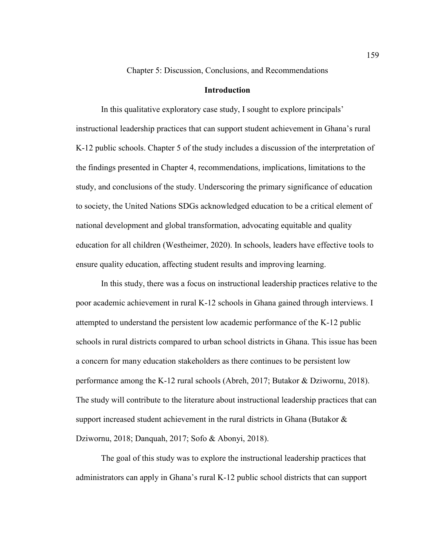Chapter 5: Discussion, Conclusions, and Recommendations

## **Introduction**

In this qualitative exploratory case study, I sought to explore principals' instructional leadership practices that can support student achievement in Ghana's rural K-12 public schools. Chapter 5 of the study includes a discussion of the interpretation of the findings presented in Chapter 4, recommendations, implications, limitations to the study, and conclusions of the study. Underscoring the primary significance of education to society, the United Nations SDGs acknowledged education to be a critical element of national development and global transformation, advocating equitable and quality education for all children (Westheimer, 2020). In schools, leaders have effective tools to ensure quality education, affecting student results and improving learning.

In this study, there was a focus on instructional leadership practices relative to the poor academic achievement in rural K-12 schools in Ghana gained through interviews. I attempted to understand the persistent low academic performance of the K-12 public schools in rural districts compared to urban school districts in Ghana. This issue has been a concern for many education stakeholders as there continues to be persistent low performance among the K-12 rural schools (Abreh, 2017; Butakor & Dziwornu, 2018). The study will contribute to the literature about instructional leadership practices that can support increased student achievement in the rural districts in Ghana (Butakor  $\&$ Dziwornu, 2018; Danquah, 2017; Sofo & Abonyi, 2018).

The goal of this study was to explore the instructional leadership practices that administrators can apply in Ghana's rural K-12 public school districts that can support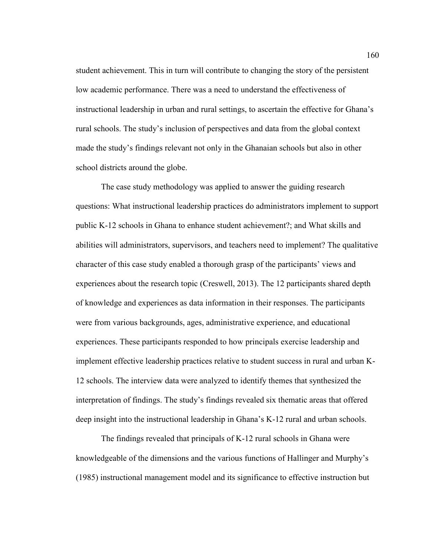student achievement. This in turn will contribute to changing the story of the persistent low academic performance. There was a need to understand the effectiveness of instructional leadership in urban and rural settings, to ascertain the effective for Ghana's rural schools. The study's inclusion of perspectives and data from the global context made the study's findings relevant not only in the Ghanaian schools but also in other school districts around the globe.

The case study methodology was applied to answer the guiding research questions: What instructional leadership practices do administrators implement to support public K-12 schools in Ghana to enhance student achievement?; and What skills and abilities will administrators, supervisors, and teachers need to implement? The qualitative character of this case study enabled a thorough grasp of the participants' views and experiences about the research topic (Creswell, 2013). The 12 participants shared depth of knowledge and experiences as data information in their responses. The participants were from various backgrounds, ages, administrative experience, and educational experiences. These participants responded to how principals exercise leadership and implement effective leadership practices relative to student success in rural and urban K-12 schools. The interview data were analyzed to identify themes that synthesized the interpretation of findings. The study's findings revealed six thematic areas that offered deep insight into the instructional leadership in Ghana's K-12 rural and urban schools.

The findings revealed that principals of K-12 rural schools in Ghana were knowledgeable of the dimensions and the various functions of Hallinger and Murphy's (1985) instructional management model and its significance to effective instruction but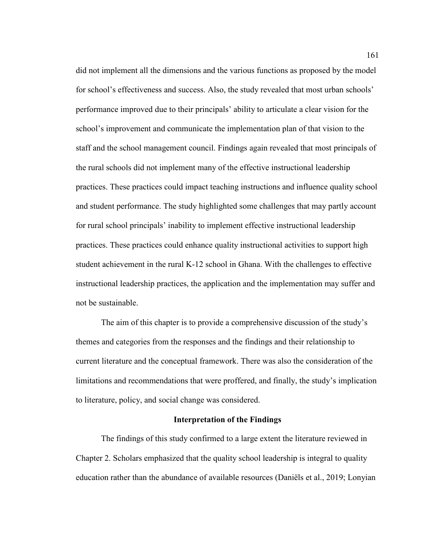did not implement all the dimensions and the various functions as proposed by the model for school's effectiveness and success. Also, the study revealed that most urban schools' performance improved due to their principals' ability to articulate a clear vision for the school's improvement and communicate the implementation plan of that vision to the staff and the school management council. Findings again revealed that most principals of the rural schools did not implement many of the effective instructional leadership practices. These practices could impact teaching instructions and influence quality school and student performance. The study highlighted some challenges that may partly account for rural school principals' inability to implement effective instructional leadership practices. These practices could enhance quality instructional activities to support high student achievement in the rural K-12 school in Ghana. With the challenges to effective instructional leadership practices, the application and the implementation may suffer and not be sustainable.

The aim of this chapter is to provide a comprehensive discussion of the study's themes and categories from the responses and the findings and their relationship to current literature and the conceptual framework. There was also the consideration of the limitations and recommendations that were proffered, and finally, the study's implication to literature, policy, and social change was considered.

### **Interpretation of the Findings**

The findings of this study confirmed to a large extent the literature reviewed in Chapter 2. Scholars emphasized that the quality school leadership is integral to quality education rather than the abundance of available resources (Daniëls et al., 2019; Lonyian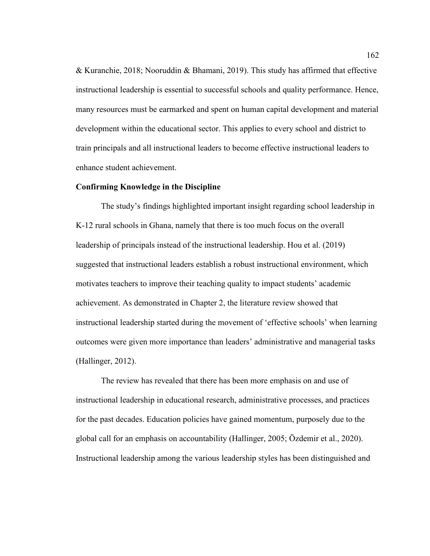& Kuranchie, 2018; Nooruddin & Bhamani, 2019). This study has affirmed that effective instructional leadership is essential to successful schools and quality performance. Hence, many resources must be earmarked and spent on human capital development and material development within the educational sector. This applies to every school and district to train principals and all instructional leaders to become effective instructional leaders to enhance student achievement.

### **Confirming Knowledge in the Discipline**

The study's findings highlighted important insight regarding school leadership in K-12 rural schools in Ghana, namely that there is too much focus on the overall leadership of principals instead of the instructional leadership. Hou et al. (2019) suggested that instructional leaders establish a robust instructional environment, which motivates teachers to improve their teaching quality to impact students' academic achievement. As demonstrated in Chapter 2, the literature review showed that instructional leadership started during the movement of 'effective schools' when learning outcomes were given more importance than leaders' administrative and managerial tasks (Hallinger, 2012).

The review has revealed that there has been more emphasis on and use of instructional leadership in educational research, administrative processes, and practices for the past decades. Education policies have gained momentum, purposely due to the global call for an emphasis on accountability (Hallinger, 2005; Özdemir et al., 2020). Instructional leadership among the various leadership styles has been distinguished and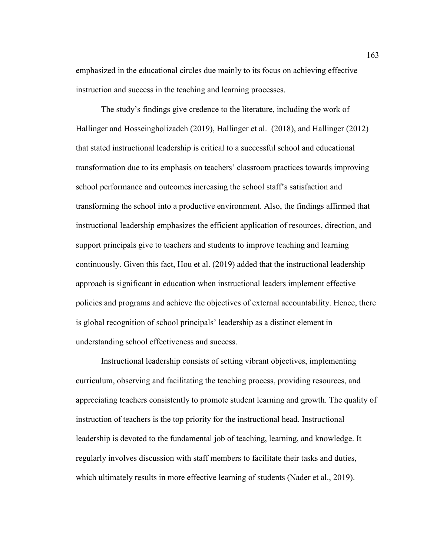emphasized in the educational circles due mainly to its focus on achieving effective instruction and success in the teaching and learning processes.

The study's findings give credence to the literature, including the work of Hallinger and Hosseingholizadeh (2019), Hallinger et al. (2018), and Hallinger (2012) that stated instructional leadership is critical to a successful school and educational transformation due to its emphasis on teachers' classroom practices towards improving school performance and outcomes increasing the school staff's satisfaction and transforming the school into a productive environment. Also, the findings affirmed that instructional leadership emphasizes the efficient application of resources, direction, and support principals give to teachers and students to improve teaching and learning continuously. Given this fact, Hou et al. (2019) added that the instructional leadership approach is significant in education when instructional leaders implement effective policies and programs and achieve the objectives of external accountability. Hence, there is global recognition of school principals' leadership as a distinct element in understanding school effectiveness and success.

Instructional leadership consists of setting vibrant objectives, implementing curriculum, observing and facilitating the teaching process, providing resources, and appreciating teachers consistently to promote student learning and growth. The quality of instruction of teachers is the top priority for the instructional head. Instructional leadership is devoted to the fundamental job of teaching, learning, and knowledge. It regularly involves discussion with staff members to facilitate their tasks and duties, which ultimately results in more effective learning of students (Nader et al., 2019).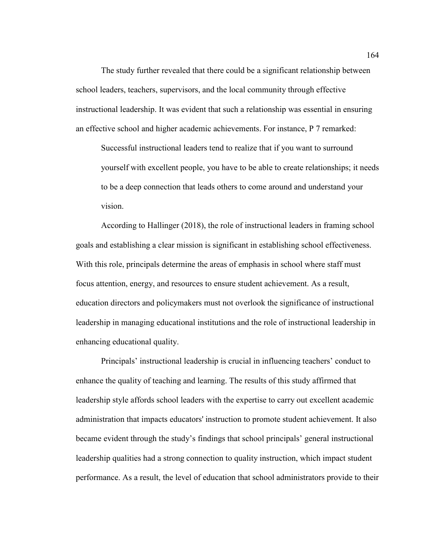The study further revealed that there could be a significant relationship between school leaders, teachers, supervisors, and the local community through effective instructional leadership. It was evident that such a relationship was essential in ensuring an effective school and higher academic achievements. For instance, P 7 remarked:

Successful instructional leaders tend to realize that if you want to surround yourself with excellent people, you have to be able to create relationships; it needs to be a deep connection that leads others to come around and understand your vision.

According to Hallinger (2018), the role of instructional leaders in framing school goals and establishing a clear mission is significant in establishing school effectiveness. With this role, principals determine the areas of emphasis in school where staff must focus attention, energy, and resources to ensure student achievement. As a result, education directors and policymakers must not overlook the significance of instructional leadership in managing educational institutions and the role of instructional leadership in enhancing educational quality.

Principals' instructional leadership is crucial in influencing teachers' conduct to enhance the quality of teaching and learning. The results of this study affirmed that leadership style affords school leaders with the expertise to carry out excellent academic administration that impacts educators' instruction to promote student achievement. It also became evident through the study's findings that school principals' general instructional leadership qualities had a strong connection to quality instruction, which impact student performance. As a result, the level of education that school administrators provide to their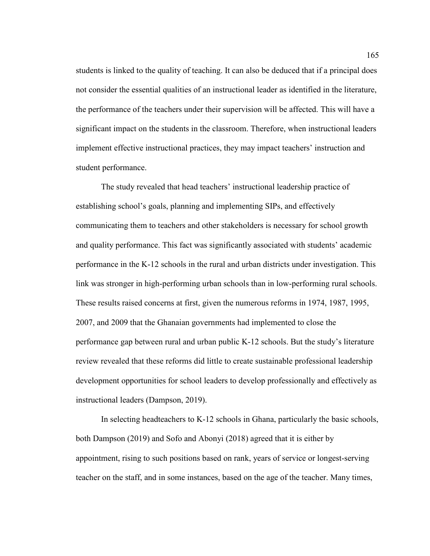students is linked to the quality of teaching. It can also be deduced that if a principal does not consider the essential qualities of an instructional leader as identified in the literature, the performance of the teachers under their supervision will be affected. This will have a significant impact on the students in the classroom. Therefore, when instructional leaders implement effective instructional practices, they may impact teachers' instruction and student performance.

The study revealed that head teachers' instructional leadership practice of establishing school's goals, planning and implementing SIPs, and effectively communicating them to teachers and other stakeholders is necessary for school growth and quality performance. This fact was significantly associated with students' academic performance in the K-12 schools in the rural and urban districts under investigation. This link was stronger in high-performing urban schools than in low-performing rural schools. These results raised concerns at first, given the numerous reforms in 1974, 1987, 1995, 2007, and 2009 that the Ghanaian governments had implemented to close the performance gap between rural and urban public K-12 schools. But the study's literature review revealed that these reforms did little to create sustainable professional leadership development opportunities for school leaders to develop professionally and effectively as instructional leaders (Dampson, 2019).

In selecting headteachers to K-12 schools in Ghana, particularly the basic schools, both Dampson (2019) and Sofo and Abonyi (2018) agreed that it is either by appointment, rising to such positions based on rank, years of service or longest-serving teacher on the staff, and in some instances, based on the age of the teacher. Many times,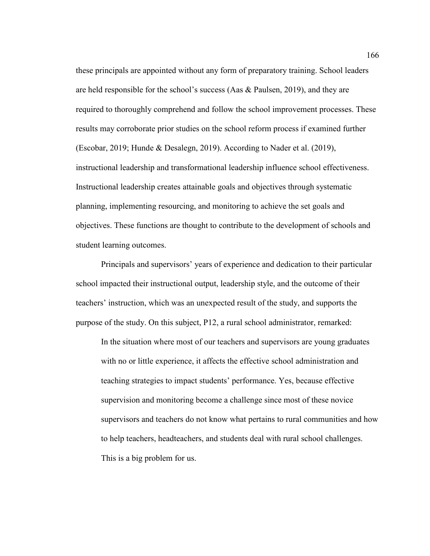these principals are appointed without any form of preparatory training. School leaders are held responsible for the school's success (Aas  $\&$  Paulsen, 2019), and they are required to thoroughly comprehend and follow the school improvement processes. These results may corroborate prior studies on the school reform process if examined further (Escobar, 2019; Hunde & Desalegn, 2019). According to Nader et al. (2019), instructional leadership and transformational leadership influence school effectiveness. Instructional leadership creates attainable goals and objectives through systematic planning, implementing resourcing, and monitoring to achieve the set goals and objectives. These functions are thought to contribute to the development of schools and student learning outcomes.

Principals and supervisors' years of experience and dedication to their particular school impacted their instructional output, leadership style, and the outcome of their teachers' instruction, which was an unexpected result of the study, and supports the purpose of the study. On this subject, P12, a rural school administrator, remarked:

In the situation where most of our teachers and supervisors are young graduates with no or little experience, it affects the effective school administration and teaching strategies to impact students' performance. Yes, because effective supervision and monitoring become a challenge since most of these novice supervisors and teachers do not know what pertains to rural communities and how to help teachers, headteachers, and students deal with rural school challenges. This is a big problem for us.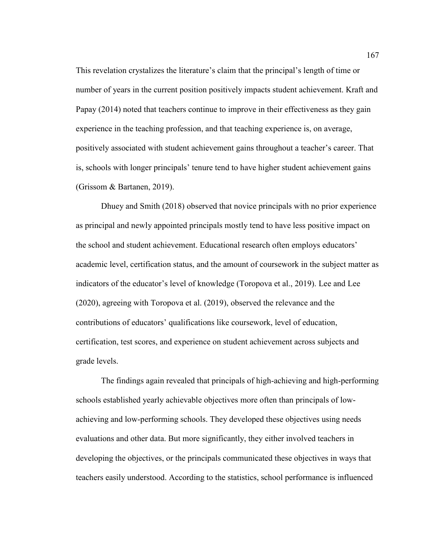This revelation crystalizes the literature's claim that the principal's length of time or number of years in the current position positively impacts student achievement. Kraft and Papay (2014) noted that teachers continue to improve in their effectiveness as they gain experience in the teaching profession, and that teaching experience is, on average, positively associated with student achievement gains throughout a teacher's career. That is, schools with longer principals' tenure tend to have higher student achievement gains (Grissom & Bartanen, 2019).

Dhuey and Smith (2018) observed that novice principals with no prior experience as principal and newly appointed principals mostly tend to have less positive impact on the school and student achievement. Educational research often employs educators' academic level, certification status, and the amount of coursework in the subject matter as indicators of the educator's level of knowledge (Toropova et al., 2019). Lee and Lee (2020), agreeing with Toropova et al. (2019), observed the relevance and the contributions of educators' qualifications like coursework, level of education, certification, test scores, and experience on student achievement across subjects and grade levels.

The findings again revealed that principals of high-achieving and high-performing schools established yearly achievable objectives more often than principals of lowachieving and low-performing schools. They developed these objectives using needs evaluations and other data. But more significantly, they either involved teachers in developing the objectives, or the principals communicated these objectives in ways that teachers easily understood. According to the statistics, school performance is influenced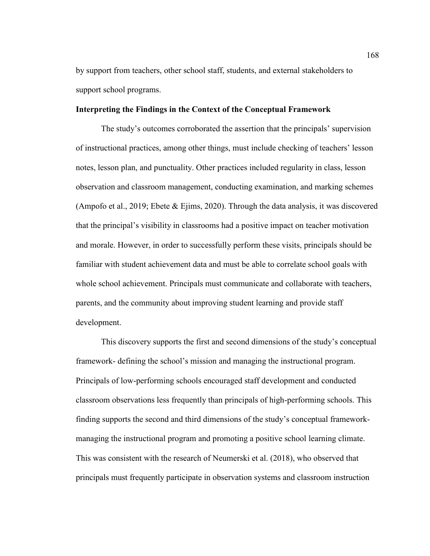by support from teachers, other school staff, students, and external stakeholders to support school programs.

# **Interpreting the Findings in the Context of the Conceptual Framework**

The study's outcomes corroborated the assertion that the principals' supervision of instructional practices, among other things, must include checking of teachers' lesson notes, lesson plan, and punctuality. Other practices included regularity in class, lesson observation and classroom management, conducting examination, and marking schemes (Ampofo et al., 2019; Ebete  $\&$  Ejims, 2020). Through the data analysis, it was discovered that the principal's visibility in classrooms had a positive impact on teacher motivation and morale. However, in order to successfully perform these visits, principals should be familiar with student achievement data and must be able to correlate school goals with whole school achievement. Principals must communicate and collaborate with teachers, parents, and the community about improving student learning and provide staff development.

This discovery supports the first and second dimensions of the study's conceptual framework- defining the school's mission and managing the instructional program. Principals of low-performing schools encouraged staff development and conducted classroom observations less frequently than principals of high-performing schools. This finding supports the second and third dimensions of the study's conceptual frameworkmanaging the instructional program and promoting a positive school learning climate. This was consistent with the research of Neumerski et al. (2018), who observed that principals must frequently participate in observation systems and classroom instruction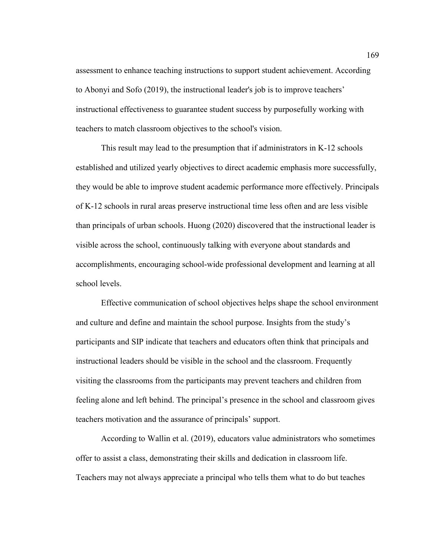assessment to enhance teaching instructions to support student achievement. According to Abonyi and Sofo (2019), the instructional leader's job is to improve teachers' instructional effectiveness to guarantee student success by purposefully working with teachers to match classroom objectives to the school's vision.

This result may lead to the presumption that if administrators in K-12 schools established and utilized yearly objectives to direct academic emphasis more successfully, they would be able to improve student academic performance more effectively. Principals of K-12 schools in rural areas preserve instructional time less often and are less visible than principals of urban schools. Huong (2020) discovered that the instructional leader is visible across the school, continuously talking with everyone about standards and accomplishments, encouraging school-wide professional development and learning at all school levels.

Effective communication of school objectives helps shape the school environment and culture and define and maintain the school purpose. Insights from the study's participants and SIP indicate that teachers and educators often think that principals and instructional leaders should be visible in the school and the classroom. Frequently visiting the classrooms from the participants may prevent teachers and children from feeling alone and left behind. The principal's presence in the school and classroom gives teachers motivation and the assurance of principals' support.

According to Wallin et al. (2019), educators value administrators who sometimes offer to assist a class, demonstrating their skills and dedication in classroom life. Teachers may not always appreciate a principal who tells them what to do but teaches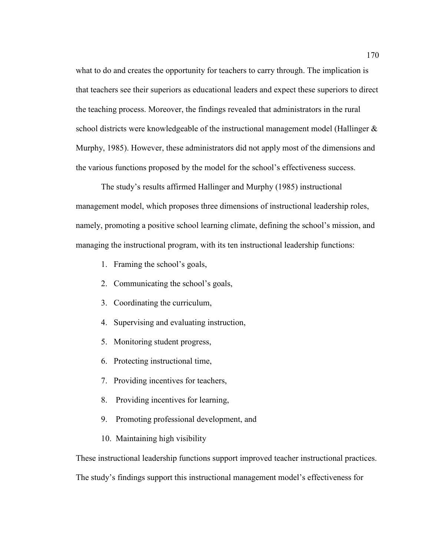what to do and creates the opportunity for teachers to carry through. The implication is that teachers see their superiors as educational leaders and expect these superiors to direct the teaching process. Moreover, the findings revealed that administrators in the rural school districts were knowledgeable of the instructional management model (Hallinger & Murphy, 1985). However, these administrators did not apply most of the dimensions and the various functions proposed by the model for the school's effectiveness success.

The study's results affirmed Hallinger and Murphy (1985) instructional management model, which proposes three dimensions of instructional leadership roles, namely, promoting a positive school learning climate, defining the school's mission, and managing the instructional program, with its ten instructional leadership functions:

- 1. Framing the school's goals,
- 2. Communicating the school's goals,
- 3. Coordinating the curriculum,
- 4. Supervising and evaluating instruction,
- 5. Monitoring student progress,
- 6. Protecting instructional time,
- 7. Providing incentives for teachers,
- 8. Providing incentives for learning,
- 9. Promoting professional development, and
- 10. Maintaining high visibility

These instructional leadership functions support improved teacher instructional practices.

The study's findings support this instructional management model's effectiveness for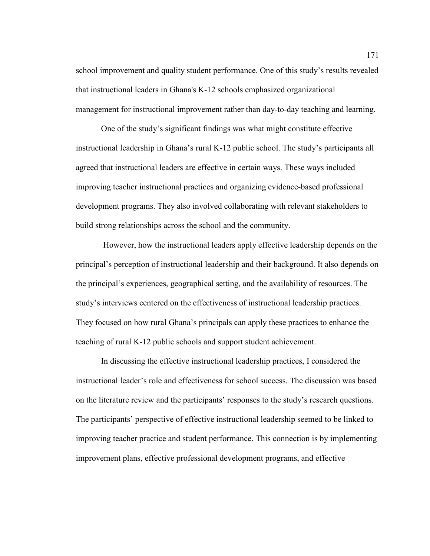school improvement and quality student performance. One of this study's results revealed that instructional leaders in Ghana's K-12 schools emphasized organizational management for instructional improvement rather than day-to-day teaching and learning.

One of the study's significant findings was what might constitute effective instructional leadership in Ghana's rural K-12 public school. The study's participants all agreed that instructional leaders are effective in certain ways. These ways included improving teacher instructional practices and organizing evidence-based professional development programs. They also involved collaborating with relevant stakeholders to build strong relationships across the school and the community.

 However, how the instructional leaders apply effective leadership depends on the principal's perception of instructional leadership and their background. It also depends on the principal's experiences, geographical setting, and the availability of resources. The study's interviews centered on the effectiveness of instructional leadership practices. They focused on how rural Ghana's principals can apply these practices to enhance the teaching of rural K-12 public schools and support student achievement.

In discussing the effective instructional leadership practices, I considered the instructional leader's role and effectiveness for school success. The discussion was based on the literature review and the participants' responses to the study's research questions. The participants' perspective of effective instructional leadership seemed to be linked to improving teacher practice and student performance. This connection is by implementing improvement plans, effective professional development programs, and effective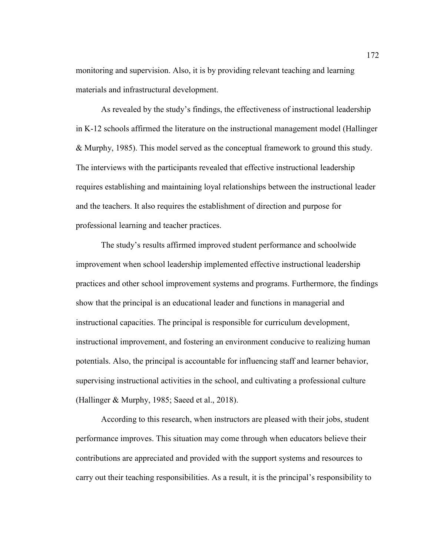monitoring and supervision. Also, it is by providing relevant teaching and learning materials and infrastructural development.

As revealed by the study's findings, the effectiveness of instructional leadership in K-12 schools affirmed the literature on the instructional management model (Hallinger & Murphy, 1985). This model served as the conceptual framework to ground this study. The interviews with the participants revealed that effective instructional leadership requires establishing and maintaining loyal relationships between the instructional leader and the teachers. It also requires the establishment of direction and purpose for professional learning and teacher practices.

The study's results affirmed improved student performance and schoolwide improvement when school leadership implemented effective instructional leadership practices and other school improvement systems and programs. Furthermore, the findings show that the principal is an educational leader and functions in managerial and instructional capacities. The principal is responsible for curriculum development, instructional improvement, and fostering an environment conducive to realizing human potentials. Also, the principal is accountable for influencing staff and learner behavior, supervising instructional activities in the school, and cultivating a professional culture (Hallinger & Murphy, 1985; Saeed et al., 2018).

According to this research, when instructors are pleased with their jobs, student performance improves. This situation may come through when educators believe their contributions are appreciated and provided with the support systems and resources to carry out their teaching responsibilities. As a result, it is the principal's responsibility to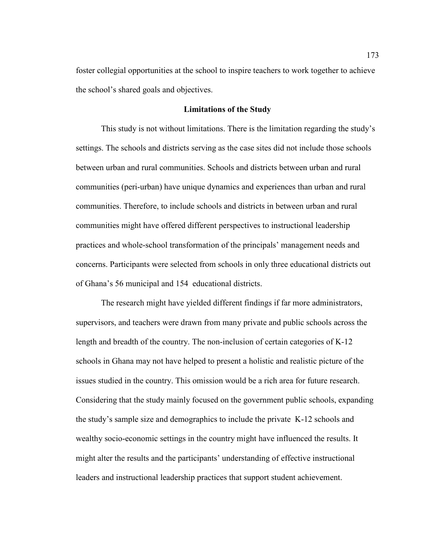foster collegial opportunities at the school to inspire teachers to work together to achieve the school's shared goals and objectives.

### **Limitations of the Study**

This study is not without limitations. There is the limitation regarding the study's settings. The schools and districts serving as the case sites did not include those schools between urban and rural communities. Schools and districts between urban and rural communities (peri-urban) have unique dynamics and experiences than urban and rural communities. Therefore, to include schools and districts in between urban and rural communities might have offered different perspectives to instructional leadership practices and whole-school transformation of the principals' management needs and concerns. Participants were selected from schools in only three educational districts out of Ghana's 56 municipal and 154 educational districts.

The research might have yielded different findings if far more administrators, supervisors, and teachers were drawn from many private and public schools across the length and breadth of the country. The non-inclusion of certain categories of K-12 schools in Ghana may not have helped to present a holistic and realistic picture of the issues studied in the country. This omission would be a rich area for future research. Considering that the study mainly focused on the government public schools, expanding the study's sample size and demographics to include the private K-12 schools and wealthy socio-economic settings in the country might have influenced the results. It might alter the results and the participants' understanding of effective instructional leaders and instructional leadership practices that support student achievement.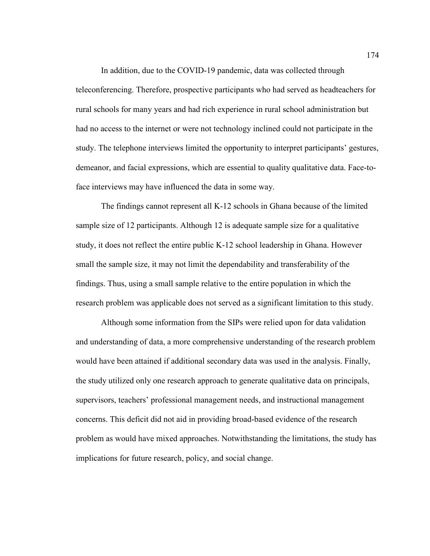In addition, due to the COVID-19 pandemic, data was collected through teleconferencing. Therefore, prospective participants who had served as headteachers for rural schools for many years and had rich experience in rural school administration but had no access to the internet or were not technology inclined could not participate in the study. The telephone interviews limited the opportunity to interpret participants' gestures, demeanor, and facial expressions, which are essential to quality qualitative data. Face-toface interviews may have influenced the data in some way.

The findings cannot represent all K-12 schools in Ghana because of the limited sample size of 12 participants. Although 12 is adequate sample size for a qualitative study, it does not reflect the entire public K-12 school leadership in Ghana. However small the sample size, it may not limit the dependability and transferability of the findings. Thus, using a small sample relative to the entire population in which the research problem was applicable does not served as a significant limitation to this study.

Although some information from the SIPs were relied upon for data validation and understanding of data, a more comprehensive understanding of the research problem would have been attained if additional secondary data was used in the analysis. Finally, the study utilized only one research approach to generate qualitative data on principals, supervisors, teachers' professional management needs, and instructional management concerns. This deficit did not aid in providing broad-based evidence of the research problem as would have mixed approaches. Notwithstanding the limitations, the study has implications for future research, policy, and social change.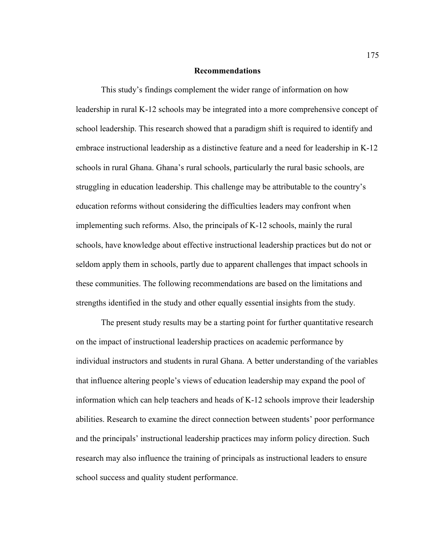#### **Recommendations**

This study's findings complement the wider range of information on how leadership in rural K-12 schools may be integrated into a more comprehensive concept of school leadership. This research showed that a paradigm shift is required to identify and embrace instructional leadership as a distinctive feature and a need for leadership in K-12 schools in rural Ghana. Ghana's rural schools, particularly the rural basic schools, are struggling in education leadership. This challenge may be attributable to the country's education reforms without considering the difficulties leaders may confront when implementing such reforms. Also, the principals of K-12 schools, mainly the rural schools, have knowledge about effective instructional leadership practices but do not or seldom apply them in schools, partly due to apparent challenges that impact schools in these communities. The following recommendations are based on the limitations and strengths identified in the study and other equally essential insights from the study.

The present study results may be a starting point for further quantitative research on the impact of instructional leadership practices on academic performance by individual instructors and students in rural Ghana. A better understanding of the variables that influence altering people's views of education leadership may expand the pool of information which can help teachers and heads of K-12 schools improve their leadership abilities. Research to examine the direct connection between students' poor performance and the principals' instructional leadership practices may inform policy direction. Such research may also influence the training of principals as instructional leaders to ensure school success and quality student performance.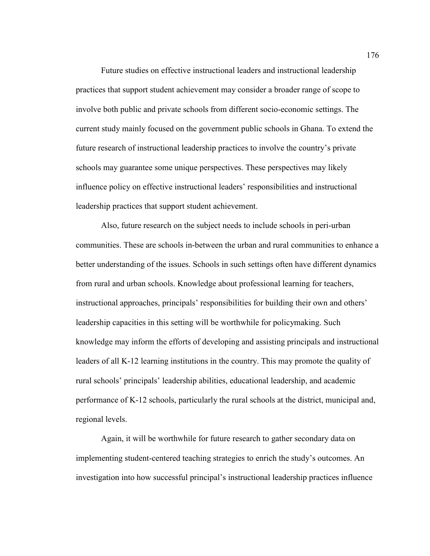Future studies on effective instructional leaders and instructional leadership practices that support student achievement may consider a broader range of scope to involve both public and private schools from different socio-economic settings. The current study mainly focused on the government public schools in Ghana. To extend the future research of instructional leadership practices to involve the country's private schools may guarantee some unique perspectives. These perspectives may likely influence policy on effective instructional leaders' responsibilities and instructional leadership practices that support student achievement.

Also, future research on the subject needs to include schools in peri-urban communities. These are schools in-between the urban and rural communities to enhance a better understanding of the issues. Schools in such settings often have different dynamics from rural and urban schools. Knowledge about professional learning for teachers, instructional approaches, principals' responsibilities for building their own and others' leadership capacities in this setting will be worthwhile for policymaking. Such knowledge may inform the efforts of developing and assisting principals and instructional leaders of all K-12 learning institutions in the country. This may promote the quality of rural schools' principals' leadership abilities, educational leadership, and academic performance of K-12 schools, particularly the rural schools at the district, municipal and, regional levels.

Again, it will be worthwhile for future research to gather secondary data on implementing student-centered teaching strategies to enrich the study's outcomes. An investigation into how successful principal's instructional leadership practices influence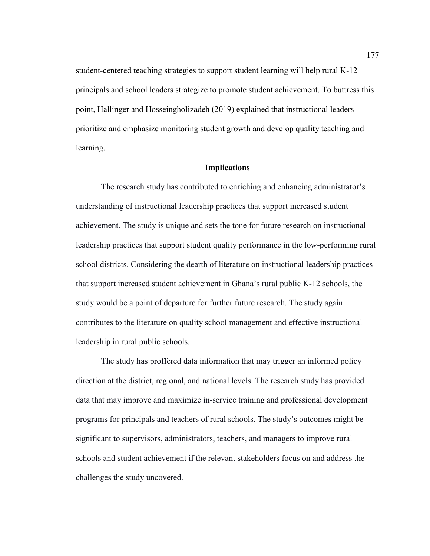student-centered teaching strategies to support student learning will help rural K-12 principals and school leaders strategize to promote student achievement. To buttress this point, Hallinger and Hosseingholizadeh (2019) explained that instructional leaders prioritize and emphasize monitoring student growth and develop quality teaching and learning.

# **Implications**

The research study has contributed to enriching and enhancing administrator's understanding of instructional leadership practices that support increased student achievement. The study is unique and sets the tone for future research on instructional leadership practices that support student quality performance in the low-performing rural school districts. Considering the dearth of literature on instructional leadership practices that support increased student achievement in Ghana's rural public K-12 schools, the study would be a point of departure for further future research. The study again contributes to the literature on quality school management and effective instructional leadership in rural public schools.

The study has proffered data information that may trigger an informed policy direction at the district, regional, and national levels. The research study has provided data that may improve and maximize in-service training and professional development programs for principals and teachers of rural schools. The study's outcomes might be significant to supervisors, administrators, teachers, and managers to improve rural schools and student achievement if the relevant stakeholders focus on and address the challenges the study uncovered.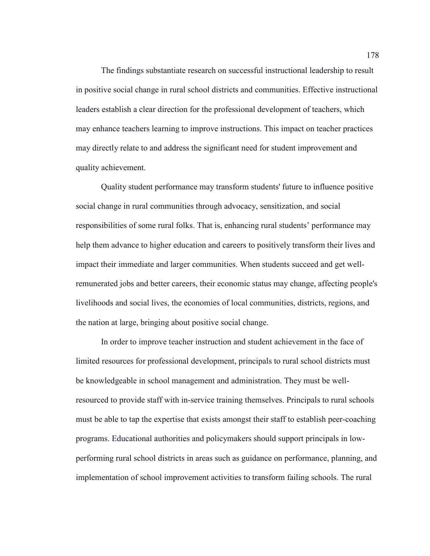The findings substantiate research on successful instructional leadership to result in positive social change in rural school districts and communities. Effective instructional leaders establish a clear direction for the professional development of teachers, which may enhance teachers learning to improve instructions. This impact on teacher practices may directly relate to and address the significant need for student improvement and quality achievement.

Quality student performance may transform students' future to influence positive social change in rural communities through advocacy, sensitization, and social responsibilities of some rural folks. That is, enhancing rural students' performance may help them advance to higher education and careers to positively transform their lives and impact their immediate and larger communities. When students succeed and get wellremunerated jobs and better careers, their economic status may change, affecting people's livelihoods and social lives, the economies of local communities, districts, regions, and the nation at large, bringing about positive social change.

In order to improve teacher instruction and student achievement in the face of limited resources for professional development, principals to rural school districts must be knowledgeable in school management and administration. They must be wellresourced to provide staff with in-service training themselves. Principals to rural schools must be able to tap the expertise that exists amongst their staff to establish peer-coaching programs. Educational authorities and policymakers should support principals in lowperforming rural school districts in areas such as guidance on performance, planning, and implementation of school improvement activities to transform failing schools. The rural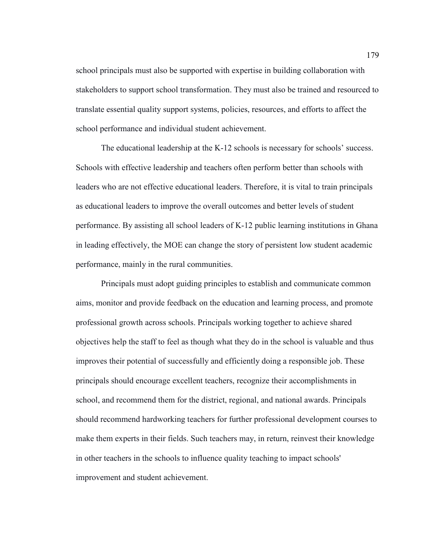school principals must also be supported with expertise in building collaboration with stakeholders to support school transformation. They must also be trained and resourced to translate essential quality support systems, policies, resources, and efforts to affect the school performance and individual student achievement.

The educational leadership at the K-12 schools is necessary for schools' success. Schools with effective leadership and teachers often perform better than schools with leaders who are not effective educational leaders. Therefore, it is vital to train principals as educational leaders to improve the overall outcomes and better levels of student performance. By assisting all school leaders of K-12 public learning institutions in Ghana in leading effectively, the MOE can change the story of persistent low student academic performance, mainly in the rural communities.

Principals must adopt guiding principles to establish and communicate common aims, monitor and provide feedback on the education and learning process, and promote professional growth across schools. Principals working together to achieve shared objectives help the staff to feel as though what they do in the school is valuable and thus improves their potential of successfully and efficiently doing a responsible job. These principals should encourage excellent teachers, recognize their accomplishments in school, and recommend them for the district, regional, and national awards. Principals should recommend hardworking teachers for further professional development courses to make them experts in their fields. Such teachers may, in return, reinvest their knowledge in other teachers in the schools to influence quality teaching to impact schools' improvement and student achievement.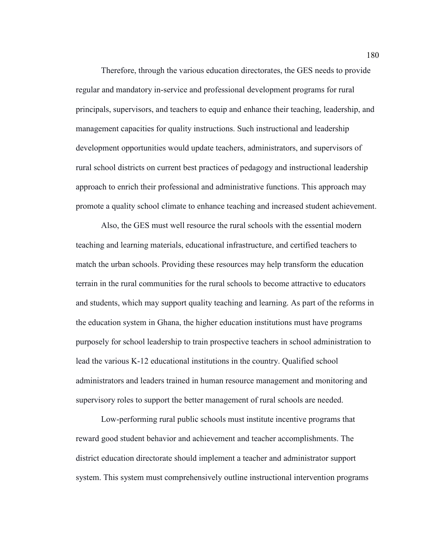Therefore, through the various education directorates, the GES needs to provide regular and mandatory in-service and professional development programs for rural principals, supervisors, and teachers to equip and enhance their teaching, leadership, and management capacities for quality instructions. Such instructional and leadership development opportunities would update teachers, administrators, and supervisors of rural school districts on current best practices of pedagogy and instructional leadership approach to enrich their professional and administrative functions. This approach may promote a quality school climate to enhance teaching and increased student achievement.

Also, the GES must well resource the rural schools with the essential modern teaching and learning materials, educational infrastructure, and certified teachers to match the urban schools. Providing these resources may help transform the education terrain in the rural communities for the rural schools to become attractive to educators and students, which may support quality teaching and learning. As part of the reforms in the education system in Ghana, the higher education institutions must have programs purposely for school leadership to train prospective teachers in school administration to lead the various K-12 educational institutions in the country. Qualified school administrators and leaders trained in human resource management and monitoring and supervisory roles to support the better management of rural schools are needed.

Low-performing rural public schools must institute incentive programs that reward good student behavior and achievement and teacher accomplishments. The district education directorate should implement a teacher and administrator support system. This system must comprehensively outline instructional intervention programs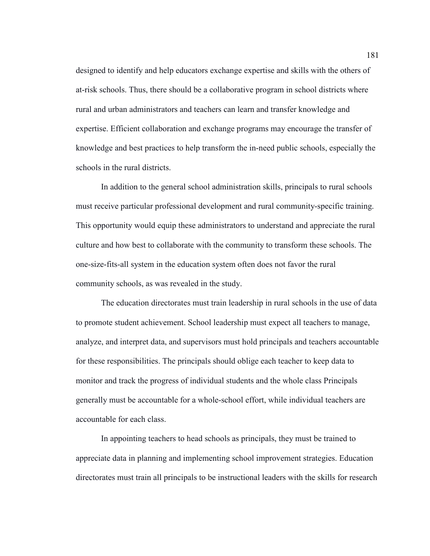designed to identify and help educators exchange expertise and skills with the others of at-risk schools. Thus, there should be a collaborative program in school districts where rural and urban administrators and teachers can learn and transfer knowledge and expertise. Efficient collaboration and exchange programs may encourage the transfer of knowledge and best practices to help transform the in-need public schools, especially the schools in the rural districts.

In addition to the general school administration skills, principals to rural schools must receive particular professional development and rural community-specific training. This opportunity would equip these administrators to understand and appreciate the rural culture and how best to collaborate with the community to transform these schools. The one-size-fits-all system in the education system often does not favor the rural community schools, as was revealed in the study.

The education directorates must train leadership in rural schools in the use of data to promote student achievement. School leadership must expect all teachers to manage, analyze, and interpret data, and supervisors must hold principals and teachers accountable for these responsibilities. The principals should oblige each teacher to keep data to monitor and track the progress of individual students and the whole class Principals generally must be accountable for a whole-school effort, while individual teachers are accountable for each class.

In appointing teachers to head schools as principals, they must be trained to appreciate data in planning and implementing school improvement strategies. Education directorates must train all principals to be instructional leaders with the skills for research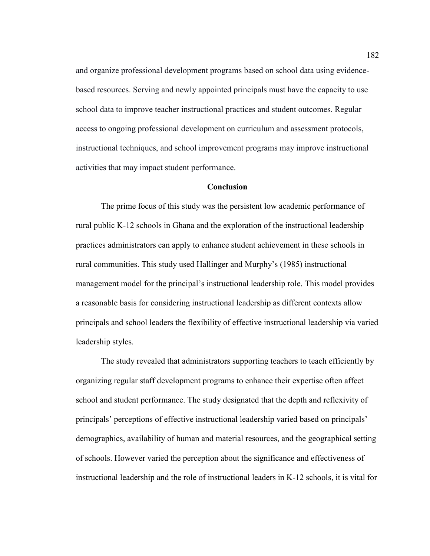and organize professional development programs based on school data using evidencebased resources. Serving and newly appointed principals must have the capacity to use school data to improve teacher instructional practices and student outcomes. Regular access to ongoing professional development on curriculum and assessment protocols, instructional techniques, and school improvement programs may improve instructional activities that may impact student performance.

# **Conclusion**

The prime focus of this study was the persistent low academic performance of rural public K-12 schools in Ghana and the exploration of the instructional leadership practices administrators can apply to enhance student achievement in these schools in rural communities. This study used Hallinger and Murphy's (1985) instructional management model for the principal's instructional leadership role. This model provides a reasonable basis for considering instructional leadership as different contexts allow principals and school leaders the flexibility of effective instructional leadership via varied leadership styles.

The study revealed that administrators supporting teachers to teach efficiently by organizing regular staff development programs to enhance their expertise often affect school and student performance. The study designated that the depth and reflexivity of principals' perceptions of effective instructional leadership varied based on principals' demographics, availability of human and material resources, and the geographical setting of schools. However varied the perception about the significance and effectiveness of instructional leadership and the role of instructional leaders in K-12 schools, it is vital for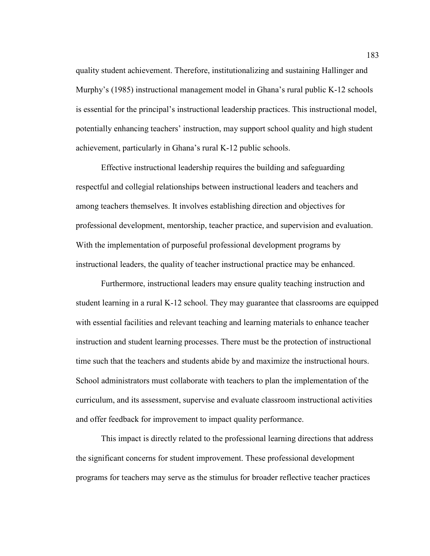quality student achievement. Therefore, institutionalizing and sustaining Hallinger and Murphy's (1985) instructional management model in Ghana's rural public K-12 schools is essential for the principal's instructional leadership practices. This instructional model, potentially enhancing teachers' instruction, may support school quality and high student achievement, particularly in Ghana's rural K-12 public schools.

Effective instructional leadership requires the building and safeguarding respectful and collegial relationships between instructional leaders and teachers and among teachers themselves. It involves establishing direction and objectives for professional development, mentorship, teacher practice, and supervision and evaluation. With the implementation of purposeful professional development programs by instructional leaders, the quality of teacher instructional practice may be enhanced.

Furthermore, instructional leaders may ensure quality teaching instruction and student learning in a rural K-12 school. They may guarantee that classrooms are equipped with essential facilities and relevant teaching and learning materials to enhance teacher instruction and student learning processes. There must be the protection of instructional time such that the teachers and students abide by and maximize the instructional hours. School administrators must collaborate with teachers to plan the implementation of the curriculum, and its assessment, supervise and evaluate classroom instructional activities and offer feedback for improvement to impact quality performance.

This impact is directly related to the professional learning directions that address the significant concerns for student improvement. These professional development programs for teachers may serve as the stimulus for broader reflective teacher practices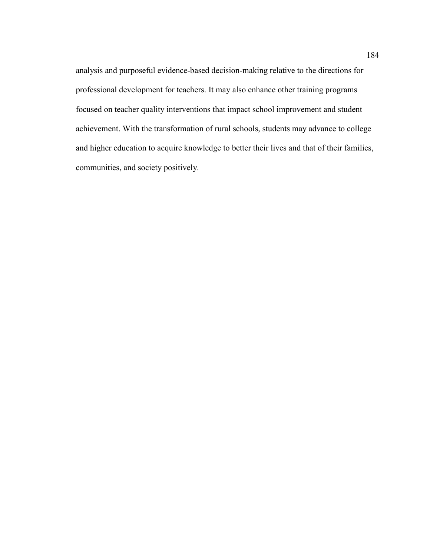analysis and purposeful evidence-based decision-making relative to the directions for professional development for teachers. It may also enhance other training programs focused on teacher quality interventions that impact school improvement and student achievement. With the transformation of rural schools, students may advance to college and higher education to acquire knowledge to better their lives and that of their families, communities, and society positively.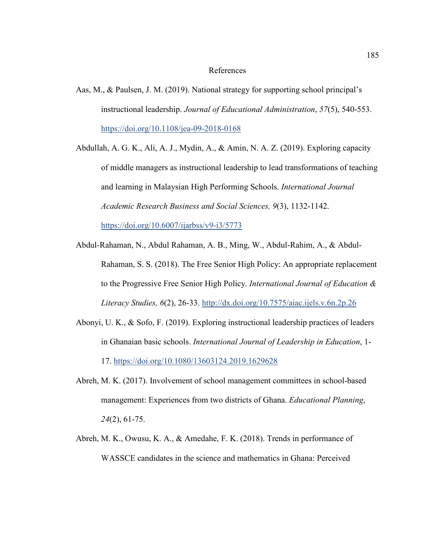#### References

Aas, M., & Paulsen, J. M. (2019). National strategy for supporting school principal's instructional leadership. *Journal of Educational Administration*, *57*(5), 540-553. https://doi.org/10.1108/jea-09-2018-0168

Abdullah, A. G. K., Ali, A. J., Mydin, A., & Amin, N. A. Z. (2019). Exploring capacity of middle managers as instructional leadership to lead transformations of teaching and learning in Malaysian High Performing Schools. *International Journal Academic Research Business and Social Sciences, 9*(3), 1132-1142. https://doi.org/10.6007/ijarbss/v9-i3/5773

- Abdul-Rahaman, N., Abdul Rahaman, A. B., Ming, W., Abdul-Rahim, A., & Abdul-Rahaman, S. S. (2018). The Free Senior High Policy: An appropriate replacement to the Progressive Free Senior High Policy. *International Journal of Education & Literacy Studies, 6*(2), 26-33. http://dx.doi.org/10.7575/aiac.ijels.v.6n.2p.26
- Abonyi, U. K., & Sofo, F. (2019). Exploring instructional leadership practices of leaders in Ghanaian basic schools. *International Journal of Leadership in Education*, 1- 17. https://doi.org/10.1080/13603124.2019.1629628
- Abreh, M. K. (2017). Involvement of school management committees in school-based management: Experiences from two districts of Ghana. *Educational Planning*, *24*(2), 61-75.
- Abreh, M. K., Owusu, K. A., & Amedahe, F. K. (2018). Trends in performance of WASSCE candidates in the science and mathematics in Ghana: Perceived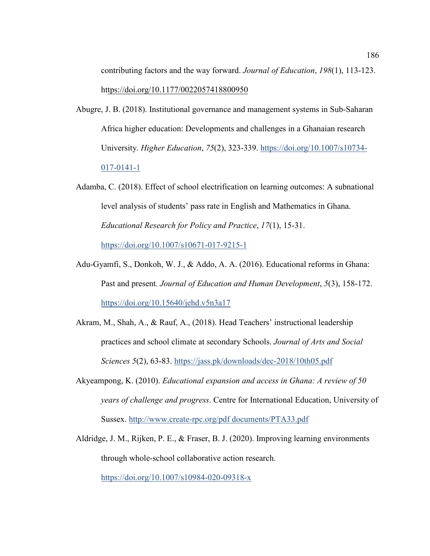contributing factors and the way forward. *Journal of Education*, *198*(1), 113-123. https://doi.org/10.1177/0022057418800950

- Abugre, J. B. (2018). Institutional governance and management systems in Sub-Saharan Africa higher education: Developments and challenges in a Ghanaian research University. *Higher Education*, *75*(2), 323-339. https://doi.org/10.1007/s10734- 017-0141-1
- Adamba, C. (2018). Effect of school electrification on learning outcomes: A subnational level analysis of students' pass rate in English and Mathematics in Ghana. *Educational Research for Policy and Practice*, *17*(1), 15-31. https://doi.org/10.1007/s10671-017-9215-1
- Adu-Gyamfi, S., Donkoh, W. J., & Addo, A. A. (2016). Educational reforms in Ghana: Past and present. *Journal of Education and Human Development*, *5*(3), 158-172. https://doi.org/10.15640/jehd.v5n3a17
- Akram, M., Shah, A., & Rauf, A., (2018). Head Teachers' instructional leadership practices and school climate at secondary Schools. *Journal of Arts and Social Sciences 5*(2), 63-83. https://jass.pk/downloads/dec-2018/10th05.pdf
- Akyeampong, K. (2010). *Educational expansion and access in Ghana: A review of 50 years of challenge and progress*. Centre for International Education, University of Sussex. http://www.create-rpc.org/pdf documents/PTA33.pdf
- Aldridge, J. M., Rijken, P. E., & Fraser, B. J. (2020). Improving learning environments through whole-school collaborative action research.

https://doi.org/10.1007/s10984-020-09318-x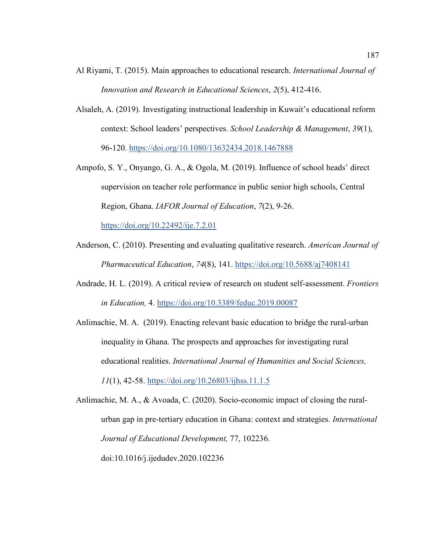- Al Riyami, T. (2015). Main approaches to educational research. *International Journal of Innovation and Research in Educational Sciences*, *2*(5), 412-416.
- Alsaleh, A. (2019). Investigating instructional leadership in Kuwait's educational reform context: School leaders' perspectives. *School Leadership & Management*, *39*(1), 96-120. https://doi.org/10.1080/13632434.2018.1467888
- Ampofo, S. Y., Onyango, G. A., & Ogola, M. (2019). Influence of school heads' direct supervision on teacher role performance in public senior high schools, Central Region, Ghana. *IAFOR Journal of Education*, *7*(2), 9-26. https://doi.org/10.22492/ije.7.2.01
- Anderson, C. (2010). Presenting and evaluating qualitative research. *American Journal of Pharmaceutical Education*, *74*(8), 141. https://doi.org/10.5688/aj7408141
- Andrade, H. L. (2019). A critical review of research on student self-assessment. *Frontiers in Education,* 4. https://doi.org/10.3389/feduc.2019.00087
- Anlimachie, M. A. (2019). Enacting relevant basic education to bridge the rural-urban inequality in Ghana. The prospects and approaches for investigating rural educational realities. *International Journal of Humanities and Social Sciences, 11*(1), 42-58. https://doi.org/10.26803/ijhss.11.1.5

Anlimachie, M. A., & Avoada, C. (2020). Socio-economic impact of closing the ruralurban gap in pre-tertiary education in Ghana: context and strategies. *International Journal of Educational Development,* 77, 102236. doi:10.1016/j.ijedudev.2020.102236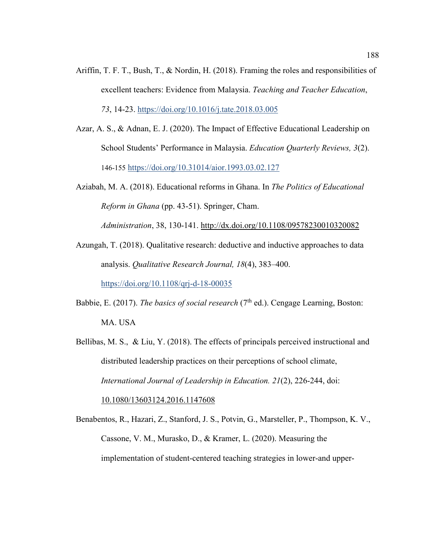- Ariffin, T. F. T., Bush, T., & Nordin, H. (2018). Framing the roles and responsibilities of excellent teachers: Evidence from Malaysia. *Teaching and Teacher Education*, *73*, 14-23. https://doi.org/10.1016/j.tate.2018.03.005
- Azar, A. S., & Adnan, E. J. (2020). The Impact of Effective Educational Leadership on School Students' Performance in Malaysia. *Education Quarterly Reviews, 3*(2). 146-155 https://doi.org/10.31014/aior.1993.03.02.127
- Aziabah, M. A. (2018). Educational reforms in Ghana. In *The Politics of Educational Reform in Ghana* (pp. 43-51). Springer, Cham.

*Administration*, 38, 130-141. http://dx.doi.org/10.1108/09578230010320082

Azungah, T. (2018). Qualitative research: deductive and inductive approaches to data analysis. *Qualitative Research Journal, 18*(4), 383–400.

https://doi.org/10.1108/qrj-d-18-00035

- Babbie, E. (2017). *The basics of social research* ( $7<sup>th</sup>$  ed.). Cengage Learning, Boston: MA. USA
- Bellibas, M. S., & Liu, Y. (2018). The effects of principals perceived instructional and distributed leadership practices on their perceptions of school climate, *International Journal of Leadership in Education. 21*(2), 226-244, doi: 10.1080/13603124.2016.1147608
- Benabentos, R., Hazari, Z., Stanford, J. S., Potvin, G., Marsteller, P., Thompson, K. V., Cassone, V. M., Murasko, D., & Kramer, L. (2020). Measuring the implementation of student-centered teaching strategies in lower-and upper-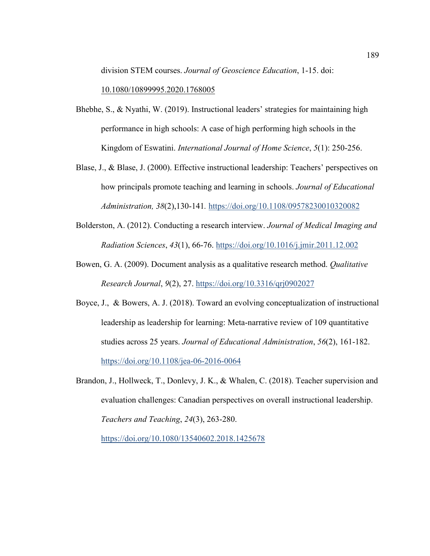division STEM courses. *Journal of Geoscience Education*, 1-15. doi:

10.1080/10899995.2020.1768005

- Bhebhe, S., & Nyathi, W. (2019). Instructional leaders' strategies for maintaining high performance in high schools: A case of high performing high schools in the Kingdom of Eswatini. *International Journal of Home Science*, *5*(1): 250-256.
- Blase, J., & Blase, J. (2000). Effective instructional leadership: Teachers' perspectives on how principals promote teaching and learning in schools. *Journal of Educational Administration, 38*(2),130-141*.* https://doi.org/10.1108/09578230010320082
- Bolderston, A. (2012). Conducting a research interview. *Journal of Medical Imaging and Radiation Sciences*, *43*(1), 66-76. https://doi.org/10.1016/j.jmir.2011.12.002
- Bowen, G. A. (2009). Document analysis as a qualitative research method. *Qualitative Research Journal*, *9*(2), 27. https://doi.org/10.3316/qrj0902027
- Boyce, J., & Bowers, A. J. (2018). Toward an evolving conceptualization of instructional leadership as leadership for learning: Meta-narrative review of 109 quantitative studies across 25 years. *Journal of Educational Administration*, *56*(2), 161-182. https://doi.org/10.1108/jea-06-2016-0064
- Brandon, J., Hollweck, T., Donlevy, J. K., & Whalen, C. (2018). Teacher supervision and evaluation challenges: Canadian perspectives on overall instructional leadership. *Teachers and Teaching*, *24*(3), 263-280.

https://doi.org/10.1080/13540602.2018.1425678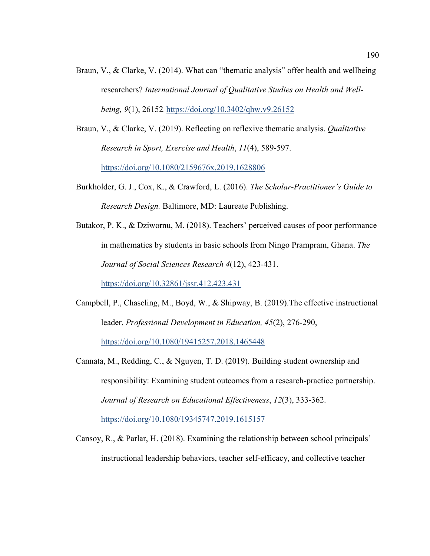Braun, V., & Clarke, V. (2014). What can "thematic analysis" offer health and wellbeing researchers? *International Journal of Qualitative Studies on Health and Wellbeing, 9*(1), 26152. https://doi.org/10.3402/qhw.v9.26152

Braun, V., & Clarke, V. (2019). Reflecting on reflexive thematic analysis. *Qualitative Research in Sport, Exercise and Health*, *11*(4), 589-597. https://doi.org/10.1080/2159676x.2019.1628806

- Burkholder, G. J., Cox, K., & Crawford, L. (2016). *The Scholar-Practitioner's Guide to Research Design.* Baltimore, MD: Laureate Publishing.
- Butakor, P. K., & Dziwornu, M. (2018). Teachers' perceived causes of poor performance in mathematics by students in basic schools from Ningo Prampram, Ghana. *The Journal of Social Sciences Research 4*(12), 423-431.

https://doi.org/10.32861/jssr.412.423.431

- Campbell, P., Chaseling, M., Boyd, W., & Shipway, B. (2019).The effective instructional leader. *Professional Development in Education, 45*(2), 276-290, https://doi.org/10.1080/19415257.2018.1465448
- Cannata, M., Redding, C., & Nguyen, T. D. (2019). Building student ownership and responsibility: Examining student outcomes from a research-practice partnership. *Journal of Research on Educational Effectiveness*, *12*(3), 333-362. https://doi.org/10.1080/19345747.2019.1615157
- Cansoy, R., & Parlar, H. (2018). Examining the relationship between school principals' instructional leadership behaviors, teacher self-efficacy, and collective teacher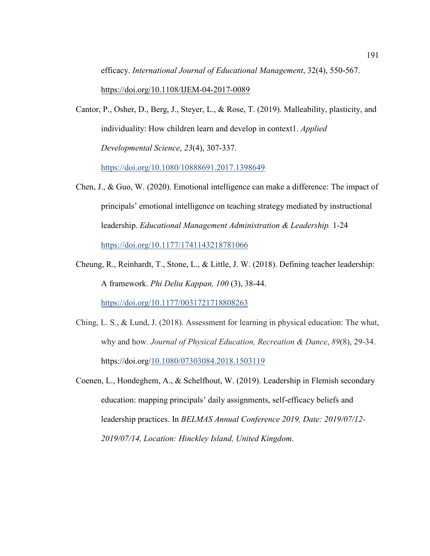efficacy. *International Journal of Educational Management*, 32(4), 550-567. https://doi.org/10.1108/IJEM-04-2017-0089

Cantor, P., Osher, D., Berg, J., Steyer, L., & Rose, T. (2019). Malleability, plasticity, and individuality: How children learn and develop in context1. *Applied Developmental Science*, *23*(4), 307-337.

https://doi.org/10.1080/10888691.2017.1398649

- Chen, J., & Guo, W. (2020). Emotional intelligence can make a difference: The impact of principals' emotional intelligence on teaching strategy mediated by instructional leadership. *Educational Management Administration & Leadership.* 1-24 https://doi.org/10.1177/1741143218781066
- Cheung, R., Reinhardt, T., Stone, L., & Little, J. W. (2018). Defining teacher leadership: A framework. *Phi Delta Kappan, 100* (3), 38-44. https://doi.org/10.1177/0031721718808263
- Ching, L. S., & Lund, J. (2018). Assessment for learning in physical education: The what, why and how. *Journal of Physical Education, Recreation & Dance*, *89*(8), 29-34. https://doi.org/10.1080/07303084.2018.1503119
- Coenen, L., Hondeghem, A., & Schelfhout, W. (2019). Leadership in Flemish secondary education: mapping principals' daily assignments, self-efficacy beliefs and leadership practices. In *BELMAS Annual Conference 2019, Date: 2019/07/12- 2019/07/14, Location: Hinckley Island, United Kingdom*.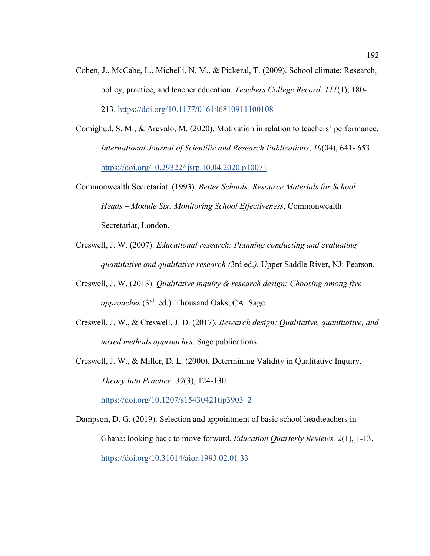- Cohen, J., McCabe, L., Michelli, N. M., & Pickeral, T. (2009). School climate: Research, policy, practice, and teacher education. *Teachers College Record*, *111*(1), 180- 213. https://doi.org/10.1177/016146810911100108
- Comighud, S. M., & Arevalo, M. (2020). Motivation in relation to teachers' performance. *International Journal of Scientific and Research Publications*, *10*(04), 641- 653. https://doi.org/10.29322/ijsrp.10.04.2020.p10071
- Commonwealth Secretariat. (1993). *Better Schools: Resource Materials for School Heads – Module Six: Monitoring School Effectiveness*, Commonwealth Secretariat, London.
- Creswell, J. W. (2007). *Educational research: Planning conducting and evaluating quantitative and qualitative research (*3rd ed.*).* Upper Saddle River, NJ: Pearson.
- Creswell, J. W. (2013). *Qualitative inquiry & research design: Choosing among five approaches* (3rd. ed.). Thousand Oaks, CA: Sage.
- Creswell, J. W., & Creswell, J. D. (2017). *Research design: Qualitative, quantitative, and mixed methods approaches*. Sage publications.
- Creswell, J. W., & Miller, D. L. (2000). Determining Validity in Qualitative Inquiry. *Theory Into Practice, 39*(3), 124-130.

https://doi.org/10.1207/s15430421tip3903\_2

Dampson, D. G. (2019). Selection and appointment of basic school headteachers in Ghana: looking back to move forward. *Education Quarterly Reviews, 2*(1), 1-13. https://doi.org/10.31014/aior.1993.02.01.33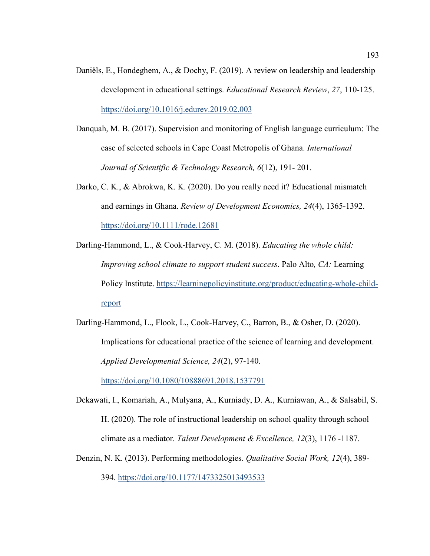- Daniëls, E., Hondeghem, A., & Dochy, F. (2019). A review on leadership and leadership development in educational settings. *Educational Research Review*, *27*, 110-125. https://doi.org/10.1016/j.edurev.2019.02.003
- Danquah, M. B. (2017). Supervision and monitoring of English language curriculum: The case of selected schools in Cape Coast Metropolis of Ghana. *International Journal of Scientific & Technology Research, 6*(12), 191- 201.
- Darko, C. K., & Abrokwa, K. K. (2020). Do you really need it? Educational mismatch and earnings in Ghana. *Review of Development Economics, 24*(4), 1365-1392. https://doi.org/10.1111/rode.12681
- Darling-Hammond, L., & Cook-Harvey, C. M. (2018). *Educating the whole child: Improving school climate to support student success*. Palo Alto*, CA:* Learning Policy Institute. https://learningpolicyinstitute.org/product/educating-whole-childreport
- Darling-Hammond, L., Flook, L., Cook-Harvey, C., Barron, B., & Osher, D. (2020). Implications for educational practice of the science of learning and development. *Applied Developmental Science, 24*(2), 97-140.

https://doi.org/10.1080/10888691.2018.1537791

- Dekawati, I., Komariah, A., Mulyana, A., Kurniady, D. A., Kurniawan, A., & Salsabil, S. H. (2020). The role of instructional leadership on school quality through school climate as a mediator. *Talent Development & Excellence, 12*(3), 1176 -1187.
- Denzin, N. K. (2013). Performing methodologies. *Qualitative Social Work, 12*(4), 389- 394. https://doi.org/10.1177/1473325013493533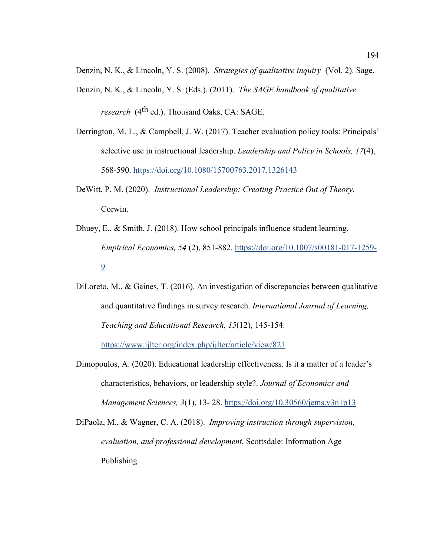Denzin, N. K., & Lincoln, Y. S. (2008). *Strategies of qualitative inquiry* (Vol. 2). Sage.

- Denzin, N. K., & Lincoln, Y. S. (Eds.). (2011). *The SAGE handbook of qualitative research* (4th ed.). Thousand Oaks, CA: SAGE.
- Derrington, M. L., & Campbell, J. W. (2017). Teacher evaluation policy tools: Principals' selective use in instructional leadership. *Leadership and Policy in Schools, 17*(4), 568-590. https://doi.org/10.1080/15700763.2017.1326143
- DeWitt, P. M. (2020). *Instructional Leadership: Creating Practice Out of Theory*. Corwin.
- Dhuey, E., & Smith, J. (2018). How school principals influence student learning. *Empirical Economics, 54* (2), 851-882. https://doi.org/10.1007/s00181-017-1259- 9
- DiLoreto, M., & Gaines, T. (2016). An investigation of discrepancies between qualitative and quantitative findings in survey research. *International Journal of Learning, Teaching and Educational Research, 15*(12), 145-154.

https://www.ijlter.org/index.php/ijlter/article/view/821

Dimopoulos, A. (2020). Educational leadership effectiveness. Is it a matter of a leader's characteristics, behaviors, or leadership style?. *Journal of Economics and Management Sciences, 3*(1), 13- 28. https://doi.org/10.30560/jems.v3n1p13

DiPaola, M., & Wagner, C. A. (2018). *Improving instruction through supervision, evaluation, and professional development.* Scottsdale: Information Age Publishing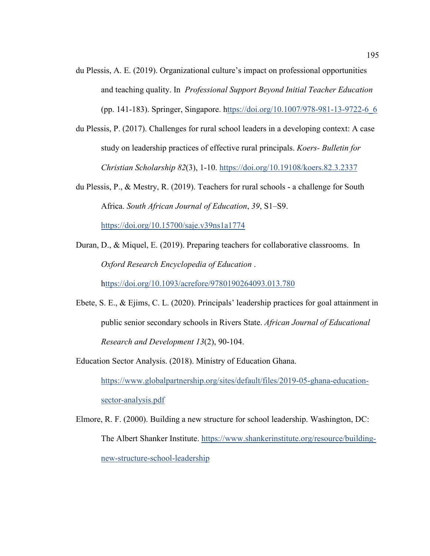- du Plessis, A. E. (2019). Organizational culture's impact on professional opportunities and teaching quality. In *Professional Support Beyond Initial Teacher Education* (pp. 141-183). Springer, Singapore. https://doi.org/10.1007/978-981-13-9722-6\_6
- du Plessis, P. (2017). Challenges for rural school leaders in a developing context: A case study on leadership practices of effective rural principals. *Koers- Bulletin for Christian Scholarship 82*(3), 1-10. https://doi.org/10.19108/koers.82.3.2337
- du Plessis, P., & Mestry, R. (2019). Teachers for rural schools a challenge for South Africa. *South African Journal of Education*, *39*, S1–S9. https://doi.org/10.15700/saje.v39ns1a1774
- Duran, D., & Miquel, E. (2019). Preparing teachers for collaborative classrooms. In *Oxford Research Encyclopedia of Education* .

https://doi.org/10.1093/acrefore/9780190264093.013.780

- Ebete, S. E., & Ejims, C. L. (2020). Principals' leadership practices for goal attainment in public senior secondary schools in Rivers State. *African Journal of Educational Research and Development 13*(2), 90-104.
- Education Sector Analysis. (2018). Ministry of Education Ghana.

https://www.globalpartnership.org/sites/default/files/2019-05-ghana-educationsector-analysis.pdf

Elmore, R. F. (2000). Building a new structure for school leadership. Washington, DC: The Albert Shanker Institute. https://www.shankerinstitute.org/resource/buildingnew-structure-school-leadership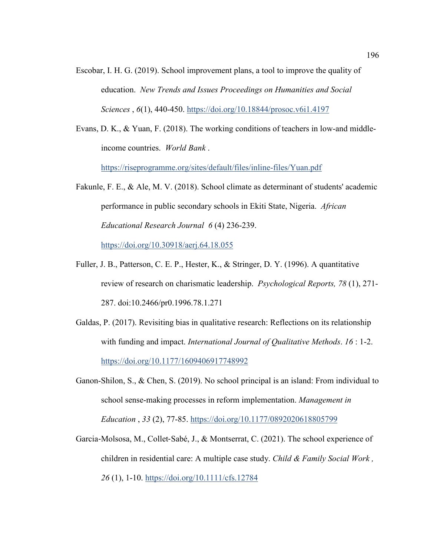- Escobar, I. H. G. (2019). School improvement plans, a tool to improve the quality of education. *New Trends and Issues Proceedings on Humanities and Social Sciences* , *6*(1), 440-450. https://doi.org/10.18844/prosoc.v6i1.4197
- Evans, D. K., & Yuan, F. (2018). The working conditions of teachers in low-and middleincome countries. *World Bank* .

https://riseprogramme.org/sites/default/files/inline-files/Yuan.pdf

- Fakunle, F. E., & Ale, M. V. (2018). School climate as determinant of students' academic performance in public secondary schools in Ekiti State, Nigeria. *African Educational Research Journal 6* (4) 236-239. https://doi.org/10.30918/aerj.64.18.055
- Fuller, J. B., Patterson, C. E. P., Hester, K., & Stringer, D. Y. (1996). A quantitative review of research on charismatic leadership. *Psychological Reports, 78* (1), 271- 287. doi:10.2466/pr0.1996.78.1.271
- Galdas, P. (2017). Revisiting bias in qualitative research: Reflections on its relationship with funding and impact. *International Journal of Qualitative Methods*. *16* : 1-2. https://doi.org/10.1177/1609406917748992
- Ganon-Shilon, S., & Chen, S. (2019). No school principal is an island: From individual to school sense-making processes in reform implementation. *Management in Education* , *33* (2), 77-85. https://doi.org/10.1177/0892020618805799
- Garcia-Molsosa, M., Collet-Sabé, J., & Montserrat, C. (2021). The school experience of children in residential care: A multiple case study. *Child & Family Social Work , 26* (1), 1-10. https://doi.org/10.1111/cfs.12784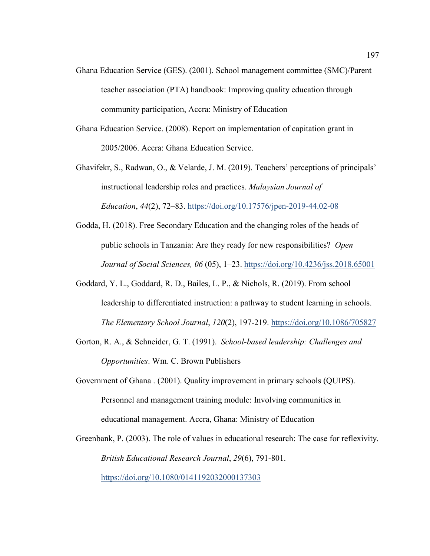- Ghana Education Service (GES). (2001). School management committee (SMC)/Parent teacher association (PTA) handbook: Improving quality education through community participation, Accra: Ministry of Education
- Ghana Education Service. (2008). Report on implementation of capitation grant in 2005/2006. Accra: Ghana Education Service.
- Ghavifekr, S., Radwan, O., & Velarde, J. M. (2019). Teachers' perceptions of principals' instructional leadership roles and practices. *Malaysian Journal of Education*, *44*(2), 72–83. https://doi.org/10.17576/jpen-2019-44.02-08
- Godda, H. (2018). Free Secondary Education and the changing roles of the heads of public schools in Tanzania: Are they ready for new responsibilities? *Open Journal of Social Sciences, 06* (05), 1–23. https://doi.org/10.4236/jss.2018.65001
- Goddard, Y. L., Goddard, R. D., Bailes, L. P., & Nichols, R. (2019). From school leadership to differentiated instruction: a pathway to student learning in schools. *The Elementary School Journal*, *120*(2), 197-219. https://doi.org/10.1086/705827
- Gorton, R. A., & Schneider, G. T. (1991). *School-based leadership: Challenges and Opportunities*. Wm. C. Brown Publishers
- Government of Ghana . (2001). Quality improvement in primary schools (QUIPS). Personnel and management training module: Involving communities in educational management. Accra, Ghana: Ministry of Education
- Greenbank, P. (2003). The role of values in educational research: The case for reflexivity. *British Educational Research Journal*, *29*(6), 791-801. https://doi.org/10.1080/0141192032000137303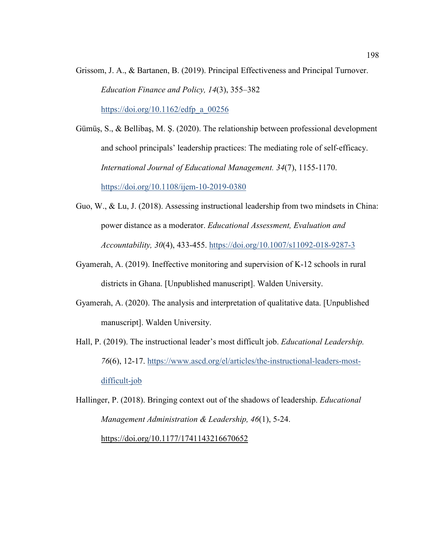Grissom, J. A., & Bartanen, B. (2019). Principal Effectiveness and Principal Turnover. *Education Finance and Policy, 14*(3), 355–382

https://doi.org/10.1162/edfp\_a\_00256

Gümüş, S., & Bellibaş, M. Ş. (2020). The relationship between professional development and school principals' leadership practices: The mediating role of self-efficacy. *International Journal of Educational Management. 34*(7), 1155-1170. https://doi.org/10.1108/ijem-10-2019-0380

- Guo, W., & Lu, J. (2018). Assessing instructional leadership from two mindsets in China: power distance as a moderator. *Educational Assessment, Evaluation and Accountability, 30*(4), 433-455. https://doi.org/10.1007/s11092-018-9287-3
- Gyamerah, A. (2019). Ineffective monitoring and supervision of K-12 schools in rural districts in Ghana. [Unpublished manuscript]. Walden University.
- Gyamerah, A. (2020). The analysis and interpretation of qualitative data. [Unpublished manuscript]. Walden University.
- Hall, P. (2019). The instructional leader's most difficult job. *Educational Leadership. 76*(6), 12-17. https://www.ascd.org/el/articles/the-instructional-leaders-mostdifficult-job
- Hallinger, P. (2018). Bringing context out of the shadows of leadership. *Educational Management Administration & Leadership, 46*(1), 5-24. https://doi.org/10.1177/1741143216670652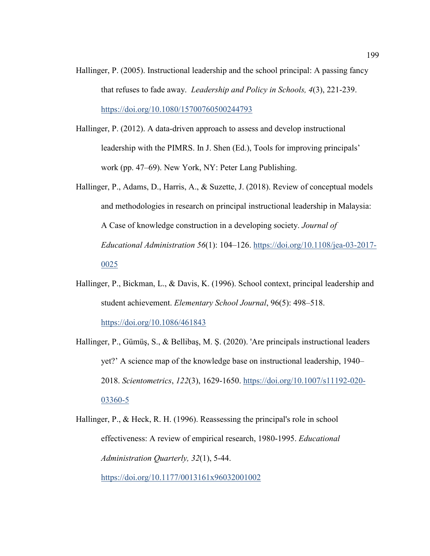- Hallinger, P. (2005). Instructional leadership and the school principal: A passing fancy that refuses to fade away. *Leadership and Policy in Schools, 4*(3), 221-239. https://doi.org/10.1080/15700760500244793
- Hallinger, P. (2012). A data-driven approach to assess and develop instructional leadership with the PIMRS. In J. Shen (Ed.), Tools for improving principals' work (pp. 47–69). New York, NY: Peter Lang Publishing.
- Hallinger, P., Adams, D., Harris, A., & Suzette, J. (2018). Review of conceptual models and methodologies in research on principal instructional leadership in Malaysia: A Case of knowledge construction in a developing society. *Journal of Educational Administration 56*(1): 104–126. https://doi.org/10.1108/jea-03-2017- 0025
- Hallinger, P., Bickman, L., & Davis, K. (1996). School context, principal leadership and student achievement. *Elementary School Journal*, 96(5): 498–518. https://doi.org/10.1086/461843
- Hallinger, P., Gümüş, S., & Bellibaş, M. Ş. (2020). 'Are principals instructional leaders yet?' A science map of the knowledge base on instructional leadership, 1940– 2018. *Scientometrics*, *122*(3), 1629-1650. https://doi.org/10.1007/s11192-020- 03360-5

Hallinger, P., & Heck, R. H. (1996). Reassessing the principal's role in school effectiveness: A review of empirical research, 1980-1995. *Educational Administration Quarterly, 32*(1), 5-44.

https://doi.org/10.1177/0013161x96032001002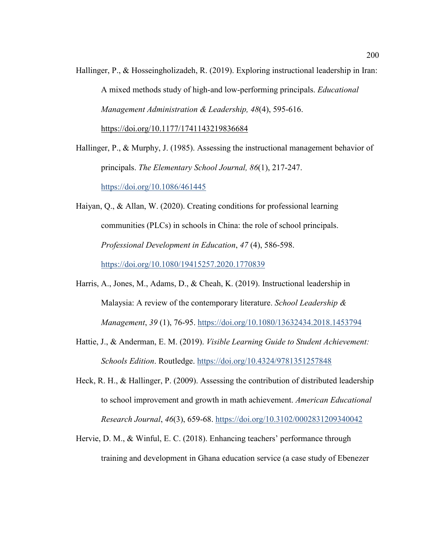Hallinger, P., & Hosseingholizadeh, R. (2019). Exploring instructional leadership in Iran: A mixed methods study of high-and low-performing principals. *Educational Management Administration & Leadership, 48*(4), 595-616. https://doi.org/10.1177/1741143219836684

Hallinger, P., & Murphy, J. (1985). Assessing the instructional management behavior of principals. *The Elementary School Journal, 86*(1), 217-247. https://doi.org/10.1086/461445

- Haiyan, Q., & Allan, W. (2020). Creating conditions for professional learning communities (PLCs) in schools in China: the role of school principals. *Professional Development in Education*, *47* (4), 586-598. https://doi.org/10.1080/19415257.2020.1770839
- Harris, A., Jones, M., Adams, D., & Cheah, K. (2019). Instructional leadership in Malaysia: A review of the contemporary literature. *School Leadership & Management*, *39* (1), 76-95. https://doi.org/10.1080/13632434.2018.1453794
- Hattie, J., & Anderman, E. M. (2019). *Visible Learning Guide to Student Achievement: Schools Edition*. Routledge. https://doi.org/10.4324/9781351257848
- Heck, R. H., & Hallinger, P. (2009). Assessing the contribution of distributed leadership to school improvement and growth in math achievement. *American Educational Research Journal*, *46*(3), 659-68. https://doi.org/10.3102/0002831209340042
- Hervie, D. M., & Winful, E. C. (2018). Enhancing teachers' performance through training and development in Ghana education service (a case study of Ebenezer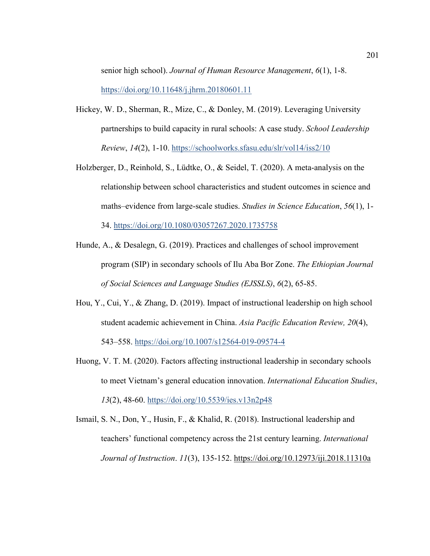senior high school). *Journal of Human Resource Management*, *6*(1), 1-8. https://doi.org/10.11648/j.jhrm.20180601.11

- Hickey, W. D., Sherman, R., Mize, C., & Donley, M. (2019). Leveraging University partnerships to build capacity in rural schools: A case study. *School Leadership Review*, *14*(2), 1-10. https://schoolworks.sfasu.edu/slr/vol14/iss2/10
- Holzberger, D., Reinhold, S., Lüdtke, O., & Seidel, T. (2020). A meta-analysis on the relationship between school characteristics and student outcomes in science and maths–evidence from large-scale studies. *Studies in Science Education*, *56*(1), 1- 34. https://doi.org/10.1080/03057267.2020.1735758
- Hunde, A., & Desalegn, G. (2019). Practices and challenges of school improvement program (SIP) in secondary schools of Ilu Aba Bor Zone. *The Ethiopian Journal of Social Sciences and Language Studies (EJSSLS)*, *6*(2), 65-85.
- Hou, Y., Cui, Y., & Zhang, D. (2019). Impact of instructional leadership on high school student academic achievement in China. *Asia Pacific Education Review, 20*(4), 543–558. https://doi.org/10.1007/s12564-019-09574-4
- Huong, V. T. M. (2020). Factors affecting instructional leadership in secondary schools to meet Vietnam's general education innovation. *International Education Studies*, *13*(2), 48-60. https://doi.org/10.5539/ies.v13n2p48
- Ismail, S. N., Don, Y., Husin, F., & Khalid, R. (2018). Instructional leadership and teachers' functional competency across the 21st century learning. *International Journal of Instruction*. *11*(3), 135-152. https://doi.org/10.12973/iji.2018.11310a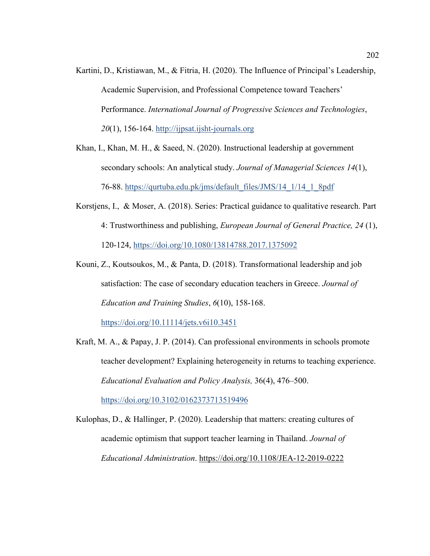- Kartini, D., Kristiawan, M., & Fitria, H. (2020). The Influence of Principal's Leadership, Academic Supervision, and Professional Competence toward Teachers' Performance. *International Journal of Progressive Sciences and Technologies*, *20*(1), 156-164. http://ijpsat.ijsht-journals.org
- Khan, I., Khan, M. H., & Saeed, N. (2020). Instructional leadership at government secondary schools: An analytical study. *Journal of Managerial Sciences 14*(1), 76-88. https://qurtuba.edu.pk/jms/default\_files/JMS/14\_1/14\_1\_8pdf
- Korstjens, I., & Moser, A. (2018). Series: Practical guidance to qualitative research. Part 4: Trustworthiness and publishing, *European Journal of General Practice, 24* (1), 120-124, https://doi.org/10.1080/13814788.2017.1375092
- Kouni, Z., Koutsoukos, M., & Panta, D. (2018). Transformational leadership and job satisfaction: The case of secondary education teachers in Greece. *Journal of Education and Training Studies*, *6*(10), 158-168.

https://doi.org/10.11114/jets.v6i10.3451

- Kraft, M. A., & Papay, J. P. (2014). Can professional environments in schools promote teacher development? Explaining heterogeneity in returns to teaching experience. *Educational Evaluation and Policy Analysis,* 36(4), 476–500. https://doi.org/10.3102/0162373713519496
- Kulophas, D., & Hallinger, P. (2020). Leadership that matters: creating cultures of academic optimism that support teacher learning in Thailand. *Journal of Educational Administration*. https://doi.org/10.1108/JEA-12-2019-0222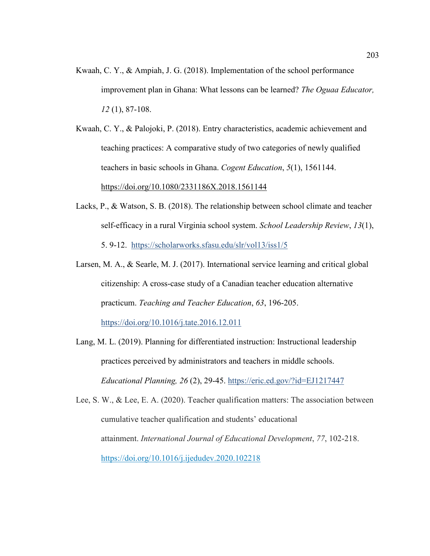Kwaah, C. Y., & Ampiah, J. G. (2018). Implementation of the school performance improvement plan in Ghana: What lessons can be learned? *The Oguaa Educator, 12* (1), 87-108.

Kwaah, C. Y., & Palojoki, P. (2018). Entry characteristics, academic achievement and teaching practices: A comparative study of two categories of newly qualified teachers in basic schools in Ghana. *Cogent Education*, *5*(1), 1561144. https://doi.org/10.1080/2331186X.2018.1561144

- Lacks, P., & Watson, S. B. (2018). The relationship between school climate and teacher self-efficacy in a rural Virginia school system. *School Leadership Review*, *13*(1), 5. 9-12. https://scholarworks.sfasu.edu/slr/vol13/iss1/5
- Larsen, M. A., & Searle, M. J. (2017). International service learning and critical global citizenship: A cross-case study of a Canadian teacher education alternative practicum. *Teaching and Teacher Education*, *63*, 196-205.

https://doi.org/10.1016/j.tate.2016.12.011

- Lang, M. L. (2019). Planning for differentiated instruction: Instructional leadership practices perceived by administrators and teachers in middle schools. *Educational Planning, 26* (2), 29-45. https://eric.ed.gov/?id=EJ1217447
- Lee, S. W., & Lee, E. A. (2020). Teacher qualification matters: The association between cumulative teacher qualification and students' educational attainment. *International Journal of Educational Development*, *77*, 102-218. https://doi.org/10.1016/j.ijedudev.2020.102218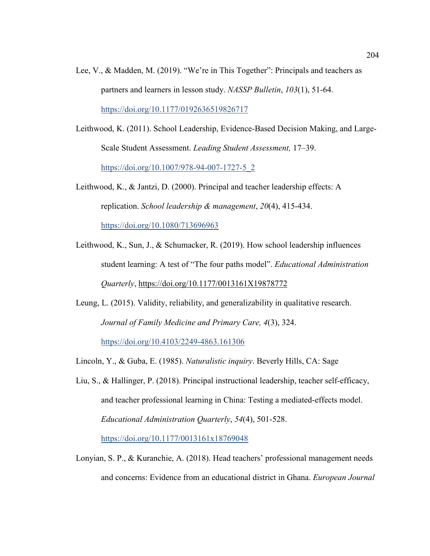- Lee, V., & Madden, M. (2019). "We're in This Together": Principals and teachers as partners and learners in lesson study. *NASSP Bulletin*, *103*(1), 51-64. https://doi.org/10.1177/0192636519826717
- Leithwood, K. (2011). School Leadership, Evidence-Based Decision Making, and Large-Scale Student Assessment. *Leading Student Assessment,* 17–39. https://doi.org/10.1007/978-94-007-1727-5\_2
- Leithwood, K., & Jantzi, D. (2000). Principal and teacher leadership effects: A replication. *School leadership & management*, *20*(4), 415-434. https://doi.org/10.1080/713696963
- Leithwood, K., Sun, J., & Schumacker, R. (2019). How school leadership influences student learning: A test of "The four paths model". *Educational Administration Quarterly*, https://doi.org/10.1177/0013161X19878772
- Leung, L. (2015). Validity, reliability, and generalizability in qualitative research. *Journal of Family Medicine and Primary Care, 4*(3), 324. https://doi.org/10.4103/2249-4863.161306
- Lincoln, Y., & Guba, E. (1985). *Naturalistic inquiry*. Beverly Hills, CA: Sage
- Liu, S., & Hallinger, P. (2018). Principal instructional leadership, teacher self-efficacy, and teacher professional learning in China: Testing a mediated-effects model. *Educational Administration Quarterly*, *54*(4), 501-528. https://doi.org/10.1177/0013161x18769048
- Lonyian, S. P., & Kuranchie, A. (2018). Head teachers' professional management needs and concerns: Evidence from an educational district in Ghana. *European Journal*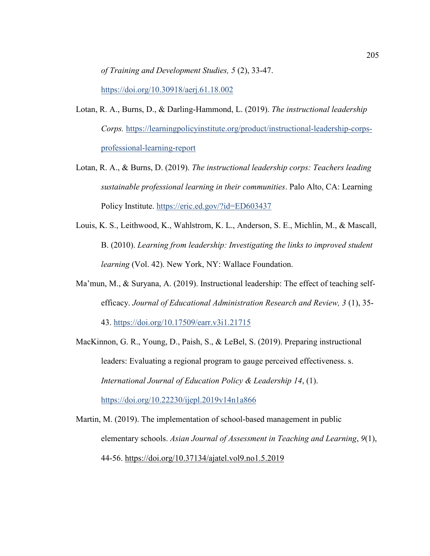*of Training and Development Studies, 5* (2), 33-47.

https://doi.org/10.30918/aerj.61.18.002

- Lotan, R. A., Burns, D., & Darling-Hammond, L. (2019). *The instructional leadership Corps.* https://learningpolicyinstitute.org/product/instructional-leadership-corpsprofessional-learning-report
- Lotan, R. A., & Burns, D. (2019). *The instructional leadership corps: Teachers leading sustainable professional learning in their communities*. Palo Alto, CA: Learning Policy Institute. https://eric.ed.gov/?id=ED603437
- Louis, K. S., Leithwood, K., Wahlstrom, K. L., Anderson, S. E., Michlin, M., & Mascall, B. (2010). *Learning from leadership: Investigating the links to improved student learning* (Vol. 42). New York, NY: Wallace Foundation.
- Ma'mun, M., & Suryana, A. (2019). Instructional leadership: The effect of teaching selfefficacy. *Journal of Educational Administration Research and Review, 3* (1), 35- 43. https://doi.org/10.17509/earr.v3i1.21715
- MacKinnon, G. R., Young, D., Paish, S., & LeBel, S. (2019). Preparing instructional leaders: Evaluating a regional program to gauge perceived effectiveness. s. *International Journal of Education Policy & Leadership 14*, (1). https://doi.org/10.22230/ijepl.2019v14n1a866
- Martin, M. (2019). The implementation of school-based management in public elementary schools. *Asian Journal of Assessment in Teaching and Learning*, *9*(1), 44-56. https://doi.org/10.37134/ajatel.vol9.no1.5.2019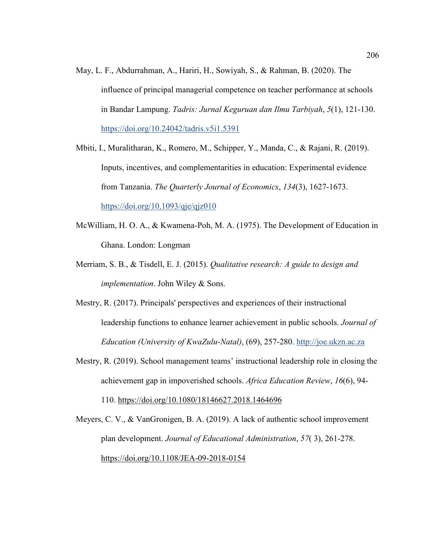- May, L. F., Abdurrahman, A., Hariri, H., Sowiyah, S., & Rahman, B. (2020). The influence of principal managerial competence on teacher performance at schools in Bandar Lampung. *Tadris: Jurnal Keguruan dan Ilmu Tarbiyah*, *5*(1), 121-130. https://doi.org/10.24042/tadris.v5i1.5391
- Mbiti, I., Muralitharan, K., Romero, M., Schipper, Y., Manda, C., & Rajani, R. (2019). Inputs, incentives, and complementarities in education: Experimental evidence from Tanzania. *The Quarterly Journal of Economics*, *134*(3), 1627-1673. https://doi.org/10.1093/qje/qjz010
- McWilliam, H. O. A., & Kwamena-Poh, M. A. (1975). The Development of Education in Ghana. London: Longman
- Merriam, S. B., & Tisdell, E. J. (2015). *Qualitative research: A guide to design and implementation*. John Wiley & Sons.
- Mestry, R. (2017). Principals' perspectives and experiences of their instructional leadership functions to enhance learner achievement in public schools. *Journal of Education (University of KwaZulu-Natal)*, (69), 257-280. http://joe.ukzn.ac.za
- Mestry, R. (2019). School management teams' instructional leadership role in closing the achievement gap in impoverished schools. *Africa Education Review*, *16*(6), 94- 110. https://doi.org/10.1080/18146627.2018.1464696
- Meyers, C. V., & VanGronigen, B. A. (2019). A lack of authentic school improvement plan development. *Journal of Educational Administration*, *57*( 3), 261-278. https://doi.org/10.1108/JEA-09-2018-0154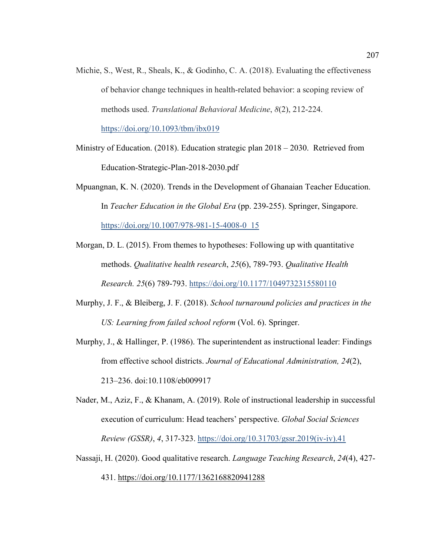Michie, S., West, R., Sheals, K., & Godinho, C. A. (2018). Evaluating the effectiveness of behavior change techniques in health-related behavior: a scoping review of methods used. *Translational Behavioral Medicine*, *8*(2), 212-224.

https://doi.org/10.1093/tbm/ibx019

- Ministry of Education. (2018). Education strategic plan 2018 2030. Retrieved from Education-Strategic-Plan-2018-2030.pdf
- Mpuangnan, K. N. (2020). Trends in the Development of Ghanaian Teacher Education. In *Teacher Education in the Global Era* (pp. 239-255). Springer, Singapore. https://doi.org/10.1007/978-981-15-4008-0\_15
- Morgan, D. L. (2015). From themes to hypotheses: Following up with quantitative methods. *Qualitative health research*, *25*(6), 789-793. *Qualitative Health Research. 25*(6) 789-793. https://doi.org/10.1177/1049732315580110
- Murphy, J. F., & Bleiberg, J. F. (2018). *School turnaround policies and practices in the US: Learning from failed school reform* (Vol. 6). Springer.
- Murphy, J., & Hallinger, P. (1986). The superintendent as instructional leader: Findings from effective school districts. *J*o*urnal of Educational Administration, 24*(2), 213–236. doi:10.1108/eb009917
- Nader, M., Aziz, F., & Khanam, A. (2019). Role of instructional leadership in successful execution of curriculum: Head teachers' perspective. *Global Social Sciences Review (GSSR)*, *4*, 317-323. https://doi.org/10.31703/gssr.2019(iv-iv).41
- Nassaji, H. (2020). Good qualitative research. *Language Teaching Research*, *24*(4), 427-

431. https://doi.org/10.1177/1362168820941288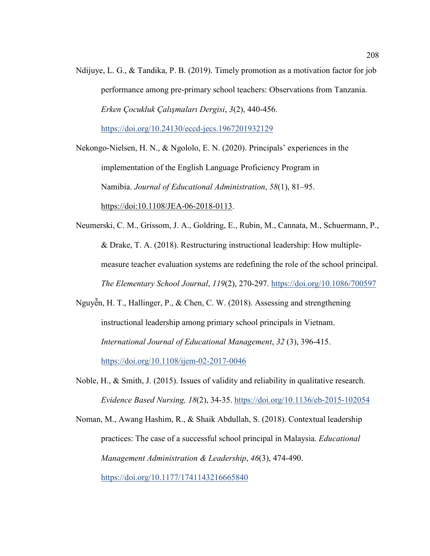Ndijuye, L. G., & Tandika, P. B. (2019). Timely promotion as a motivation factor for job performance among pre-primary school teachers: Observations from Tanzania. *Erken Çocukluk Çalışmaları Dergisi*, *3*(2), 440-456. https://doi.org/10.24130/eccd-jecs.1967201932129

Nekongo-Nielsen, H. N., & Ngololo, E. N. (2020). Principals' experiences in the implementation of the English Language Proficiency Program in Namibia. *Journal of Educational Administration*, *58*(1), 81–95. https://doi:10.1108/JEA-06-2018-0113.

Neumerski, C. M., Grissom, J. A., Goldring, E., Rubin, M., Cannata, M., Schuermann, P., & Drake, T. A. (2018). Restructuring instructional leadership: How multiplemeasure teacher evaluation systems are redefining the role of the school principal. *The Elementary School Journal*, *119*(2), 270-297. https://doi.org/10.1086/700597

Nguyễn, H. T., Hallinger, P., & Chen, C. W. (2018). Assessing and strengthening instructional leadership among primary school principals in Vietnam. *International Journal of Educational Management*, *32* (3), 396-415. https://doi.org/10.1108/ijem-02-2017-0046

Noble, H., & Smith, J. (2015). Issues of validity and reliability in qualitative research. *Evidence Based Nursing, 18*(2), 34-35. https://doi.org/10.1136/eb-2015-102054

Noman, M., Awang Hashim, R., & Shaik Abdullah, S. (2018). Contextual leadership practices: The case of a successful school principal in Malaysia. *Educational Management Administration & Leadership*, *46*(3), 474-490.

https://doi.org/10.1177/1741143216665840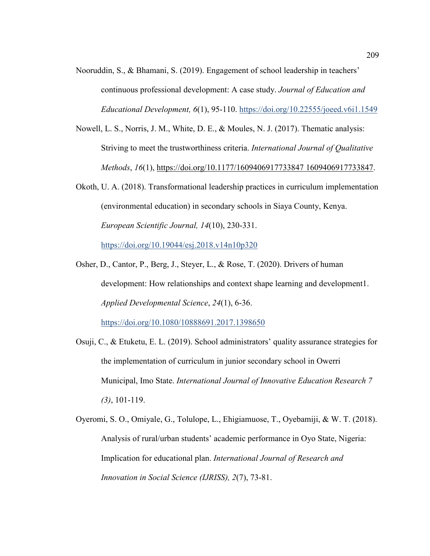- Nooruddin, S., & Bhamani, S. (2019). Engagement of school leadership in teachers' continuous professional development: A case study. *Journal of Education and Educational Development, 6*(1), 95-110. https://doi.org/10.22555/joeed.v6i1.1549
- Nowell, L. S., Norris, J. M., White, D. E., & Moules, N. J. (2017). Thematic analysis: Striving to meet the trustworthiness criteria. *International Journal of Qualitative Methods*, *16*(1), https://doi.org/10.1177/1609406917733847 1609406917733847.
- Okoth, U. A. (2018). Transformational leadership practices in curriculum implementation (environmental education) in secondary schools in Siaya County, Kenya. *European Scientific Journal, 14*(10), 230-331. https://doi.org/10.19044/esj.2018.v14n10p320
- Osher, D., Cantor, P., Berg, J., Steyer, L., & Rose, T. (2020). Drivers of human development: How relationships and context shape learning and development1. *Applied Developmental Science*, *24*(1), 6-36.

https://doi.org/10.1080/10888691.2017.1398650

- Osuji, C., & Etuketu, E. L. (2019). School administrators' quality assurance strategies for the implementation of curriculum in junior secondary school in Owerri Municipal, Imo State. *International Journal of Innovative Education Research 7 (3)*, 101-119.
- Oyeromi, S. O., Omiyale, G., Tolulope, L., Ehigiamuose, T., Oyebamiji, & W. T. (2018). Analysis of rural/urban students' academic performance in Oyo State, Nigeria: Implication for educational plan. *International Journal of Research and Innovation in Social Science (IJRISS), 2*(7), 73-81.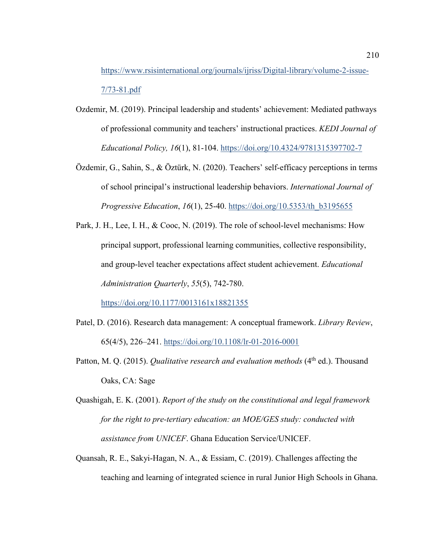https://www.rsisinternational.org/journals/ijriss/Digital-library/volume-2-issue-7/73-81.pdf

- Ozdemir, M. (2019). Principal leadership and students' achievement: Mediated pathways of professional community and teachers' instructional practices. *KEDI Journal of Educational Policy, 16*(1), 81-104. https://doi.org/10.4324/9781315397702-7
- Özdemir, G., Sahin, S., & Öztürk, N. (2020). Teachers' self-efficacy perceptions in terms of school principal's instructional leadership behaviors. *International Journal of Progressive Education*, *16*(1), 25-40. https://doi.org/10.5353/th\_b3195655
- Park, J. H., Lee, I. H., & Cooc, N. (2019). The role of school-level mechanisms: How principal support, professional learning communities, collective responsibility, and group-level teacher expectations affect student achievement. *Educational Administration Quarterly*, *55*(5), 742-780.

https://doi.org/10.1177/0013161x18821355

- Patel, D. (2016). Research data management: A conceptual framework. *Library Review*, 65(4/5), 226–241. https://doi.org/10.1108/lr-01-2016-0001
- Patton, M. Q. (2015). *Qualitative research and evaluation methods* (4<sup>th</sup> ed.). Thousand Oaks, CA: Sage
- Quashigah, E. K. (2001). *Report of the study on the constitutional and legal framework for the right to pre-tertiary education: an MOE/GES study: conducted with assistance from UNICEF*. Ghana Education Service/UNICEF.
- Quansah, R. E., Sakyi-Hagan, N. A., & Essiam, C. (2019). Challenges affecting the teaching and learning of integrated science in rural Junior High Schools in Ghana.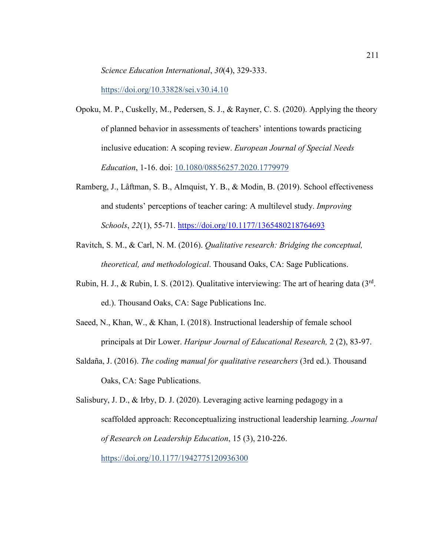*Science Education International*, *30*(4), 329-333.

https://doi.org/10.33828/sei.v30.i4.10

- Opoku, M. P., Cuskelly, M., Pedersen, S. J., & Rayner, C. S. (2020). Applying the theory of planned behavior in assessments of teachers' intentions towards practicing inclusive education: A scoping review. *European Journal of Special Needs Education*, 1-16. doi: 10.1080/08856257.2020.1779979
- Ramberg, J., Låftman, S. B., Almquist, Y. B., & Modin, B. (2019). School effectiveness and students' perceptions of teacher caring: A multilevel study. *Improving Schools*, *22*(1), 55-71. https://doi.org/10.1177/1365480218764693
- Ravitch, S. M., & Carl, N. M. (2016). *Qualitative research: Bridging the conceptual, theoretical, and methodological*. Thousand Oaks, CA: Sage Publications.
- Rubin, H. J., & Rubin, I. S. (2012). Qualitative interviewing: The art of hearing data  $(3<sup>rd</sup>$ . ed.). Thousand Oaks, CA: Sage Publications Inc.
- Saeed, N., Khan, W., & Khan, I. (2018). Instructional leadership of female school principals at Dir Lower. *Haripur Journal of Educational Research,* 2 (2), 83-97.
- Saldaña, J. (2016). *The coding manual for qualitative researchers* (3rd ed.). Thousand Oaks, CA: Sage Publications.

Salisbury, J. D., & Irby, D. J. (2020). Leveraging active learning pedagogy in a scaffolded approach: Reconceptualizing instructional leadership learning. *Journal of Research on Leadership Education*, 15 (3), 210-226. https://doi.org/10.1177/1942775120936300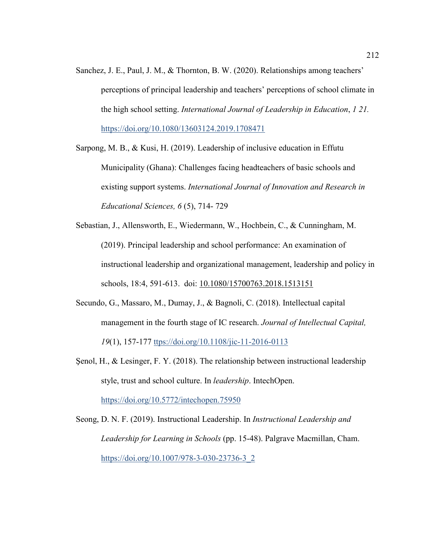Sanchez, J. E., Paul, J. M., & Thornton, B. W. (2020). Relationships among teachers' perceptions of principal leadership and teachers' perceptions of school climate in the high school setting. *International Journal of Leadership in Education*, *1 21.* https://doi.org/10.1080/13603124.2019.1708471

Sarpong, M. B., & Kusi, H. (2019). Leadership of inclusive education in Effutu Municipality (Ghana): Challenges facing headteachers of basic schools and existing support systems. *International Journal of Innovation and Research in Educational Sciences, 6* (5), 714- 729

- Sebastian, J., Allensworth, E., Wiedermann, W., Hochbein, C., & Cunningham, M. (2019). Principal leadership and school performance: An examination of instructional leadership and organizational management, leadership and policy in schools, 18:4, 591-613. doi: 10.1080/15700763.2018.1513151
- Secundo, G., Massaro, M., Dumay, J., & Bagnoli, C. (2018). Intellectual capital management in the fourth stage of IC research. *Journal of Intellectual Capital, 19*(1), 157-177 ttps://doi.org/10.1108/jic-11-2016-0113
- Şenol, H., & Lesinger, F. Y. (2018). The relationship between instructional leadership style, trust and school culture. In *leadership*. IntechOpen. https://doi.org/10.5772/intechopen.75950

Seong, D. N. F. (2019). Instructional Leadership. In *Instructional Leadership and Leadership for Learning in Schools* (pp. 15-48). Palgrave Macmillan, Cham. https://doi.org/10.1007/978-3-030-23736-3\_2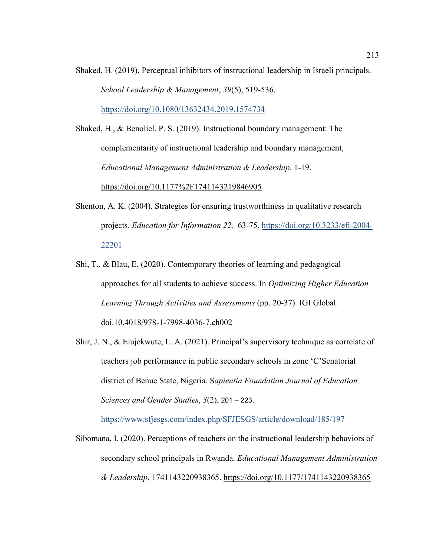Shaked, H. (2019). Perceptual inhibitors of instructional leadership in Israeli principals. *School Leadership & Management*, *39*(5), 519-536.

https://doi.org/10.1080/13632434.2019.1574734

Shaked, H., & Benoliel, P. S. (2019). Instructional boundary management: The complementarity of instructional leadership and boundary management, *Educational Management Administration & Leadership.* 1-19. https://doi.org/10.1177%2F1741143219846905

- Shenton, A. K. (2004). Strategies for ensuring trustworthiness in qualitative research projects. *Education for Information 22,* 63-75. https://doi.org/10.3233/efi-2004- 22201
- Shi, T., & Blau, E. (2020). Contemporary theories of learning and pedagogical approaches for all students to achieve success. In *Optimizing Higher Education Learning Through Activities and Assessments* (pp. 20-37). IGI Global. doi.10.4018/978-1-7998-4036-7.ch002
- Shir, J. N., & Elujekwute, L. A. (2021). Principal's supervisory technique as correlate of teachers job performance in public secondary schools in zone 'C'Senatorial district of Benue State, Nigeria. S*apientia Foundation Journal of Education, Sciences and Gender Studies*, *3*(2), 201 – 223.

https://www.sfjesgs.com/index.php/SFJESGS/article/download/185/197

Sibomana, I. (2020). Perceptions of teachers on the instructional leadership behaviors of secondary school principals in Rwanda. *Educational Management Administration & Leadership*, 1741143220938365. https://doi.org/10.1177/1741143220938365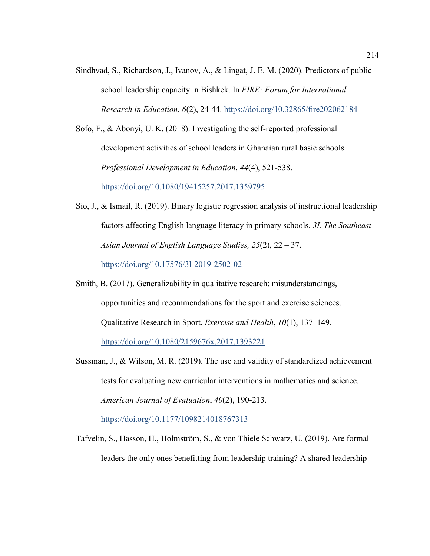Sindhvad, S., Richardson, J., Ivanov, A., & Lingat, J. E. M. (2020). Predictors of public school leadership capacity in Bishkek. In *FIRE: Forum for International Research in Education*, *6*(2), 24-44. https://doi.org/10.32865/fire202062184

Sofo, F., & Abonyi, U. K. (2018). Investigating the self-reported professional development activities of school leaders in Ghanaian rural basic schools. *Professional Development in Education*, *44*(4), 521-538. https://doi.org/10.1080/19415257.2017.1359795

Sio, J., & Ismail, R. (2019). Binary logistic regression analysis of instructional leadership factors affecting English language literacy in primary schools. *3L The Southeast Asian Journal of English Language Studies, 25*(2), 22 – 37.

https://doi.org/10.17576/3l-2019-2502-02

- Smith, B. (2017). Generalizability in qualitative research: misunderstandings, opportunities and recommendations for the sport and exercise sciences. Qualitative Research in Sport. *Exercise and Health*, *10*(1), 137–149. https://doi.org/10.1080/2159676x.2017.1393221
- Sussman, J., & Wilson, M. R. (2019). The use and validity of standardized achievement tests for evaluating new curricular interventions in mathematics and science. *American Journal of Evaluation*, *40*(2), 190-213.

https://doi.org/10.1177/1098214018767313

Tafvelin, S., Hasson, H., Holmström, S., & von Thiele Schwarz, U. (2019). Are formal leaders the only ones benefitting from leadership training? A shared leadership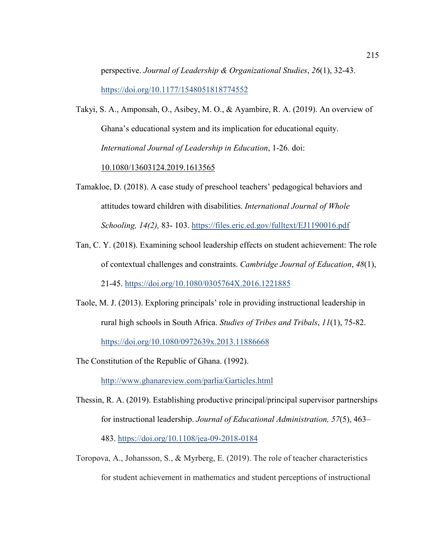perspective. *Journal of Leadership & Organizational Studies*, *26*(1), 32-43. https://doi.org/10.1177/1548051818774552

Takyi, S. A., Amponsah, O., Asibey, M. O., & Ayambire, R. A. (2019). An overview of Ghana's educational system and its implication for educational equity. *International Journal of Leadership in Education*, 1-26. doi:

10.1080/13603124.2019.1613565

- Tamakloe, D. (2018). A case study of preschool teachers' pedagogical behaviors and attitudes toward children with disabilities. *International Journal of Whole Schooling, 14(2),* 83- 103. https://files.eric.ed.gov/fulltext/EJ1190016.pdf
- Tan, C. Y. (2018). Examining school leadership effects on student achievement: The role of contextual challenges and constraints. *Cambridge Journal of Education*, *48*(1), 21-45. https://doi.org/10.1080/0305764X.2016.1221885
- Taole, M. J. (2013). Exploring principals' role in providing instructional leadership in rural high schools in South Africa. *Studies of Tribes and Tribals*, *11*(1), 75-82. https://doi.org/10.1080/0972639x.2013.11886668

The Constitution of the Republic of Ghana. (1992).

http://www.ghanareview.com/parlia/Garticles.html

- Thessin, R. A. (2019). Establishing productive principal/principal supervisor partnerships for instructional leadership. *Journal of Educational Administration, 57*(5), 463– 483. https://doi.org/10.1108/jea-09-2018-0184
- Toropova, A., Johansson, S., & Myrberg, E. (2019). The role of teacher characteristics for student achievement in mathematics and student perceptions of instructional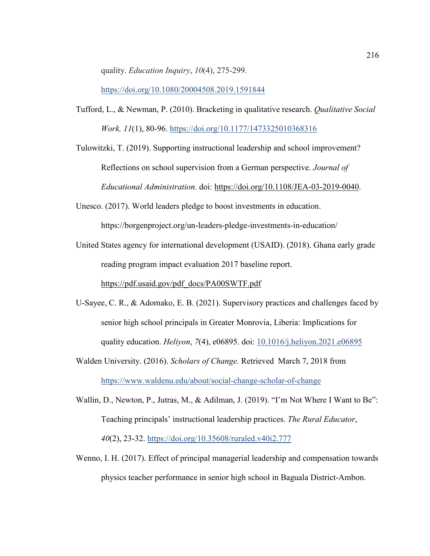quality. *Education Inquiry*, *10*(4), 275-299.

https://doi.org/10.1080/20004508.2019.1591844

Tufford, L., & Newman, P. (2010). Bracketing in qualitative research. *Qualitative Social Work, 11*(1), 80-96. https://doi.org/10.1177/1473325010368316

Tulowitzki, T. (2019). Supporting instructional leadership and school improvement? Reflections on school supervision from a German perspective. *Journal of Educational Administration*. doi: https://doi.org/10.1108/JEA-03-2019-0040.

Unesco. (2017). World leaders pledge to boost investments in education. https://borgenproject.org/un-leaders-pledge-investments-in-education/

United States agency for international development (USAID). (2018). Ghana early grade reading program impact evaluation 2017 baseline report. https://pdf.usaid.gov/pdf\_docs/PA00SWTF.pdf

U-Sayee, C. R., & Adomako, E. B. (2021). Supervisory practices and challenges faced by senior high school principals in Greater Monrovia, Liberia: Implications for quality education. *Heliyon*, *7*(4), e06895. doi: 10.1016/j.heliyon.2021.e06895

Walden University. (2016). *Scholars of Change.* Retrieved March 7, 2018 from https://www.waldenu.edu/about/social-change-scholar-of-change

Wallin, D., Newton, P., Jutras, M., & Adilman, J. (2019). "I'm Not Where I Want to Be": Teaching principals' instructional leadership practices. *The Rural Educator*, *40*(2), 23-32. https://doi.org/10.35608/ruraled.v40i2.777

Wenno, I. H. (2017). Effect of principal managerial leadership and compensation towards physics teacher performance in senior high school in Baguala District-Ambon.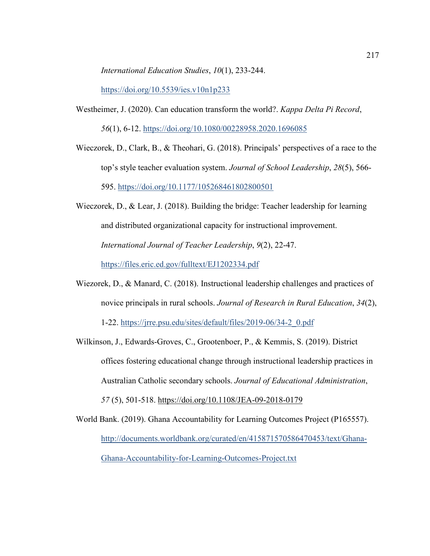*International Education Studies*, *10*(1), 233-244.

https://doi.org/10.5539/ies.v10n1p233

- Westheimer, J. (2020). Can education transform the world?. *Kappa Delta Pi Record*, *56*(1), 6-12. https://doi.org/10.1080/00228958.2020.1696085
- Wieczorek, D., Clark, B., & Theohari, G. (2018). Principals' perspectives of a race to the top's style teacher evaluation system. *Journal of School Leadership*, *28*(5), 566- 595. https://doi.org/10.1177/105268461802800501
- Wieczorek, D., & Lear, J. (2018). Building the bridge: Teacher leadership for learning and distributed organizational capacity for instructional improvement. *International Journal of Teacher Leadership*, *9*(2), 22-47. https://files.eric.ed.gov/fulltext/EJ1202334.pdf
- Wiezorek, D., & Manard, C. (2018). Instructional leadership challenges and practices of novice principals in rural schools. *Journal of Research in Rural Education*, *34*(2),

1-22. https://jrre.psu.edu/sites/default/files/2019-06/34-2\_0.pdf

Wilkinson, J., Edwards-Groves, C., Grootenboer, P., & Kemmis, S. (2019). District offices fostering educational change through instructional leadership practices in Australian Catholic secondary schools. *Journal of Educational Administration*, *57* (5), 501-518. https://doi.org/10.1108/JEA-09-2018-0179

World Bank. (2019). Ghana Accountability for Learning Outcomes Project (P165557). http://documents.worldbank.org/curated/en/415871570586470453/text/Ghana-Ghana-Accountability-for-Learning-Outcomes-Project.txt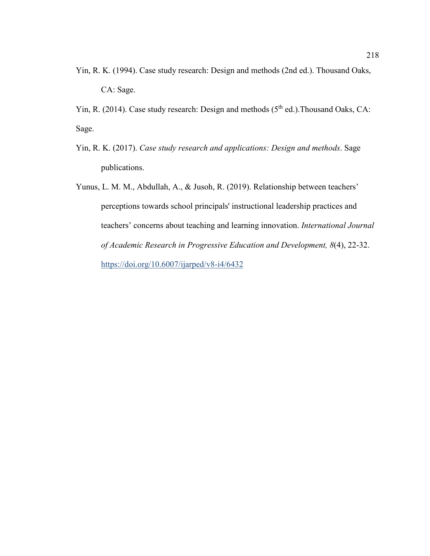Yin, R. K. (1994). Case study research: Design and methods (2nd ed.). Thousand Oaks, CA: Sage.

Yin, R. (2014). Case study research: Design and methods (5<sup>th</sup> ed.). Thousand Oaks, CA: Sage.

- Yin, R. K. (2017). *Case study research and applications: Design and methods*. Sage publications.
- Yunus, L. M. M., Abdullah, A., & Jusoh, R. (2019). Relationship between teachers' perceptions towards school principals' instructional leadership practices and teachers' concerns about teaching and learning innovation. *International Journal of Academic Research in Progressive Education and Development, 8*(4), 22-32. https://doi.org/10.6007/ijarped/v8-i4/6432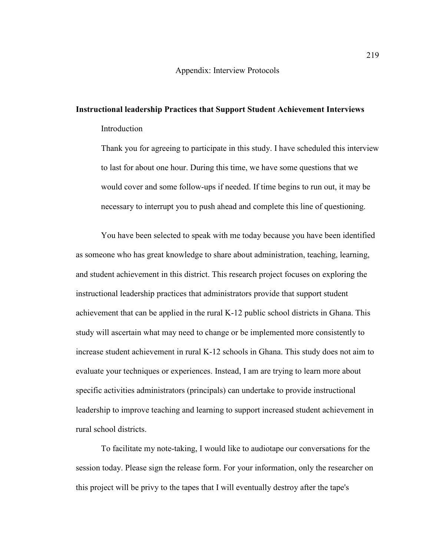## **Instructional leadership Practices that Support Student Achievement Interviews**  Introduction

Thank you for agreeing to participate in this study. I have scheduled this interview to last for about one hour. During this time, we have some questions that we would cover and some follow-ups if needed. If time begins to run out, it may be necessary to interrupt you to push ahead and complete this line of questioning.

You have been selected to speak with me today because you have been identified as someone who has great knowledge to share about administration, teaching, learning, and student achievement in this district. This research project focuses on exploring the instructional leadership practices that administrators provide that support student achievement that can be applied in the rural K-12 public school districts in Ghana. This study will ascertain what may need to change or be implemented more consistently to increase student achievement in rural K-12 schools in Ghana. This study does not aim to evaluate your techniques or experiences. Instead, I am are trying to learn more about specific activities administrators (principals) can undertake to provide instructional leadership to improve teaching and learning to support increased student achievement in rural school districts.

To facilitate my note-taking, I would like to audiotape our conversations for the session today. Please sign the release form. For your information, only the researcher on this project will be privy to the tapes that I will eventually destroy after the tape's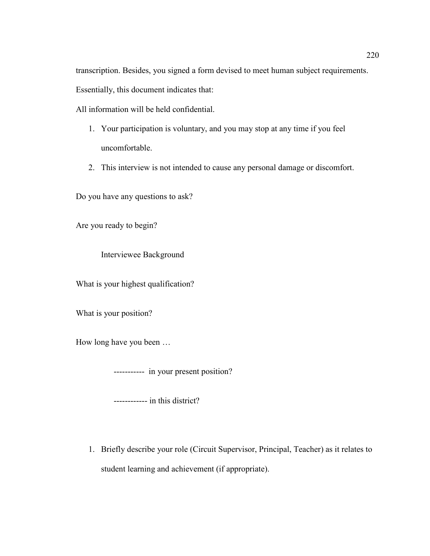transcription. Besides, you signed a form devised to meet human subject requirements.

Essentially, this document indicates that:

All information will be held confidential.

- 1. Your participation is voluntary, and you may stop at any time if you feel uncomfortable.
- 2. This interview is not intended to cause any personal damage or discomfort.

Do you have any questions to ask?

Are you ready to begin?

Interviewee Background

What is your highest qualification?

What is your position?

How long have you been …

----------- in your present position?

------------ in this district?

1. Briefly describe your role (Circuit Supervisor, Principal, Teacher) as it relates to student learning and achievement (if appropriate).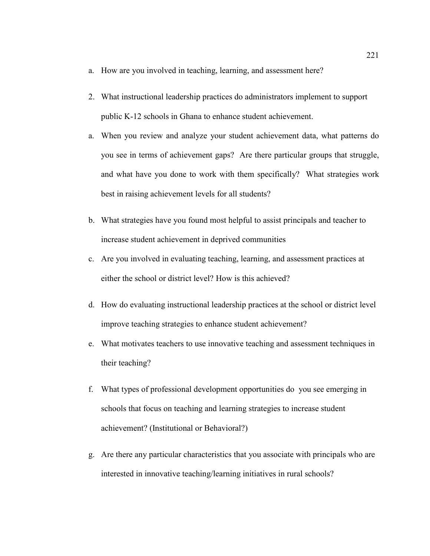- a. How are you involved in teaching, learning, and assessment here?
- 2. What instructional leadership practices do administrators implement to support public K-12 schools in Ghana to enhance student achievement.
- a. When you review and analyze your student achievement data, what patterns do you see in terms of achievement gaps? Are there particular groups that struggle, and what have you done to work with them specifically? What strategies work best in raising achievement levels for all students?
- b. What strategies have you found most helpful to assist principals and teacher to increase student achievement in deprived communities
- c. Are you involved in evaluating teaching, learning, and assessment practices at either the school or district level? How is this achieved?
- d. How do evaluating instructional leadership practices at the school or district level improve teaching strategies to enhance student achievement?
- e. What motivates teachers to use innovative teaching and assessment techniques in their teaching?
- f. What types of professional development opportunities do you see emerging in schools that focus on teaching and learning strategies to increase student achievement? (Institutional or Behavioral?)
- g. Are there any particular characteristics that you associate with principals who are interested in innovative teaching/learning initiatives in rural schools?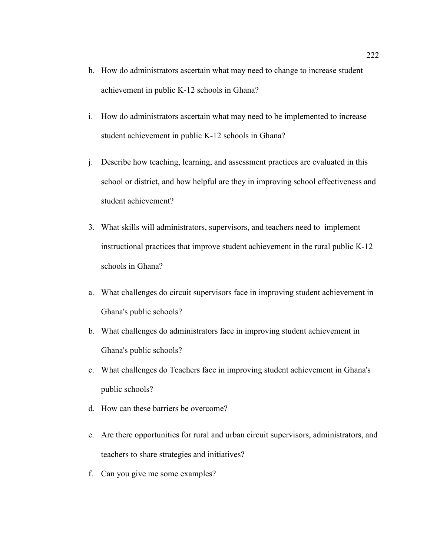- h. How do administrators ascertain what may need to change to increase student achievement in public K-12 schools in Ghana?
- i. How do administrators ascertain what may need to be implemented to increase student achievement in public K-12 schools in Ghana?
- j. Describe how teaching, learning, and assessment practices are evaluated in this school or district, and how helpful are they in improving school effectiveness and student achievement?
- 3. What skills will administrators, supervisors, and teachers need to implement instructional practices that improve student achievement in the rural public K-12 schools in Ghana?
- a. What challenges do circuit supervisors face in improving student achievement in Ghana's public schools?
- b. What challenges do administrators face in improving student achievement in Ghana's public schools?
- c. What challenges do Teachers face in improving student achievement in Ghana's public schools?
- d. How can these barriers be overcome?
- e. Are there opportunities for rural and urban circuit supervisors, administrators, and teachers to share strategies and initiatives?
- f. Can you give me some examples?